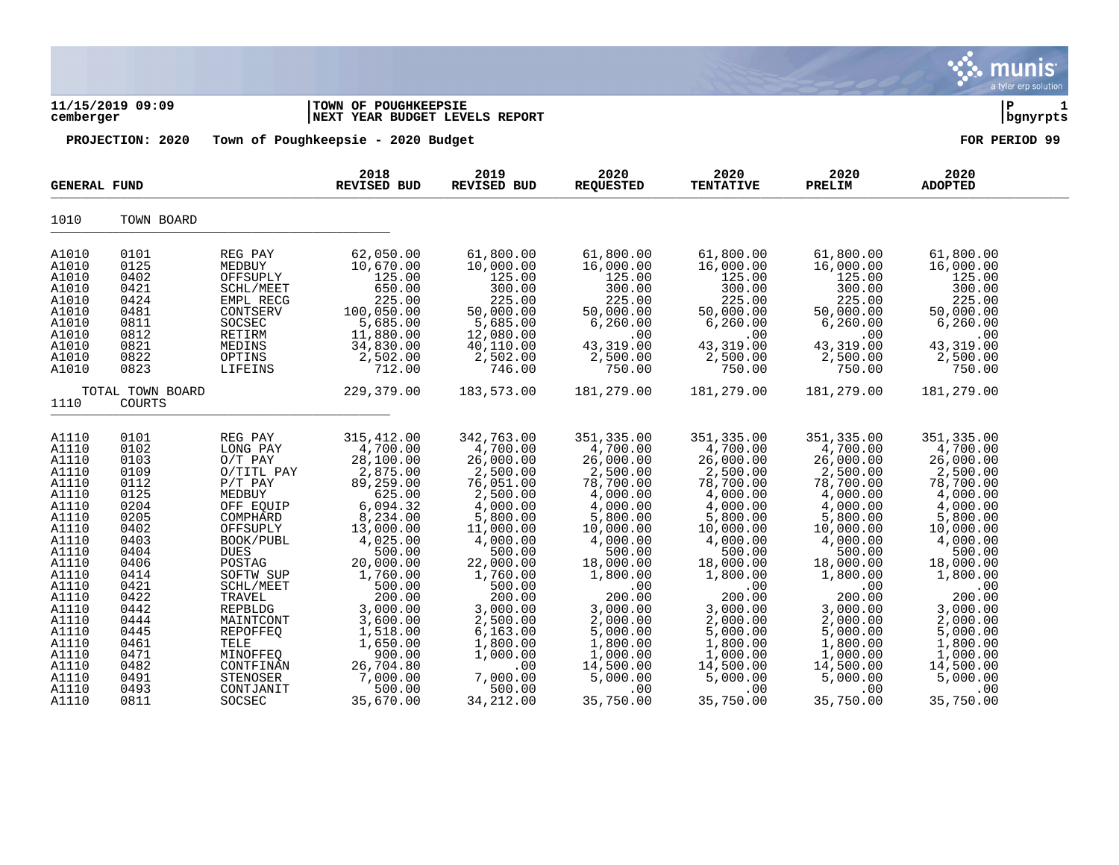|                                                                                                                                                                                                             |                                                                                                                                                                                      |                                                                                                                                                                                                                                                                                                  |                                                                                                                                                                                                                                                                              |                                                                                                                                                                                                                                                                            |                                                                                                                                                                                                                                                                            |                                                                                                                                                                                                                                                                            |                                                                                                                                                                                                                                                                            | munis<br>a tyler erp solution                                                                                                                                                                                                                                             |               |
|-------------------------------------------------------------------------------------------------------------------------------------------------------------------------------------------------------------|--------------------------------------------------------------------------------------------------------------------------------------------------------------------------------------|--------------------------------------------------------------------------------------------------------------------------------------------------------------------------------------------------------------------------------------------------------------------------------------------------|------------------------------------------------------------------------------------------------------------------------------------------------------------------------------------------------------------------------------------------------------------------------------|----------------------------------------------------------------------------------------------------------------------------------------------------------------------------------------------------------------------------------------------------------------------------|----------------------------------------------------------------------------------------------------------------------------------------------------------------------------------------------------------------------------------------------------------------------------|----------------------------------------------------------------------------------------------------------------------------------------------------------------------------------------------------------------------------------------------------------------------------|----------------------------------------------------------------------------------------------------------------------------------------------------------------------------------------------------------------------------------------------------------------------------|---------------------------------------------------------------------------------------------------------------------------------------------------------------------------------------------------------------------------------------------------------------------------|---------------|
| cemberger                                                                                                                                                                                                   | 11/15/2019 09:09                                                                                                                                                                     |                                                                                                                                                                                                                                                                                                  | TOWN OF POUGHKEEPSIE<br>NEXT YEAR BUDGET LEVELS REPORT                                                                                                                                                                                                                       |                                                                                                                                                                                                                                                                            |                                                                                                                                                                                                                                                                            |                                                                                                                                                                                                                                                                            |                                                                                                                                                                                                                                                                            | ∣ P                                                                                                                                                                                                                                                                       | 1<br>bgnyrpts |
|                                                                                                                                                                                                             | PROJECTION: 2020                                                                                                                                                                     |                                                                                                                                                                                                                                                                                                  | Town of Poughkeepsie - 2020 Budget                                                                                                                                                                                                                                           |                                                                                                                                                                                                                                                                            |                                                                                                                                                                                                                                                                            |                                                                                                                                                                                                                                                                            |                                                                                                                                                                                                                                                                            | FOR PERIOD 99                                                                                                                                                                                                                                                             |               |
| <b>GENERAL FUND</b>                                                                                                                                                                                         |                                                                                                                                                                                      |                                                                                                                                                                                                                                                                                                  | 2018<br><b>REVISED BUD</b>                                                                                                                                                                                                                                                   | 2019<br><b>REVISED BUD</b>                                                                                                                                                                                                                                                 | 2020<br><b>REQUESTED</b>                                                                                                                                                                                                                                                   | 2020<br><b>TENTATIVE</b>                                                                                                                                                                                                                                                   | 2020<br>PRELIM                                                                                                                                                                                                                                                             | 2020<br><b>ADOPTED</b>                                                                                                                                                                                                                                                    |               |
| 1010                                                                                                                                                                                                        | TOWN BOARD                                                                                                                                                                           |                                                                                                                                                                                                                                                                                                  |                                                                                                                                                                                                                                                                              |                                                                                                                                                                                                                                                                            |                                                                                                                                                                                                                                                                            |                                                                                                                                                                                                                                                                            |                                                                                                                                                                                                                                                                            |                                                                                                                                                                                                                                                                           |               |
| A1010<br>A1010<br>A1010<br>A1010<br>A1010<br>A1010<br>A1010<br>A1010<br>A1010<br>A1010<br>A1010                                                                                                             | 0101<br>0125<br>0402<br>0421<br>0424<br>0481<br>0811<br>0812<br>0821<br>0822<br>0823                                                                                                 | REG PAY<br>MEDBUY<br>OFFSUPLY<br>SCHL/MEET<br>EMPL RECG<br>CONTSERV<br>SOCSEC<br>RETIRM<br>MEDINS<br>OPTINS<br>LIFEINS                                                                                                                                                                           | 62,050.00<br>10,670.00<br>125.00<br>650.00<br>225.00<br>100,050.00<br>5,685.00<br>11,880.00<br>34,830.00<br>2,502.00<br>712.00                                                                                                                                               | 61,800.00<br>10,000.00<br>125.00<br>300.00<br>225.00<br>50,000.00<br>5,685.00<br>12,080.00<br>40,110.00<br>2,502.00<br>746.00                                                                                                                                              | 61,800.00<br>16,000.00<br>125.00<br>300.00<br>225.00<br>50,000.00<br>6, 260.00<br>.00<br>43,319.00<br>2,500.00<br>750.00                                                                                                                                                   | 61,800.00<br>16,000.00<br>125.00<br>300.00<br>225.00<br>50,000.00<br>6,260.00<br>.00<br>43,319.00<br>2,500.00<br>750.00                                                                                                                                                    | 61,800.00<br>16,000.00<br>125.00<br>300.00<br>225.00<br>50,000.00<br>6, 260.00<br>.00<br>43, 319.00<br>2,500.00<br>750.00                                                                                                                                                  | 61,800.00<br>16,000.00<br>125.00<br>300.00<br>225.00<br>50,000.00<br>6, 260.00<br>.00<br>43, 319.00<br>2,500.00<br>750.00                                                                                                                                                 |               |
| 1110                                                                                                                                                                                                        | TOTAL TOWN BOARD<br><b>COURTS</b>                                                                                                                                                    |                                                                                                                                                                                                                                                                                                  | 229,379.00                                                                                                                                                                                                                                                                   | 183,573.00                                                                                                                                                                                                                                                                 | 181,279.00                                                                                                                                                                                                                                                                 | 181,279.00                                                                                                                                                                                                                                                                 | 181,279.00                                                                                                                                                                                                                                                                 | 181,279.00                                                                                                                                                                                                                                                                |               |
| A1110<br>A1110<br>A1110<br>A1110<br>A1110<br>A1110<br>A1110<br>A1110<br>A1110<br>A1110<br>A1110<br>A1110<br>A1110<br>A1110<br>A1110<br>A1110<br>A1110<br>A1110<br>A1110<br>A1110<br>A1110<br>A1110<br>A1110 | 0101<br>0102<br>0103<br>0109<br>0112<br>0125<br>0204<br>0205<br>0402<br>0403<br>0404<br>0406<br>0414<br>0421<br>0422<br>0442<br>0444<br>0445<br>0461<br>0471<br>0482<br>0491<br>0493 | REG PAY<br>LONG PAY<br>$O/T$ PAY<br>O/TITL PAY<br>$P/T$ PAY<br>MEDBUY<br>OFF EQUIP<br>COMPHARD<br>OFFSUPLY<br>BOOK/PUBL<br><b>DUES</b><br>POSTAG<br>SOFTW SUP<br>SCHL/MEET<br>TRAVEL<br><b>REPBLDG</b><br>MAINTCONT<br><b>REPOFFEQ</b><br>TELE<br>MINOFFEQ<br>CONTFINAN<br>STENOSER<br>CONTJANIT | 315, 412.00<br>4,700.00<br>28,100.00<br>2,875.00<br>89,259.00<br>625.00<br>6,094.32<br>8,234.00<br>13,000.00<br>4,025.00<br>500.00<br>20,000.00<br>1,760.00<br>500.00<br>200.00<br>3,000.00<br>3,600.00<br>1,518.00<br>1,650.00<br>900.00<br>26,704.80<br>7,000.00<br>500.00 | 342,763.00<br>4,700.00<br>26,000.00<br>2,500.00<br>76,051.00<br>2,500.00<br>4,000.00<br>5,800.00<br>11,000.00<br>4,000.00<br>500.00<br>22,000.00<br>1,760.00<br>500.00<br>200.00<br>3,000.00<br>2,500.00<br>6, 163.00<br>1,800.00<br>1,000.00<br>.00<br>7,000.00<br>500.00 | 351, 335.00<br>4,700.00<br>26,000.00<br>2,500.00<br>78,700.00<br>4,000.00<br>4,000.00<br>5,800.00<br>10,000.00<br>4,000.00<br>500.00<br>18,000.00<br>1,800.00<br>.00<br>200.00<br>3,000.00<br>2,000.00<br>5,000.00<br>1,800.00<br>1,000.00<br>14,500.00<br>5,000.00<br>.00 | 351, 335.00<br>4,700.00<br>26,000.00<br>2,500.00<br>78,700.00<br>4,000.00<br>4,000.00<br>5,800.00<br>10,000.00<br>4,000.00<br>500.00<br>18,000.00<br>1,800.00<br>.00<br>200.00<br>3,000.00<br>2,000.00<br>5,000.00<br>1,800.00<br>1,000.00<br>14,500.00<br>5,000.00<br>.00 | 351, 335.00<br>4,700.00<br>26,000.00<br>2,500.00<br>78,700.00<br>4,000.00<br>4,000.00<br>5,800.00<br>10,000.00<br>4,000.00<br>500.00<br>18,000.00<br>1,800.00<br>.00<br>200.00<br>3,000.00<br>2,000.00<br>5,000.00<br>1,800.00<br>1,000.00<br>14,500.00<br>5,000.00<br>.00 | 351,335.00<br>4,700.00<br>26,000.00<br>2,500.00<br>78,700.00<br>4,000.00<br>4,000.00<br>5,800.00<br>10,000.00<br>4,000.00<br>500.00<br>18,000.00<br>1,800.00<br>.00<br>200.00<br>3,000.00<br>2,000.00<br>5,000.00<br>1,800.00<br>1,000.00<br>14,500.00<br>5,000.00<br>.00 |               |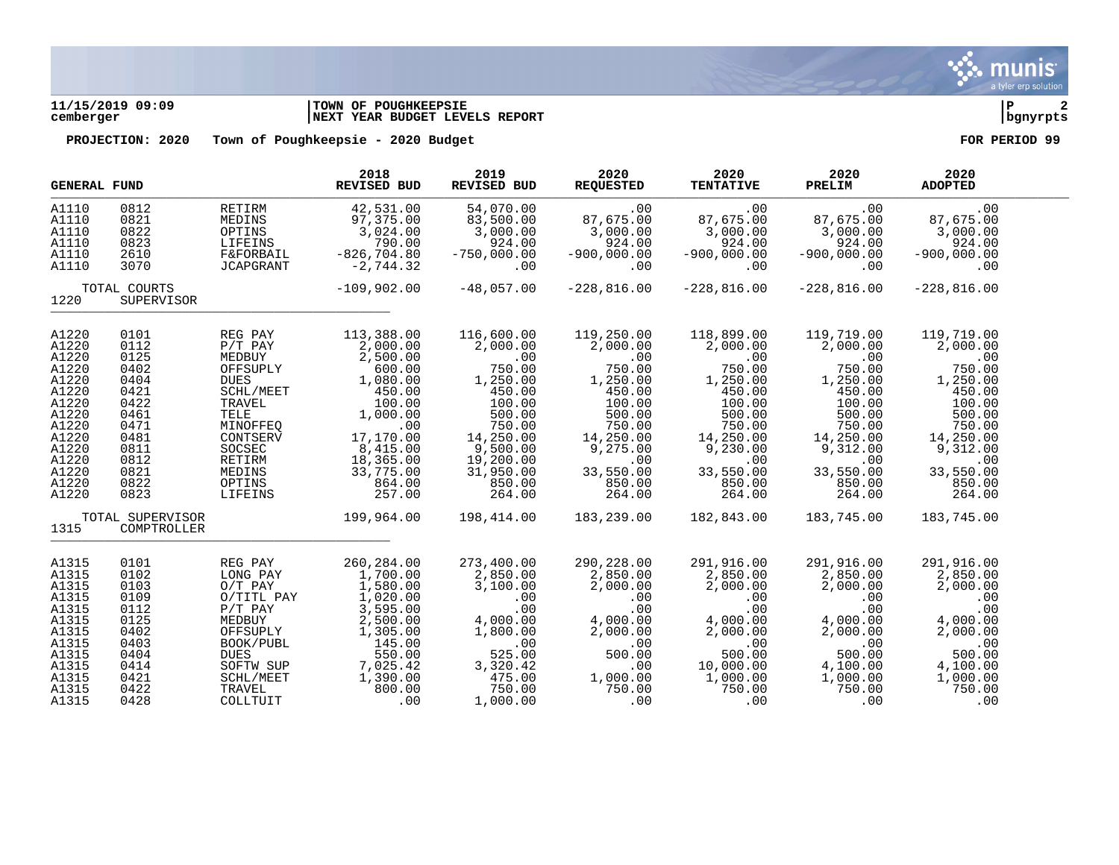

# **11/15/2019 09:09 |TOWN OF POUGHKEEPSIE |P 2 cemberger |NEXT YEAR BUDGET LEVELS REPORT |bgnyrpts**

| <b>GENERAL FUND</b>                                                                                                                 |                                                                                                                      |                                                                                                                                                                       | 2018<br><b>REVISED BUD</b>                                                                                                                                             | 2019<br>REVISED BUD                                                                                                                                                | 2020<br><b>REQUESTED</b>                                                                                                                                     | 2020<br><b>TENTATIVE</b>                                                                                                                                     | 2020<br>PRELIM                                                                                                                                               | 2020<br><b>ADOPTED</b>                                                                                                                                       |  |
|-------------------------------------------------------------------------------------------------------------------------------------|----------------------------------------------------------------------------------------------------------------------|-----------------------------------------------------------------------------------------------------------------------------------------------------------------------|------------------------------------------------------------------------------------------------------------------------------------------------------------------------|--------------------------------------------------------------------------------------------------------------------------------------------------------------------|--------------------------------------------------------------------------------------------------------------------------------------------------------------|--------------------------------------------------------------------------------------------------------------------------------------------------------------|--------------------------------------------------------------------------------------------------------------------------------------------------------------|--------------------------------------------------------------------------------------------------------------------------------------------------------------|--|
| A1110<br>A1110<br>A1110<br>A1110<br>A1110<br>A1110                                                                                  | 0812<br>0821<br>0822<br>0823<br>2610<br>3070                                                                         | RETIRM<br>MEDINS<br>OPTINS<br>LIFEINS<br><b>F&amp;FORBAIL</b><br>JCAPGRANT                                                                                            | 42,531.00<br>97,375.00<br>3,024.00<br>790.00<br>$-826, 704.80$<br>$-2,744.32$                                                                                          | 54,070.00<br>83,500.00<br>3,000.00<br>924.00<br>$-750,000.00$<br>.00                                                                                               | .00<br>87,675.00<br>3,000.00<br>924.00<br>$-900,000.00$<br>.00                                                                                               | .00<br>87,675.00<br>3,000.00<br>924.00<br>$-900,000.00$<br>.00                                                                                               | .00<br>87,675.00<br>3,000.00<br>924.00<br>$-900,000.00$<br>.00                                                                                               | .00<br>87,675.00<br>3,000.00<br>924.00<br>$-900,000.00$<br>.00                                                                                               |  |
| 1220                                                                                                                                | TOTAL COURTS<br>SUPERVISOR                                                                                           |                                                                                                                                                                       | $-109,902.00$                                                                                                                                                          | $-48,057.00$                                                                                                                                                       | $-228,816.00$                                                                                                                                                | $-228,816.00$                                                                                                                                                | $-228,816.00$                                                                                                                                                | $-228,816.00$                                                                                                                                                |  |
| A1220<br>A1220<br>A1220<br>A1220<br>A1220<br>A1220<br>A1220<br>A1220<br>A1220<br>A1220<br>A1220<br>A1220<br>A1220<br>A1220<br>A1220 | 0101<br>0112<br>0125<br>0402<br>0404<br>0421<br>0422<br>0461<br>0471<br>0481<br>0811<br>0812<br>0821<br>0822<br>0823 | REG PAY<br>$P/T$ $PAY$<br>MEDBUY<br>OFFSUPLY<br><b>DUES</b><br>SCHL/MEET<br>TRAVEL<br>TELE<br>MINOFFEQ<br>CONTSERV<br>SOCSEC<br>RETIRM<br>MEDINS<br>OPTINS<br>LIFEINS | 113,388.00<br>2,000.00<br>2,500.00<br>600.00<br>1,080.00<br>450.00<br>100.00<br>1,000.00<br>.00<br>17,170.00<br>8,415.00<br>18,365.00<br>33,775.00<br>864.00<br>257.00 | 116,600.00<br>2,000.00<br>.00<br>750.00<br>1,250.00<br>450.00<br>100.00<br>500.00<br>750.00<br>14,250.00<br>9,500.00<br>19,200.00<br>31,950.00<br>850.00<br>264.00 | 119,250.00<br>2,000.00<br>.00<br>750.00<br>1,250.00<br>450.00<br>100.00<br>500.00<br>750.00<br>14,250.00<br>9,275.00<br>.00<br>33,550.00<br>850.00<br>264.00 | 118,899.00<br>2,000.00<br>.00<br>750.00<br>1,250.00<br>450.00<br>100.00<br>500.00<br>750.00<br>14,250.00<br>9,230.00<br>.00<br>33,550.00<br>850.00<br>264.00 | 119,719.00<br>2,000.00<br>.00<br>750.00<br>1,250.00<br>450.00<br>100.00<br>500.00<br>750.00<br>14,250.00<br>9,312.00<br>.00<br>33,550.00<br>850.00<br>264.00 | 119,719.00<br>2,000.00<br>.00<br>750.00<br>1,250.00<br>450.00<br>100.00<br>500.00<br>750.00<br>14,250.00<br>9,312.00<br>.00<br>33,550.00<br>850.00<br>264.00 |  |
| 1315                                                                                                                                | TOTAL SUPERVISOR<br>COMPTROLLER                                                                                      |                                                                                                                                                                       | 199,964.00                                                                                                                                                             | 198,414.00                                                                                                                                                         | 183,239.00                                                                                                                                                   | 182,843.00                                                                                                                                                   | 183,745.00                                                                                                                                                   | 183,745.00                                                                                                                                                   |  |
| A1315<br>A1315<br>A1315<br>A1315<br>A1315                                                                                           | 0101<br>0102<br>0103<br>0109<br>0112                                                                                 | REG PAY<br>LONG PAY<br>$O/T$ PAY<br>O/TITL PAY<br>$P/T$ $PAY$                                                                                                         | 260, 284.00<br>1,700.00<br>1,580.00<br>1,020.00<br>3,595.00                                                                                                            | 273,400.00<br>2,850.00<br>3,100.00<br>.00<br>.00                                                                                                                   | 290,228.00<br>2,850.00<br>2,000.00<br>.00<br>.00                                                                                                             | 291,916.00<br>2,850.00<br>2,000.00<br>.00<br>.00                                                                                                             | 291,916.00<br>2,850.00<br>2,000.00<br>.00<br>.00                                                                                                             | 291,916.00<br>2,850.00<br>2,000.00<br>.00<br>.00                                                                                                             |  |
| A1315<br>A1315<br>A1315<br>A1315<br>A1315<br>A1315<br>A1315<br>A1315                                                                | 0125<br>0402<br>0403<br>0404<br>0414<br>0421<br>0422<br>0428                                                         | MEDBUY<br>OFFSUPLY<br>BOOK/PUBL<br><b>DUES</b><br>SOFTW SUP<br>SCHL/MEET<br>TRAVEL<br>COLLTUIT                                                                        | 2,500.00<br>1,305.00<br>145.00<br>550.00<br>7,025.42<br>1,390.00<br>800.00<br>.00                                                                                      | 4,000.00<br>1,800.00<br>.00<br>525.00<br>3, 320.42<br>475.00<br>750.00<br>1,000.00                                                                                 | 4,000.00<br>2,000.00<br>.00<br>500.00<br>.00<br>1,000.00<br>750.00<br>.00                                                                                    | 4,000.00<br>2,000.00<br>.00<br>500.00<br>10,000.00<br>1,000.00<br>750.00<br>.00                                                                              | 4,000.00<br>2,000.00<br>.00<br>500.00<br>4,100.00<br>1,000.00<br>750.00<br>.00                                                                               | 4,000.00<br>2,000.00<br>.00<br>500.00<br>4,100.00<br>1,000.00<br>750.00<br>.00                                                                               |  |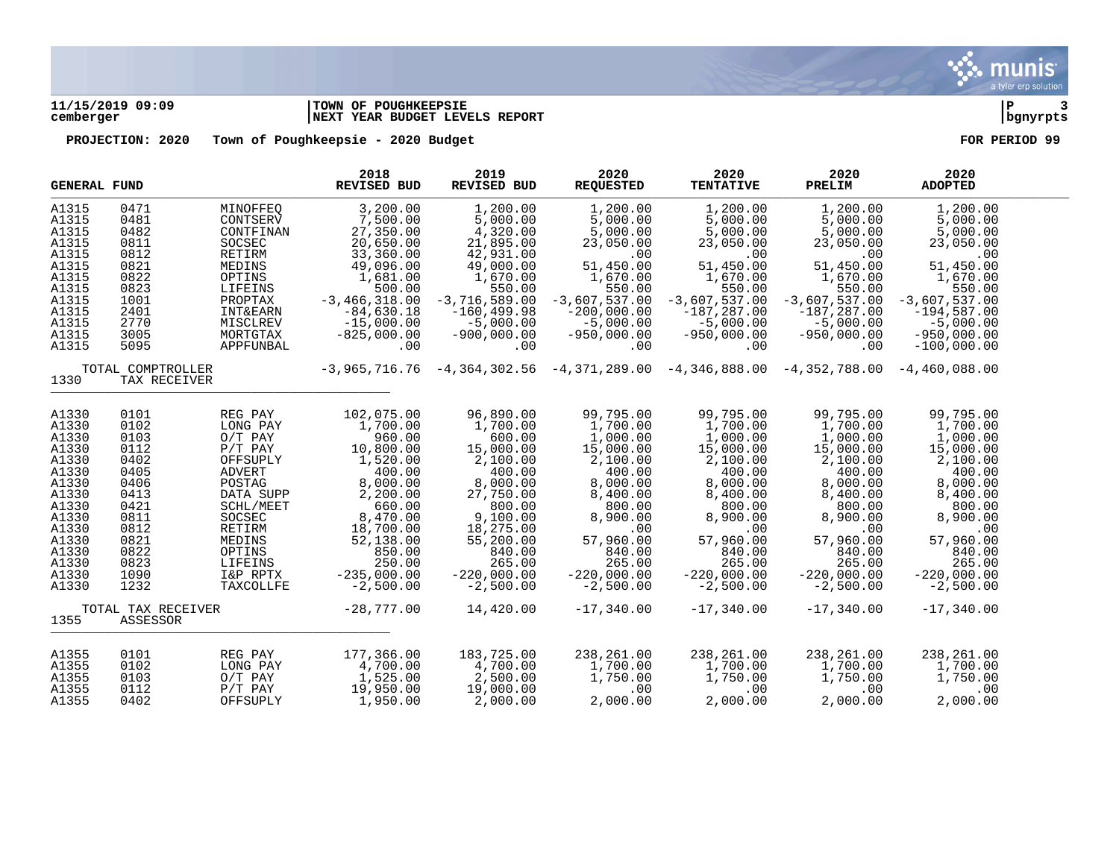

# **11/15/2019 09:09 |TOWN OF POUGHKEEPSIE |P 3 cemberger |NEXT YEAR BUDGET LEVELS REPORT |bgnyrpts**

| <b>GENERAL FUND</b>                       |      |                     | 2018<br><b>REVISED BUD</b> | 2019<br><b>REVISED BUD</b> | 2020<br><b>REQUESTED</b>                                                                        | 2020<br><b>TENTATIVE</b> | 2020<br>PRELIM  | 2020<br><b>ADOPTED</b> |  |
|-------------------------------------------|------|---------------------|----------------------------|----------------------------|-------------------------------------------------------------------------------------------------|--------------------------|-----------------|------------------------|--|
| A1315                                     | 0471 | MINOFFEQ            | 3,200.00                   | 1,200.00                   | 1,200.00                                                                                        | 1,200.00                 | 1,200.00        | 1,200.00               |  |
| A1315                                     | 0481 | CONTSERV            | 7,500.00                   | 5,000.00                   | 5,000.00                                                                                        | 5,000.00                 | 5,000.00        | 5,000.00               |  |
| A1315                                     | 0482 | CONTFINAN           | 27,350.00                  | 4,320.00                   | 5,000.00                                                                                        | 5,000.00                 | 5,000.00        | 5,000.00               |  |
| A1315                                     | 0811 | SOCSEC              | 20,650.00                  | 21,895.00                  | 23,050.00                                                                                       | 23,050.00                | 23,050.00       | 23,050.00              |  |
| A1315                                     | 0812 | RETIRM              | 33,360.00                  | 42,931.00                  | .00                                                                                             | .00                      | .00             | .00                    |  |
| A1315                                     | 0821 | MEDINS              | 49,096.00                  | 49,000.00                  | 51,450.00                                                                                       | 51,450.00                | 51,450.00       | 51,450.00              |  |
| A1315                                     | 0822 | OPTINS              | 1,681.00                   | 1,670.00                   | 1,670.00                                                                                        | 1,670.00                 | 1,670.00        | 1,670.00               |  |
| A1315                                     | 0823 | LIFEINS             | 500.00                     | 550.00                     | 550.00                                                                                          | 550.00                   | 550.00          | 550.00                 |  |
| A1315                                     | 1001 | PROPTAX             | $-3,466,318.00$            | $-3,716,589.00$            | $-3,607,537.00$                                                                                 | $-3,607,537.00$          | $-3,607,537.00$ | $-3,607,537.00$        |  |
| A1315                                     | 2401 | <b>INT&amp;EARN</b> | $-84,630.18$               | $-160, 499.98$             | $-200,000.00$                                                                                   | $-187,287.00$            | $-187, 287.00$  | $-194,587.00$          |  |
| A1315                                     | 2770 | MISCLREV            | $-15,000.00$               | $-5,000.00$                | $-5,000.00$                                                                                     | $-5,000.00$              | $-5,000.00$     | $-5,000.00$            |  |
| A1315                                     | 3005 | MORTGTAX            | $-825,000.00$              | $-900,000.00$              | $-950,000.00$                                                                                   | $-950,000.00$            | $-950,000.00$   | $-950,000.00$          |  |
| A1315                                     | 5095 | APPFUNBAL           | .00                        | .00                        | .00                                                                                             | .00                      | .00             | $-100,000.00$          |  |
| TOTAL COMPTROLLER<br>1330<br>TAX RECEIVER |      |                     |                            |                            | $-3,965,716.76$ $-4,364,302.56$ $-4,371,289.00$ $-4,346,888.00$ $-4,352,788.00$ $-4,460,088.00$ |                          |                 |                        |  |
| A1330                                     | 0101 | REG PAY             | 102,075.00                 | 96,890.00                  | 99,795.00                                                                                       | 99,795.00                | 99,795.00       | 99,795.00              |  |
| A1330                                     | 0102 | LONG PAY            | 1,700.00                   | 1,700.00                   | 1,700.00                                                                                        | 1,700.00                 | 1,700.00        | 1,700.00               |  |
| A1330                                     | 0103 | $O/T$ PAY           | 960.00                     | 600.00                     | 1,000.00                                                                                        | 1,000.00                 | 1,000.00        | 1,000.00               |  |
| A1330                                     | 0112 | $P/T$ $PAY$         | 10,800.00                  | 15,000.00                  | 15,000.00                                                                                       | 15,000.00                | 15,000.00       | 15,000.00              |  |
| A1330                                     | 0402 | OFFSUPLY            | 1,520.00                   | 2,100.00                   | 2,100.00                                                                                        | 2,100.00                 | 2,100.00        | 2,100.00               |  |
| A1330                                     | 0405 | <b>ADVERT</b>       | 400.00                     | 400.00                     | 400.00                                                                                          | 400.00                   | 400.00          | 400.00                 |  |
| A1330                                     | 0406 | POSTAG              | 8,000.00                   | 8,000.00                   | 8,000.00                                                                                        | 8,000.00                 | 8,000.00        | 8,000.00               |  |
| A1330                                     | 0413 | DATA SUPP           | 2,200.00                   | 27,750.00                  | 8,400.00                                                                                        | 8,400.00                 | 8,400.00        | 8,400.00               |  |
| A1330                                     | 0421 | SCHL/MEET           | 660.00                     | 800.00                     | 800.00                                                                                          | 800.00                   | 800.00          | 800.00                 |  |
| A1330                                     | 0811 | SOCSEC              | 8,470.00                   | 9,100.00                   | 8,900.00                                                                                        | 8,900.00                 | 8,900.00        | 8,900.00               |  |
| A1330                                     | 0812 | RETIRM              | 18,700.00                  | 18,275.00                  | .00                                                                                             | .00                      | .00             | .00                    |  |
| A1330                                     | 0821 | MEDINS              | 52,138.00                  | 55,200.00                  | 57,960.00                                                                                       | 57,960.00                | 57,960.00       | 57,960.00              |  |
| A1330                                     | 0822 | OPTINS              | 850.00                     | 840.00                     | 840.00                                                                                          | 840.00                   | 840.00          | 840.00                 |  |
| A1330                                     | 0823 | LIFEINS             | 250.00                     | 265.00                     | 265.00                                                                                          | 265.00                   | 265.00          | 265.00                 |  |
| A1330                                     | 1090 | I&P RPTX            | $-235,000.00$              | $-220,000.00$              | $-220,000.00$                                                                                   | $-220,000.00$            | $-220,000.00$   | $-220,000.00$          |  |
| A1330                                     | 1232 | TAXCOLLFE           | $-2,500.00$                | $-2,500.00$                | $-2,500.00$                                                                                     | $-2,500.00$              | $-2,500.00$     | $-2,500.00$            |  |
| TOTAL TAX RECEIVER<br>1355<br>ASSESSOR    |      | $-28,777.00$        | 14,420.00                  | $-17,340.00$               | $-17,340.00$                                                                                    | $-17,340.00$             | $-17,340.00$    |                        |  |
| A1355                                     | 0101 | REG PAY             | 177,366.00                 | 183,725.00                 | 238,261.00                                                                                      | 238,261.00               | 238,261.00      | 238,261.00             |  |
| A1355                                     | 0102 | LONG PAY            | 4,700.00                   | 4,700.00                   | 1,700.00                                                                                        | 1,700.00                 | 1,700.00        | 1,700.00               |  |
| A1355                                     | 0103 | $O/T$ PAY           | 1,525.00                   | 2,500.00                   | 1,750.00                                                                                        | 1,750.00                 | 1,750.00        | 1,750.00               |  |
| A1355                                     | 0112 | $P/T$ $PAY$         | 19,950.00                  | 19,000.00                  | .00                                                                                             | .00                      | .00             | .00                    |  |
| A1355                                     | 0402 | OFFSUPLY            | 1,950.00                   | 2,000.00                   | 2,000.00                                                                                        | 2,000.00                 | 2,000.00        | 2,000.00               |  |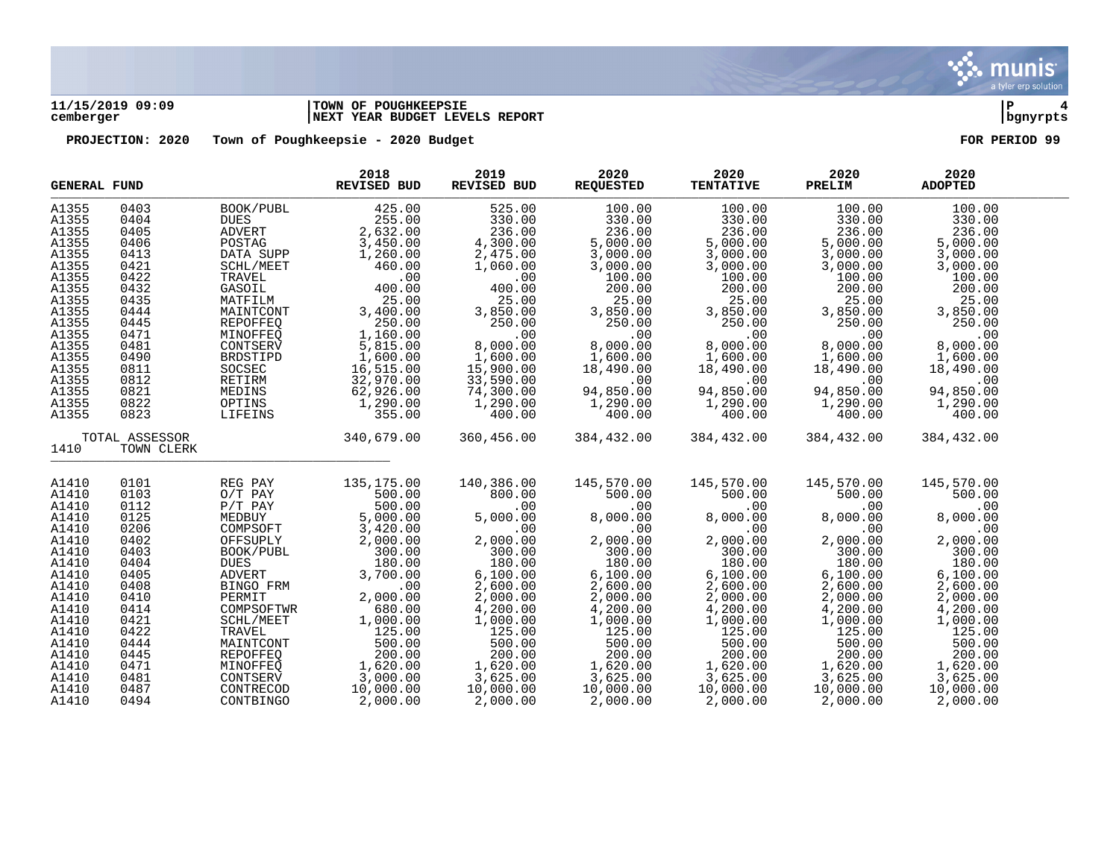

# **11/15/2019 09:09 |TOWN OF POUGHKEEPSIE |P 4 cemberger |NEXT YEAR BUDGET LEVELS REPORT |bgnyrpts**

| A1355<br>0403<br>BOOK/PUBL<br>425.00<br>525.00<br>100.00<br>100.00<br>100.00                                      | 100.00<br>330.00 |
|-------------------------------------------------------------------------------------------------------------------|------------------|
|                                                                                                                   |                  |
| 255.00<br>330.00<br>330.00<br>0404<br><b>DUES</b><br>330.00<br>330.00<br>A1355                                    |                  |
| 236.00<br>236.00<br>A1355<br>236.00<br>236.00<br>0405<br><b>ADVERT</b>                                            | 236.00           |
| $2,632.00$<br>3,450.00<br>5,000.00<br>5,000.00<br>5,000.00<br>A1355<br>0406<br>POSTAG                             | 5,000.00         |
| $\frac{4}{2}$ , 300.00<br>2, 475.00<br>A1355<br>1,260.00<br>3,000.00<br>3,000.00<br>3,000.00<br>0413<br>DATA SUPP | 3,000.00         |
| A1355<br>0421<br>SCHL/MEET<br>460.00<br>1,060.00<br>3,000.00<br>3,000.00<br>3,000.00                              | 3,000.00         |
| TRAVEL<br>100.00<br>A1355<br>0422<br>.00<br>.00<br>100.00<br>100.00                                               | 100.00           |
| 200.00<br>200.00<br>A1355<br>0432<br>GASOIL<br>400.00<br>400.00<br>200.00                                         | 200.00           |
| 25.00<br>A1355<br>0435<br>MATFILM<br>25.00<br>25.00<br>25.00                                                      | 25.00            |
| $25.00$<br>3,850.00<br>3,850.00<br>3,850.00<br>A1355<br>3,400.00<br>3,850.00<br>0444<br>MAINTCONT                 | 3,850.00         |
| A1355<br>0445<br>REPOFFEQ<br>250.00<br>250.00<br>250.00<br>250.00<br>250.00                                       | 250.00           |
| A1355<br>0471<br>MINOFFEO<br>1,160.00<br>.00<br>.00<br>.00<br>.00                                                 | .00              |
| A1355<br>0481<br>8,000.00<br>8,000.00                                                                             | 8,000.00         |
| 5,815.00<br>8,000.00<br>8,000.00<br>1,600.00<br>CONTSERV                                                          |                  |
| $1,600.00$<br>$18,490.00$<br>1,600.00<br>1,600.00<br>16,515.00<br>1,600.00<br>A1355<br>0490<br>BRDSTIPD           | 1,600.00         |
| A1355<br>SOCSEC<br>15,900.00<br>0811<br>18,490.00<br>18,490.00                                                    | 18,490.00        |
| RETIRM<br>32,970.00<br>33,590.00<br>A1355<br>0812<br>.00<br>.00<br>.00                                            | .00              |
| MEDINS<br>A1355<br>0821<br>62,926.00<br>74,300.00<br>94,850.00<br>94,850.00<br>94,850.00                          | 94,850.00        |
| A1355<br>0822<br>OPTINS<br>1,290.00<br>1,290.00<br>1,290.00<br>1,290.00<br>1,290.00                               | 1,290.00         |
| A1355<br>0823<br>355.00<br>400.00<br>400.00<br>400.00<br>400.00<br>LIFEINS                                        | 400.00           |
| TOTAL ASSESSOR<br>340,679.00<br>360,456.00<br>384,432.00<br>384,432.00<br>384,432.00                              | 384,432.00       |
| 1410<br>TOWN CLERK                                                                                                |                  |
| 0101<br>135,175.00<br>140,386.00<br>145,570.00<br>145,570.00<br>145,570.00<br>A1410<br>REG PAY                    | 145,570.00       |
| 0103<br>$O/T$ PAY<br>A1410<br>500.00<br>800.00<br>500.00<br>500.00<br>500.00                                      | 500.00           |
| 500.00<br>A1410<br>0112<br>$P/T$ $PAY$<br>.00<br>.00<br>.00<br>.00                                                | .00              |
| 5,000.00<br>0125<br>MEDBUY<br>A1410<br>5.000.00<br>8,000.00<br>8,000.00<br>8,000.00                               | 8,000.00         |
| 3,420.00<br>.00<br>.00<br>.00<br>A1410<br>0206<br>COMPSOFT<br>.00                                                 | .00              |
| 2,000.00<br>A1410<br>0402<br>OFFSUPLY<br>2,000.00<br>2,000.00<br>2,000.00<br>2,000.00                             | 2,000.00         |
| 300.00<br>300.00<br>A1410<br>0403<br>300.00<br>300.00<br>300.00<br>BOOK/PUBL                                      | 300.00           |
| 180.00<br>180.00<br>180.00<br>180.00<br>A1410<br>0404<br><b>DUES</b><br>180.00                                    | 180.00           |
| A1410<br><b>ADVERT</b><br>3,700.00<br>6,100.00<br>6,100.00<br>6,100.00<br>6,100.00<br>0405                        | 6,100.00         |
| 2,600.00<br>2,600.00<br>2,600.00<br>2,600.00<br>A1410<br>0408<br>BINGO FRM<br>.00                                 | 2,600.00         |
| 2,000.00<br>2,000.00<br>PERMIT<br>2,000.00<br>2,000.00<br>2,000.00<br>A1410<br>0410                               | 2,000.00         |
| 4,200.00<br>4,200.00<br>4,200.00<br>4,200.00<br>A1410<br>0414<br>COMPSOFTWR<br>680.00                             | 4,200.00         |
| 1,000.00<br>0421<br>1,000.00<br>1,000.00<br>A1410<br>SCHL/MEET<br>1,000.00<br>1,000.00                            | 1,000.00         |
| 125.00<br>125.00<br>125.00<br>125.00<br>125.00<br>A1410<br>0422<br>TRAVEL                                         | 125.00           |
| 500.00<br>500.00<br>500.00<br>500.00<br>500.00<br>A1410<br>0444<br>MAINTCONT                                      | 500.00           |
| 200.00<br>200.00<br>200.00<br>200.00<br>0445<br>REPOFFEQ<br>200.00<br>A1410                                       | 200.00           |
| 1,620.00<br>1,620.00<br>1,620.00<br>A1410<br>0471<br>MINOFFEO<br>1,620.00<br>1,620.00                             | 1,620.00         |
| 3,000.00<br>3,625.00<br>3,625.00<br>3,625.00<br>3,625.00<br>A1410<br>0481<br>CONTSERV                             | 3,625.00         |
| 10,000.00<br>10,000.00<br>10,000.00<br>10,000.00<br>A1410<br>0487<br>CONTRECOD<br>10,000.00                       | 10,000.00        |
| A1410<br>0494<br>CONTBINGO<br>2,000.00<br>2,000.00<br>2,000.00<br>2,000.00<br>2,000.00                            | 2,000.00         |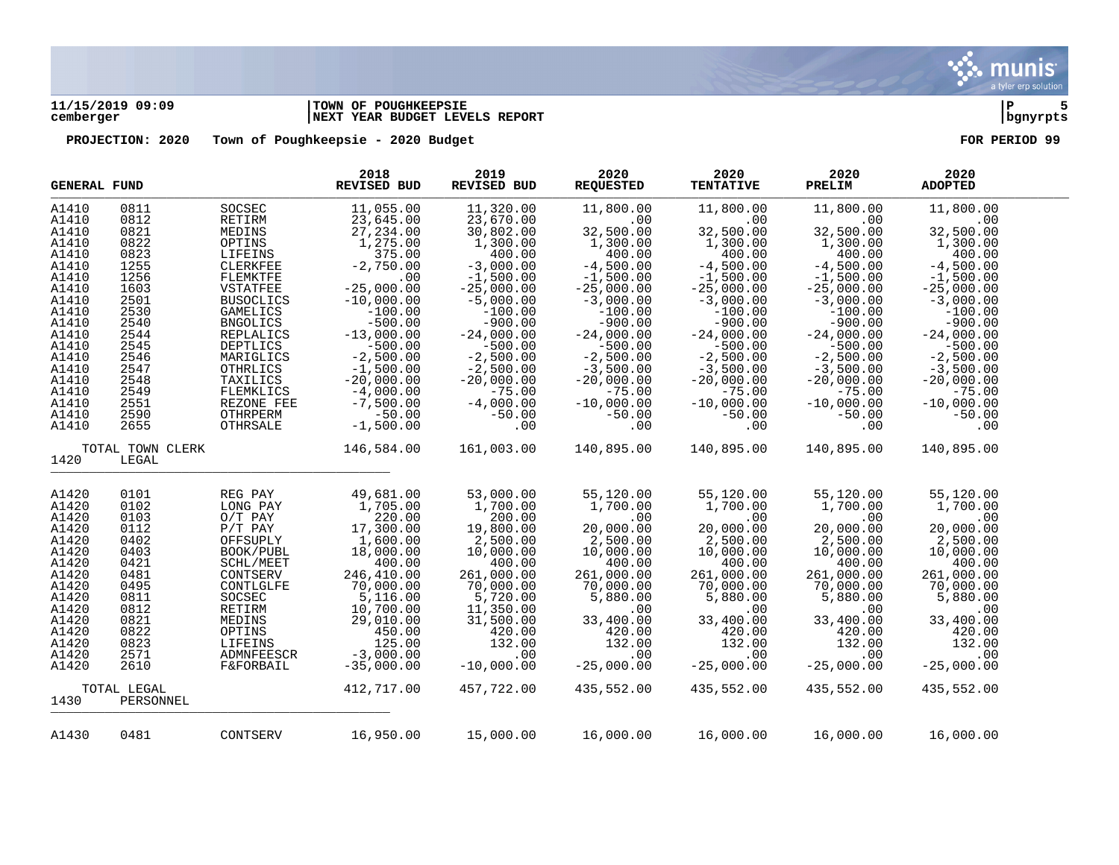

# **11/15/2019 09:09 |TOWN OF POUGHKEEPSIE |P 5 cemberger |NEXT YEAR BUDGET LEVELS REPORT |bgnyrpts**

|                                   | <b>GENERAL FUND</b>      |                                                 | 2018<br><b>REVISED BUD</b>              | 2019<br>REVISED BUD                    | 2020<br><b>REQUESTED</b>               | 2020<br><b>TENTATIVE</b>               | 2020<br>PRELIM                          | 2020<br><b>ADOPTED</b>                  |  |
|-----------------------------------|--------------------------|-------------------------------------------------|-----------------------------------------|----------------------------------------|----------------------------------------|----------------------------------------|-----------------------------------------|-----------------------------------------|--|
| A1410                             | 0811                     | SOCSEC                                          | 11,055.00                               | 11,320.00                              | 11,800.00                              | 11,800.00                              | 11,800.00                               | 11,800.00                               |  |
| A1410                             | 0812                     | RETIRM                                          | 23,645.00                               | 23,670.00                              | .00                                    | .00                                    | .00                                     | .00                                     |  |
| A1410                             | 0821                     | MEDINS                                          | 27, 234.00                              | 30,802.00                              | 32,500.00                              | 32,500.00                              | 32,500.00                               | 32,500.00                               |  |
| A1410                             | 0822                     | OPTINS                                          | 1,275.00                                | 1,300.00                               | 1,300.00                               | 1,300.00                               | 1,300.00                                | 1,300.00                                |  |
| A1410                             | 0823                     | LIFEINS                                         | 375.00                                  | 400.00                                 | 400.00                                 | 400.00                                 | 400.00                                  | 400.00                                  |  |
| A1410                             | 1255                     | <b>CLERKFEE</b>                                 | $-2,750.00$                             | $-3,000.00$                            | $-4,500.00$                            | $-4,500.00$                            | $-4,500.00$                             | $-4,500.00$                             |  |
| A1410                             | 1256                     | FLEMKTFE                                        | .00                                     | $-1,500.00$                            | $-1,500.00$                            | $-1,500.00$                            | $-1,500.00$                             | $-1,500.00$                             |  |
| A1410                             | 1603                     | VSTATFEE                                        | $-25,000.00$                            | $-25,000.00$                           | $-25,000.00$                           | $-25,000.00$                           | $-25,000.00$                            | $-25,000.00$                            |  |
| A1410                             | 2501                     | <b>BUSOCLICS</b>                                | $-10,000.00$                            | $-5,000.00$                            | $-3,000.00$                            | $-3,000.00$                            | $-3,000.00$                             | $-3,000.00$                             |  |
| A1410                             | 2530                     | <b>GAMELICS</b>                                 | $-100.00$                               | $-100.00$                              | $-100.00$                              | $-100.00$                              | $-100.00$                               | $-100.00$                               |  |
| A1410<br>A1410                    | 2540<br>2544             | <b>BNGOLICS</b><br>REPLALICS                    | $-500.00$<br>$-13,000.00$               | $-900.00$<br>$-24,000.00$<br>$-500.00$ | $-900.00$<br>$-24,000.00$<br>$-500.00$ | $-900.00$<br>$-24,000.00$<br>$-500.00$ | $-900.00$<br>$-24,000.00$               | $-900.00$<br>$-24,000.00$               |  |
| A1410<br>A1410<br>A1410           | 2545<br>2546<br>2547     | <b>DEPTLICS</b><br>MARIGLICS<br><b>OTHRLICS</b> | $-500.00$<br>$-2,500.00$<br>$-1,500.00$ | $-2,500.00$<br>$-2,500.00$             | $-2,500.00$<br>$-3,500.00$             | $-2,500.00$<br>$-3,500.00$             | $-500.00$<br>$-2,500.00$<br>$-3,500.00$ | $-500.00$<br>$-2,500.00$<br>$-3,500.00$ |  |
| A1410                             | 2548                     | TAXILICS                                        | $-20,000.00$                            | $-20,000.00$                           | $-20,000.00$                           | $-20,000.00$                           | $-20,000.00$                            | $-20,000.00$                            |  |
| A1410                             | 2549                     | FLEMKLICS                                       | $-4,000.00$                             | $-75.00$                               | $-75.00$                               | $-75.00$                               | $-75.00$                                | $-75.00$                                |  |
| A1410                             | 2551                     | REZONE FEE                                      | $-7,500.00$                             | $-4,000.00$                            | $-10,000.00$                           | $-10,000.00$                           | $-10,000.00$                            | $-10,000.00$                            |  |
| A1410                             | 2590                     | <b>OTHRPERM</b>                                 | $-50.00$                                | $-50.00$                               | $-50.00$                               | $-50.00$                               | $-50.00$                                | $-50.00$                                |  |
| A1410                             | 2655                     | OTHRSALE                                        | $-1,500.00$                             | .00                                    | .00                                    | .00                                    | .00                                     | .00                                     |  |
| TOTAL TOWN CLERK<br>1420<br>LEGAL |                          | 146,584.00                                      | 161,003.00                              | 140,895.00                             | 140,895.00                             | 140,895.00                             | 140,895.00                              |                                         |  |
| A1420                             | 0101                     | REG PAY                                         | 49,681.00                               | 53,000.00                              | 55,120.00                              | 55,120.00                              | 55,120.00                               | 55,120.00                               |  |
| A1420                             | 0102                     | LONG PAY                                        | 1,705.00                                | 1,700.00                               | 1,700.00                               | 1,700.00                               | 1,700.00                                | 1,700.00                                |  |
| A1420                             | 0103                     | $O/T$ PAY                                       | 220.00                                  | 200.00                                 | .00                                    | .00                                    | .00                                     | .00                                     |  |
| A1420                             | 0112                     | $P/T$ $PAY$                                     | 17,300.00                               | 19,800.00                              | 20,000.00                              | 20,000.00                              | 20,000.00                               | 20,000.00                               |  |
| A1420                             | 0402                     | OFFSUPLY                                        | 1,600.00                                | 2,500.00                               | 2,500.00                               | 2,500.00                               | 2,500.00                                | 2,500.00                                |  |
| A1420                             | 0403                     | BOOK/PUBL                                       | 18,000.00                               | 10,000.00                              | 10,000.00                              | 10,000.00                              | 10,000.00                               | 10,000.00                               |  |
| A1420                             | 0421                     | SCHL/MEET                                       | 400.00                                  | 400.00                                 | 400.00                                 | 400.00                                 | 400.00                                  | 400.00                                  |  |
| A1420                             | 0481                     | CONTSERV                                        | 246,410.00                              | 261,000.00                             | 261,000.00                             | 261,000.00                             | 261,000.00                              | 261,000.00                              |  |
| A1420                             | 0495                     | CONTLGLFE                                       | 70,000.00                               | 70,000.00                              | 70,000.00                              | 70,000.00                              | 70,000.00                               | 70,000.00                               |  |
| A1420                             | 0811                     | SOCSEC                                          | 5,116.00                                | 5,720.00                               | 5,880.00                               | 5,880.00                               | 5,880.00                                | 5,880.00                                |  |
| A1420                             | 0812                     | RETIRM                                          | 10,700.00                               | 11,350.00                              | .00                                    | .00                                    | .00                                     | .00                                     |  |
| A1420                             | 0821                     | MEDINS                                          | 29,010.00                               | 31,500.00                              | 33,400.00                              | 33,400.00                              | 33,400.00                               | 33,400.00                               |  |
| A1420                             | 0822                     | OPTINS                                          | 450.00                                  | 420.00                                 | 420.00                                 | 420.00                                 | 420.00                                  | 420.00                                  |  |
| A1420                             | 0823                     | LIFEINS                                         | 125.00                                  | 132.00                                 | 132.00                                 | 132.00                                 | 132.00                                  | 132.00                                  |  |
| A1420                             | 2571                     | ADMNFEESCR                                      | $-3,000.00$                             | .00                                    | .00                                    | .00                                    | .00                                     | .00                                     |  |
| A1420                             | 2610                     | <b>F&amp;FORBAIL</b>                            | $-35,000.00$                            | $-10,000.00$                           | $-25,000.00$                           | $-25,000.00$                           | $-25,000.00$                            | $-25,000.00$                            |  |
| 1430                              | TOTAL LEGAL<br>PERSONNEL |                                                 | 412,717.00                              | 457,722.00                             | 435,552.00                             | 435,552.00                             | 435,552.00                              | 435,552.00                              |  |
| A1430                             | 0481                     | CONTSERV                                        | 16,950.00                               | 15,000.00                              | 16,000.00                              | 16,000.00                              | 16,000.00                               | 16,000.00                               |  |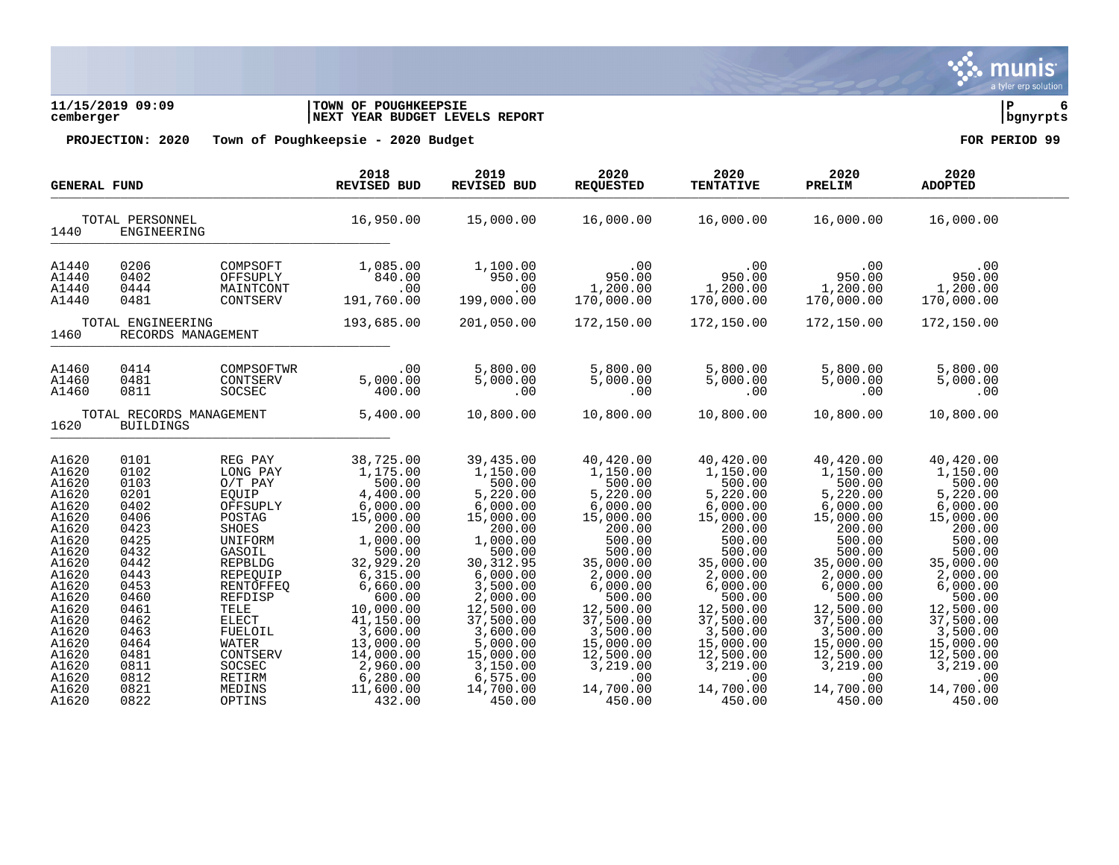

**11/15/2019 09:09 |TOWN OF POUGHKEEPSIE |P 6 cemberger |NEXT YEAR BUDGET LEVELS REPORT |bgnyrpts**

| <b>GENERAL FUND</b>                                                                                                                                                                                |                                                                                                                                                                              |                                                                                                                                                                                                                                              | 2018<br><b>REVISED BUD</b>                                                                                                                                                                                                                                          | 2019<br>REVISED BUD                                                                                                                                                                                                                                                  | 2020<br><b>REQUESTED</b>                                                                                                                                                                                                                                    | 2020<br><b>TENTATIVE</b>                                                                                                                                                                                                                                    | 2020<br>PRELIM                                                                                                                                                                                                                                              | 2020<br><b>ADOPTED</b>                                                                                                                                                                                                                                      |  |
|----------------------------------------------------------------------------------------------------------------------------------------------------------------------------------------------------|------------------------------------------------------------------------------------------------------------------------------------------------------------------------------|----------------------------------------------------------------------------------------------------------------------------------------------------------------------------------------------------------------------------------------------|---------------------------------------------------------------------------------------------------------------------------------------------------------------------------------------------------------------------------------------------------------------------|----------------------------------------------------------------------------------------------------------------------------------------------------------------------------------------------------------------------------------------------------------------------|-------------------------------------------------------------------------------------------------------------------------------------------------------------------------------------------------------------------------------------------------------------|-------------------------------------------------------------------------------------------------------------------------------------------------------------------------------------------------------------------------------------------------------------|-------------------------------------------------------------------------------------------------------------------------------------------------------------------------------------------------------------------------------------------------------------|-------------------------------------------------------------------------------------------------------------------------------------------------------------------------------------------------------------------------------------------------------------|--|
| 1440                                                                                                                                                                                               | TOTAL PERSONNEL<br>ENGINEERING                                                                                                                                               |                                                                                                                                                                                                                                              | 16,950.00                                                                                                                                                                                                                                                           | 15,000.00                                                                                                                                                                                                                                                            | 16,000.00                                                                                                                                                                                                                                                   | 16,000.00                                                                                                                                                                                                                                                   | 16,000.00                                                                                                                                                                                                                                                   | 16,000.00                                                                                                                                                                                                                                                   |  |
| A1440<br>A1440<br>A1440<br>A1440                                                                                                                                                                   | 0206<br>0402<br>0444<br>0481                                                                                                                                                 | COMPSOFT<br>OFFSUPLY<br>MAINTCONT<br>CONTSERV                                                                                                                                                                                                | 1,085.00<br>840.00<br>.00<br>191,760.00                                                                                                                                                                                                                             | 1,100.00<br>950.00<br>.00<br>199,000.00                                                                                                                                                                                                                              | .00<br>950.00<br>1,200.00<br>170,000.00                                                                                                                                                                                                                     | .00<br>950.00<br>1,200.00<br>170,000.00                                                                                                                                                                                                                     | .00<br>950.00<br>1,200.00<br>170,000.00                                                                                                                                                                                                                     | .00<br>950.00<br>1,200.00<br>170,000.00                                                                                                                                                                                                                     |  |
| TOTAL ENGINEERING<br>1460<br>RECORDS MANAGEMENT                                                                                                                                                    |                                                                                                                                                                              | 193,685.00                                                                                                                                                                                                                                   | 201,050.00                                                                                                                                                                                                                                                          | 172,150.00                                                                                                                                                                                                                                                           | 172,150.00                                                                                                                                                                                                                                                  | 172,150.00                                                                                                                                                                                                                                                  | 172,150.00                                                                                                                                                                                                                                                  |                                                                                                                                                                                                                                                             |  |
| A1460<br>A1460<br>A1460                                                                                                                                                                            | 0414<br>0481<br>0811                                                                                                                                                         | COMPSOFTWR<br>CONTSERV<br>SOCSEC                                                                                                                                                                                                             | .00<br>5,000.00<br>400.00                                                                                                                                                                                                                                           | 5,800.00<br>5,000.00<br>.00                                                                                                                                                                                                                                          | 5,800.00<br>5,000.00<br>.00                                                                                                                                                                                                                                 | 5,800.00<br>5,000.00<br>.00                                                                                                                                                                                                                                 | 5,800.00<br>5,000.00<br>.00                                                                                                                                                                                                                                 | 5,800.00<br>5,000.00<br>.00                                                                                                                                                                                                                                 |  |
| TOTAL RECORDS MANAGEMENT<br>1620<br><b>BUILDINGS</b>                                                                                                                                               |                                                                                                                                                                              | 5,400.00                                                                                                                                                                                                                                     | 10,800.00                                                                                                                                                                                                                                                           | 10,800.00                                                                                                                                                                                                                                                            | 10,800.00                                                                                                                                                                                                                                                   | 10,800.00                                                                                                                                                                                                                                                   | 10,800.00                                                                                                                                                                                                                                                   |                                                                                                                                                                                                                                                             |  |
| A1620<br>A1620<br>A1620<br>A1620<br>A1620<br>A1620<br>A1620<br>A1620<br>A1620<br>A1620<br>A1620<br>A1620<br>A1620<br>A1620<br>A1620<br>A1620<br>A1620<br>A1620<br>A1620<br>A1620<br>A1620<br>A1620 | 0101<br>0102<br>0103<br>0201<br>0402<br>0406<br>0423<br>0425<br>0432<br>0442<br>0443<br>0453<br>0460<br>0461<br>0462<br>0463<br>0464<br>0481<br>0811<br>0812<br>0821<br>0822 | REG PAY<br>LONG PAY<br>$O/T$ PAY<br>EOUIP<br>OFFSUPLY<br>POSTAG<br>SHOES<br>UNIFORM<br>GASOIL<br>REPBLDG<br>REPEQUIP<br>RENTOFFEO<br>REFDISP<br>TELE<br><b>ELECT</b><br>FUELOIL<br>WATER<br>CONTSERV<br>SOCSEC<br>RETIRM<br>MEDINS<br>OPTINS | 38,725.00<br>1,175.00<br>500.00<br>4,400.00<br>6,000.00<br>15,000.00<br>200.00<br>1,000.00<br>500.00<br>32,929.20<br>6, 315.00<br>6,660.00<br>600.00<br>10,000.00<br>41,150.00<br>3,600.00<br>13,000.00<br>14,000.00<br>2,960.00<br>6,280.00<br>11,600.00<br>432.00 | 39,435.00<br>1,150.00<br>500.00<br>5,220.00<br>6,000.00<br>15,000.00<br>200.00<br>1,000.00<br>500.00<br>30, 312.95<br>6,000.00<br>3,500.00<br>2,000.00<br>12,500.00<br>37,500.00<br>3,600.00<br>5,000.00<br>15,000.00<br>3,150.00<br>6,575.00<br>14,700.00<br>450.00 | 40,420.00<br>1,150.00<br>500.00<br>5,220.00<br>6,000.00<br>15,000.00<br>200.00<br>500.00<br>500.00<br>35,000.00<br>2,000.00<br>6,000.00<br>500.00<br>12,500.00<br>37,500.00<br>3,500.00<br>15,000.00<br>12,500.00<br>3,219.00<br>.00<br>14,700.00<br>450.00 | 40,420.00<br>1,150.00<br>500.00<br>5,220.00<br>6,000.00<br>15,000.00<br>200.00<br>500.00<br>500.00<br>35,000.00<br>2,000.00<br>6,000.00<br>500.00<br>12,500.00<br>37,500.00<br>3,500.00<br>15,000.00<br>12,500.00<br>3,219.00<br>.00<br>14,700.00<br>450.00 | 40,420.00<br>1,150.00<br>500.00<br>5,220.00<br>6,000.00<br>15,000.00<br>200.00<br>500.00<br>500.00<br>35,000.00<br>2,000.00<br>6,000.00<br>500.00<br>12,500.00<br>37,500.00<br>3,500.00<br>15,000.00<br>12,500.00<br>3,219.00<br>.00<br>14,700.00<br>450.00 | 40,420.00<br>1,150.00<br>500.00<br>5,220.00<br>6,000.00<br>15,000.00<br>200.00<br>500.00<br>500.00<br>35,000.00<br>2,000.00<br>6,000.00<br>500.00<br>12,500.00<br>37,500.00<br>3,500.00<br>15,000.00<br>12,500.00<br>3,219.00<br>.00<br>14,700.00<br>450.00 |  |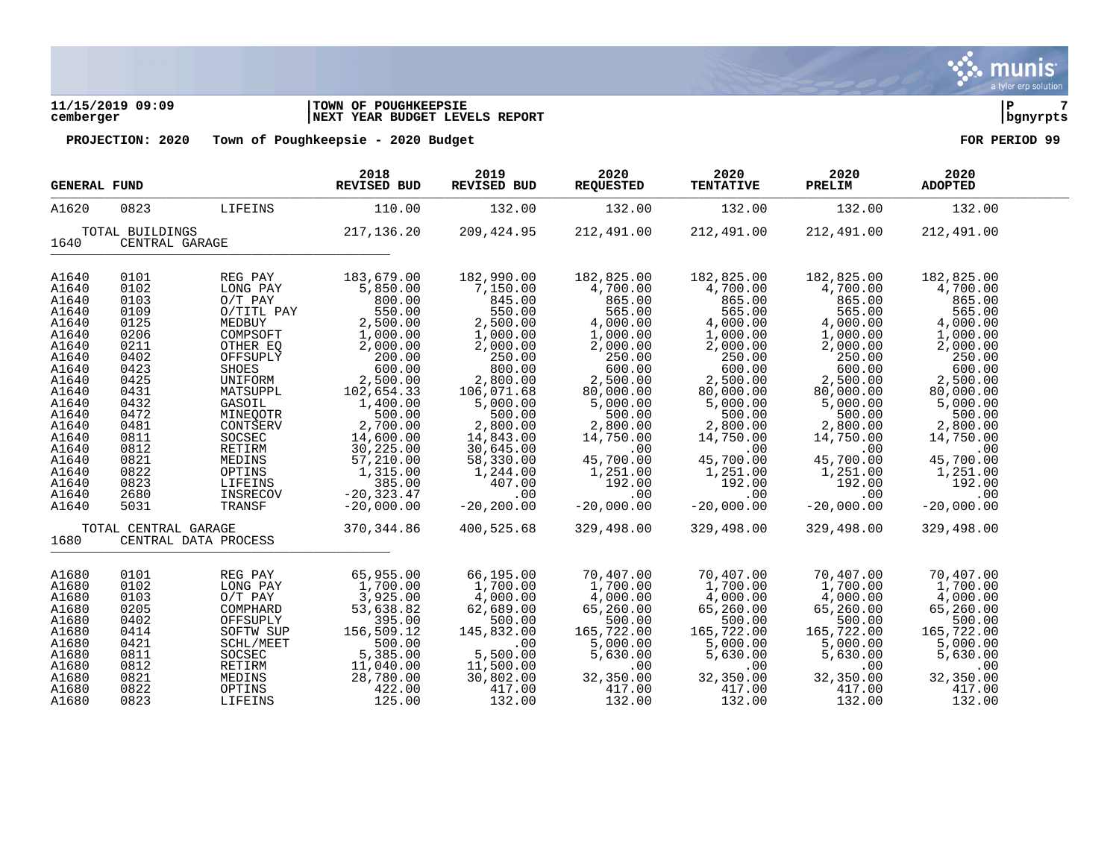# **11/15/2019 09:09 |TOWN OF POUGHKEEPSIE |P 7 cemberger |NEXT YEAR BUDGET LEVELS REPORT |bgnyrpts**

| <b>GENERAL FUND</b> |                      |                      | 2018<br>REVISED BUD | 2019<br>REVISED BUD | 2020<br><b>REQUESTED</b> | 2020<br><b>TENTATIVE</b> | 2020<br>PRELIM | 2020<br><b>ADOPTED</b> |  |
|---------------------|----------------------|----------------------|---------------------|---------------------|--------------------------|--------------------------|----------------|------------------------|--|
| A1620               | 0823                 | LIFEINS              | 110.00              | 132.00              | 132.00                   | 132.00                   | 132.00         | 132.00                 |  |
|                     | TOTAL BUILDINGS      |                      | 217,136.20          | 209,424.95          | 212,491.00               | 212,491.00               | 212,491.00     | 212,491.00             |  |
| 1640                | CENTRAL GARAGE       |                      |                     |                     |                          |                          |                |                        |  |
| A1640               | 0101                 | REG PAY              | 183,679.00          | 182,990.00          | 182,825.00               | 182,825.00               | 182,825.00     | 182,825.00             |  |
| A1640               | 0102                 | LONG PAY             | 5,850.00            | 7,150.00            | 4,700.00                 | 4,700.00                 | 4,700.00       | 4,700.00               |  |
|                     |                      |                      |                     |                     | 865.00                   |                          |                |                        |  |
| A1640               | 0103                 | $O/T$ PAY            | 800.00              | 845.00              |                          | 865.00                   | 865.00         | 865.00                 |  |
| A1640               | 0109                 | O/TITL PAY           | 550.00              | 550.00              | 565.00                   | 565.00                   | 565.00         | 565.00                 |  |
| A1640               | 0125                 | MEDBUY               | 2,500.00            | 2,500.00            | 4,000.00                 | 4,000.00                 | 4,000.00       | 4,000.00               |  |
| A1640               | 0206                 | COMPSOFT             | 1,000.00            | 1,000.00            | 1,000.00                 | 1,000.00                 | 1,000.00       | 1,000.00               |  |
| A1640               | 0211                 | OTHER EQ             | 2,000.00            | 2,000.00            | 2,000.00                 | 2,000.00                 | 2,000.00       | 2,000.00               |  |
| A1640               | 0402                 | OFFSUPLY             | 200.00              | 250.00              | 250.00                   | 250.00                   | 250.00         | 250.00                 |  |
| A1640               | 0423                 | SHOES                | 600.00              | 800.00              | 600.00                   | 600.00                   | 600.00         | 600.00                 |  |
| A1640               | 0425                 | UNIFORM              | 2,500.00            | 2,800.00            | 2,500.00                 | 2,500.00                 | 2,500.00       | 2,500.00               |  |
| A1640               | 0431                 | MATSUPPL             | 102,654.33          | 106,071.68          | 80,000.00                | 80,000.00                | 80,000.00      | 80,000.00              |  |
| A1640               | 0432                 | GASOIL               | 1,400.00            | 5,000.00            | 5,000.00                 | 5,000.00                 | 5,000.00       | 5,000.00               |  |
| A1640               | 0472                 | MINEQOTR             | 500.00              | 500.00              | 500.00                   | 500.00                   | 500.00         | 500.00                 |  |
| A1640               | 0481                 | CONTSERV             | 2,700.00            | 2,800.00            | 2,800.00                 | 2,800.00                 |                | 2,800.00               |  |
|                     |                      |                      |                     |                     |                          |                          | 2,800.00       |                        |  |
| A1640               | 0811                 | SOCSEC               | 14,600.00           | 14,843.00           | 14,750.00                | 14,750.00                | 14,750.00      | 14,750.00              |  |
| A1640               | 0812                 | RETIRM               | 30, 225.00          | 30,645.00           | .00                      | .00                      | .00            | .00                    |  |
| A1640               | 0821                 | MEDINS               | 57,210.00           | 58,330.00           | 45,700.00                | 45,700.00                | 45,700.00      | 45,700.00              |  |
| A1640               | 0822                 | OPTINS               | 1,315.00            | 1,244.00            | 1,251.00                 | 1,251.00                 | 1,251.00       | 1,251.00               |  |
| A1640               | 0823                 | LIFEINS              | 385.00              | 407.00              | 192.00                   | 192.00                   | 192.00         | 192.00                 |  |
| A1640               | 2680                 | INSRECOV             | $-20, 323.47$       | .00                 | .00                      | .00                      | .00            | .00                    |  |
| A1640               | 5031                 | TRANSF               | $-20,000.00$        | $-20, 200.00$       | $-20,000.00$             | $-20,000.00$             | $-20,000.00$   | $-20,000.00$           |  |
|                     | TOTAL CENTRAL GARAGE |                      | 370,344.86          | 400,525.68          | 329,498.00               | 329,498.00               | 329,498.00     | 329,498.00             |  |
| 1680                |                      | CENTRAL DATA PROCESS |                     |                     |                          |                          |                |                        |  |
| A1680               | 0101                 | REG PAY              | 65,955.00           | 66,195.00           | 70,407.00                | 70,407.00                | 70,407.00      | 70,407.00              |  |
| A1680               | 0102                 | LONG PAY             | 1,700.00            | 1,700.00            | 1,700.00                 | 1,700.00                 | 1,700.00       | 1,700.00               |  |
| A1680               | 0103                 | $O/T$ PAY            | 3,925.00            | 4,000.00            | 4,000.00                 | 4,000.00                 | 4,000.00       | 4,000.00               |  |
| A1680               | 0205                 | COMPHARD             |                     |                     |                          |                          |                |                        |  |
|                     |                      |                      | 53,638.82           | 62,689.00           | 65,260.00                | 65,260.00                | 65,260.00      | 65,260.00              |  |
| A1680               | 0402                 | OFFSUPLY             | 395.00              | 500.00              | 500.00                   | 500.00                   | 500.00         | 500.00                 |  |
| A1680               | 0414                 | SOFTW SUP            | 156,509.12          | 145,832.00          | 165,722.00               | 165,722.00               | 165,722.00     | 165,722.00             |  |
| A1680               | 0421                 | SCHL/MEET            | 500.00              | .00                 | 5,000.00                 | 5,000.00                 | 5,000.00       | 5,000.00               |  |
| A1680               | 0811                 | SOCSEC               | 5,385.00            | 5,500.00            | 5,630.00                 | 5,630.00                 | 5,630.00       | 5,630.00               |  |
| A1680               | 0812                 | RETIRM               | 11,040.00           | 11,500.00           | .00                      | .00                      | .00            | .00                    |  |
| A1680               | 0821                 | MEDINS               | 28,780.00           | 30,802.00           | 32,350.00                | 32,350.00                | 32,350.00      | 32,350.00              |  |
| A1680               | 0822                 | OPTINS               | 422.00              | 417.00              | 417.00                   | 417.00                   | 417.00         | 417.00                 |  |
| A1680               | 0823                 | LIFEINS              | 125.00              | 132.00              | 132.00                   | 132.00                   | 132.00         | 132.00                 |  |

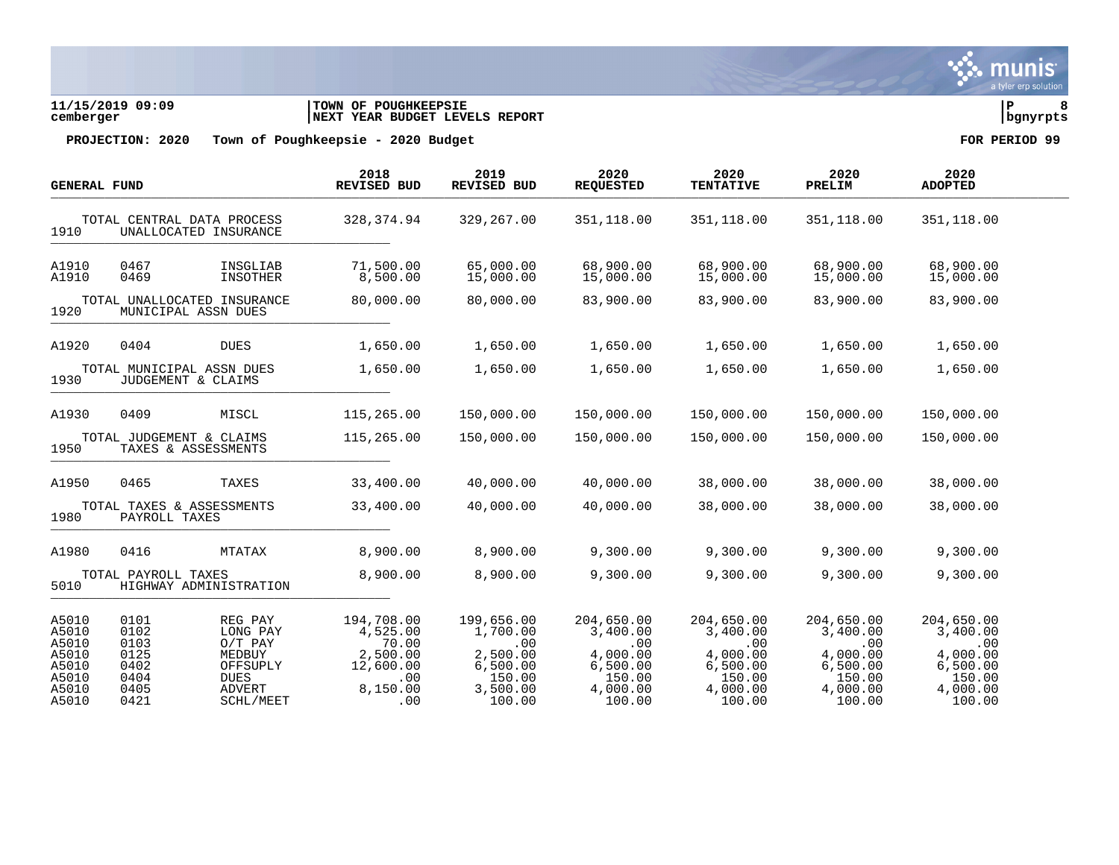

**11/15/2019 09:09 |TOWN OF POUGHKEEPSIE |P 8 cemberger |NEXT YEAR BUDGET LEVELS REPORT |bgnyrpts**

| <b>GENERAL FUND</b>              |                                                 |                                                    | 2018<br>REVISED BUD                      | 2019<br>REVISED BUD                        | 2020<br><b>REQUESTED</b>                   | 2020<br><b>TENTATIVE</b>                   | 2020<br>PRELIM                             | 2020<br><b>ADOPTED</b>                     |  |
|----------------------------------|-------------------------------------------------|----------------------------------------------------|------------------------------------------|--------------------------------------------|--------------------------------------------|--------------------------------------------|--------------------------------------------|--------------------------------------------|--|
| 1910                             | TOTAL CENTRAL DATA PROCESS                      | UNALLOCATED INSURANCE                              | 328, 374.94                              | 329,267.00                                 | 351,118.00                                 | 351,118.00                                 | 351,118.00                                 | 351,118.00                                 |  |
| A1910<br>A1910                   | 0467<br>0469                                    | INSGLIAB<br>INSOTHER                               | 71,500.00<br>8,500.00                    | 65,000.00<br>15,000.00                     | 68,900.00<br>15,000.00                     | 68,900.00<br>15,000.00                     | 68,900.00<br>15,000.00                     | 68,900.00<br>15,000.00                     |  |
| 1920                             | MUNICIPAL ASSN DUES                             | TOTAL UNALLOCATED INSURANCE                        | 80,000.00                                | 80,000.00                                  | 83,900.00                                  | 83,900.00                                  | 83,900.00                                  | 83,900.00                                  |  |
| A1920                            | 0404                                            | <b>DUES</b>                                        | 1,650.00                                 | 1,650.00                                   | 1,650.00                                   | 1,650.00                                   | 1,650.00                                   | 1,650.00                                   |  |
| 1930                             | TOTAL MUNICIPAL ASSN DUES<br>JUDGEMENT & CLAIMS |                                                    | 1,650.00                                 | 1,650.00                                   | 1,650.00                                   | 1,650.00                                   | 1,650.00                                   | 1,650.00                                   |  |
| A1930                            | 0409                                            | MISCL                                              | 115,265.00                               | 150,000.00                                 | 150,000.00                                 | 150,000.00                                 | 150,000.00                                 | 150,000.00                                 |  |
| 1950                             | TOTAL JUDGEMENT & CLAIMS<br>TAXES & ASSESSMENTS |                                                    | 115,265.00                               | 150,000.00                                 | 150,000.00                                 | 150,000.00                                 | 150,000.00                                 | 150,000.00                                 |  |
| A1950                            | 0465                                            | TAXES                                              | 33,400.00                                | 40,000.00                                  | 40,000.00                                  | 38,000.00                                  | 38,000.00                                  | 38,000.00                                  |  |
| 1980                             | TOTAL TAXES & ASSESSMENTS<br>PAYROLL TAXES      |                                                    | 33,400.00                                | 40,000.00                                  | 40,000.00                                  | 38,000.00                                  | 38,000.00                                  | 38,000.00                                  |  |
| A1980                            | 0416                                            | MTATAX                                             | 8,900.00                                 | 8,900.00                                   | 9,300.00                                   | 9,300.00                                   | 9,300.00                                   | 9,300.00                                   |  |
| 5010                             | TOTAL PAYROLL TAXES                             | HIGHWAY ADMINISTRATION                             | 8,900.00                                 | 8,900.00                                   | 9,300.00                                   | 9,300.00                                   | 9,300.00                                   | 9,300.00                                   |  |
| A5010<br>A5010<br>A5010          | 0101<br>0102<br>0103                            | REG PAY<br>LONG PAY<br>$O/T$ PAY                   | 194,708.00<br>4,525.00<br>70.00          | 199,656.00<br>1,700.00<br>.00              | 204,650.00<br>3,400.00<br>.00              | 204,650.00<br>3,400.00<br>.00              | 204,650.00<br>3,400.00<br>.00              | 204,650.00<br>3,400.00<br>.00              |  |
| A5010<br>A5010<br>A5010<br>A5010 | 0125<br>0402<br>0404<br>0405                    | MEDBUY<br>OFFSUPLY<br><b>DUES</b><br><b>ADVERT</b> | 2,500.00<br>12,600.00<br>.00<br>8,150.00 | 2,500.00<br>6,500.00<br>150.00<br>3,500.00 | 4,000.00<br>6,500.00<br>150.00<br>4,000.00 | 4,000.00<br>6,500.00<br>150.00<br>4,000.00 | 4,000.00<br>6,500.00<br>150.00<br>4,000.00 | 4,000.00<br>6,500.00<br>150.00<br>4,000.00 |  |
| A5010                            | 0421                                            | <b>SCHL/MEET</b>                                   | .00                                      | 100.00                                     | 100.00                                     | 100.00                                     | 100.00                                     | 100.00                                     |  |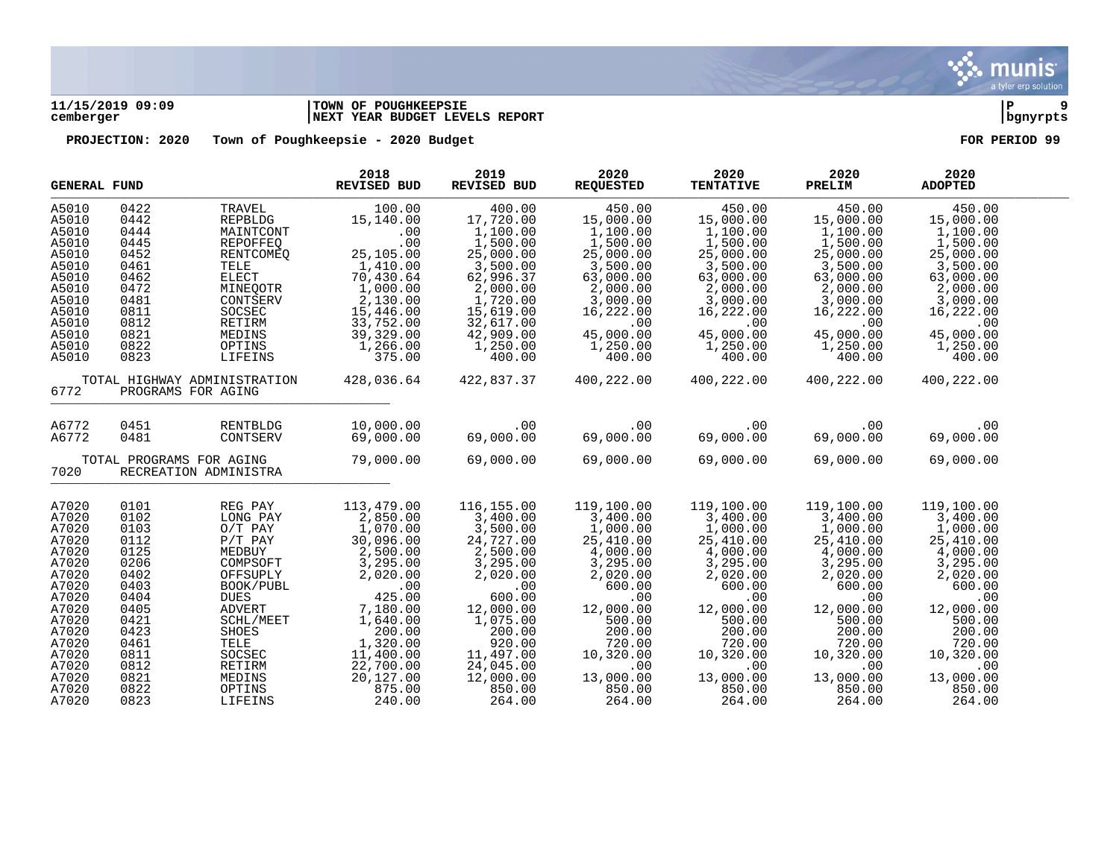

# **11/15/2019 09:09 |TOWN OF POUGHKEEPSIE |P 9 cemberger |NEXT YEAR BUDGET LEVELS REPORT |bgnyrpts**

| <b>GENERAL FUND</b> |                                                    |                     | 2018<br><b>REVISED BUD</b> | 2019<br><b>REVISED BUD</b> | 2020<br><b>REQUESTED</b> | 2020<br><b>TENTATIVE</b> | 2020<br>PRELIM        | 2020<br><b>ADOPTED</b> |  |
|---------------------|----------------------------------------------------|---------------------|----------------------------|----------------------------|--------------------------|--------------------------|-----------------------|------------------------|--|
| A5010               | 0422                                               | TRAVEL              | 100.00                     | 400.00                     | 450.00                   | 450.00                   | 450.00                | 450.00                 |  |
| A5010               | 0442                                               | <b>REPBLDG</b>      | 15,140.00                  | 17,720.00                  | 15,000.00                | 15,000.00                | 15,000.00             | 15,000.00              |  |
| A5010               | 0444                                               | MAINTCONT           | .00                        | 1,100.00                   | 1,100.00                 | 1,100.00                 | 1,100.00              | 1,100.00               |  |
| A5010               | 0445                                               | REPOFFEQ            | .00                        | 1,500.00                   | 1,500.00                 | 1,500.00                 | 1,500.00              | 1,500.00               |  |
| A5010               | 0452                                               | RENTCOMEO           | 25,105.00                  | 25,000.00                  | 25,000.00                | 25,000.00                | 25,000.00             | 25,000.00              |  |
| A5010               | 0461                                               | TELE                | 1,410.00                   | 3,500.00                   | 3,500.00                 | 3,500.00                 | 3,500.00              | 3,500.00               |  |
| A5010               | 0462                                               | <b>ELECT</b>        | 70,430.64                  | 62,996.37                  | 63,000.00                | 63,000.00                | 63,000.00             | 63,000.00              |  |
| A5010               | 0472                                               | MINEQOTR            | 1,000.00                   | 2,000.00                   | 2,000.00                 | 2,000.00                 | 2,000.00              | 2,000.00               |  |
| A5010               | 0481                                               | CONTSERV            | 2,130.00                   | 1,720.00                   | 3,000.00                 | 3,000.00<br>16,222.00    | 3,000.00              | 3,000.00               |  |
| A5010               | 0811                                               | SOCSEC              | 15,446.00                  | 15,619.00                  | 16,222.00                |                          | 16,222.00             | 16,222.00              |  |
| A5010               | 0812                                               | RETIRM              | 33,752.00                  | 32,617.00                  | .00                      | .00                      | .00                   | .00                    |  |
| A5010               | 0821                                               | MEDINS              | 39,329.00                  | 42,909.00                  | 45,000.00                | 45,000.00                | 45,000.00             | 45,000.00              |  |
| A5010               | 0822                                               | OPTINS              | 1,266.00                   | 1,250.00                   | 1,250.00                 | 1,250.00                 | 1,250.00              | 1,250.00               |  |
| A5010               | 0823                                               | LIFEINS             | 375.00                     | 400.00                     | 400.00                   | 400.00                   | 400.00                | 400.00                 |  |
| 6772                | TOTAL HIGHWAY ADMINISTRATION<br>PROGRAMS FOR AGING |                     | 428,036.64                 | 422,837.37                 | 400,222.00               | 400,222.00               | 400,222.00            | 400,222.00             |  |
| A6772               | 0451                                               | RENTBLDG            | 10,000.00                  | .00                        | .00                      | .00                      | .00                   | .00                    |  |
| A6772               | 0481                                               | CONTSERV            | 69,000.00                  | 69,000.00                  | 69,000.00                | 69,000.00                | 69,000.00             | 69,000.00              |  |
|                     |                                                    |                     |                            | 69,000.00                  |                          |                          |                       |                        |  |
| 7020                | TOTAL PROGRAMS FOR AGING<br>RECREATION ADMINISTRA  |                     | 79,000.00                  |                            | 69,000.00                | 69,000.00                | 69,000.00             | 69,000.00              |  |
| A7020               | 0101                                               |                     | 113,479.00                 | 116,155.00                 | 119,100.00               | 119,100.00               | 119,100.00            | 119,100.00             |  |
| A7020               | 0102                                               | REG PAY<br>LONG PAY | 2,850.00                   | 3,400.00                   | 3,400.00                 | 3,400.00                 | 3,400.00              | 3,400.00               |  |
| A7020               | 0103                                               | $O/T$ PAY           | 1,070.00                   | 3,500.00                   | 1,000.00                 | 1,000.00                 |                       | 1,000.00               |  |
| A7020               | 0112                                               | $P/T$ $PAY$         | 30,096.00                  | 24,727.00                  | 25,410.00                | 25,410.00                | 1,000.00<br>25,410.00 | 25,410.00              |  |
| A7020               | 0125                                               | MEDBUY              | 2,500.00                   | 2,500.00                   | 4,000.00                 |                          | 4,000.00              | 4,000.00               |  |
| A7020               | 0206                                               | COMPSOFT            | 3,295.00                   | 3,295.00                   | 3,295.00                 | $4,000.00$<br>3,295.00   | 3,295.00              | 3,295.00               |  |
| A7020               | 0402                                               | OFFSUPLY            | 2,020.00                   | 2,020.00                   | 2,020.00                 | 2,020.00                 | 2,020.00              | 2,020.00               |  |
| A7020               | 0403                                               | BOOK/PUBL           |                            | .00                        | 600.00                   | 600.00                   | 600.00                | 600.00                 |  |
| A7020               | 0404                                               | DUES                | $00 \ \ 425.00$            | 600.00                     | .00                      | .00                      | .00                   | .00                    |  |
| A7020               | 0405                                               | <b>ADVERT</b>       | 7,180.00                   | 12,000.00                  | 12,000.00                | 12,000.00                | 12,000.00             | 12,000.00              |  |
| A7020               | 0421                                               | SCHL/MEET           | 1,640.00                   | 1,075.00                   | 500.00                   | 500.00                   | 500.00                | 500.00                 |  |
| A7020               | 0423                                               | SHOES               | 200.00                     | 200.00                     | 200.00                   | 200.00                   | 200.00                | 200.00                 |  |
| A7020               | 0461                                               | TELE                | 1,320.00                   | 920.00                     | 720.00                   | 720.00                   | 720.00                | 720.00                 |  |
| A7020               | 0811                                               | $\texttt{SOCSEC}$   | 11,400.00                  | 11,497.00                  | 10,320.00                | 10,320.00                | 10,320.00             | 10,320.00              |  |
| A7020               | 0812                                               | RETIRM              | 22,700.00                  | 24,045.00                  | .00                      | .00                      | .00                   | .00                    |  |
| A7020               | 0821                                               | MEDINS              | 20,127.00                  | 12,000.00                  | 13,000.00                | 13,000.00                | 13,000.00             | 13,000.00              |  |
| A7020               | 0822                                               | OPTINS              | 875.00                     | 850.00                     | 850.00                   | 850.00                   | 850.00                | 850.00                 |  |
| A7020               | 0823                                               | LIFEINS             | 240.00                     | 264.00                     | 264.00                   | 264.00                   | 264.00                | 264.00                 |  |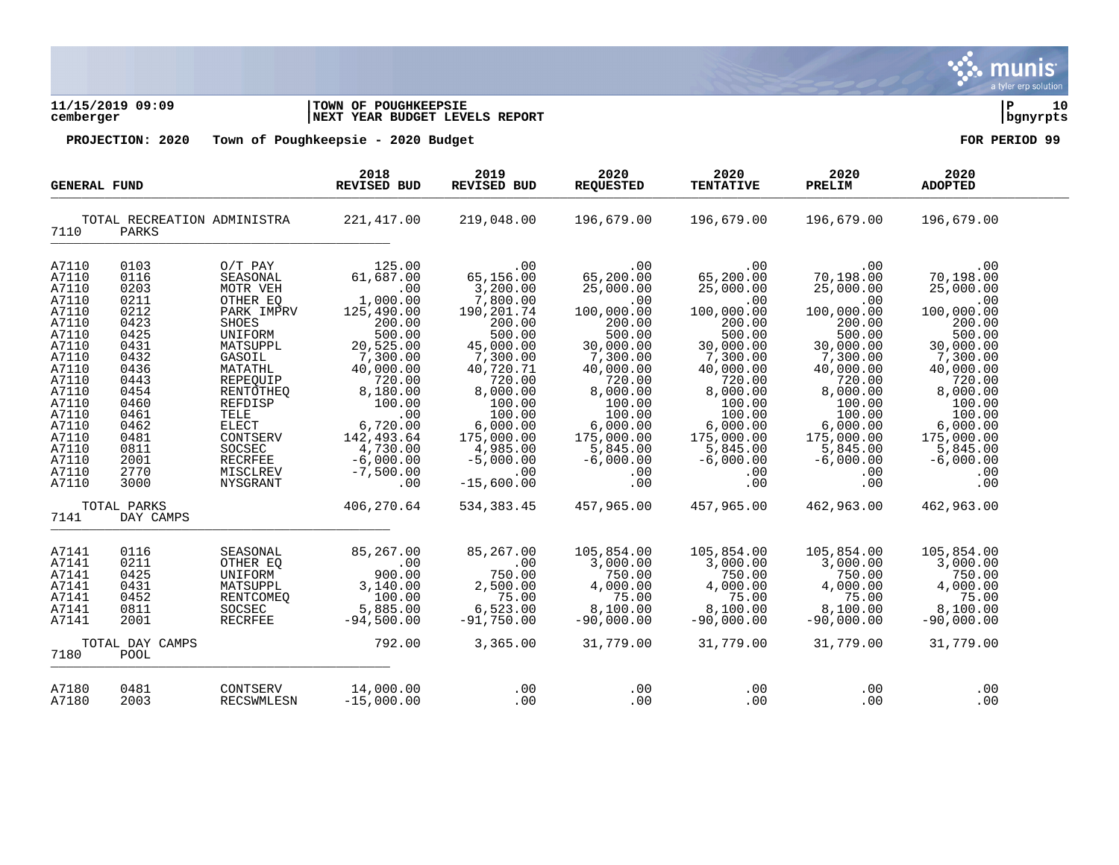

**11/15/2019 09:09 |TOWN OF POUGHKEEPSIE |P 10 cemberger |NEXT YEAR BUDGET LEVELS REPORT |bgnyrpts**

| <b>GENERAL FUND</b>                                                                                                                                                              |                                                                                                                                                              | 2018<br><b>REVISED BUD</b>                                                                                                                                                                                                                   | 2019<br><b>REVISED BUD</b>                                                                                                                                                                                                       | 2020<br><b>REQUESTED</b>                                                                                                                                                                                                               | 2020<br><b>TENTATIVE</b>                                                                                                                                                                                                  | 2020<br>PRELIM                                                                                                                                                                                                            | 2020<br><b>ADOPTED</b>                                                                                                                                                                                                    |                                                                                                                                                                                                                           |  |
|----------------------------------------------------------------------------------------------------------------------------------------------------------------------------------|--------------------------------------------------------------------------------------------------------------------------------------------------------------|----------------------------------------------------------------------------------------------------------------------------------------------------------------------------------------------------------------------------------------------|----------------------------------------------------------------------------------------------------------------------------------------------------------------------------------------------------------------------------------|----------------------------------------------------------------------------------------------------------------------------------------------------------------------------------------------------------------------------------------|---------------------------------------------------------------------------------------------------------------------------------------------------------------------------------------------------------------------------|---------------------------------------------------------------------------------------------------------------------------------------------------------------------------------------------------------------------------|---------------------------------------------------------------------------------------------------------------------------------------------------------------------------------------------------------------------------|---------------------------------------------------------------------------------------------------------------------------------------------------------------------------------------------------------------------------|--|
| 7110                                                                                                                                                                             | TOTAL RECREATION ADMINISTRA<br>PARKS                                                                                                                         |                                                                                                                                                                                                                                              | 221,417.00                                                                                                                                                                                                                       | 219,048.00                                                                                                                                                                                                                             | 196,679.00                                                                                                                                                                                                                | 196,679.00                                                                                                                                                                                                                | 196,679.00                                                                                                                                                                                                                | 196,679.00                                                                                                                                                                                                                |  |
| A7110<br>A7110<br>A7110<br>A7110<br>A7110<br>A7110<br>A7110<br>A7110<br>A7110<br>A7110<br>A7110<br>A7110<br>A7110<br>A7110<br>A7110<br>A7110<br>A7110<br>A7110<br>A7110<br>A7110 | 0103<br>0116<br>0203<br>0211<br>0212<br>0423<br>0425<br>0431<br>0432<br>0436<br>0443<br>0454<br>0460<br>0461<br>0462<br>0481<br>0811<br>2001<br>2770<br>3000 | $O/T$ PAY<br>SEASONAL<br>MOTR VEH<br>OTHER EO<br>PARK IMPRV<br><b>SHOES</b><br>UNIFORM<br>MATSUPPL<br>GASOIL<br>MATATHL<br>REPEQUIP<br>RENTOTHEQ<br>REFDISP<br>TELE<br>ELECT<br>CONTSERV<br>SOCSEC<br><b>RECRFEE</b><br>MISCLREV<br>NYSGRANT | 125.00<br>61,687.00<br>.00<br>1,000.00<br>125,490.00<br>200.00<br>500.00<br>20,525.00<br>7,300.00<br>40,000.00<br>720.00<br>8,180.00<br>100.00<br>.00<br>6,720.00<br>142,493.64<br>4,730.00<br>$-6,000.00$<br>$-7,500.00$<br>.00 | .00<br>65,156.00<br>3,200.00<br>7,800.00<br>190,201.74<br>200.00<br>500.00<br>45,000.00<br>7,300.00<br>40,720.71<br>720.00<br>8,000.00<br>100.00<br>100.00<br>6,000.00<br>175,000.00<br>4,985.00<br>$-5,000.00$<br>.00<br>$-15,600.00$ | .00<br>65,200.00<br>25,000.00<br>.00<br>100,000.00<br>200.00<br>500.00<br>30,000.00<br>7,300.00<br>40,000.00<br>720.00<br>8,000.00<br>100.00<br>100.00<br>6,000.00<br>175,000.00<br>5,845.00<br>$-6,000.00$<br>.00<br>.00 | .00<br>65,200.00<br>25,000.00<br>.00<br>100,000.00<br>200.00<br>500.00<br>30,000.00<br>7,300.00<br>40,000.00<br>720.00<br>8,000.00<br>100.00<br>100.00<br>6,000.00<br>175,000.00<br>5,845.00<br>$-6,000.00$<br>.00<br>.00 | .00<br>70,198.00<br>25,000.00<br>.00<br>100,000.00<br>200.00<br>500.00<br>30,000.00<br>7,300.00<br>40,000.00<br>720.00<br>8,000.00<br>100.00<br>100.00<br>6,000.00<br>175,000.00<br>5,845.00<br>$-6,000.00$<br>.00<br>.00 | .00<br>70,198.00<br>25,000.00<br>.00<br>100,000.00<br>200.00<br>500.00<br>30,000.00<br>7,300.00<br>40,000.00<br>720.00<br>8,000.00<br>100.00<br>100.00<br>6,000.00<br>175,000.00<br>5,845.00<br>$-6,000.00$<br>.00<br>.00 |  |
| 7141                                                                                                                                                                             | TOTAL PARKS<br>DAY CAMPS                                                                                                                                     |                                                                                                                                                                                                                                              | 406,270.64                                                                                                                                                                                                                       | 534, 383.45                                                                                                                                                                                                                            | 457,965.00                                                                                                                                                                                                                | 457,965.00                                                                                                                                                                                                                | 462,963.00                                                                                                                                                                                                                | 462,963.00                                                                                                                                                                                                                |  |
| A7141<br>A7141<br>A7141<br>A7141<br>A7141<br>A7141<br>A7141<br>7180                                                                                                              | 0116<br>0211<br>0425<br>0431<br>0452<br>0811<br>2001<br>TOTAL DAY CAMPS<br>POOL                                                                              | SEASONAL<br>OTHER EQ<br>UNIFORM<br>MATSUPPL<br>RENTCOMEO<br>SOCSEC<br><b>RECRFEE</b>                                                                                                                                                         | 85,267.00<br>.00<br>900.00<br>3,140.00<br>100.00<br>5,885.00<br>$-94,500.00$<br>792.00                                                                                                                                           | 85,267.00<br>.00<br>750.00<br>2,500.00<br>75.00<br>6,523.00<br>$-91,750.00$<br>3,365.00                                                                                                                                                | 105,854.00<br>3,000.00<br>750.00<br>4,000.00<br>75.00<br>8,100.00<br>$-90,000.00$<br>31,779.00                                                                                                                            | 105,854.00<br>3,000.00<br>750.00<br>4,000.00<br>75.00<br>8,100.00<br>$-90,000.00$<br>31,779.00                                                                                                                            | 105,854.00<br>3,000.00<br>750.00<br>4,000.00<br>75.00<br>8,100.00<br>$-90,000.00$<br>31,779.00                                                                                                                            | 105,854.00<br>3,000.00<br>750.00<br>4,000.00<br>75.00<br>8,100.00<br>$-90,000.00$<br>31,779.00                                                                                                                            |  |
| A7180<br>A7180                                                                                                                                                                   | 0481<br>2003                                                                                                                                                 | CONTSERV<br><b>RECSWMLESN</b>                                                                                                                                                                                                                | 14,000.00<br>$-15,000.00$                                                                                                                                                                                                        | .00<br>.00                                                                                                                                                                                                                             | .00<br>.00                                                                                                                                                                                                                | .00<br>.00                                                                                                                                                                                                                | .00<br>.00                                                                                                                                                                                                                | .00<br>.00                                                                                                                                                                                                                |  |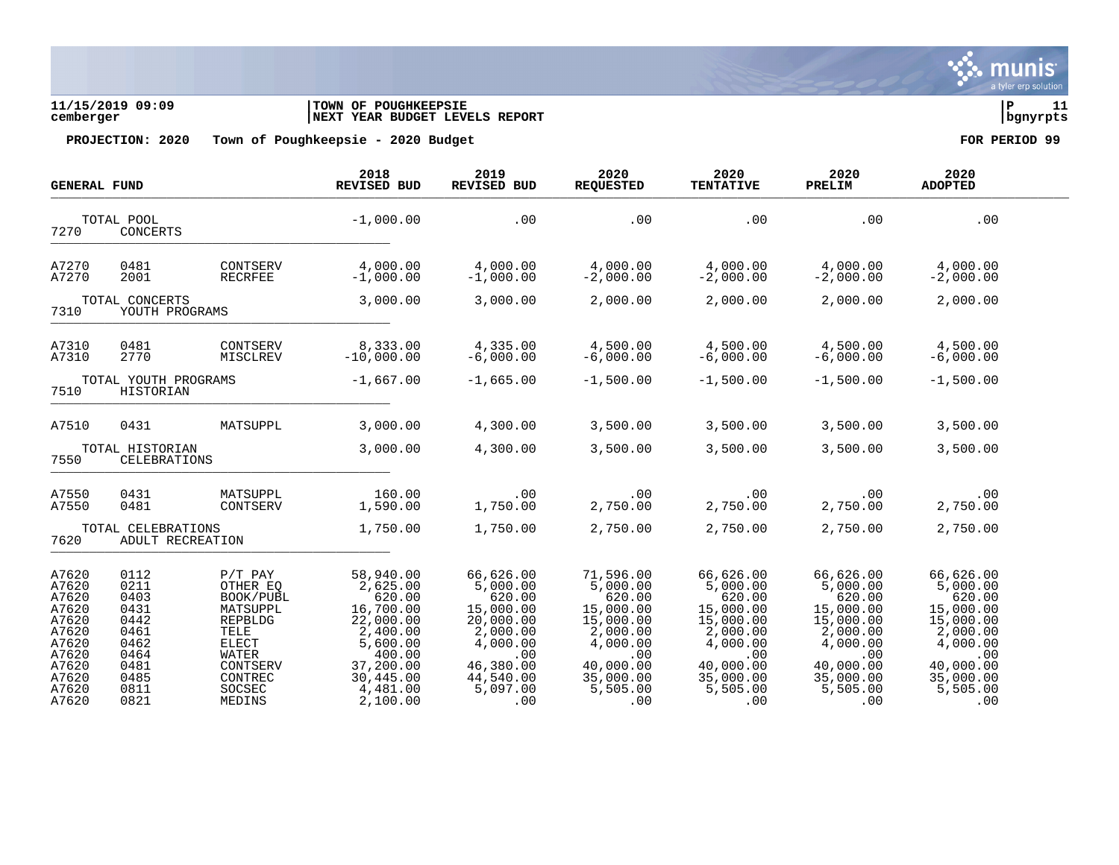

**11/15/2019 09:09 |TOWN OF POUGHKEEPSIE |P 11 cemberger |NEXT YEAR BUDGET LEVELS REPORT |bgnyrpts**

| <b>GENERAL FUND</b>                                                                                      |                                                                                              |                                                                                                                                              | 2018<br>REVISED BUD                                                                                                                           | 2019<br><b>REVISED BUD</b>                                                                                                            | 2020<br><b>REQUESTED</b>                                                                                                              | 2020<br><b>TENTATIVE</b>                                                                                                              | 2020<br>PRELIM                                                                                                                        | 2020<br><b>ADOPTED</b>                                                                                                                |  |
|----------------------------------------------------------------------------------------------------------|----------------------------------------------------------------------------------------------|----------------------------------------------------------------------------------------------------------------------------------------------|-----------------------------------------------------------------------------------------------------------------------------------------------|---------------------------------------------------------------------------------------------------------------------------------------|---------------------------------------------------------------------------------------------------------------------------------------|---------------------------------------------------------------------------------------------------------------------------------------|---------------------------------------------------------------------------------------------------------------------------------------|---------------------------------------------------------------------------------------------------------------------------------------|--|
| 7270                                                                                                     | TOTAL POOL<br>CONCERTS                                                                       |                                                                                                                                              | $-1,000.00$                                                                                                                                   | .00                                                                                                                                   | .00                                                                                                                                   | .00                                                                                                                                   | .00                                                                                                                                   | .00                                                                                                                                   |  |
| A7270<br>A7270                                                                                           | 0481<br>2001                                                                                 | CONTSERV<br><b>RECRFEE</b>                                                                                                                   | 4,000.00<br>$-1,000.00$                                                                                                                       | 4,000.00<br>$-1,000.00$                                                                                                               | 4,000.00<br>$-2,000.00$                                                                                                               | 4,000.00<br>$-2,000.00$                                                                                                               | 4,000.00<br>$-2,000.00$                                                                                                               | 4,000.00<br>$-2,000.00$                                                                                                               |  |
| TOTAL CONCERTS<br>7310<br>YOUTH PROGRAMS                                                                 |                                                                                              | 3,000.00                                                                                                                                     | 3,000.00                                                                                                                                      | 2,000.00                                                                                                                              | 2,000.00                                                                                                                              | 2,000.00                                                                                                                              | 2,000.00                                                                                                                              |                                                                                                                                       |  |
| A7310<br>A7310                                                                                           | 0481<br>2770                                                                                 | CONTSERV<br>MISCLREV                                                                                                                         | 8,333.00<br>$-10,000.00$                                                                                                                      | 4,335.00<br>$-6,000.00$                                                                                                               | 4,500.00<br>$-6,000.00$                                                                                                               | 4,500.00<br>$-6,000.00$                                                                                                               | 4,500.00<br>$-6,000.00$                                                                                                               | 4,500.00<br>$-6,000.00$                                                                                                               |  |
| 7510                                                                                                     | TOTAL YOUTH PROGRAMS<br>HISTORIAN                                                            |                                                                                                                                              | $-1,667.00$                                                                                                                                   | $-1,665.00$                                                                                                                           | $-1,500.00$                                                                                                                           | $-1,500.00$                                                                                                                           | $-1,500.00$                                                                                                                           | $-1,500.00$                                                                                                                           |  |
| A7510                                                                                                    | 0431                                                                                         | MATSUPPL                                                                                                                                     | 3,000.00                                                                                                                                      | 4,300.00                                                                                                                              | 3,500.00                                                                                                                              | 3,500.00                                                                                                                              | 3,500.00                                                                                                                              | 3,500.00                                                                                                                              |  |
| 7550                                                                                                     | TOTAL HISTORIAN<br>CELEBRATIONS                                                              |                                                                                                                                              | 3,000.00                                                                                                                                      | 4,300.00                                                                                                                              | 3,500.00                                                                                                                              | 3,500.00                                                                                                                              | 3,500.00                                                                                                                              | 3,500.00                                                                                                                              |  |
| A7550<br>A7550                                                                                           | 0431<br>0481                                                                                 | MATSUPPL<br>CONTSERV                                                                                                                         | 160.00<br>1,590.00                                                                                                                            | .00<br>1,750.00                                                                                                                       | .00<br>2,750.00                                                                                                                       | .00<br>2,750.00                                                                                                                       | .00<br>2,750.00                                                                                                                       | .00<br>2,750.00                                                                                                                       |  |
| 7620                                                                                                     | TOTAL CELEBRATIONS<br>ADULT RECREATION                                                       |                                                                                                                                              | 1,750.00                                                                                                                                      | 1,750.00                                                                                                                              | 2,750.00                                                                                                                              | 2,750.00                                                                                                                              | 2,750.00                                                                                                                              | 2,750.00                                                                                                                              |  |
| A7620<br>A7620<br>A7620<br>A7620<br>A7620<br>A7620<br>A7620<br>A7620<br>A7620<br>A7620<br>A7620<br>A7620 | 0112<br>0211<br>0403<br>0431<br>0442<br>0461<br>0462<br>0464<br>0481<br>0485<br>0811<br>0821 | $P/T$ PAY<br>OTHER EQ<br>BOOK/PUBL<br>MATSUPPL<br>REPBLDG<br>TELE<br><b>ELECT</b><br><b>WATER</b><br>CONTSERV<br>CONTREC<br>SOCSEC<br>MEDINS | 58,940.00<br>2,625.00<br>620.00<br>16,700.00<br>22,000.00<br>2,400.00<br>5,600.00<br>400.00<br>37,200.00<br>30,445.00<br>4,481.00<br>2,100.00 | 66,626.00<br>5,000.00<br>620.00<br>15,000.00<br>20,000.00<br>2,000.00<br>4,000.00<br>.00<br>46,380.00<br>44,540.00<br>5,097.00<br>.00 | 71,596.00<br>5,000.00<br>620.00<br>15,000.00<br>15,000.00<br>2,000.00<br>4,000.00<br>.00<br>40,000.00<br>35,000.00<br>5,505.00<br>.00 | 66,626.00<br>5,000.00<br>620.00<br>15,000.00<br>15,000.00<br>2,000.00<br>4,000.00<br>.00<br>40,000.00<br>35,000.00<br>5,505.00<br>.00 | 66,626.00<br>5,000.00<br>620.00<br>15,000.00<br>15,000.00<br>2,000.00<br>4,000.00<br>.00<br>40,000.00<br>35,000.00<br>5,505.00<br>.00 | 66,626.00<br>5,000.00<br>620.00<br>15,000.00<br>15,000.00<br>2,000.00<br>4,000.00<br>.00<br>40,000.00<br>35,000.00<br>5,505.00<br>.00 |  |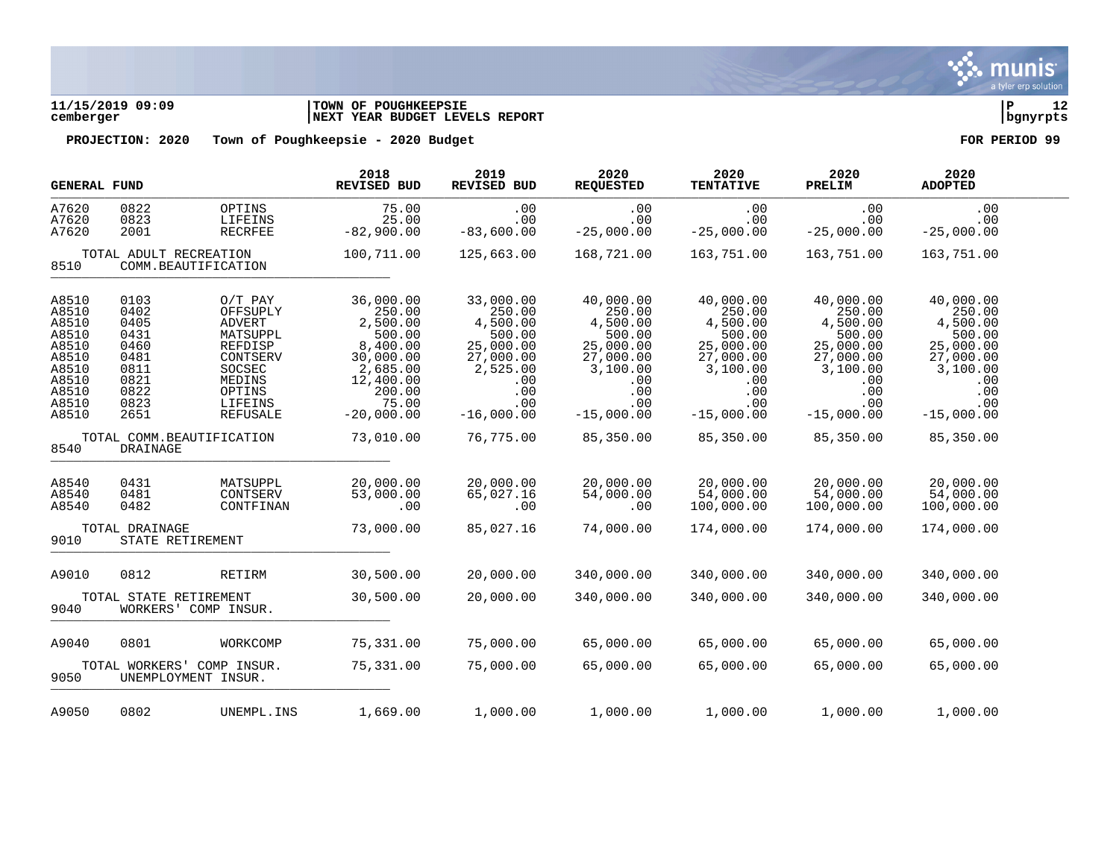

# **11/15/2019 09:09 |TOWN OF POUGHKEEPSIE |P 12 cemberger |NEXT YEAR BUDGET LEVELS REPORT |bgnyrpts**

|                                                                                                 | <b>GENERAL FUND</b>                                                                  |                                                                                                                                       | 2018<br><b>REVISED BUD</b>                                                                                                     | 2019<br><b>REVISED BUD</b>                                                                                           | 2020<br><b>REQUESTED</b>                                                                                             | 2020<br><b>TENTATIVE</b>                                                                                             | 2020<br>PRELIM                                                                                                       | 2020<br><b>ADOPTED</b>                                                                                               |  |
|-------------------------------------------------------------------------------------------------|--------------------------------------------------------------------------------------|---------------------------------------------------------------------------------------------------------------------------------------|--------------------------------------------------------------------------------------------------------------------------------|----------------------------------------------------------------------------------------------------------------------|----------------------------------------------------------------------------------------------------------------------|----------------------------------------------------------------------------------------------------------------------|----------------------------------------------------------------------------------------------------------------------|----------------------------------------------------------------------------------------------------------------------|--|
| A7620<br>A7620<br>A7620                                                                         | 0822<br>0823<br>2001                                                                 | OPTINS<br>LIFEINS<br><b>RECRFEE</b>                                                                                                   | 75.00<br>25.00<br>$-82,900.00$                                                                                                 | .00<br>.00<br>$-83,600.00$                                                                                           | .00<br>.00<br>$-25,000.00$                                                                                           | .00<br>.00<br>$-25,000.00$                                                                                           | .00<br>.00<br>$-25,000.00$                                                                                           | .00<br>.00<br>$-25,000.00$                                                                                           |  |
| 8510                                                                                            | TOTAL ADULT RECREATION                                                               | COMM.BEAUTIFICATION                                                                                                                   | 100,711.00                                                                                                                     | 125,663.00                                                                                                           | 168,721.00                                                                                                           | 163,751.00                                                                                                           | 163,751.00                                                                                                           | 163,751.00                                                                                                           |  |
| A8510<br>A8510<br>A8510<br>A8510<br>A8510<br>A8510<br>A8510<br>A8510<br>A8510<br>A8510<br>A8510 | 0103<br>0402<br>0405<br>0431<br>0460<br>0481<br>0811<br>0821<br>0822<br>0823<br>2651 | $O/T$ PAY<br>OFFSUPLY<br><b>ADVERT</b><br>MATSUPPL<br>REFDISP<br>CONTSERV<br>SOCSEC<br>MEDINS<br>OPTINS<br>LIFEINS<br><b>REFUSALE</b> | 36,000.00<br>250.00<br>2,500.00<br>500.00<br>8,400.00<br>30,000.00<br>2,685.00<br>12,400.00<br>200.00<br>75.00<br>$-20,000.00$ | 33,000.00<br>250.00<br>4,500.00<br>500.00<br>25,000.00<br>27,000.00<br>2,525.00<br>.00<br>.00<br>.00<br>$-16,000.00$ | 40,000.00<br>250.00<br>4,500.00<br>500.00<br>25,000.00<br>27,000.00<br>3,100.00<br>.00<br>.00<br>.00<br>$-15,000.00$ | 40,000.00<br>250.00<br>4,500.00<br>500.00<br>25,000.00<br>27,000.00<br>3,100.00<br>.00<br>.00<br>.00<br>$-15,000.00$ | 40,000.00<br>250.00<br>4,500.00<br>500.00<br>25,000.00<br>27,000.00<br>3,100.00<br>.00<br>.00<br>.00<br>$-15,000.00$ | 40,000.00<br>250.00<br>4,500.00<br>500.00<br>25,000.00<br>27,000.00<br>3,100.00<br>.00<br>.00<br>.00<br>$-15,000.00$ |  |
| TOTAL COMM.BEAUTIFICATION<br>8540<br>DRAINAGE                                                   |                                                                                      | 73,010.00                                                                                                                             | 76,775.00                                                                                                                      | 85,350.00                                                                                                            | 85,350.00                                                                                                            | 85,350.00                                                                                                            | 85,350.00                                                                                                            |                                                                                                                      |  |
| A8540<br>A8540<br>A8540                                                                         | 0431<br>0481<br>0482                                                                 | MATSUPPL<br>CONTSERV<br>CONTFINAN                                                                                                     | 20,000.00<br>53,000.00<br>.00                                                                                                  | 20,000.00<br>65,027.16<br>.00                                                                                        | 20,000.00<br>54,000.00<br>.00                                                                                        | 20,000.00<br>54,000.00<br>100,000.00                                                                                 | 20,000.00<br>54,000.00<br>100,000.00                                                                                 | 20,000.00<br>54,000.00<br>100,000.00                                                                                 |  |
| 9010                                                                                            | TOTAL DRAINAGE<br>STATE RETIREMENT                                                   |                                                                                                                                       | 73,000.00                                                                                                                      | 85,027.16                                                                                                            | 74,000.00                                                                                                            | 174,000.00                                                                                                           | 174,000.00                                                                                                           | 174,000.00                                                                                                           |  |
| A9010<br>9040                                                                                   | 0812<br>TOTAL STATE RETIREMENT                                                       | RETIRM<br>WORKERS' COMP INSUR.                                                                                                        | 30,500.00<br>30,500.00                                                                                                         | 20,000.00<br>20,000.00                                                                                               | 340,000.00<br>340,000.00                                                                                             | 340,000.00<br>340,000.00                                                                                             | 340,000.00<br>340,000.00                                                                                             | 340,000.00<br>340,000.00                                                                                             |  |
| A9040<br>9050                                                                                   | 0801<br>WORKCOMP<br>TOTAL WORKERS'<br>COMP INSUR.<br>UNEMPLOYMENT INSUR.             |                                                                                                                                       | 75,331.00<br>75,331.00                                                                                                         | 75,000.00<br>75,000.00                                                                                               | 65,000.00<br>65,000.00                                                                                               | 65,000.00<br>65,000.00                                                                                               | 65,000.00<br>65,000.00                                                                                               | 65,000.00<br>65,000.00                                                                                               |  |
| A9050                                                                                           | 0802                                                                                 | UNEMPL.INS                                                                                                                            | 1,669.00                                                                                                                       | 1,000.00                                                                                                             | 1,000.00                                                                                                             | 1,000.00                                                                                                             | 1,000.00                                                                                                             | 1,000.00                                                                                                             |  |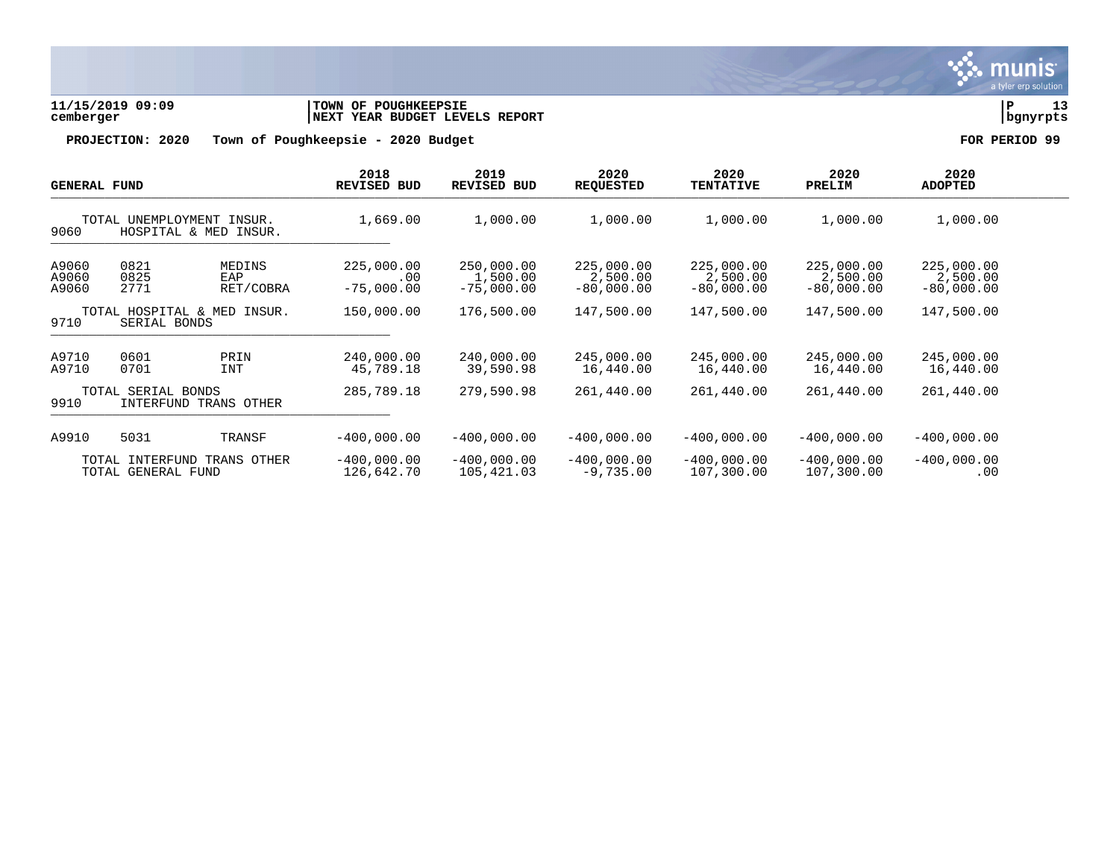

**11/15/2019 09:09 |TOWN OF POUGHKEEPSIE |P 13 cemberger |NEXT YEAR BUDGET LEVELS REPORT |bgnyrpts**

| <b>GENERAL FUND</b>                                           |                                             |                             | 2018<br>REVISED BUD                       | 2019<br>REVISED BUD                    | 2020<br><b>REQUESTED</b>               | 2020<br><b>TENTATIVE</b>               | 2020<br>PRELIM                         | 2020<br><b>ADOPTED</b>                 |  |
|---------------------------------------------------------------|---------------------------------------------|-----------------------------|-------------------------------------------|----------------------------------------|----------------------------------------|----------------------------------------|----------------------------------------|----------------------------------------|--|
| TOTAL UNEMPLOYMENT<br>INSUR.<br>9060<br>HOSPITAL & MED INSUR. |                                             | 1,669.00                    | 1,000.00                                  | 1,000.00                               | 1,000.00                               | 1,000.00                               | 1,000.00                               |                                        |  |
| A9060<br>A9060<br>A9060                                       | 0821<br>0825<br>2771                        | MEDINS<br>EAP<br>RET/COBRA  | 225,000.00<br>$.00 \ \rm$<br>$-75,000.00$ | 250,000.00<br>1,500.00<br>$-75,000.00$ | 225,000.00<br>2,500.00<br>$-80,000.00$ | 225,000.00<br>2,500.00<br>$-80.000.00$ | 225,000.00<br>2,500.00<br>$-80,000.00$ | 225,000.00<br>2,500.00<br>$-80,000.00$ |  |
| TOTAL HOSPITAL & MED<br>INSUR.<br>9710<br>SERIAL BONDS        |                                             | 150,000.00                  | 176,500.00                                | 147,500.00                             | 147,500.00                             | 147,500.00                             | 147,500.00                             |                                        |  |
| A9710<br>A9710                                                | 0601<br>0701                                | PRIN<br><b>INT</b>          | 240,000.00<br>45,789.18                   | 240,000.00<br>39,590.98                | 245,000.00<br>16,440.00                | 245,000.00<br>16,440.00                | 245,000.00<br>16,440.00                | 245,000.00<br>16,440.00                |  |
| 9910                                                          | TOTAL SERIAL BONDS<br>INTERFUND TRANS OTHER |                             | 285,789.18                                | 279,590.98                             | 261,440.00                             | 261,440.00                             | 261,440.00                             | 261,440.00                             |  |
| A9910                                                         | 5031                                        | TRANSF                      | $-400.000.00$                             | $-400.000.00$                          | $-400.000.00$                          | $-400.000.00$                          | $-400.000.00$                          | $-400,000.00$                          |  |
| TRANS OTHER<br>TOTAL INTERFUND<br>TOTAL GENERAL FUND          |                                             | $-400,000.00$<br>126,642.70 | $-400,000.00$<br>105,421.03               | $-400,000.00$<br>$-9,735.00$           | $-400,000.00$<br>107,300.00            | $-400,000.00$<br>107,300.00            | $-400,000.00$<br>.00                   |                                        |  |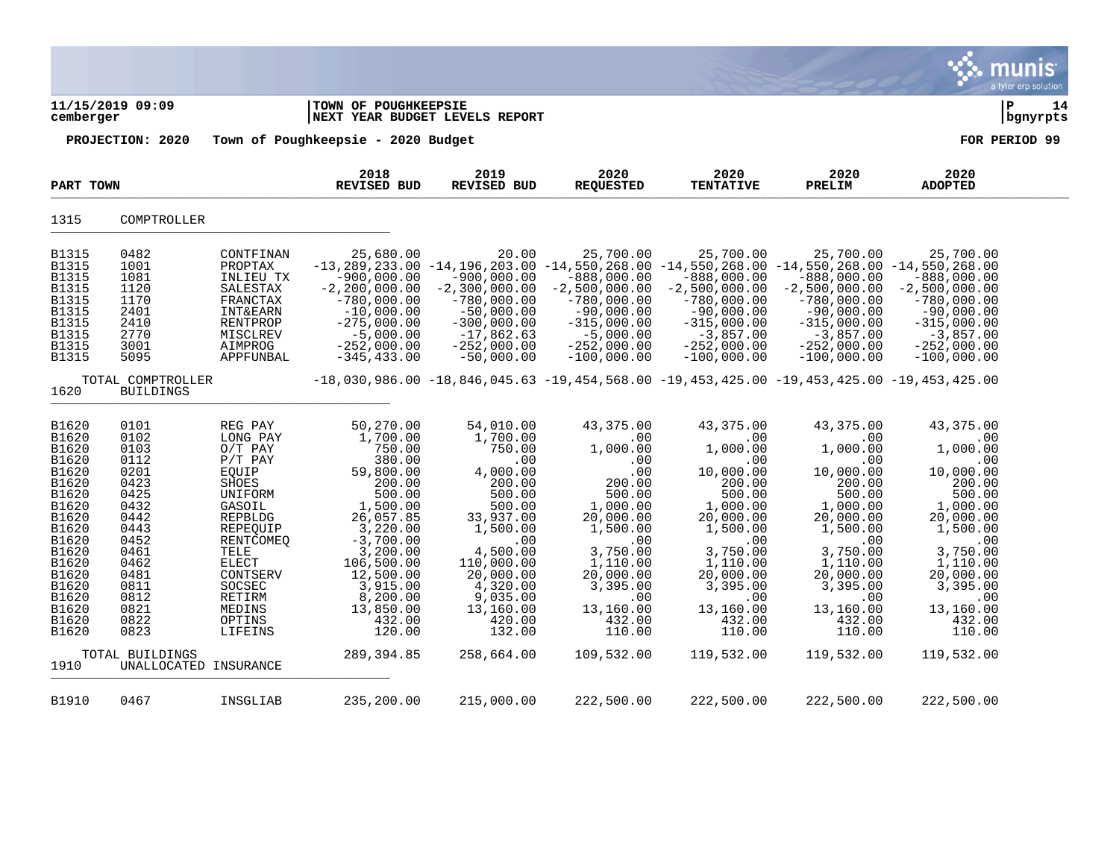|                                                                                                                                                                                                     |                                                                                                                                                      |                                                                                                                                                                                                          |                                                                                                                                                                                                                                |                                                                                                                                                                                                                  |                                                                                                                                                                                                     |                                                                                                                                                                                                           |                                                                                                                                                                                                                                                           |                                                                                                                                                                                                           | munis<br>a tyler erp solution |
|-----------------------------------------------------------------------------------------------------------------------------------------------------------------------------------------------------|------------------------------------------------------------------------------------------------------------------------------------------------------|----------------------------------------------------------------------------------------------------------------------------------------------------------------------------------------------------------|--------------------------------------------------------------------------------------------------------------------------------------------------------------------------------------------------------------------------------|------------------------------------------------------------------------------------------------------------------------------------------------------------------------------------------------------------------|-----------------------------------------------------------------------------------------------------------------------------------------------------------------------------------------------------|-----------------------------------------------------------------------------------------------------------------------------------------------------------------------------------------------------------|-----------------------------------------------------------------------------------------------------------------------------------------------------------------------------------------------------------------------------------------------------------|-----------------------------------------------------------------------------------------------------------------------------------------------------------------------------------------------------------|-------------------------------|
| cemberger                                                                                                                                                                                           | 11/15/2019 09:09                                                                                                                                     |                                                                                                                                                                                                          | TOWN OF POUGHKEEPSIE<br>NEXT YEAR BUDGET LEVELS REPORT                                                                                                                                                                         |                                                                                                                                                                                                                  |                                                                                                                                                                                                     |                                                                                                                                                                                                           |                                                                                                                                                                                                                                                           |                                                                                                                                                                                                           | lР<br>14<br>  bgnyrpts        |
|                                                                                                                                                                                                     | PROJECTION: 2020                                                                                                                                     |                                                                                                                                                                                                          | Town of Poughkeepsie - 2020 Budget                                                                                                                                                                                             |                                                                                                                                                                                                                  |                                                                                                                                                                                                     |                                                                                                                                                                                                           |                                                                                                                                                                                                                                                           |                                                                                                                                                                                                           | FOR PERIOD 99                 |
| PART TOWN                                                                                                                                                                                           |                                                                                                                                                      |                                                                                                                                                                                                          | 2018<br>REVISED BUD                                                                                                                                                                                                            | 2019<br>REVISED BUD                                                                                                                                                                                              | 2020<br><b>REQUESTED</b>                                                                                                                                                                            | 2020<br><b>TENTATIVE</b>                                                                                                                                                                                  | 2020<br>PRELIM                                                                                                                                                                                                                                            | 2020<br><b>ADOPTED</b>                                                                                                                                                                                    |                               |
| 1315                                                                                                                                                                                                | COMPTROLLER                                                                                                                                          |                                                                                                                                                                                                          |                                                                                                                                                                                                                                |                                                                                                                                                                                                                  |                                                                                                                                                                                                     |                                                                                                                                                                                                           |                                                                                                                                                                                                                                                           |                                                                                                                                                                                                           |                               |
| <b>B1315</b><br>B1315<br><b>B1315</b><br><b>B1315</b><br><b>B1315</b><br><b>B1315</b><br><b>B1315</b><br><b>B1315</b><br><b>B1315</b><br><b>B1315</b>                                               | 0482<br>1001<br>1081<br>1120<br>1170<br>2401<br>2410<br>2770<br>3001<br>5095                                                                         | CONTFINAN<br>PROPTAX<br>INLIEU TX<br>SALESTAX<br>FRANCTAX<br><b>INT&amp;EARN</b><br>RENTPROP<br>MISCLREV<br>AIMPROG<br>APPFUNBAL                                                                         | 25,680.00<br>$-900,000.00$<br>$-2, 200, 000.00$<br>$-780,000.00$<br>$-10,000.00$<br>$-275,000.00$<br>$-5,000.00$<br>$-252,000.00$<br>$-345, 433.00$                                                                            | 20.00<br>$-900,000.00$<br>$-2,300,000.00$<br>$-780,000.00$<br>$-50,000.00$<br>$-300,000.00$<br>$-17,862.63$<br>$-252,000.00$<br>$-50,000.00$                                                                     | 25,700.00<br>$-888,000.00$<br>$-2,500,000.00$<br>$-780,000.00$<br>$-90,000.00$<br>$-315,000.00$<br>$-5,000.00$<br>$-252,000.00$<br>$-100,000.00$                                                    | 25,700.00<br>$-888,000.00$<br>$-2,500,000.00$<br>$-780,000.00$<br>$-90,000.00$<br>$-315,000.00$<br>$-3,857.00$<br>$-252,000.00$<br>$-100,000.00$                                                          | 25,700.00<br>$-13,289,233.00$ $-14,196,203.00$ $-14,550,268.00$ $-14,550,268.00$ $-14,550,268.00$ $-14,550,268.00$<br>$-888,000.00$<br>$-2,500,000.00$<br>$-780,000.00$<br>$-90,000.00$<br>$-315,000.00$<br>$-3,857.00$<br>$-252,000.00$<br>$-100,000.00$ | 25,700.00<br>$-888,000.00$<br>$-2,500,000.00$<br>$-780,000.00$<br>$-90,000.00$<br>$-315,000.00$<br>$-3,857.00$<br>$-252,000.00$<br>$-100,000.00$                                                          |                               |
| 1620                                                                                                                                                                                                | TOTAL COMPTROLLER<br><b>BUILDINGS</b>                                                                                                                |                                                                                                                                                                                                          |                                                                                                                                                                                                                                |                                                                                                                                                                                                                  |                                                                                                                                                                                                     |                                                                                                                                                                                                           | $-18,030,986.00$ $-18,846,045.63$ $-19,454,568.00$ $-19,453,425.00$ $-19,453,425.00$ $-19,453,425.00$                                                                                                                                                     |                                                                                                                                                                                                           |                               |
| B1620<br><b>B1620</b><br>B1620<br>B1620<br>B1620<br>B1620<br>B1620<br>B1620<br>B1620<br>B1620<br><b>B1620</b><br><b>B1620</b><br>B1620<br>B1620<br>B1620<br>B1620<br>B1620<br>B1620<br><b>B1620</b> | 0101<br>0102<br>0103<br>0112<br>0201<br>0423<br>0425<br>0432<br>0442<br>0443<br>0452<br>0461<br>0462<br>0481<br>0811<br>0812<br>0821<br>0822<br>0823 | REG PAY<br>LONG PAY<br>$O/T$ PAY<br>$P/T$ PAY<br>EQUIP<br>SHOES<br>UNIFORM<br>GASOIL<br>REPBLDG<br>REPEQUIP<br>RENTCOMEQ<br>TELE<br>ELECT<br>CONTSERV<br>SOCSEC<br>RETIRM<br>MEDINS<br>OPTINS<br>LIFEINS | 50,270.00<br>1,700.00<br>750.00<br>380.00<br>59,800.00<br>200.00<br>500.00<br>1,500.00<br>26,057.85<br>3,220.00<br>$-3,700.00$<br>3,200.00<br>106,500.00<br>12,500.00<br>3,915.00<br>8,200.00<br>13,850.00<br>432.00<br>120.00 | 54,010.00<br>1,700.00<br>750.00<br>.00<br>4,000.00<br>200.00<br>500.00<br>500.00<br>33,937.00<br>1,500.00<br>.00<br>4,500.00<br>110,000.00<br>20,000.00<br>4,320.00<br>9,035.00<br>13,160.00<br>420.00<br>132.00 | 43,375.00<br>.00<br>1,000.00<br>.00<br>.00<br>200.00<br>500.00<br>1,000.00<br>20,000.00<br>1,500.00<br>.00<br>3,750.00<br>1,110.00<br>20,000.00<br>3,395.00<br>.00<br>13,160.00<br>432.00<br>110.00 | 43,375.00<br>.00<br>1,000.00<br>.00<br>10,000.00<br>200.00<br>500.00<br>1,000.00<br>20,000.00<br>1,500.00<br>.00<br>3,750.00<br>1,110.00<br>20,000.00<br>3,395.00<br>.00<br>13,160.00<br>432.00<br>110.00 | 43,375.00<br>.00<br>1,000.00<br>.00<br>10,000.00<br>200.00<br>500.00<br>1,000.00<br>20,000.00<br>1,500.00<br>.00<br>3,750.00<br>1,110.00<br>20,000.00<br>3,395.00<br>.00<br>13,160.00<br>432.00<br>110.00                                                 | 43,375.00<br>.00<br>1,000.00<br>.00<br>10,000.00<br>200.00<br>500.00<br>1,000.00<br>20,000.00<br>1,500.00<br>.00<br>3,750.00<br>1,110.00<br>20,000.00<br>3,395.00<br>.00<br>13,160.00<br>432.00<br>110.00 |                               |
| 1910                                                                                                                                                                                                | TOTAL BUILDINGS                                                                                                                                      | UNALLOCATED INSURANCE                                                                                                                                                                                    | 289, 394.85                                                                                                                                                                                                                    | 258,664.00                                                                                                                                                                                                       | 109,532.00                                                                                                                                                                                          | 119,532.00                                                                                                                                                                                                | 119,532.00                                                                                                                                                                                                                                                | 119,532.00                                                                                                                                                                                                |                               |
| B1910                                                                                                                                                                                               | 0467                                                                                                                                                 | INSGLIAB                                                                                                                                                                                                 | 235,200.00                                                                                                                                                                                                                     | 215,000.00                                                                                                                                                                                                       | 222,500.00                                                                                                                                                                                          | 222,500.00                                                                                                                                                                                                | 222,500.00                                                                                                                                                                                                                                                | 222,500.00                                                                                                                                                                                                |                               |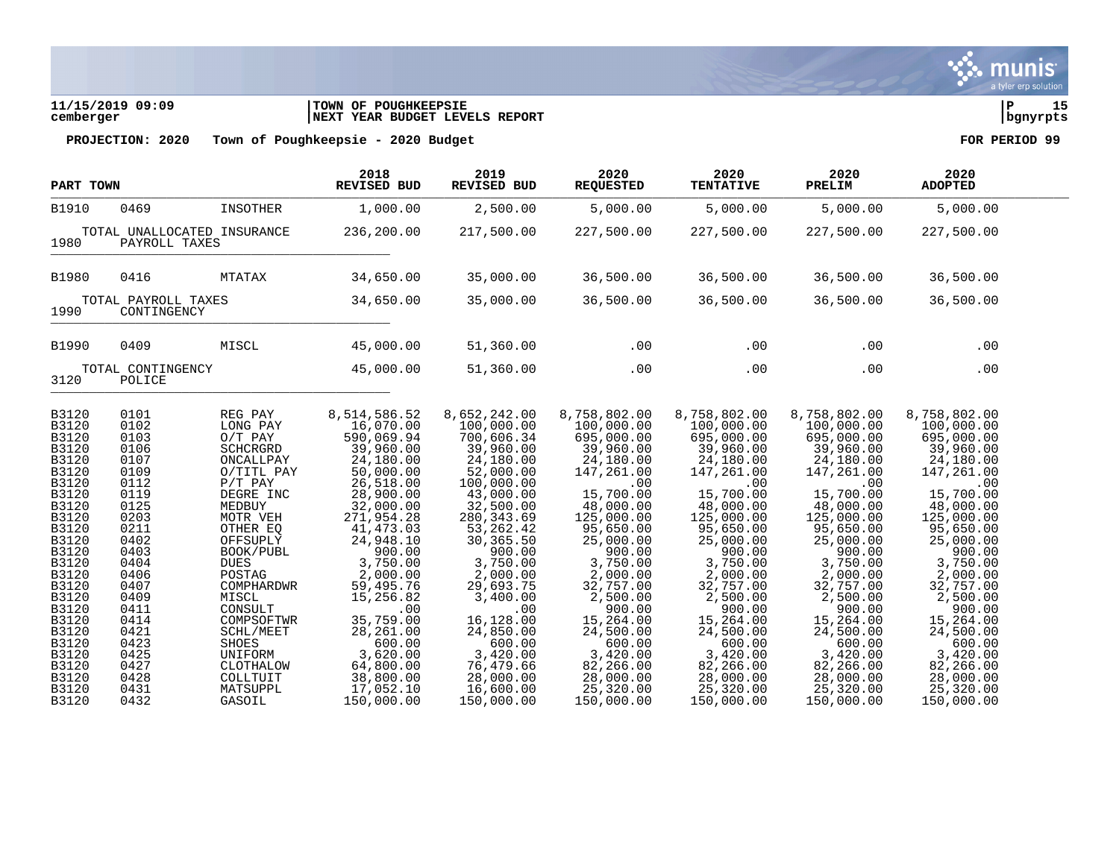| 11/15/2019 09:09 | TOWN OF POUGHKEEPSIE            |          |  |
|------------------|---------------------------------|----------|--|
| cemberger        | INEXT YEAR BUDGET LEVELS REPORT | banvrpts |  |

| PART TOWN                                                                                                                                                                                          |                                                                                                                                                                              |                                                                                                                                                                                                                                                                        | 2018<br>REVISED BUD                                                                                                                                                                                                                                                                | 2019<br>REVISED BUD                                                                                                                                                                                                                                                                | 2020<br><b>REQUESTED</b>                                                                                                                                                                                                                                                       | 2020<br><b>TENTATIVE</b>                                                                                                                                                                                                                                                       | 2020<br>PRELIM                                                                                                                                                                                                                                                                 | 2020<br><b>ADOPTED</b>                                                                                                                                                                                                                                                         |  |
|----------------------------------------------------------------------------------------------------------------------------------------------------------------------------------------------------|------------------------------------------------------------------------------------------------------------------------------------------------------------------------------|------------------------------------------------------------------------------------------------------------------------------------------------------------------------------------------------------------------------------------------------------------------------|------------------------------------------------------------------------------------------------------------------------------------------------------------------------------------------------------------------------------------------------------------------------------------|------------------------------------------------------------------------------------------------------------------------------------------------------------------------------------------------------------------------------------------------------------------------------------|--------------------------------------------------------------------------------------------------------------------------------------------------------------------------------------------------------------------------------------------------------------------------------|--------------------------------------------------------------------------------------------------------------------------------------------------------------------------------------------------------------------------------------------------------------------------------|--------------------------------------------------------------------------------------------------------------------------------------------------------------------------------------------------------------------------------------------------------------------------------|--------------------------------------------------------------------------------------------------------------------------------------------------------------------------------------------------------------------------------------------------------------------------------|--|
| <b>B1910</b>                                                                                                                                                                                       | 0469                                                                                                                                                                         | INSOTHER                                                                                                                                                                                                                                                               | 1,000.00                                                                                                                                                                                                                                                                           | 2,500.00                                                                                                                                                                                                                                                                           | 5,000.00                                                                                                                                                                                                                                                                       | 5,000.00                                                                                                                                                                                                                                                                       | 5,000.00                                                                                                                                                                                                                                                                       | 5,000.00                                                                                                                                                                                                                                                                       |  |
| 1980                                                                                                                                                                                               | TOTAL UNALLOCATED INSURANCE<br>PAYROLL TAXES                                                                                                                                 |                                                                                                                                                                                                                                                                        | 236,200.00                                                                                                                                                                                                                                                                         | 217,500.00                                                                                                                                                                                                                                                                         | 227,500.00                                                                                                                                                                                                                                                                     | 227,500.00                                                                                                                                                                                                                                                                     | 227,500.00                                                                                                                                                                                                                                                                     | 227,500.00                                                                                                                                                                                                                                                                     |  |
| <b>B1980</b>                                                                                                                                                                                       | 0416                                                                                                                                                                         | MTATAX                                                                                                                                                                                                                                                                 | 34,650.00                                                                                                                                                                                                                                                                          | 35,000.00                                                                                                                                                                                                                                                                          | 36,500.00                                                                                                                                                                                                                                                                      | 36,500.00                                                                                                                                                                                                                                                                      | 36,500.00                                                                                                                                                                                                                                                                      | 36,500.00                                                                                                                                                                                                                                                                      |  |
| 1990                                                                                                                                                                                               | TOTAL PAYROLL TAXES<br>CONTINGENCY                                                                                                                                           |                                                                                                                                                                                                                                                                        | 34,650.00                                                                                                                                                                                                                                                                          | 35,000.00                                                                                                                                                                                                                                                                          | 36,500.00                                                                                                                                                                                                                                                                      | 36,500.00                                                                                                                                                                                                                                                                      | 36,500.00                                                                                                                                                                                                                                                                      | 36,500.00                                                                                                                                                                                                                                                                      |  |
| B1990                                                                                                                                                                                              | 0409                                                                                                                                                                         | MISCL                                                                                                                                                                                                                                                                  | 45,000.00                                                                                                                                                                                                                                                                          | 51,360.00                                                                                                                                                                                                                                                                          | .00                                                                                                                                                                                                                                                                            | .00                                                                                                                                                                                                                                                                            | .00                                                                                                                                                                                                                                                                            | .00                                                                                                                                                                                                                                                                            |  |
| 3120                                                                                                                                                                                               | TOTAL CONTINGENCY<br>POLICE                                                                                                                                                  |                                                                                                                                                                                                                                                                        | 45,000.00                                                                                                                                                                                                                                                                          | 51,360.00                                                                                                                                                                                                                                                                          | .00                                                                                                                                                                                                                                                                            | .00                                                                                                                                                                                                                                                                            | .00                                                                                                                                                                                                                                                                            | .00                                                                                                                                                                                                                                                                            |  |
| B3120<br>B3120<br>B3120<br>B3120<br>B3120<br>B3120<br>B3120<br>B3120<br>B3120<br>B3120<br>B3120<br>B3120<br>B3120<br>B3120<br>B3120<br>B3120<br>B3120<br>B3120<br>B3120<br>B3120<br>B3120<br>B3120 | 0101<br>0102<br>0103<br>0106<br>0107<br>0109<br>0112<br>0119<br>0125<br>0203<br>0211<br>0402<br>0403<br>0404<br>0406<br>0407<br>0409<br>0411<br>0414<br>0421<br>0423<br>0425 | REG PAY<br>LONG PAY<br>$O/T$ PAY<br>SCHCRGRD<br>ONCALLPAY<br>O/TITL PAY<br>$P/T$ PAY<br>DEGRE INC<br>MEDBUY<br>MOTR VEH<br>OTHER EQ<br>OFFSUPLY<br>BOOK/PUBL<br><b>DUES</b><br>POSTAG<br>COMPHARDWR<br>MISCL<br>CONSULT<br>COMPSOFTWR<br>SCHL/MEET<br>SHOES<br>UNIFORM | 8,514,586.52<br>16,070.00<br>590,069.94<br>39,960.00<br>24,180.00<br>50,000.00<br>26,518.00<br>28,900.00<br>32,000.00<br>271,954.28<br>41, 473.03<br>24,948.10<br>900.00<br>3,750.00<br>2,000.00<br>59,495.76<br>15,256.82<br>.00<br>35,759.00<br>28, 261.00<br>600.00<br>3,620.00 | 8,652,242.00<br>100,000.00<br>700,606.34<br>39,960.00<br>24,180.00<br>52,000.00<br>100,000.00<br>43,000.00<br>32,500.00<br>280, 343.69<br>53,262.42<br>30,365.50<br>900.00<br>3,750.00<br>2,000.00<br>29,693.75<br>3,400.00<br>.00<br>16,128.00<br>24,850.00<br>600.00<br>3,420.00 | 8,758,802.00<br>100,000.00<br>695,000.00<br>39,960.00<br>24,180.00<br>147,261.00<br>.00<br>15,700.00<br>48,000.00<br>125,000.00<br>95,650.00<br>25,000.00<br>900.00<br>3,750.00<br>2,000.00<br>32,757.00<br>2,500.00<br>900.00<br>15,264.00<br>24,500.00<br>600.00<br>3,420.00 | 8,758,802.00<br>100,000.00<br>695,000.00<br>39,960.00<br>24,180.00<br>147,261.00<br>.00<br>15,700.00<br>48,000.00<br>125,000.00<br>95,650.00<br>25,000.00<br>900.00<br>3,750.00<br>2,000.00<br>32,757.00<br>2,500.00<br>900.00<br>15,264.00<br>24,500.00<br>600.00<br>3,420.00 | 8,758,802.00<br>100,000.00<br>695,000.00<br>39,960.00<br>24,180.00<br>147,261.00<br>.00<br>15,700.00<br>48,000.00<br>125,000.00<br>95,650.00<br>25,000.00<br>900.00<br>3,750.00<br>2,000.00<br>32,757.00<br>2,500.00<br>900.00<br>15,264.00<br>24,500.00<br>600.00<br>3,420.00 | 8,758,802.00<br>100,000.00<br>695,000.00<br>39,960.00<br>24,180.00<br>147,261.00<br>.00<br>15,700.00<br>48,000.00<br>125,000.00<br>95,650.00<br>25,000.00<br>900.00<br>3,750.00<br>2,000.00<br>32,757.00<br>2,500.00<br>900.00<br>15,264.00<br>24,500.00<br>600.00<br>3,420.00 |  |
| B3120<br>B3120<br>B3120<br>B3120                                                                                                                                                                   | 0427<br>0428<br>0431<br>0432                                                                                                                                                 | CLOTHALOW<br>COLLTUIT<br>MATSUPPL<br>GASOIL                                                                                                                                                                                                                            | 64,800.00<br>38,800.00<br>17,052.10<br>150,000.00                                                                                                                                                                                                                                  | 76,479.66<br>28,000.00<br>16,600.00<br>150,000.00                                                                                                                                                                                                                                  | 82,266.00<br>28,000.00<br>25,320.00<br>150,000.00                                                                                                                                                                                                                              | 82,266.00<br>28,000.00<br>25,320.00<br>150,000.00                                                                                                                                                                                                                              | 82,266.00<br>28,000.00<br>25,320.00<br>150,000.00                                                                                                                                                                                                                              | 82,266.00<br>28,000.00<br>25,320.00<br>150,000.00                                                                                                                                                                                                                              |  |

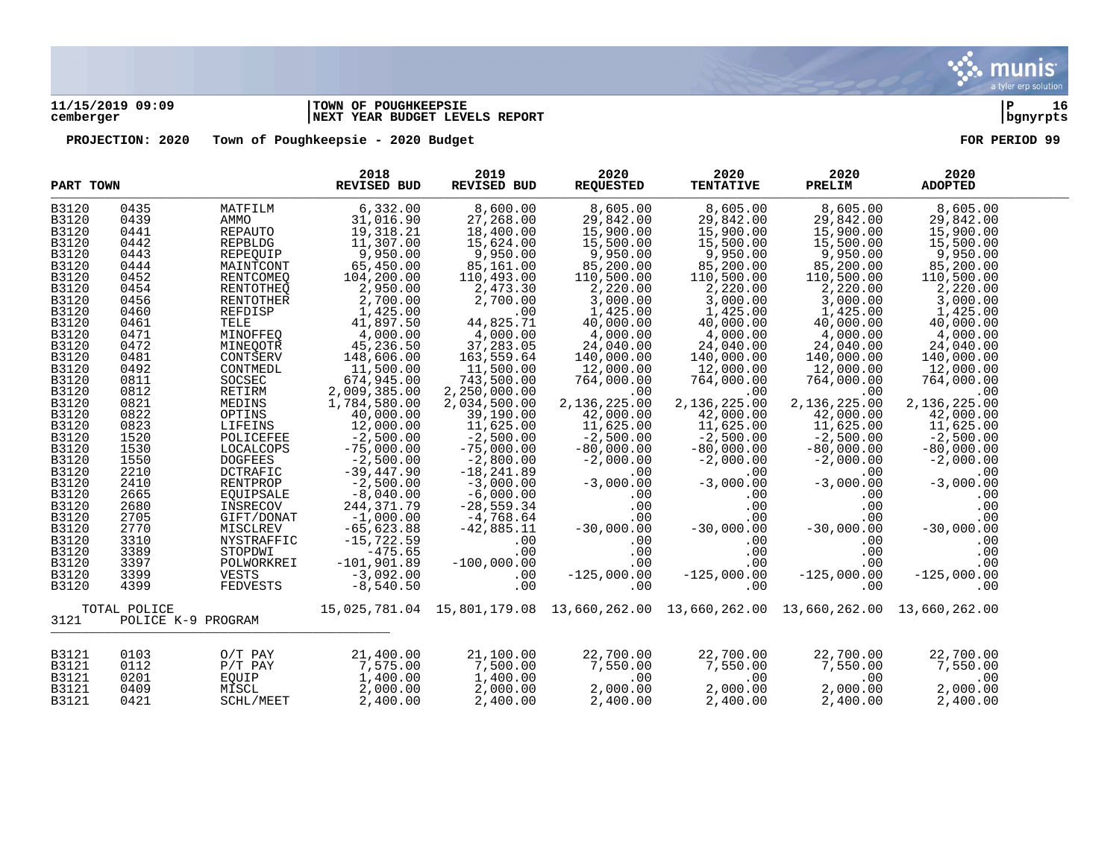

# **11/15/2019 09:09 |TOWN OF POUGHKEEPSIE |P 16 cemberger |NEXT YEAR BUDGET LEVELS REPORT |bgnyrpts**

| PART TOWN    |                    |                | 2018<br><b>REVISED BUD</b>  | 2019<br>REVISED BUD | 2020<br><b>REQUESTED</b> | 2020<br><b>TENTATIVE</b> | 2020<br>PRELIM                                                                      | 2020<br><b>ADOPTED</b> |  |
|--------------|--------------------|----------------|-----------------------------|---------------------|--------------------------|--------------------------|-------------------------------------------------------------------------------------|------------------------|--|
| B3120        | 0435               | MATFILM        | 6,332.00                    | 8,600.00            | 8,605.00                 | 8,605.00                 | 8,605.00                                                                            | 8,605.00               |  |
| B3120        | 0439               | AMMO           | 31,016.90                   | 27,268.00           | 29,842.00                | 29,842.00                | 29,842.00                                                                           | 29,842.00              |  |
| B3120        | 0441               | REPAUTO        |                             | 18,400.00           | 15,900.00                | 15,900.00                |                                                                                     | 15,900.00              |  |
| B3120        | 0442               | REPBLDG        | 19, 318.21<br>11, 307.00    | 15,624.00           | 15,500.00                | 15,500.00                | 15,900.00<br>15,500.00                                                              | 15,500.00              |  |
| B3120        | 0443               | REPEQUIP       | 9,950.00                    | 9,950.00            | 9,950.00                 | 9,950.00                 | 9,950.00                                                                            | 9,950.00               |  |
|              |                    |                |                             |                     |                          |                          |                                                                                     |                        |  |
| B3120        | 0444               | MAINTCONT      | 65,450.00                   | 85,161.00           | 85,200.00                | 85,200.00                | 85,200.00                                                                           | 85,200.00              |  |
| B3120        | 0452               | RENTCOMEQ      | 104,200.00                  | 110,493.00          | 110,500.00               | 110,500.00               | 110,500.00                                                                          | 110,500.00             |  |
| B3120        | 0454               | RENTOTHEQ      | 2,950.00                    | 2,473.30            | 2,220.00                 | 2,220.00                 | 2,220.00                                                                            | 2,220.00               |  |
| B3120        | 0456               | RENTOTHER      | 2,700.00                    | 2,700.00            | 3,000.00                 | 3,000.00                 | 3,000.00                                                                            | 3,000.00               |  |
| B3120        | 0460               | REFDISP        | 1,425.00                    | .00                 | 1,425.00                 | 1,425.00                 | 1,425.00                                                                            | 1,425.00               |  |
| B3120        | 0461               | TELE           | 41,897.50                   | 44,825.71           | 40,000.00                | 40,000.00                | 40,000.00                                                                           | 40,000.00              |  |
| B3120        | 0471               | MINOFFEQ       | 4,000.00                    | 4,000.00            | 4,000.00                 | 4,000.00                 | 4,000.00                                                                            | 4,000.00               |  |
| B3120        | 0472               | MINEQOTR       | 45,236.50                   | 37,283.05           | 24,040.00                | 24,040.00                | 24,040.00                                                                           | 24,040.00              |  |
| B3120        | 0481               | CONTSERV       | 148,606.00                  | 163,559.64          | 140,000.00               | 140,000.00               | 140,000.00                                                                          | 140,000.00             |  |
| B3120        | 0492               | CONTMEDL       | 11,500.00                   | 11,500.00           | 12,000.00                | 12,000.00                | 12,000.00                                                                           | 12,000.00              |  |
| B3120        | 0811               | SOCSEC         | 674,945.00                  | 743,500.00          | 764,000.00               | 764,000.00               | 764,000.00                                                                          | 764,000.00             |  |
| B3120        | 0812               | RETIRM         | 2,009,385.00                | 2,250,000.00        | .00                      | .00                      | .00                                                                                 | .00                    |  |
| B3120        | 0821               | MEDINS         | 1,784,580.00                | 2,034,500.00        | 2,136,225.00             | 2,136,225.00             | 2,136,225.00                                                                        | 2,136,225.00           |  |
| B3120        | 0822               | OPTINS         |                             |                     |                          |                          |                                                                                     |                        |  |
|              |                    |                | 40,000.00                   | 39,190.00           | 42,000.00                | 42,000.00                | 42,000.00<br>11,625.00                                                              | 42,000.00              |  |
| B3120        | 0823               | LIFEINS        | 12,000.00                   | 11,625.00           | 11,625.00                | 11,625.00                |                                                                                     | 11,625.00              |  |
| B3120        | 1520               | POLICEFEE      | $-2,500.00$                 | $-2,500.00$         | $-2,500.00$              | $-2,500.00$              | $-2,500.00$                                                                         | $-2,500.00$            |  |
| B3120        | 1530               | LOCALCOPS      | $-75,000.00$                | $-75,000.00$        | $-80,000.00$             | $-80,000.00$             | $-80,000.00$                                                                        | $-80,000.00$           |  |
| B3120        | 1550               | <b>DOGFEES</b> | $-2,500.00$                 | $-2,800.00$         | $-2,000.00$              | $-2,000.00$              | $-2,000.00$                                                                         | $-2,000.00$            |  |
| B3120        | 2210               | DCTRAFIC       | $-39,447.90$<br>$-2,500.00$ | $-18, 241.89$       | .00                      | .00                      | .00                                                                                 | .00                    |  |
| B3120        | 2410               | RENTPROP       |                             | $-3,000.00$         | $-3,000.00$              | $-3,000.00$              | $-3,000.00$                                                                         | $-3,000.00$            |  |
| B3120        | 2665               | EQUIPSALE      | $-8,040.00$                 | $-6,000.00$         | .00                      | .00                      | .00                                                                                 | .00                    |  |
| B3120        | 2680               | INSRECOV       | 244, 371.79                 | $-28,559.34$        | .00                      | .00                      | .00                                                                                 | .00                    |  |
| B3120        | 2705               | GIFT/DONAT     | $-1,000.00$                 | $-4,768.64$         | .00                      | .00                      | .00                                                                                 | .00                    |  |
| B3120        | 2770               | MISCLREV       | $-65,623.88$                | $-42,885.11$        | $-30,000.00$             | $-30,000.00$             | $-30,000.00$                                                                        | $-30,000.00$           |  |
| B3120        | 3310               | NYSTRAFFIC     | $-15,722.59$                | .00                 | .00                      | .00                      | .00                                                                                 | .00                    |  |
| B3120        | 3389               | STOPDWI        | $-475.65$                   | .00                 | .00                      | .00                      | .00                                                                                 | .00                    |  |
| B3120        | 3397               | POLWORKREI     | $-101,901.89$               | $-100,000.00$       | .00                      | .00                      | .00                                                                                 | .00                    |  |
|              | 3399               | VESTS          |                             | .00                 | $-125,000.00$            |                          |                                                                                     | $-125,000.00$          |  |
| B3120        |                    |                | $-3,092.00$                 |                     |                          | $-125,000.00$            | $-125,000.00$                                                                       |                        |  |
| B3120        | 4399               | FEDVESTS       | $-8,540.50$                 | .00                 | .00                      | .00                      | .00                                                                                 | .00                    |  |
|              | TOTAL POLICE       |                |                             |                     |                          |                          | 15,025,781.04 15,801,179.08 13,660,262.00 13,660,262.00 13,660,262.00 13,660,262.00 |                        |  |
| 3121         | POLICE K-9 PROGRAM |                |                             |                     |                          |                          |                                                                                     |                        |  |
| B3121        | 0103               | $O/T$ PAY      | 21,400.00                   |                     | 22,700.00                |                          | 22,700.00                                                                           | 22,700.00              |  |
|              |                    |                | 7,575.00                    | 21,100.00           |                          | 22,700.00                |                                                                                     |                        |  |
| B3121        | 0112               | $P/T$ $PAY$    |                             | 7,500.00            | 7,550.00                 | 7,550.00                 | 7,550.00                                                                            | 7,550.00               |  |
| <b>B3121</b> | 0201               | EQUIP          | 1,400.00                    | 1,400.00            | .00                      | .00                      | .00                                                                                 | .00                    |  |
| B3121        | 0409               | MISCL          | 2,000.00                    | 2,000.00            | 2,000.00                 | 2,000.00                 | 2,000.00                                                                            | 2,000.00               |  |
| B3121        | 0421               | SCHL/MEET      | 2,400.00                    | 2,400.00            | 2,400.00                 | 2,400.00                 | 2,400.00                                                                            | 2,400.00               |  |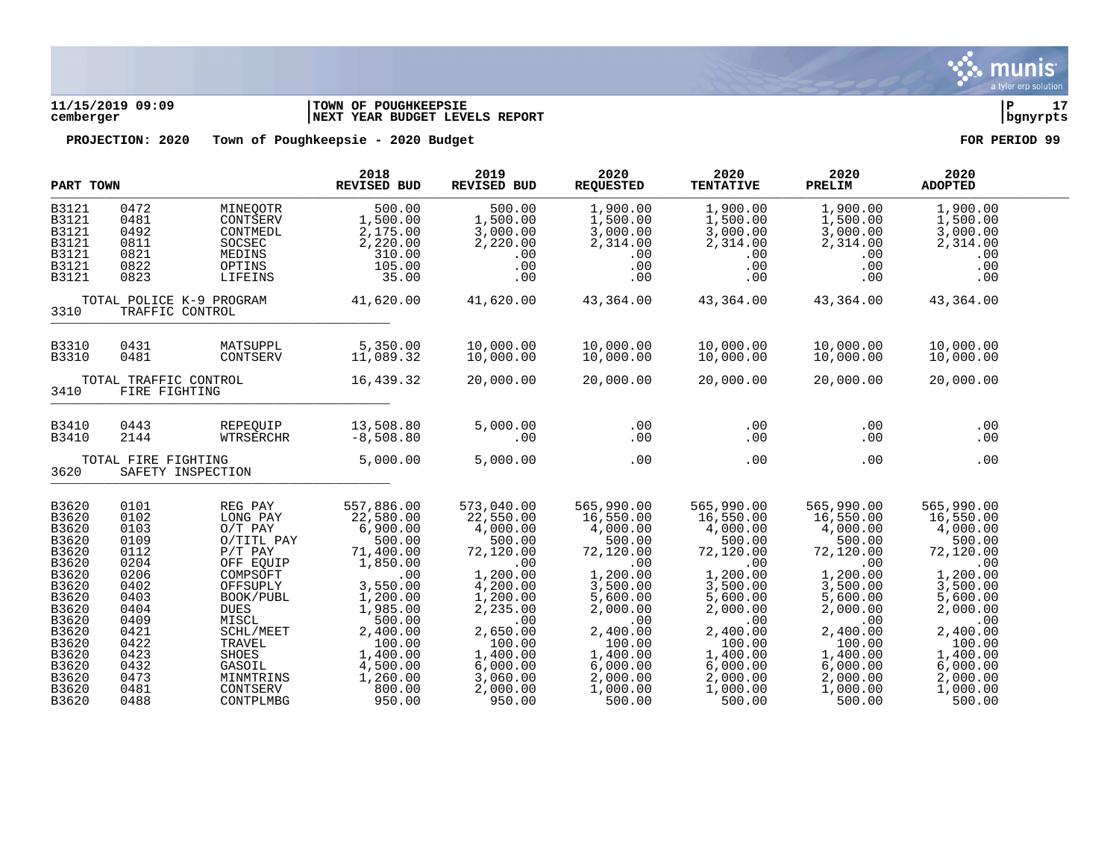

# **11/15/2019 09:09 |TOWN OF POUGHKEEPSIE |P 17 cemberger |NEXT YEAR BUDGET LEVELS REPORT |bgnyrpts**

|                                                  | PART TOWN                                   |             | 2018<br><b>REVISED BUD</b> | 2019<br><b>REVISED BUD</b> | 2020<br><b>REQUESTED</b> | 2020<br><b>TENTATIVE</b> | 2020<br>PRELIM | 2020<br><b>ADOPTED</b> |  |
|--------------------------------------------------|---------------------------------------------|-------------|----------------------------|----------------------------|--------------------------|--------------------------|----------------|------------------------|--|
| B3121                                            | 0472                                        | MINEQOTR    | 500.00                     | 500.00                     | 1,900.00                 | 1,900.00                 | 1,900.00       | 1,900.00               |  |
| B3121                                            | 0481                                        | CONTSERV    | 1,500.00                   | 1,500.00                   | 1,500.00                 | 1,500.00                 | 1,500.00       | 1,500.00               |  |
| B3121                                            | 0492                                        | CONTMEDL    | 2,175.00                   | 3,000.00                   | 3,000.00                 | 3,000.00                 | 3,000.00       | 3,000.00               |  |
| B3121                                            | 0811                                        | SOCSEC      | 2,220.00                   | 2,220.00                   | 2,314.00                 | 2,314.00                 | 2,314.00       | 2,314.00               |  |
| B3121                                            | 0821                                        | MEDINS      | 310.00                     | .00                        | .00                      | .00                      | $.00 \,$       | .00                    |  |
| B3121                                            | 0822                                        | OPTINS      | 105.00                     | .00                        | .00                      | .00                      | .00            | .00                    |  |
| B3121                                            | 0823                                        | LIFEINS     | 35.00                      | .00                        | .00                      | .00                      | .00            | .00                    |  |
| 3310                                             | TOTAL POLICE K-9 PROGRAM<br>TRAFFIC CONTROL |             | 41,620.00                  | 41,620.00                  | 43,364.00                | 43,364.00                | 43,364.00      | 43,364.00              |  |
| B3310                                            | 0431                                        | MATSUPPL    | 5,350.00                   | 10,000.00                  | 10,000.00                | 10,000.00                | 10,000.00      | 10,000.00              |  |
| B3310                                            | 0481                                        | CONTSERV    | 11,089.32                  | 10,000.00                  | 10,000.00                | 10,000.00                | 10,000.00      | 10,000.00              |  |
| 3410                                             | TOTAL TRAFFIC CONTROL<br>FIRE FIGHTING      |             | 16,439.32                  | 20,000.00                  | 20,000.00                | 20,000.00                | 20,000.00      | 20,000.00              |  |
| B3410                                            | 0443                                        | REPEQUIP    | 13,508.80                  | 5,000.00                   | .00                      | .00                      | .00            | .00                    |  |
| B3410                                            | 2144                                        | WTRSERCHR   | $-8,508.80$                | .00                        | .00                      | .00                      | .00            | .00                    |  |
| TOTAL FIRE FIGHTING<br>3620<br>SAFETY INSPECTION |                                             | 5,000.00    | 5,000.00                   | .00                        | .00                      | .00                      | .00            |                        |  |
| B3620                                            | 0101                                        | REG PAY     | 557,886.00                 | 573,040.00                 | 565,990.00               | 565,990.00               | 565,990.00     | 565,990.00             |  |
| B3620                                            | 0102                                        | LONG PAY    | 22,580.00                  | 22,550.00                  | 16,550.00                | 16,550.00                | 16,550.00      | 16,550.00              |  |
| B3620                                            | 0103                                        | $O/T$ PAY   | 6,900.00                   | 4,000.00                   | 4,000.00                 | 4,000.00                 | 4,000.00       | 4,000.00               |  |
| B3620                                            | 0109                                        | O/TITL PAY  | 500.00                     | 500.00                     | 500.00                   | 500.00                   | 500.00         | 500.00                 |  |
| B3620                                            | 0112                                        | $P/T$ PAY   | 71,400.00                  | 72,120.00                  | 72,120.00                | 72,120.00                | 72,120.00      | 72,120.00              |  |
| B3620                                            | 0204                                        | OFF EQUIP   | 1,850.00                   | .00                        | .00                      | .00                      | .00            | .00                    |  |
| B3620                                            | 0206                                        | COMPSOFT    | .00                        | 1,200.00                   | 1,200.00                 | 1,200.00                 | 1,200.00       | 1,200.00               |  |
| B3620                                            | 0402                                        | OFFSUPLY    | 3,550.00                   | 4,200.00                   | 3,500.00                 | 3,500.00                 | 3,500.00       | 3,500.00               |  |
| B3620                                            | 0403                                        | BOOK/PUBL   | 1,200.00                   | 1,200.00                   | 5,600.00                 | 5,600.00                 | 5,600.00       | 5,600.00               |  |
| B3620                                            | 0404                                        | <b>DUES</b> | 1,985.00                   | 2,235.00                   | 2,000.00                 | 2,000.00                 | 2,000.00       | 2,000.00               |  |
| B3620                                            | 0409                                        | MISCL       | 500.00                     | .00                        | .00                      | .00                      | .00            | .00                    |  |
| B3620                                            | 0421                                        | SCHL/MEET   | 2,400.00                   | 2,650.00                   | 2,400.00                 | 2,400.00                 | 2,400.00       | 2,400.00               |  |
| B3620                                            | 0422                                        | TRAVEL      | 100.00                     | 100.00                     | 100.00                   | 100.00                   | 100.00         | 100.00                 |  |
| B3620                                            | 0423                                        | SHOES       | 1,400.00                   | 1,400.00                   | 1,400.00                 | 1,400.00                 | 1,400.00       | 1,400.00               |  |
| B3620                                            | 0432                                        | GASOIL      | 4,500.00                   | 6,000.00                   | 6,000.00                 | 6,000.00                 | 6,000.00       | 6,000.00               |  |
| B3620                                            | 0473                                        | MINMTRINS   | 1,260.00                   | 3,060.00                   | 2,000.00                 | 2,000.00                 | 2,000.00       | 2,000.00               |  |
| B3620                                            | 0481                                        | CONTSERV    | 800.00                     | 2,000.00                   | 1,000.00                 | 1,000.00                 | 1,000.00       | 1,000.00               |  |
| B3620                                            | 0488                                        | CONTPLMBG   | 950.00                     | 950.00                     | 500.00                   | 500.00                   | 500.00         | 500.00                 |  |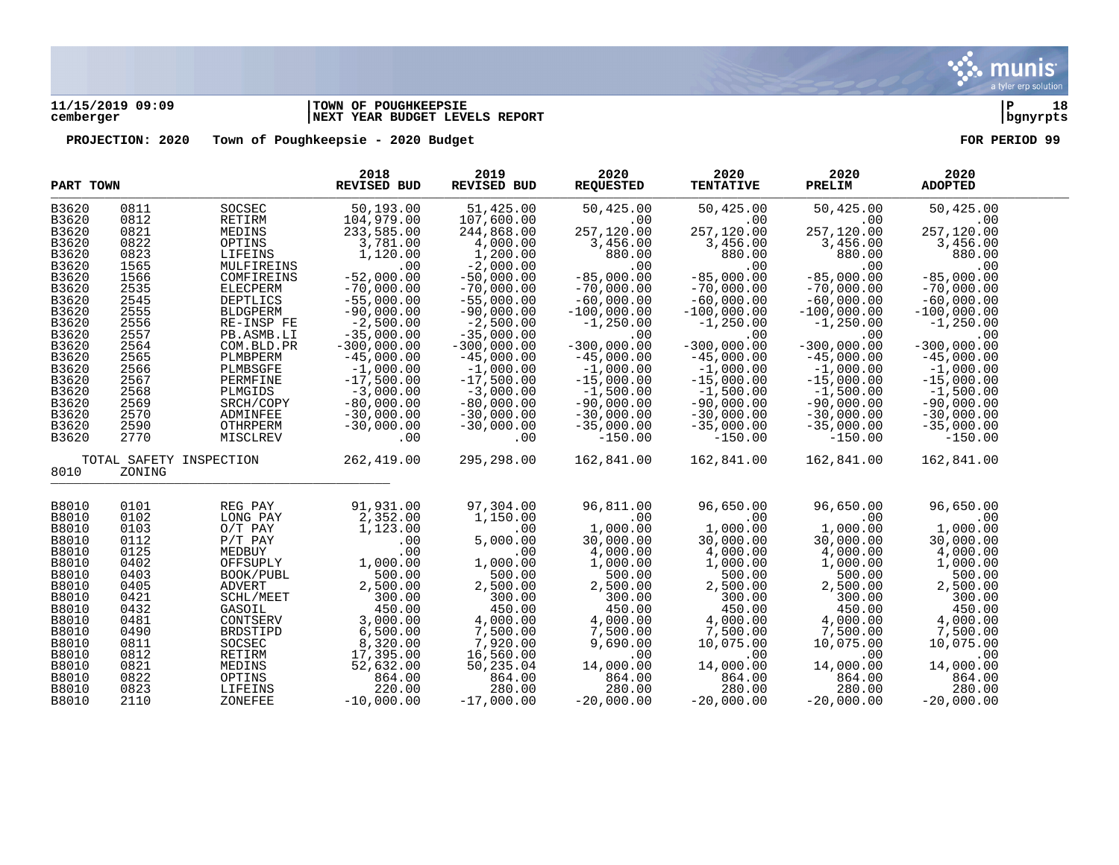

# **11/15/2019 09:09 |TOWN OF POUGHKEEPSIE |P 18 cemberger |NEXT YEAR BUDGET LEVELS REPORT |bgnyrpts**

|              | PART TOWN               |                 | 2018<br>REVISED BUD | 2019<br>REVISED BUD      | 2020<br><b>REQUESTED</b> | 2020<br><b>TENTATIVE</b> | 2020<br>PRELIM | 2020<br><b>ADOPTED</b> |  |
|--------------|-------------------------|-----------------|---------------------|--------------------------|--------------------------|--------------------------|----------------|------------------------|--|
| B3620        | 0811                    | SOCSEC          | 50,193.00           | 51,425.00                | 50,425.00                | 50,425.00                | 50,425.00      | 50,425.00              |  |
| B3620        | 0812                    | RETIRM          | 104,979.00          | 107,600.00               | .00                      | .00                      | .00            | .00                    |  |
| B3620        | 0821                    | MEDINS          | 233,585.00          | 244,868.00               | 257,120.00               | 257,120.00               | 257,120.00     | 257,120.00             |  |
| B3620        | 0822                    | OPTINS          | 3,781.00            | 4,000.00                 | 3,456.00                 | 3,456.00                 | 3,456.00       | 3,456.00               |  |
|              |                         |                 |                     |                          |                          |                          |                |                        |  |
| B3620        | 0823                    | LIFEINS         | 1,120.00            | 1,200.00                 | 880.00                   | 880.00                   | 880.00         | 880.00                 |  |
| B3620        | 1565                    | MULFIREINS      | .00                 | $-2,000.00$              | .00                      | .00                      | .00            | .00                    |  |
| B3620        | 1566                    | COMFIREINS      | $-52,000.00$        | $-50,000.00$             | $-85,000.00$             | $-85,000.00$             | $-85,000.00$   | $-85,000.00$           |  |
| B3620        | 2535                    | ELECPERM        | $-70,000.00$        | $-70,000.00$             | $-70,000.00$             | $-70,000.00$             | $-70,000.00$   | $-70,000.00$           |  |
| B3620        | 2545                    | <b>DEPTLICS</b> | $-55,000.00$        | $-55,000.00$             | $-60,000.00$             | $-60,000.00$             | $-60,000.00$   | $-60,000.00$           |  |
| B3620        | 2555                    | <b>BLDGPERM</b> | $-90,000.00$        | $-90,000.00$             | $-100,000.00$            | $-100,000.00$            | $-100,000.00$  | $-100,000.00$          |  |
| B3620        | 2556                    | RE-INSP FE      | $-2,500.00$         | $-2,500.00$              | $-1,250.00$              | $-1,250.00$              | $-1, 250.00$   | $-1, 250.00$           |  |
| B3620        | 2557                    | PB.ASMB.LI      | $-35,000.00$        | $-35,000.00$             | .00                      | .00                      | .00            | .00                    |  |
| B3620        | 2564                    | COM.BLD.PR      | $-300,000.00$       | $-300,000.00$            | $-300,000.00$            | $-300,000.00$            | $-300,000.00$  | $-300,000.00$          |  |
| B3620        | 2565                    | PLMBPERM        | $-45,000.00$        | $-45,000.00$             | $-45,000.00$             | $-45,000.00$             | $-45,000.00$   | $-45,000.00$           |  |
|              |                         |                 |                     |                          |                          |                          |                |                        |  |
| B3620        | 2566                    | PLMBSGFE        | $-1,000.00$         | $-1,000.00$              | $-1,000.00$              | $-1,000.00$              | $-1,000.00$    | $-1,000.00$            |  |
| B3620        | 2567                    | PERMFINE        | $-17,500.00$        | $-17,500.00$             | $-15,000.00$             | $-15,000.00$             | $-15,000.00$   | $-15,000.00$           |  |
| B3620        | 2568                    | PLMGIDS         | $-3,000.00$         | $-3,000.00$              | $-1,500.00$              | $-1,500.00$              | $-1,500.00$    | $-1,500.00$            |  |
| B3620        | 2569                    | SRCH/COPY       | $-80,000.00$        | $-80,000.00$             | $-90,000.00$             | $-90,000.00$             | $-90,000.00$   | $-90,000.00$           |  |
| B3620        | 2570                    | ADMINFEE        | $-30,000.00$        | $-30,000.00$             | $-30,000.00$             | $-30,000.00$             | $-30,000.00$   | $-30,000.00$           |  |
| B3620        | 2590                    | OTHRPERM        | $-30,000.00$        | $-30,000.00$             | $-35,000.00$             | $-35,000.00$             | $-35,000.00$   | $-35,000.00$           |  |
| B3620        | 2770                    | MISCLREV        | .00                 | .00                      | $-150.00$                | $-150.00$                | $-150.00$      | $-150.00$              |  |
|              | TOTAL SAFETY INSPECTION |                 | 262,419.00          | 295,298.00               | 162,841.00               | 162,841.00               | 162,841.00     | 162,841.00             |  |
| 8010         | ZONING                  |                 |                     |                          |                          |                          |                |                        |  |
|              |                         |                 |                     |                          |                          |                          |                |                        |  |
| B8010        | 0101                    | REG PAY         | 91,931.00           | 97,304.00                | 96,811.00                | 96,650.00                | 96,650.00      | 96,650.00              |  |
| <b>B8010</b> | 0102                    | LONG PAY        | 2,352.00            | 1,150.00                 | .00                      | .00                      | .00            | .00                    |  |
| B8010        | 0103                    | $O/T$ PAY       | 1,123.00            | .00                      | 1,000.00                 | 1,000.00                 | 1,000.00       | 1,000.00               |  |
| B8010        | 0112                    | $P/T$ PAY       | .00                 | 5,000.00                 | 30,000.00                | 30,000.00                | 30,000.00      | 30,000.00              |  |
| B8010        | 0125                    | MEDBUY          | .00                 | .00                      | 4,000.00                 | 4,000.00                 | 4,000.00       | 4,000.00               |  |
| <b>B8010</b> | 0402                    | OFFSUPLY        | 1,000.00            | 1,000.00                 | 1,000.00                 | 1,000.00                 | 1,000.00       | 1,000.00               |  |
| B8010        | 0403                    | BOOK/PUBL       | 500.00              | 500.00                   | 500.00                   | 500.00                   | 500.00         | 500.00                 |  |
| <b>B8010</b> | 0405                    | <b>ADVERT</b>   | 2,500.00            | 2,500.00                 | 2,500.00                 | 2,500.00                 | 2,500.00       | 2,500.00               |  |
| <b>B8010</b> | 0421                    | SCHL/MEET       | 300.00              | 300.00                   | 300.00                   | 300.00                   | 300.00         | 300.00                 |  |
| B8010        | 0432                    | GASOIL          | 450.00              | 450.00                   | 450.00                   | 450.00                   | 450.00         | 450.00                 |  |
|              | 0481                    | CONTSERV        |                     |                          |                          |                          |                |                        |  |
| <b>B8010</b> |                         |                 | 3,000.00            | 4,000.00                 | 4,000.00                 | 4,000.00                 | 4,000.00       | 4,000.00               |  |
| B8010        | 0490                    | <b>BRDSTIPD</b> | 6,500.00            | 7,500.00                 | 7,500.00                 | 7,500.00                 | 7,500.00       | 7,500.00               |  |
| B8010        | 0811                    | SOCSEC          | 8,320.00            | $7,920.00$<br>$7,920.00$ | 9,690.00                 | 10,075.00                | 10,075.00      | 10,075.00              |  |
| <b>B8010</b> | 0812                    | RETIRM          | 17,395.00           | 16,560.00                | .00                      | .00                      | .00            | .00                    |  |
| B8010        | 0821                    | MEDINS          | 52,632.00           | 50,235.04                | 14,000.00                | 14,000.00                | 14,000.00      | 14,000.00              |  |
| <b>B8010</b> | 0822                    | OPTINS          | 864.00              | 864.00                   | 864.00                   | 864.00                   | 864.00         | 864.00                 |  |
| B8010        | 0823                    | LIFEINS         | 220.00              | 280.00                   | 280.00                   | 280.00                   | 280.00         | 280.00                 |  |
| B8010        | 2110                    | ZONEFEE         | $-10,000.00$        | $-17,000.00$             | $-20,000.00$             | $-20,000.00$             | $-20,000.00$   | $-20,000.00$           |  |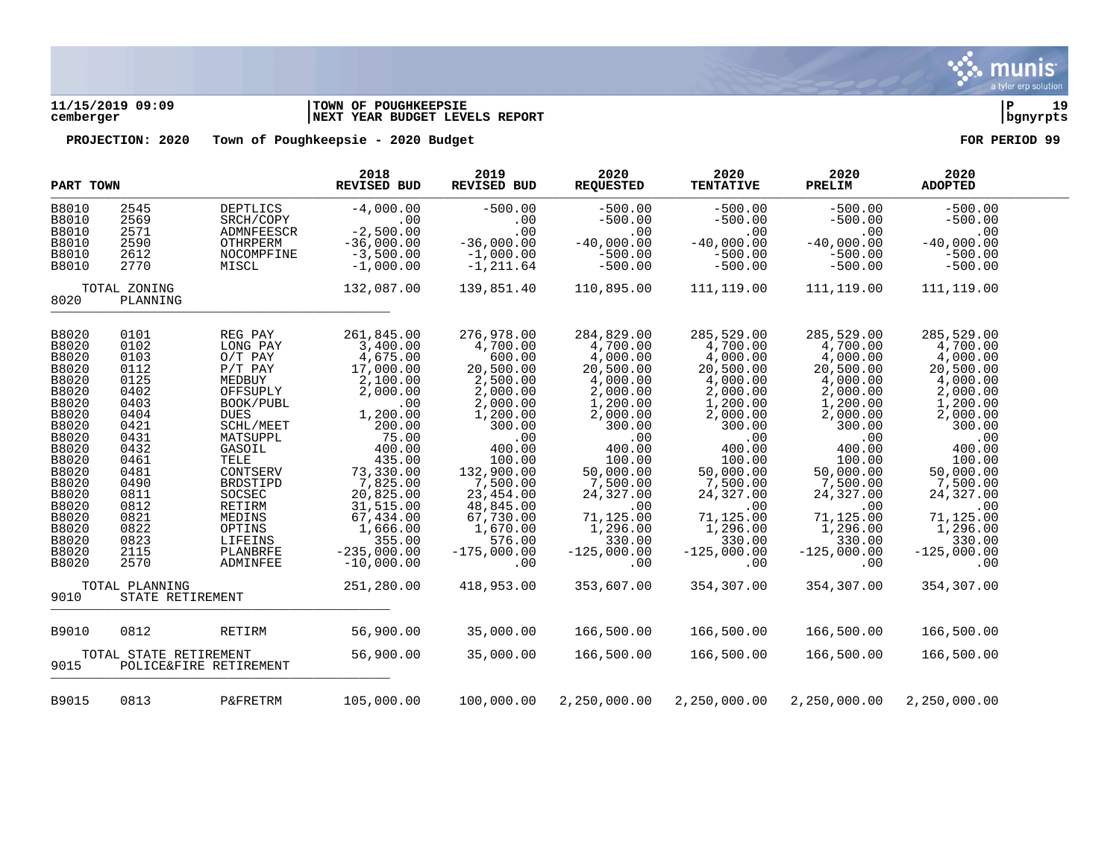

# **11/15/2019 09:09 |TOWN OF POUGHKEEPSIE |P 19 cemberger |NEXT YEAR BUDGET LEVELS REPORT |bgnyrpts**

| PART TOWN                                                                                                                                                                                 |                                                                                                                                                                      |                                                                                                                                                                                                                                                      | 2018<br>REVISED BUD                                                                                                                                                                                                                                      | 2019<br><b>REVISED BUD</b>                                                                                                                                                                                                                        | 2020<br><b>REQUESTED</b>                                                                                                                                                                                                                     | 2020<br><b>TENTATIVE</b>                                                                                                                                                                                                                     | 2020<br>PRELIM                                                                                                                                                                                                                               | 2020<br><b>ADOPTED</b>                                                                                                                                                                                                                       |  |
|-------------------------------------------------------------------------------------------------------------------------------------------------------------------------------------------|----------------------------------------------------------------------------------------------------------------------------------------------------------------------|------------------------------------------------------------------------------------------------------------------------------------------------------------------------------------------------------------------------------------------------------|----------------------------------------------------------------------------------------------------------------------------------------------------------------------------------------------------------------------------------------------------------|---------------------------------------------------------------------------------------------------------------------------------------------------------------------------------------------------------------------------------------------------|----------------------------------------------------------------------------------------------------------------------------------------------------------------------------------------------------------------------------------------------|----------------------------------------------------------------------------------------------------------------------------------------------------------------------------------------------------------------------------------------------|----------------------------------------------------------------------------------------------------------------------------------------------------------------------------------------------------------------------------------------------|----------------------------------------------------------------------------------------------------------------------------------------------------------------------------------------------------------------------------------------------|--|
| B8010<br><b>B8010</b><br>B8010                                                                                                                                                            | 2545<br>2569<br>2571                                                                                                                                                 | DEPTLICS<br>SRCH/COPY<br>ADMNFEESCR                                                                                                                                                                                                                  | $-4,000.00$<br>.00<br>$-2,500.00$                                                                                                                                                                                                                        | $-500.00$<br>.00<br>.00                                                                                                                                                                                                                           | $-500.00$<br>$-500.00$<br>.00                                                                                                                                                                                                                | $-500.00$<br>$-500.00$<br>.00                                                                                                                                                                                                                | $-500.00$<br>$-500.00$<br>.00                                                                                                                                                                                                                | $-500.00$<br>$-500.00$<br>.00                                                                                                                                                                                                                |  |
| B8010<br><b>B8010</b><br><b>B8010</b>                                                                                                                                                     | 2590<br>2612<br>2770                                                                                                                                                 | OTHRPERM<br>NOCOMPFINE<br>MISCL                                                                                                                                                                                                                      | $-36,000.00$<br>$-3,500.00$<br>$-1,000.00$                                                                                                                                                                                                               | $-36,000.00$<br>$-1,000.00$<br>$-1, 211.64$                                                                                                                                                                                                       | $-40,000.00$<br>$-500.00$<br>$-500.00$                                                                                                                                                                                                       | $-40,000.00$<br>$-500.00$<br>$-500.00$                                                                                                                                                                                                       | $-40,000.00$<br>$-500.00$<br>$-500.00$                                                                                                                                                                                                       | $-40,000.00$<br>$-500.00$<br>$-500.00$                                                                                                                                                                                                       |  |
| 8020                                                                                                                                                                                      | TOTAL ZONING<br>PLANNING                                                                                                                                             |                                                                                                                                                                                                                                                      | 132,087.00                                                                                                                                                                                                                                               | 139,851.40                                                                                                                                                                                                                                        | 110,895.00                                                                                                                                                                                                                                   | 111,119.00                                                                                                                                                                                                                                   | 111,119.00                                                                                                                                                                                                                                   | 111,119.00                                                                                                                                                                                                                                   |  |
| B8020<br>B8020<br>B8020<br>B8020<br>B8020<br>B8020<br>B8020<br>B8020<br>B8020<br>B8020<br>B8020<br>B8020<br>B8020<br>B8020<br>B8020<br>B8020<br>B8020<br>B8020<br>B8020<br>B8020<br>B8020 | 0101<br>0102<br>0103<br>0112<br>0125<br>0402<br>0403<br>0404<br>0421<br>0431<br>0432<br>0461<br>0481<br>0490<br>0811<br>0812<br>0821<br>0822<br>0823<br>2115<br>2570 | REG PAY<br>LONG PAY<br>$O/T$ PAY<br>$P/T$ PAY<br>MEDBUY<br>OFFSUPLY<br>BOOK/PUBL<br><b>DUES</b><br>SCHL/MEET<br>MATSUPPL<br>GASOIL<br>TELE<br>CONTSERV<br>BRDSTIPD<br>SOCSEC<br>RETIRM<br>MEDINS<br>OPTINS<br>LIFEINS<br>PLANBRFE<br><b>ADMINFEE</b> | 261,845.00<br>3,400.00<br>4,675.00<br>17,000.00<br>2,100.00<br>2,000.00<br>.00<br>1,200.00<br>200.00<br>75.00<br>400.00<br>435.00<br>73,330.00<br>7,825.00<br>20,825.00<br>31,515.00<br>67,434.00<br>1,666.00<br>355.00<br>$-235,000.00$<br>$-10,000.00$ | 276,978.00<br>4,700.00<br>600.00<br>20,500.00<br>2,500.00<br>2,000.00<br>2,000.00<br>1,200.00<br>300.00<br>.00<br>400.00<br>100.00<br>132,900.00<br>7,500.00<br>23,454.00<br>48,845.00<br>67,730.00<br>1,670.00<br>576.00<br>$-175,000.00$<br>.00 | 284,829.00<br>4,700.00<br>4,000.00<br>20,500.00<br>4,000.00<br>2,000.00<br>1,200.00<br>2,000.00<br>300.00<br>.00<br>400.00<br>100.00<br>50,000.00<br>7,500.00<br>24,327.00<br>.00<br>71,125.00<br>1,296.00<br>330.00<br>$-125,000.00$<br>.00 | 285,529.00<br>4,700.00<br>4,000.00<br>20,500.00<br>4,000.00<br>2,000.00<br>1,200.00<br>2,000.00<br>300.00<br>.00<br>400.00<br>100.00<br>50,000.00<br>7,500.00<br>24,327.00<br>.00<br>71,125.00<br>1,296.00<br>330.00<br>$-125,000.00$<br>.00 | 285,529.00<br>4,700.00<br>4,000.00<br>20,500.00<br>4,000.00<br>2,000.00<br>1,200.00<br>2,000.00<br>300.00<br>.00<br>400.00<br>100.00<br>50,000.00<br>7,500.00<br>24,327.00<br>.00<br>71,125.00<br>1,296.00<br>330.00<br>$-125,000.00$<br>.00 | 285,529.00<br>4,700.00<br>4,000.00<br>20,500.00<br>4,000.00<br>2,000.00<br>1,200.00<br>2,000.00<br>300.00<br>.00<br>400.00<br>100.00<br>50,000.00<br>7,500.00<br>24,327.00<br>.00<br>71,125.00<br>1,296.00<br>330.00<br>$-125,000.00$<br>.00 |  |
| 9010                                                                                                                                                                                      | TOTAL PLANNING<br>STATE RETIREMENT                                                                                                                                   |                                                                                                                                                                                                                                                      | 251,280.00                                                                                                                                                                                                                                               | 418,953.00                                                                                                                                                                                                                                        | 353,607.00                                                                                                                                                                                                                                   | 354,307.00                                                                                                                                                                                                                                   | 354,307.00                                                                                                                                                                                                                                   | 354,307.00                                                                                                                                                                                                                                   |  |
| B9010                                                                                                                                                                                     | 0812                                                                                                                                                                 | RETIRM                                                                                                                                                                                                                                               | 56,900.00                                                                                                                                                                                                                                                | 35,000.00                                                                                                                                                                                                                                         | 166,500.00                                                                                                                                                                                                                                   | 166,500.00                                                                                                                                                                                                                                   | 166,500.00                                                                                                                                                                                                                                   | 166,500.00                                                                                                                                                                                                                                   |  |
| 9015                                                                                                                                                                                      | TOTAL STATE RETIREMENT                                                                                                                                               | POLICE&FIRE RETIREMENT                                                                                                                                                                                                                               | 56,900.00                                                                                                                                                                                                                                                | 35,000.00                                                                                                                                                                                                                                         | 166,500.00                                                                                                                                                                                                                                   | 166,500.00                                                                                                                                                                                                                                   | 166,500.00                                                                                                                                                                                                                                   | 166,500.00                                                                                                                                                                                                                                   |  |
| B9015                                                                                                                                                                                     | 0813                                                                                                                                                                 | <b>P&amp;FRETRM</b>                                                                                                                                                                                                                                  | 105,000.00                                                                                                                                                                                                                                               | 100,000.00                                                                                                                                                                                                                                        | 2,250,000.00                                                                                                                                                                                                                                 | 2,250,000.00                                                                                                                                                                                                                                 | 2,250,000.00                                                                                                                                                                                                                                 | 2,250,000.00                                                                                                                                                                                                                                 |  |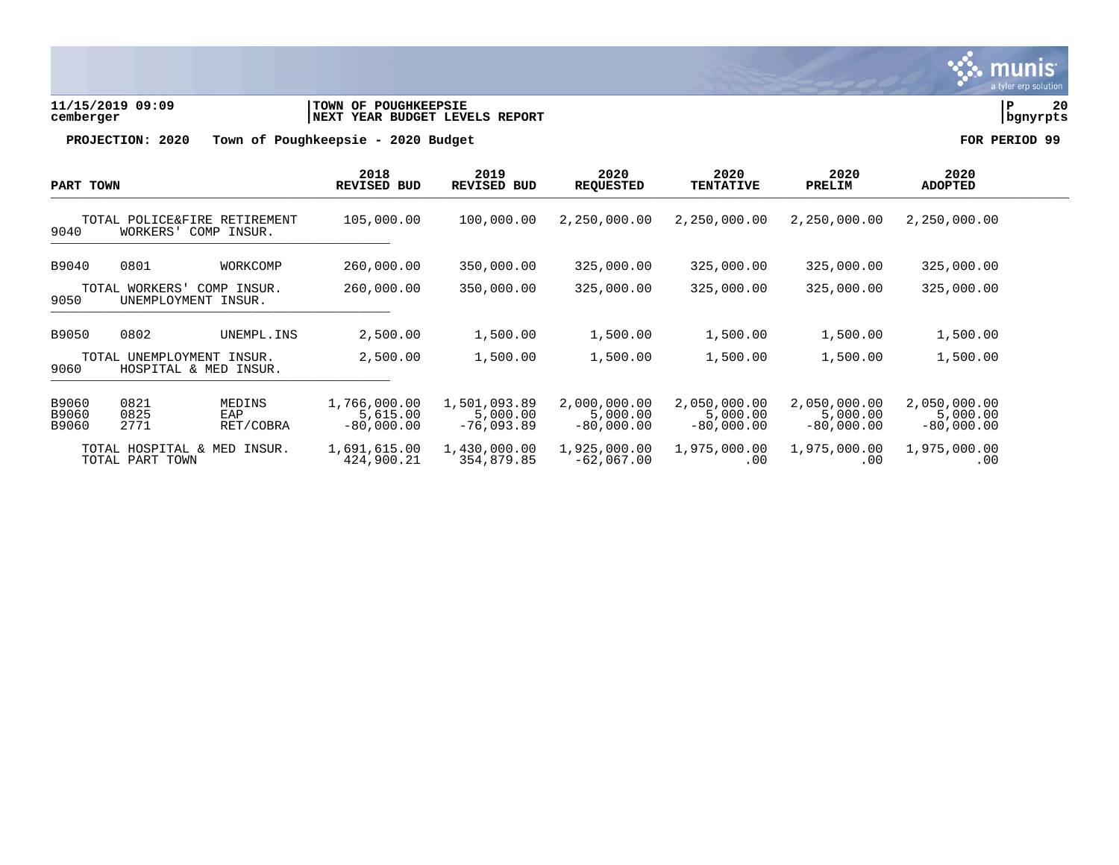

**11/15/2019 09:09 |TOWN OF POUGHKEEPSIE |P 20 cemberger |NEXT YEAR BUDGET LEVELS REPORT |bgnyrpts**

| PART TOWN                                      |                                                         | 2018<br><b>REVISED BUD</b> |                                          | 2019<br>REVISED BUD<br>100,000.00        | 2020<br><b>REQUESTED</b><br>2,250,000.00 | 2020<br><b>TENTATIVE</b><br>2,250,000.00 | 2020<br>PRELIM<br>2,250,000.00           | 2020<br><b>ADOPTED</b><br>2,250,000.00   |  |
|------------------------------------------------|---------------------------------------------------------|----------------------------|------------------------------------------|------------------------------------------|------------------------------------------|------------------------------------------|------------------------------------------|------------------------------------------|--|
| 9040                                           | TOTAL POLICE&FIRE RETIREMENT<br>COMP INSUR.<br>WORKERS' |                            | 105,000.00                               |                                          |                                          |                                          |                                          |                                          |  |
| B9040                                          | 0801                                                    | WORKCOMP                   | 260,000.00                               | 350,000.00                               | 325,000.00                               | 325,000.00                               | 325,000.00                               | 325,000.00                               |  |
| 9050                                           | TOTAL WORKERS'<br>UNEMPLOYMENT INSUR.                   | COMP INSUR.                | 260,000.00                               | 350,000.00                               | 325,000.00                               | 325,000.00                               | 325,000.00                               | 325,000.00                               |  |
| B9050                                          | 0802                                                    | UNEMPL. INS                | 2,500.00                                 | 1,500.00                                 | 1,500.00                                 | 1,500.00                                 | 1,500.00                                 | 1,500.00                                 |  |
| 9060                                           | TOTAL UNEMPLOYMENT INSUR.<br>HOSPITAL & MED INSUR.      |                            | 2,500.00                                 | 1,500.00                                 | 1,500.00                                 | 1,500.00                                 | 1,500.00                                 | 1,500.00                                 |  |
| B9060<br>B9060<br>B9060                        | 0821<br>0825<br>2771                                    | MEDINS<br>EAP<br>RET/COBRA | 1,766,000.00<br>5,615.00<br>$-80,000.00$ | 1,501,093.89<br>5,000.00<br>$-76,093.89$ | 2,000,000.00<br>5,000.00<br>$-80,000.00$ | 2,050,000.00<br>5,000.00<br>$-80,000.00$ | 2,050,000.00<br>5,000.00<br>$-80,000.00$ | 2,050,000.00<br>5,000.00<br>$-80,000.00$ |  |
| TOTAL HOSPITAL & MED INSUR.<br>TOTAL PART TOWN |                                                         | 1,691,615.00<br>424,900.21 | 1,430,000.00<br>354,879.85               | 1,925,000.00<br>$-62,067.00$             | 1,975,000.00<br>.00                      | 1,975,000.00<br>.00                      | 1,975,000.00<br>.00                      |                                          |  |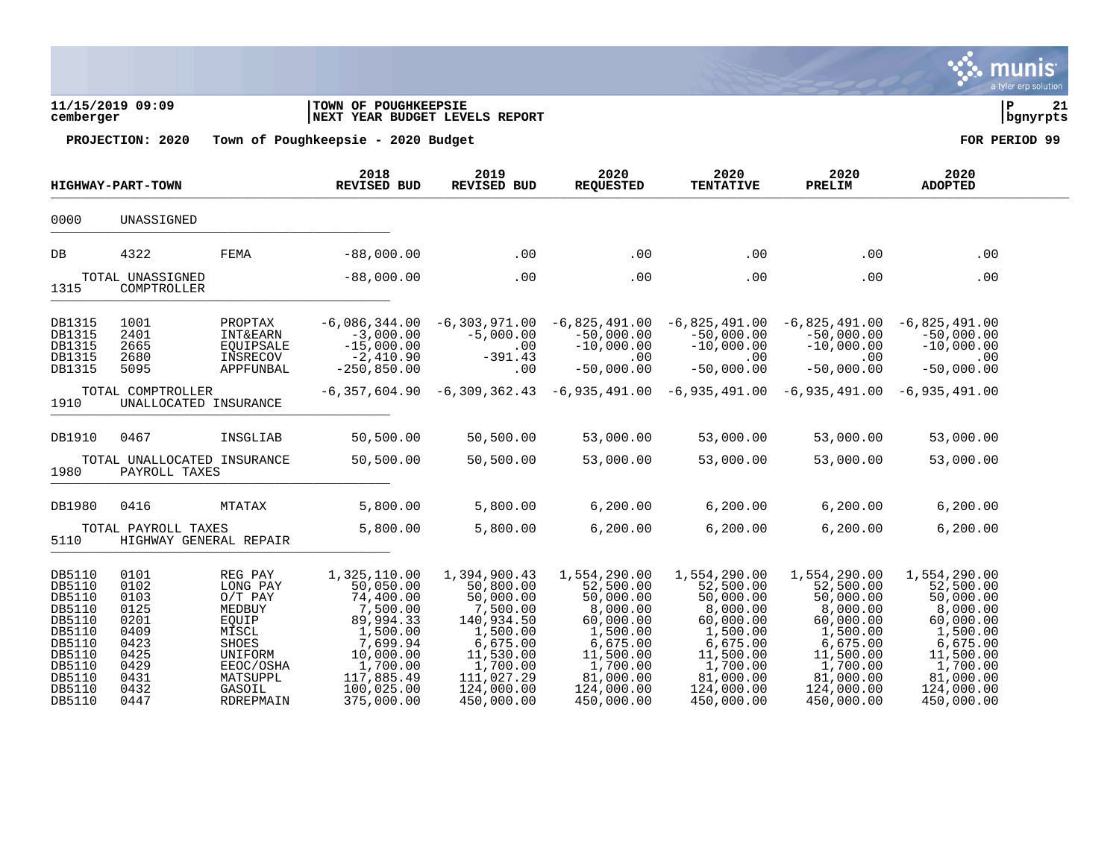|                                                                                                                      | 11/15/2019 09:09<br>cemberger                                                                |                                                                                                                                         | TOWN OF POUGHKEEPSIE<br>NEXT YEAR BUDGET LEVELS REPORT                                                                                                     |                                                                                                                                                             |                                                                                                                                                           |                                                                                                                                                           |                                                                                                                                                           | P                                                                                                                                                         | 21<br>bgnyrpts |
|----------------------------------------------------------------------------------------------------------------------|----------------------------------------------------------------------------------------------|-----------------------------------------------------------------------------------------------------------------------------------------|------------------------------------------------------------------------------------------------------------------------------------------------------------|-------------------------------------------------------------------------------------------------------------------------------------------------------------|-----------------------------------------------------------------------------------------------------------------------------------------------------------|-----------------------------------------------------------------------------------------------------------------------------------------------------------|-----------------------------------------------------------------------------------------------------------------------------------------------------------|-----------------------------------------------------------------------------------------------------------------------------------------------------------|----------------|
|                                                                                                                      | PROJECTION: 2020                                                                             |                                                                                                                                         | Town of Poughkeepsie - 2020 Budget                                                                                                                         |                                                                                                                                                             |                                                                                                                                                           |                                                                                                                                                           |                                                                                                                                                           | FOR PERIOD 99                                                                                                                                             |                |
|                                                                                                                      | <b>HIGHWAY-PART-TOWN</b>                                                                     |                                                                                                                                         | 2018<br><b>REVISED BUD</b>                                                                                                                                 | 2019<br>REVISED BUD                                                                                                                                         | 2020<br><b>REQUESTED</b>                                                                                                                                  | 2020<br><b>TENTATIVE</b>                                                                                                                                  | 2020<br>PRELIM                                                                                                                                            | 2020<br><b>ADOPTED</b>                                                                                                                                    |                |
| 0000                                                                                                                 | UNASSIGNED                                                                                   |                                                                                                                                         |                                                                                                                                                            |                                                                                                                                                             |                                                                                                                                                           |                                                                                                                                                           |                                                                                                                                                           |                                                                                                                                                           |                |
| DB                                                                                                                   | 4322                                                                                         | FEMA                                                                                                                                    | $-88,000.00$                                                                                                                                               | .00                                                                                                                                                         | .00                                                                                                                                                       | .00                                                                                                                                                       | .00                                                                                                                                                       | .00                                                                                                                                                       |                |
| 1315                                                                                                                 | TOTAL UNASSIGNED<br>COMPTROLLER                                                              |                                                                                                                                         | $-88,000.00$                                                                                                                                               | .00                                                                                                                                                         | .00                                                                                                                                                       | .00                                                                                                                                                       | .00                                                                                                                                                       | .00                                                                                                                                                       |                |
| DB1315<br>DB1315<br>DB1315<br>DB1315<br>DB1315                                                                       | 1001<br>2401<br>2665<br>2680<br>5095                                                         | PROPTAX<br><b>INT&amp;EARN</b><br>EQUIPSALE<br>INSRECOV<br>APPFUNBAL                                                                    | $-6,086,344.00$<br>$-3,000.00$<br>$-15,000.00$<br>$-2,410.90$<br>$-250,850.00$                                                                             | $-6,303,971.00$<br>$-5,000.00$<br>.00<br>$-391.43$<br>.00                                                                                                   | $-50,000.00$<br>$-10,000.00$<br>.00<br>$-50,000.00$                                                                                                       | $-6,825,491.00 -6,825,491.00$<br>$-50,000.00$<br>$-10,000.00$<br>.00<br>$-50,000.00$                                                                      | $-6,825,491.00$<br>$-50,000.00$<br>$-10,000.00$<br>.00<br>$-50,000.00$                                                                                    | -6,825,491.00<br>$-50,000.00$<br>$-10,000.00$<br>.00<br>$-50,000.00$                                                                                      |                |
| 1910                                                                                                                 | TOTAL COMPTROLLER<br>UNALLOCATED INSURANCE                                                   |                                                                                                                                         |                                                                                                                                                            |                                                                                                                                                             |                                                                                                                                                           |                                                                                                                                                           | $-6,357,604.90$ $-6,309,362.43$ $-6,935,491.00$ $-6,935,491.00$ $-6,935,491.00$ $-6,935,491.00$                                                           |                                                                                                                                                           |                |
| DB1910                                                                                                               | 0467                                                                                         | INSGLIAB                                                                                                                                | 50,500.00                                                                                                                                                  | 50,500.00                                                                                                                                                   | 53,000.00                                                                                                                                                 | 53,000.00                                                                                                                                                 | 53,000.00                                                                                                                                                 | 53,000.00                                                                                                                                                 |                |
| 1980                                                                                                                 | TOTAL UNALLOCATED INSURANCE<br>PAYROLL TAXES                                                 |                                                                                                                                         | 50,500.00                                                                                                                                                  | 50,500.00                                                                                                                                                   | 53,000.00                                                                                                                                                 | 53,000.00                                                                                                                                                 | 53,000.00                                                                                                                                                 | 53,000.00                                                                                                                                                 |                |
| DB1980                                                                                                               | 0416                                                                                         | MTATAX                                                                                                                                  | 5,800.00                                                                                                                                                   | 5,800.00                                                                                                                                                    | 6, 200.00                                                                                                                                                 | 6, 200.00                                                                                                                                                 | 6, 200.00                                                                                                                                                 | 6, 200.00                                                                                                                                                 |                |
| 5110                                                                                                                 | TOTAL PAYROLL TAXES                                                                          | HIGHWAY GENERAL REPAIR                                                                                                                  | 5,800.00                                                                                                                                                   | 5,800.00                                                                                                                                                    | 6, 200.00                                                                                                                                                 | 6, 200.00                                                                                                                                                 | 6, 200.00                                                                                                                                                 | 6, 200.00                                                                                                                                                 |                |
| DB5110<br>DB5110<br>DB5110<br>DB5110<br>DB5110<br>DB5110<br>DB5110<br>DB5110<br>DB5110<br>DB5110<br>DB5110<br>DB5110 | 0101<br>0102<br>0103<br>0125<br>0201<br>0409<br>0423<br>0425<br>0429<br>0431<br>0432<br>0447 | REG PAY<br>LONG PAY<br>$O/T$ PAY<br>MEDBUY<br>EQUIP<br>MISCL<br>SHOES<br>UNIFORM<br>EEOC/OSHA<br>MATSUPPL<br>GASOIL<br><b>RDREPMAIN</b> | 1,325,110.00<br>50,050.00<br>74,400.00<br>7,500.00<br>89,994.33<br>1,500.00<br>7,699.94<br>10,000.00<br>1,700.00<br>117,885.49<br>100,025.00<br>375,000.00 | 1,394,900.43<br>50,800.00<br>50,000.00<br>7,500.00<br>140,934.50<br>1,500.00<br>6,675.00<br>11,530.00<br>1,700.00<br>111,027.29<br>124,000.00<br>450,000.00 | 1,554,290.00<br>52,500.00<br>50,000.00<br>8,000.00<br>60,000.00<br>1,500.00<br>6,675.00<br>11,500.00<br>1,700.00<br>81,000.00<br>124,000.00<br>450,000.00 | 1,554,290.00<br>52,500.00<br>50,000.00<br>8,000.00<br>60,000.00<br>1,500.00<br>6,675.00<br>11,500.00<br>1,700.00<br>81,000.00<br>124,000.00<br>450,000.00 | 1,554,290.00<br>52,500.00<br>50,000.00<br>8,000.00<br>60,000.00<br>1,500.00<br>6,675.00<br>11,500.00<br>1,700.00<br>81,000.00<br>124,000.00<br>450,000.00 | 1,554,290.00<br>52,500.00<br>50,000.00<br>8,000.00<br>60,000.00<br>1,500.00<br>6,675.00<br>11,500.00<br>1,700.00<br>81,000.00<br>124,000.00<br>450,000.00 |                |

munis

a tyler erp solution

**PA**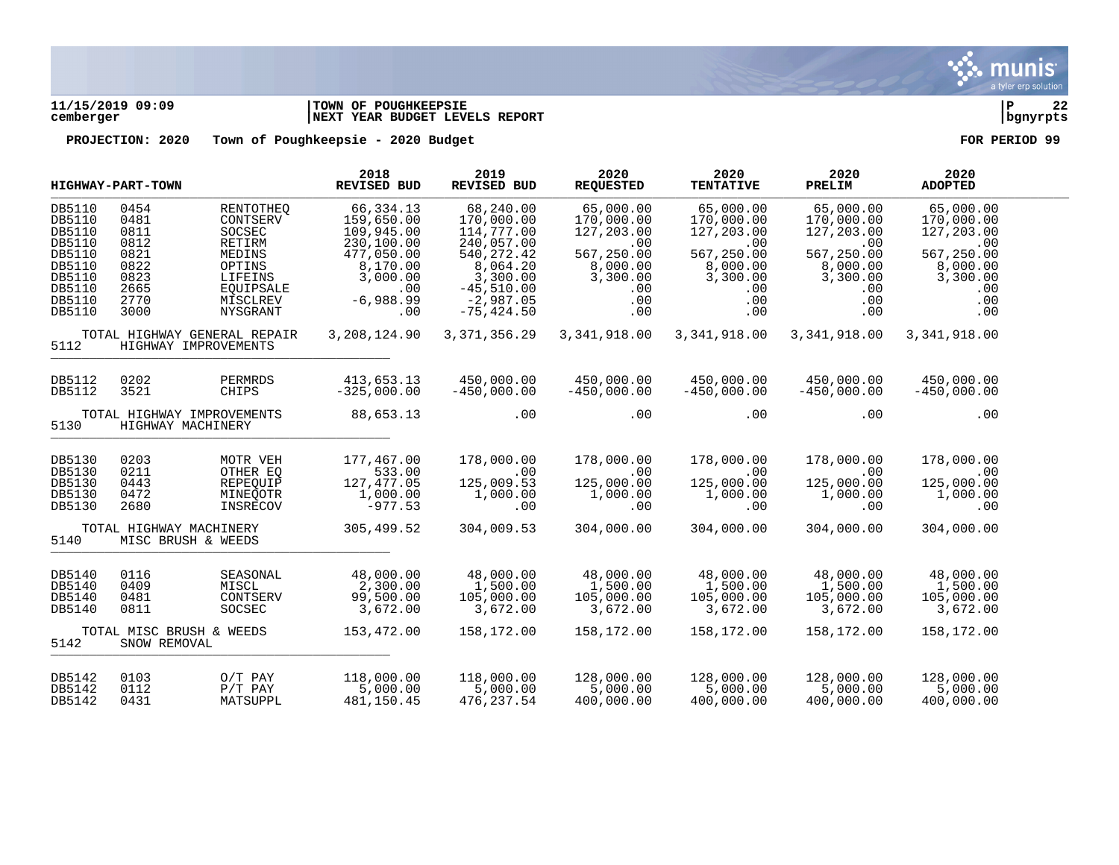

# **11/15/2019 09:09 |TOWN OF POUGHKEEPSIE |P 22 cemberger |NEXT YEAR BUDGET LEVELS REPORT |bgnyrpts**

| <b>HIGHWAY-PART-TOWN</b> |                         | 2018<br><b>REVISED BUD</b>                           | 2019<br><b>REVISED BUD</b> | 2020<br><b>REQUESTED</b> | 2020<br><b>TENTATIVE</b> | 2020<br>PRELIM | 2020<br><b>ADOPTED</b> |               |  |
|--------------------------|-------------------------|------------------------------------------------------|----------------------------|--------------------------|--------------------------|----------------|------------------------|---------------|--|
| DB5110                   | 0454                    | <b>RENTOTHEO</b>                                     | 66, 334.13                 | 68,240.00                | 65,000.00                | 65,000.00      | 65,000.00              | 65,000.00     |  |
| DB5110                   | 0481                    | CONTSERV                                             | 159,650.00                 | 170,000.00               | 170,000.00               | 170,000.00     | 170,000.00             | 170,000.00    |  |
| DB5110                   | 0811                    | SOCSEC                                               | 109,945.00                 | 114,777.00               | 127,203.00               | 127,203.00     | 127,203.00             | 127,203.00    |  |
| DB5110                   | 0812                    | <b>RETIRM</b>                                        | 230,100.00                 | 240,057.00               | .00                      | .00            | .00                    | .00           |  |
| DB5110                   | 0821                    | MEDINS                                               | 477,050.00                 | 540, 272.42              | 567,250.00               | 567,250.00     | 567,250.00             | 567,250.00    |  |
| DB5110                   | 0822                    | OPTINS                                               | 8,170.00                   | 8,064.20                 | 8,000.00                 | 8,000.00       | 8,000.00               | 8,000.00      |  |
| DB5110                   | 0823                    | LIFEINS                                              | 3,000.00                   | 3,300.00                 | 3,300.00                 | 3,300.00       | 3,300.00               | 3,300.00      |  |
| DB5110                   | 2665                    | EQUIPSALE                                            | .00                        | $-45,510.00$             | .00                      | .00            | .00                    | .00           |  |
| DB5110                   | 2770                    | MISCLREV                                             | $-6,988.99$                | $-2,987.05$              | .00                      | .00            | .00                    | .00           |  |
| DB5110                   | 3000                    | NYSGRANT                                             | .00                        | $-75, 424.50$            | .00                      | .00            | .00                    | .00           |  |
| 5112                     |                         | TOTAL HIGHWAY GENERAL REPAIR<br>HIGHWAY IMPROVEMENTS | 3,208,124.90               | 3, 371, 356.29           | 3,341,918.00             | 3,341,918.00   | 3,341,918.00           | 3,341,918.00  |  |
| DB5112                   | 0202                    | PERMRDS                                              | 413,653.13                 | 450,000.00               | 450,000.00               | 450,000.00     | 450,000.00             | 450,000.00    |  |
| DB5112                   | 3521                    | CHIPS                                                | $-325,000.00$              | $-450,000.00$            | $-450,000.00$            | $-450,000.00$  | $-450,000.00$          | $-450,000.00$ |  |
| 5130                     | HIGHWAY MACHINERY       | TOTAL HIGHWAY IMPROVEMENTS                           | 88,653.13                  | .00                      | .00                      | .00            | .00                    | .00           |  |
| DB5130                   | 0203                    | MOTR VEH                                             | 177,467.00                 | 178,000.00               | 178,000.00               | 178,000.00     | 178,000.00             | 178,000.00    |  |
| DB5130                   | 0211                    | OTHER EO                                             | 533.00                     | .00                      | .00                      | .00            | .00                    | .00           |  |
| DB5130                   | 0443                    | REPEOUIP                                             | 127, 477.05                | 125,009.53               | 125,000.00               | 125,000.00     | 125,000.00             | 125,000.00    |  |
| DB5130                   | 0472                    | MINEOOTR                                             | 1,000.00                   | 1,000.00                 | 1,000.00                 | 1,000.00       | 1,000.00               | 1,000.00      |  |
| DB5130                   | 2680                    | INSRECOV                                             | $-977.53$                  | .00                      | .00                      | .00            | .00                    | .00           |  |
| 5140                     | TOTAL HIGHWAY MACHINERY | MISC BRUSH & WEEDS                                   | 305,499.52                 | 304,009.53               | 304,000.00               | 304,000.00     | 304,000.00             | 304,000.00    |  |
| DB5140                   | 0116                    | SEASONAL                                             | 48,000.00                  | 48,000.00                | 48,000.00                | 48,000.00      | 48,000.00              | 48,000.00     |  |
| DB5140                   | 0409                    | MISCL                                                | 2,300.00                   | 1,500.00                 | 1,500.00                 | 1,500.00       | 1,500.00               | 1,500.00      |  |
| DB5140                   | 0481                    | CONTSERV                                             | 99,500.00                  | 105,000.00               | 105,000.00               | 105,000.00     | 105,000.00             | 105,000.00    |  |
| DB5140                   | 0811                    | SOCSEC                                               | 3,672.00                   | 3,672.00                 | 3,672.00                 | 3,672.00       | 3,672.00               | 3,672.00      |  |
| 5142                     | SNOW REMOVAL            | TOTAL MISC BRUSH & WEEDS                             | 153,472.00                 | 158,172.00               | 158,172.00               | 158,172.00     | 158,172.00             | 158,172.00    |  |
| DB5142                   | 0103                    | $O/T$ PAY                                            | 118,000.00                 | 118,000.00               | 128,000.00               | 128,000.00     | 128,000.00             | 128,000.00    |  |
| DB5142                   | 0112                    | $P/T$ PAY                                            | 5,000.00                   | 5,000.00                 | 5,000.00                 | 5,000.00       | 5,000.00               | 5,000.00      |  |
| DB5142                   | 0431                    | MATSUPPL                                             | 481,150.45                 | 476,237.54               | 400,000.00               | 400,000.00     | 400,000.00             | 400,000.00    |  |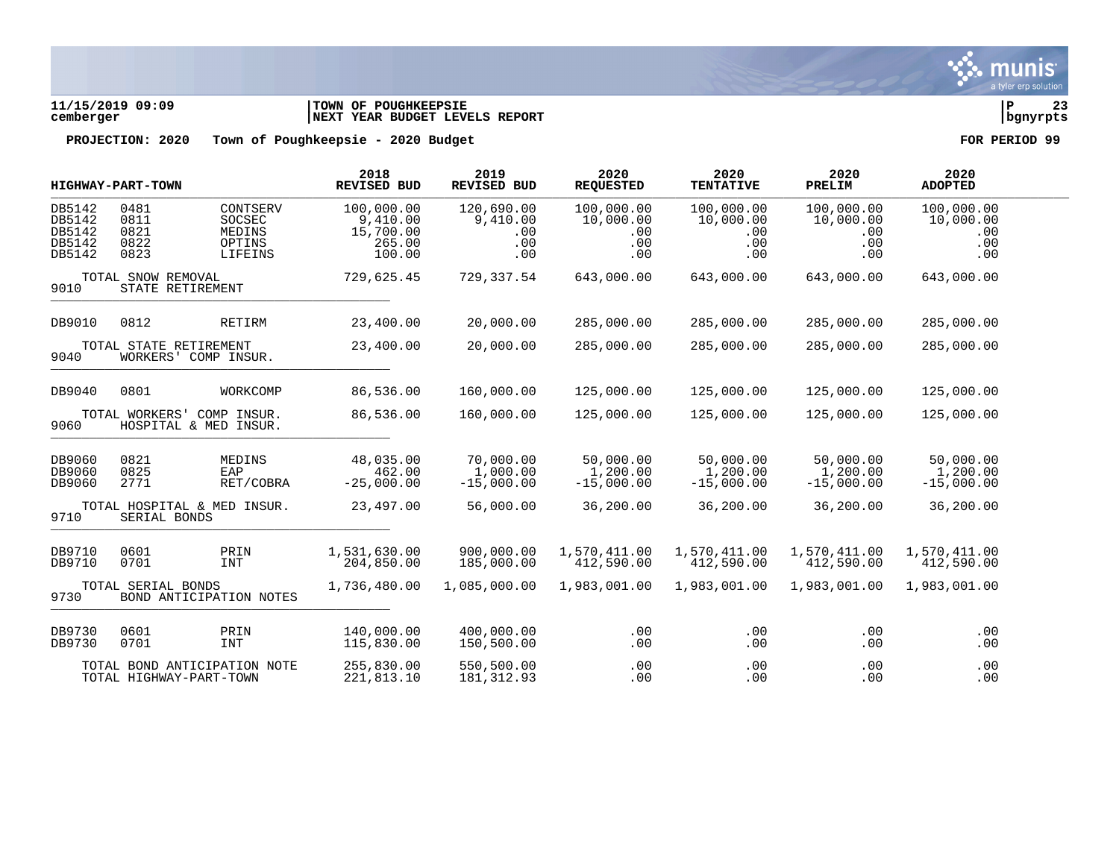

# **11/15/2019 09:09 |TOWN OF POUGHKEEPSIE |P 23 cemberger |NEXT YEAR BUDGET LEVELS REPORT |bgnyrpts**

|                                                | HIGHWAY-PART-TOWN                      |                                                         | 2018<br><b>REVISED BUD</b>                              | 2019<br>REVISED BUD                         | 2020<br><b>REQUESTED</b>                     | 2020<br><b>TENTATIVE</b>                     | 2020<br>PRELIM                               | 2020<br><b>ADOPTED</b>                       |  |
|------------------------------------------------|----------------------------------------|---------------------------------------------------------|---------------------------------------------------------|---------------------------------------------|----------------------------------------------|----------------------------------------------|----------------------------------------------|----------------------------------------------|--|
| DB5142<br>DB5142<br>DB5142<br>DB5142<br>DB5142 | 0481<br>0811<br>0821<br>0822<br>0823   | CONTSERV<br>SOCSEC<br>MEDINS<br>OPTINS<br>LIFEINS       | 100,000.00<br>9,410.00<br>15,700.00<br>265.00<br>100.00 | 120,690.00<br>9,410.00<br>.00<br>.00<br>.00 | 100,000.00<br>10,000.00<br>.00<br>.00<br>.00 | 100,000.00<br>10,000.00<br>.00<br>.00<br>.00 | 100,000.00<br>10,000.00<br>.00<br>.00<br>.00 | 100,000.00<br>10,000.00<br>.00<br>.00<br>.00 |  |
| 9010                                           | TOTAL SNOW REMOVAL<br>STATE RETIREMENT |                                                         | 729,625.45                                              | 729,337.54                                  | 643,000.00                                   | 643,000.00                                   | 643,000.00                                   | 643,000.00                                   |  |
| DB9010                                         | 0812                                   | <b>RETIRM</b>                                           | 23,400.00                                               | 20,000.00                                   | 285,000.00                                   | 285,000.00                                   | 285,000.00                                   | 285,000.00                                   |  |
| 9040                                           | TOTAL STATE RETIREMENT                 | WORKERS' COMP INSUR.                                    | 23,400.00                                               | 20,000.00                                   | 285,000.00                                   | 285,000.00                                   | 285,000.00                                   | 285,000.00                                   |  |
| DB9040                                         | 0801                                   | WORKCOMP                                                | 86,536.00                                               | 160,000.00                                  | 125,000.00                                   | 125,000.00                                   | 125,000.00                                   | 125,000.00                                   |  |
| 9060                                           | TOTAL WORKERS'                         | COMP INSUR.<br>HOSPITAL & MED INSUR.                    | 86,536.00                                               | 160,000.00                                  | 125,000.00                                   | 125,000.00                                   | 125,000.00                                   | 125,000.00                                   |  |
| DB9060<br>DB9060<br>DB9060                     | 0821<br>0825<br>2771                   | MEDINS<br>EAP<br>RET/COBRA                              | 48,035.00<br>462.00<br>$-25,000.00$                     | 70,000.00<br>1,000.00<br>$-15,000.00$       | 50,000.00<br>1,200.00<br>$-15,000.00$        | 50,000.00<br>1,200.00<br>$-15,000.00$        | 50,000.00<br>1,200.00<br>$-15,000.00$        | 50,000.00<br>1,200.00<br>$-15,000.00$        |  |
| 9710                                           | SERIAL BONDS                           | TOTAL HOSPITAL & MED INSUR.                             | 23,497.00                                               | 56,000.00                                   | 36,200.00                                    | 36,200.00                                    | 36,200.00                                    | 36,200.00                                    |  |
| DB9710<br>DB9710                               | 0601<br>0701                           | PRIN<br><b>INT</b>                                      | 1,531,630.00<br>204,850.00                              | 900,000.00<br>185,000.00                    | 1,570,411.00<br>412,590.00                   | 1,570,411.00<br>412,590.00                   | 1,570,411.00<br>412,590.00                   | 1,570,411.00<br>412,590.00                   |  |
| 9730                                           | TOTAL SERIAL BONDS                     | BOND ANTICIPATION NOTES                                 | 1,736,480.00                                            | 1,085,000.00                                | 1,983,001.00                                 | 1,983,001.00                                 | 1,983,001.00                                 | 1,983,001.00                                 |  |
| DB9730<br>DB9730                               | 0601<br>0701                           | PRIN<br><b>INT</b>                                      | 140,000.00<br>115,830.00                                | 400,000.00<br>150,500.00                    | .00<br>.00                                   | .00<br>.00                                   | .00<br>.00                                   | .00<br>.00                                   |  |
|                                                |                                        | TOTAL BOND ANTICIPATION NOTE<br>TOTAL HIGHWAY-PART-TOWN | 255,830.00<br>221,813.10                                | 550,500.00<br>181, 312.93                   | .00<br>.00                                   | .00<br>.00                                   | .00<br>.00                                   | .00<br>.00                                   |  |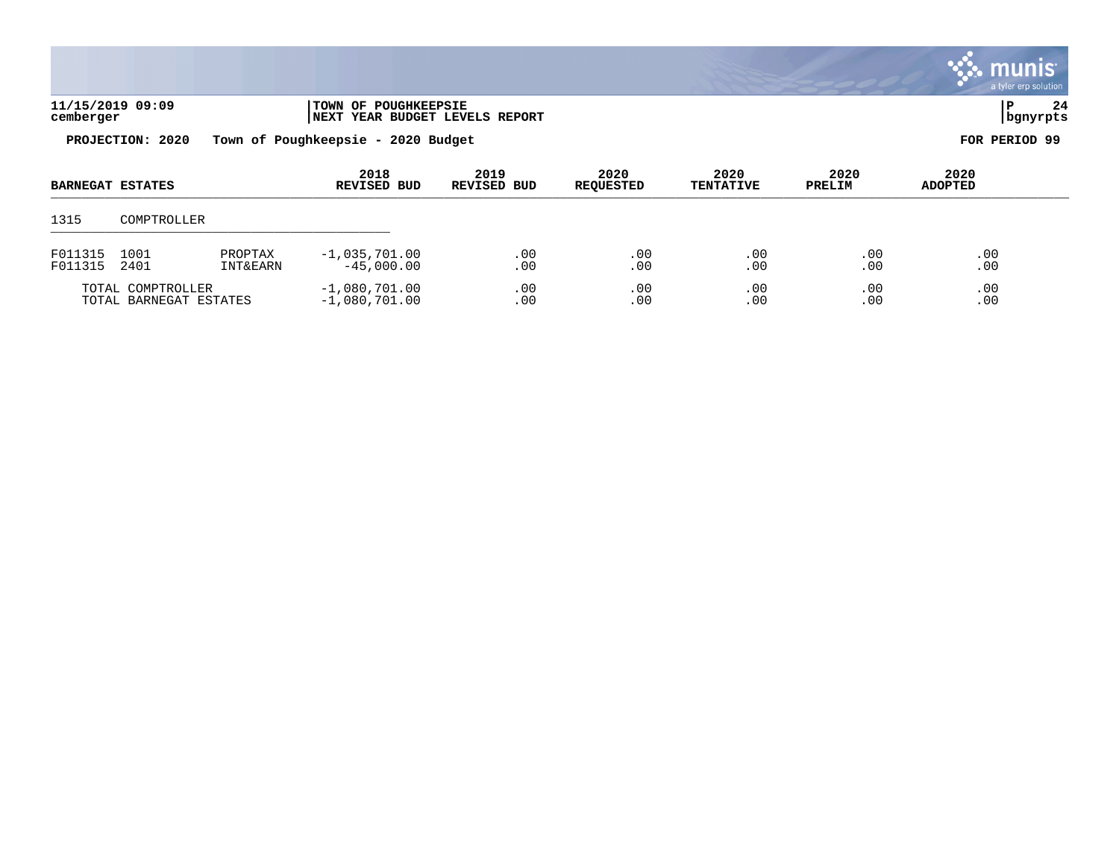|                    |                         |                                |                                                        |                            |                          |                          |                | $\ddot{\mathbf{v}}$ munis<br>a tyler erp solution |  |
|--------------------|-------------------------|--------------------------------|--------------------------------------------------------|----------------------------|--------------------------|--------------------------|----------------|---------------------------------------------------|--|
| cemberger          | 11/15/2019 09:09        |                                | TOWN OF POUGHKEEPSIE<br>NEXT YEAR BUDGET LEVELS REPORT |                            |                          |                          |                | 24<br>P<br>  bgnyrpts                             |  |
|                    | PROJECTION: 2020        |                                | Town of Poughkeepsie - 2020 Budget                     |                            |                          |                          |                | FOR PERIOD 99                                     |  |
|                    | <b>BARNEGAT ESTATES</b> |                                | 2018<br><b>REVISED BUD</b>                             | 2019<br><b>REVISED BUD</b> | 2020<br><b>REQUESTED</b> | 2020<br><b>TENTATIVE</b> | 2020<br>PRELIM | 2020<br><b>ADOPTED</b>                            |  |
| 1315               | COMPTROLLER             |                                |                                                        |                            |                          |                          |                |                                                   |  |
| F011315<br>F011315 | 1001<br>2401            | PROPTAX<br><b>INT&amp;EARN</b> | $-1,035,701.00$<br>$-45,000.00$                        | .00<br>.00                 | .00<br>.00               | .00<br>.00               | .00<br>.00     | .00<br>.00                                        |  |

 $\mathcal{L}$ 

TOTAL COMPTROLLER -1,080,701.00 .00 .00 .00 .00 .00 TOTAL BARNEGAT ESTATES -1,080,701.00 .00 .00 .00 .00 .00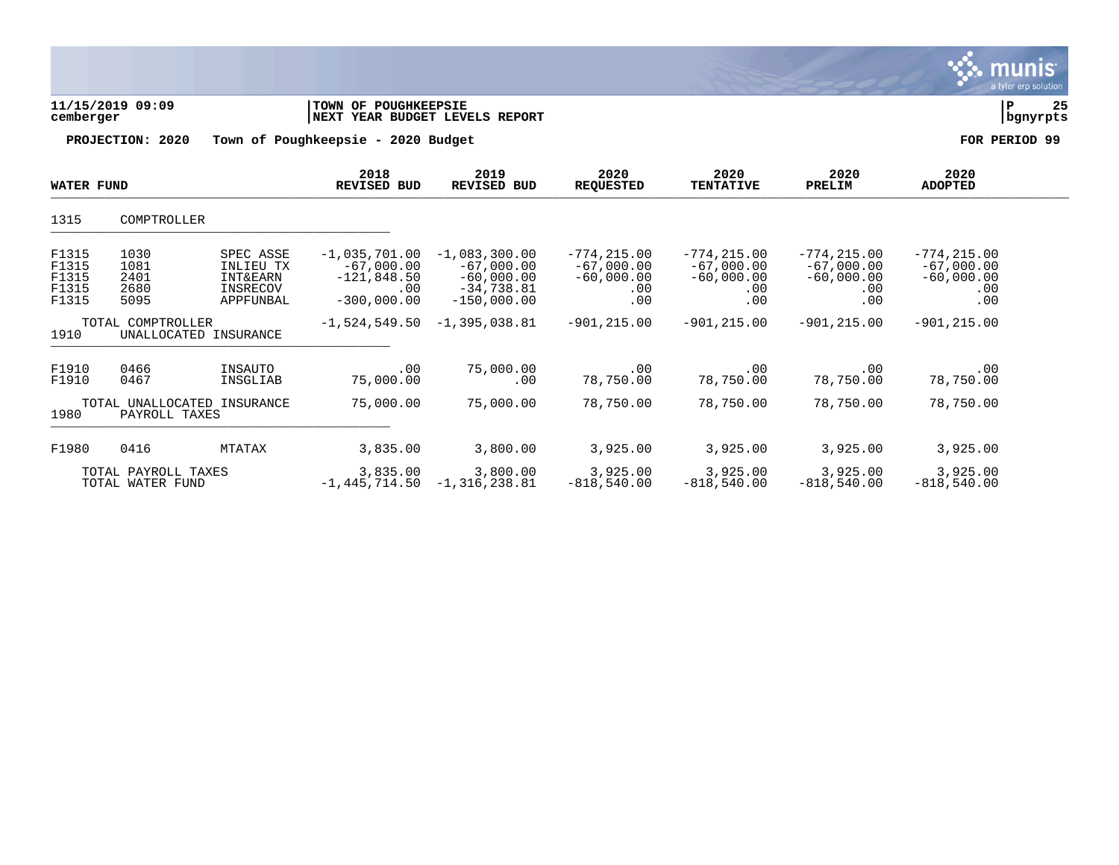|                                           |                                         |                                                                        |                                                                          |                                                                                  |                                                              |                                                              |                                                              |                                                              | munıs <sup>.</sup><br>a tyler erp solution |
|-------------------------------------------|-----------------------------------------|------------------------------------------------------------------------|--------------------------------------------------------------------------|----------------------------------------------------------------------------------|--------------------------------------------------------------|--------------------------------------------------------------|--------------------------------------------------------------|--------------------------------------------------------------|--------------------------------------------|
| cemberger                                 | 11/15/2019 09:09                        |                                                                        | TOWN OF POUGHKEEPSIE                                                     | NEXT YEAR BUDGET LEVELS REPORT                                                   |                                                              |                                                              |                                                              |                                                              | 25<br>${\bf P}$<br>bgnyrpts                |
|                                           | PROJECTION: 2020                        |                                                                        | Town of Poughkeepsie - 2020 Budget                                       |                                                                                  |                                                              |                                                              |                                                              |                                                              | FOR PERIOD 99                              |
| <b>WATER FUND</b>                         |                                         |                                                                        | 2018<br><b>REVISED BUD</b>                                               | 2019<br>REVISED BUD                                                              | 2020<br><b>REQUESTED</b>                                     | 2020<br><b>TENTATIVE</b>                                     | 2020<br>PRELIM                                               | 2020<br><b>ADOPTED</b>                                       |                                            |
| 1315                                      | COMPTROLLER                             |                                                                        |                                                                          |                                                                                  |                                                              |                                                              |                                                              |                                                              |                                            |
| F1315<br>F1315<br>F1315<br>F1315<br>F1315 | 1030<br>1081<br>2401<br>2680<br>5095    | SPEC ASSE<br>INLIEU TX<br><b>INT&amp;EARN</b><br>INSRECOV<br>APPFUNBAL | $-1,035,701.00$<br>$-67,000.00$<br>$-121,848.50$<br>.00<br>$-300.000.00$ | $-1,083,300.00$<br>$-67,000.00$<br>$-60,000.00$<br>$-34,738.81$<br>$-150,000.00$ | $-774, 215.00$<br>$-67,000.00$<br>$-60,000.00$<br>.00<br>.00 | $-774, 215.00$<br>$-67,000.00$<br>$-60,000.00$<br>.00<br>.00 | $-774, 215.00$<br>$-67,000.00$<br>$-60,000.00$<br>.00<br>.00 | $-774, 215.00$<br>$-67,000.00$<br>$-60,000.00$<br>.00<br>.00 |                                            |
| 1910                                      | TOTAL COMPTROLLER                       | UNALLOCATED INSURANCE                                                  | $-1,524,549.50$                                                          | $-1,395,038.81$                                                                  | $-901, 215.00$                                               | $-901, 215.00$                                               | $-901, 215.00$                                               | $-901, 215.00$                                               |                                            |
| F1910<br>F1910                            | 0466<br>0467                            | INSAUTO<br>INSGLIAB                                                    | .00<br>75,000.00                                                         | 75,000.00<br>.00                                                                 | .00<br>78,750.00                                             | .00<br>78,750.00                                             | .00<br>78,750.00                                             | .00<br>78,750.00                                             |                                            |
| 1980                                      | PAYROLL TAXES                           | TOTAL UNALLOCATED INSURANCE                                            | 75,000.00                                                                | 75,000.00                                                                        | 78,750.00                                                    | 78,750.00                                                    | 78,750.00                                                    | 78,750.00                                                    |                                            |
| F1980                                     | 0416                                    | MTATAX                                                                 | 3,835.00                                                                 | 3,800.00                                                                         | 3,925.00                                                     | 3,925.00                                                     | 3,925.00                                                     | 3,925.00                                                     |                                            |
|                                           | TOTAL PAYROLL TAXES<br>TOTAL WATER FUND |                                                                        | 3,835.00<br>$-1,445,714.50$                                              | 3,800.00<br>$-1,316,238.81$                                                      | 3,925.00<br>$-818,540.00$                                    | 3,925.00<br>$-818,540.00$                                    | 3,925.00<br>$-818,540.00$                                    | 3,925.00<br>$-818,540.00$                                    |                                            |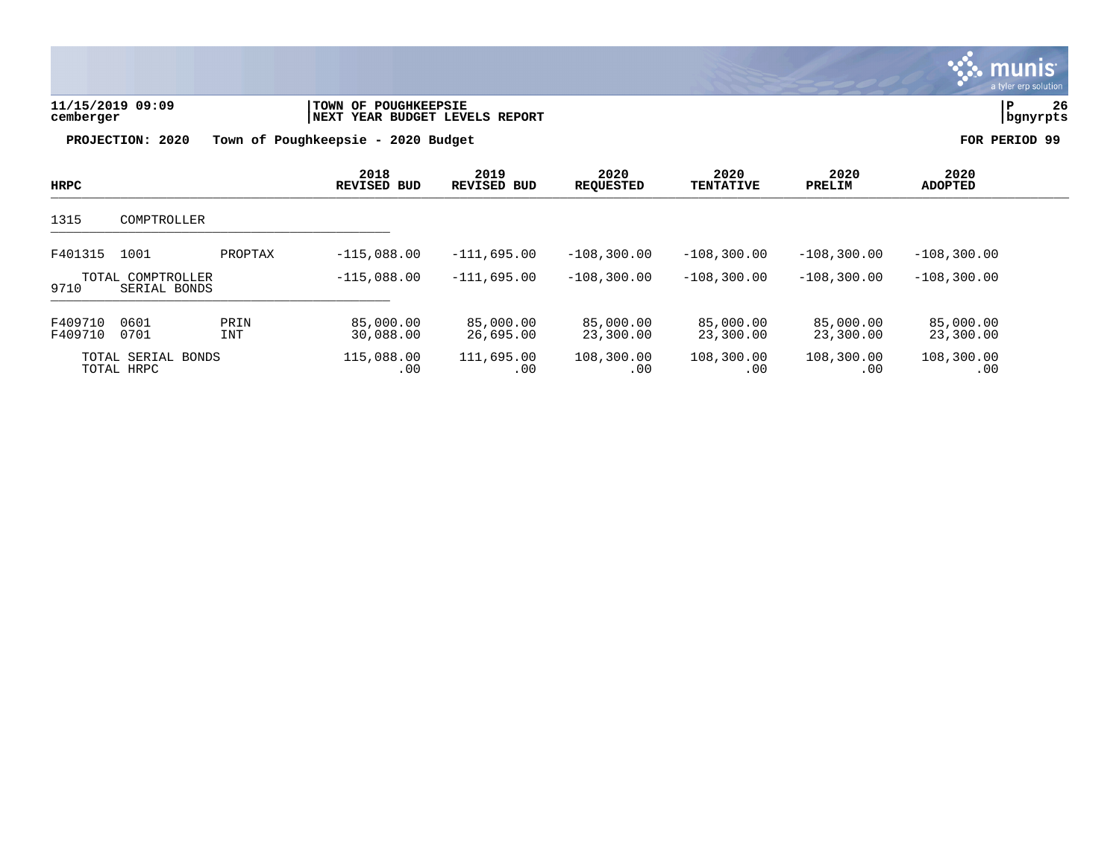

| HRPC               |                                  |                    | 2018<br><b>REVISED BUD</b> | 2019<br><b>REVISED BUD</b> | 2020<br><b>REOUESTED</b> | 2020<br><b>TENTATIVE</b> | 2020<br>PRELIM         | 2020<br><b>ADOPTED</b> |  |
|--------------------|----------------------------------|--------------------|----------------------------|----------------------------|--------------------------|--------------------------|------------------------|------------------------|--|
| 1315               | COMPTROLLER                      |                    |                            |                            |                          |                          |                        |                        |  |
| F401315            | 1001                             | PROPTAX            | $-115.088.00$              | $-111,695.00$              | $-108.300.00$            | $-108.300.00$            | $-108, 300, 00$        | $-108, 300.00$         |  |
| TOTAL<br>9710      | COMPTROLLER<br>SERIAL BONDS      |                    | $-115.088.00$              | $-111.695.00$              | $-108.300.00$            | $-108.300.00$            | $-108, 300, 00$        | $-108.300.00$          |  |
| F409710<br>F409710 | 0601<br>0701                     | PRIN<br><b>INT</b> | 85,000.00<br>30,088.00     | 85,000.00<br>26,695.00     | 85,000.00<br>23,300.00   | 85,000.00<br>23,300.00   | 85,000.00<br>23,300.00 | 85,000.00<br>23,300.00 |  |
|                    | TOTAL SERIAL BONDS<br>TOTAL HRPC |                    | 115,088.00<br>.00          | 111,695.00<br>.00          | 108,300.00<br>.00        | 108,300.00<br>.00        | 108,300.00<br>.00      | 108,300.00<br>.00      |  |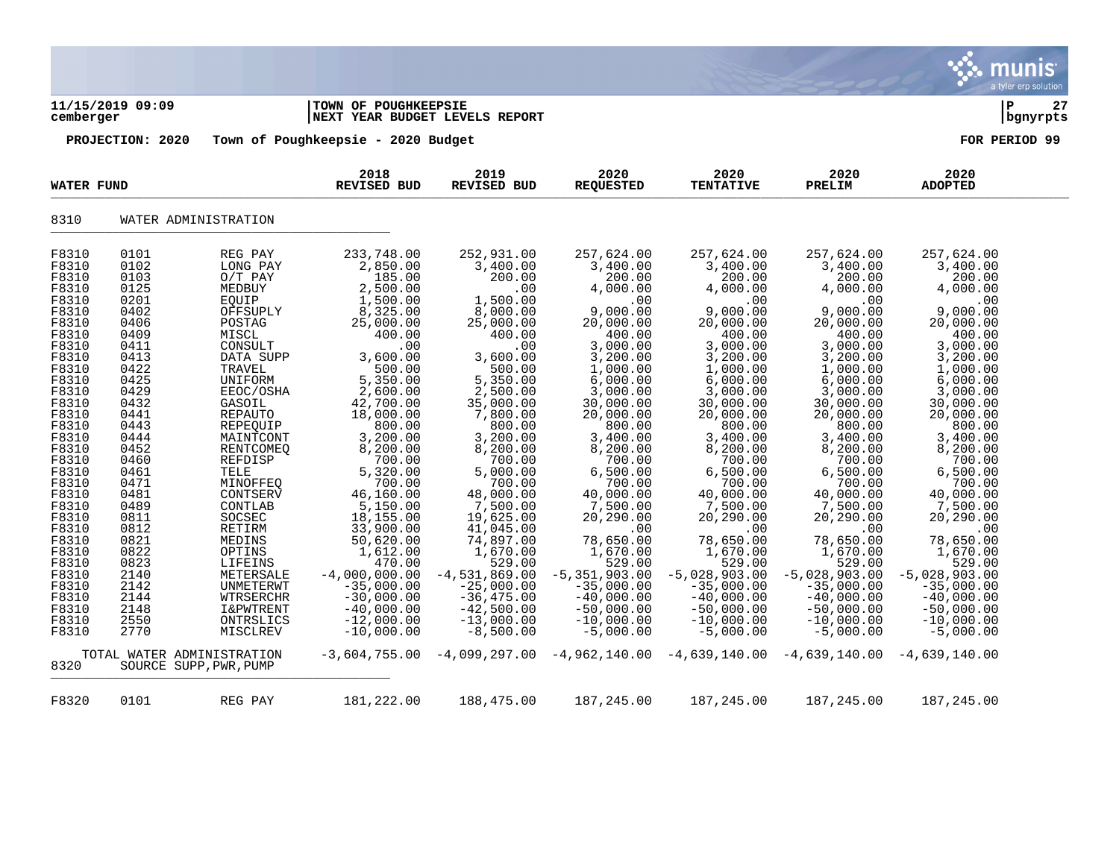|                                                                                                                                                                                                                                                                                                                        |                                                                                                                                                                                                                                                                              |                                                                                                                                                                                                                                                                                                                                                                                                                                                                         |                                                                                                                                                                                                                                                                                                                                                                                                                                       |                                                                                                                                                                                                                                                                                                                                                                                                                                                                  |                                                                                                                                                                                                                                                                                                                                                                                                                                                                       |                                                                                                                                                                                                                                                                                                                                                                                                                                  |                                                                                                                                                                                                                                                                                                                                                                                                                                                     |                                                                                                                                                                                                                                                                                                                                                                                                                                                     | munis<br>a tyler erp solution |
|------------------------------------------------------------------------------------------------------------------------------------------------------------------------------------------------------------------------------------------------------------------------------------------------------------------------|------------------------------------------------------------------------------------------------------------------------------------------------------------------------------------------------------------------------------------------------------------------------------|-------------------------------------------------------------------------------------------------------------------------------------------------------------------------------------------------------------------------------------------------------------------------------------------------------------------------------------------------------------------------------------------------------------------------------------------------------------------------|---------------------------------------------------------------------------------------------------------------------------------------------------------------------------------------------------------------------------------------------------------------------------------------------------------------------------------------------------------------------------------------------------------------------------------------|------------------------------------------------------------------------------------------------------------------------------------------------------------------------------------------------------------------------------------------------------------------------------------------------------------------------------------------------------------------------------------------------------------------------------------------------------------------|-----------------------------------------------------------------------------------------------------------------------------------------------------------------------------------------------------------------------------------------------------------------------------------------------------------------------------------------------------------------------------------------------------------------------------------------------------------------------|----------------------------------------------------------------------------------------------------------------------------------------------------------------------------------------------------------------------------------------------------------------------------------------------------------------------------------------------------------------------------------------------------------------------------------|-----------------------------------------------------------------------------------------------------------------------------------------------------------------------------------------------------------------------------------------------------------------------------------------------------------------------------------------------------------------------------------------------------------------------------------------------------|-----------------------------------------------------------------------------------------------------------------------------------------------------------------------------------------------------------------------------------------------------------------------------------------------------------------------------------------------------------------------------------------------------------------------------------------------------|-------------------------------|
| cemberger                                                                                                                                                                                                                                                                                                              | 11/15/2019 09:09                                                                                                                                                                                                                                                             |                                                                                                                                                                                                                                                                                                                                                                                                                                                                         | <b>TOWN OF POUGHKEEPSIE</b><br><b>NEXT YEAR BUDGET LEVELS REPORT</b>                                                                                                                                                                                                                                                                                                                                                                  |                                                                                                                                                                                                                                                                                                                                                                                                                                                                  |                                                                                                                                                                                                                                                                                                                                                                                                                                                                       |                                                                                                                                                                                                                                                                                                                                                                                                                                  |                                                                                                                                                                                                                                                                                                                                                                                                                                                     |                                                                                                                                                                                                                                                                                                                                                                                                                                                     | 27<br>∣ P<br>bgnyrpts         |
|                                                                                                                                                                                                                                                                                                                        | PROJECTION: 2020                                                                                                                                                                                                                                                             |                                                                                                                                                                                                                                                                                                                                                                                                                                                                         | Town of Poughkeepsie - 2020 Budget                                                                                                                                                                                                                                                                                                                                                                                                    |                                                                                                                                                                                                                                                                                                                                                                                                                                                                  |                                                                                                                                                                                                                                                                                                                                                                                                                                                                       |                                                                                                                                                                                                                                                                                                                                                                                                                                  |                                                                                                                                                                                                                                                                                                                                                                                                                                                     |                                                                                                                                                                                                                                                                                                                                                                                                                                                     | FOR PERIOD 99                 |
| <b>WATER FUND</b>                                                                                                                                                                                                                                                                                                      |                                                                                                                                                                                                                                                                              |                                                                                                                                                                                                                                                                                                                                                                                                                                                                         | 2018<br><b>REVISED BUD</b>                                                                                                                                                                                                                                                                                                                                                                                                            | 2019<br><b>REVISED BUD</b>                                                                                                                                                                                                                                                                                                                                                                                                                                       | 2020<br><b>REQUESTED</b>                                                                                                                                                                                                                                                                                                                                                                                                                                              | 2020<br><b>TENTATIVE</b>                                                                                                                                                                                                                                                                                                                                                                                                         | 2020<br>PRELIM                                                                                                                                                                                                                                                                                                                                                                                                                                      | 2020<br><b>ADOPTED</b>                                                                                                                                                                                                                                                                                                                                                                                                                              |                               |
| 8310                                                                                                                                                                                                                                                                                                                   |                                                                                                                                                                                                                                                                              | WATER ADMINISTRATION                                                                                                                                                                                                                                                                                                                                                                                                                                                    |                                                                                                                                                                                                                                                                                                                                                                                                                                       |                                                                                                                                                                                                                                                                                                                                                                                                                                                                  |                                                                                                                                                                                                                                                                                                                                                                                                                                                                       |                                                                                                                                                                                                                                                                                                                                                                                                                                  |                                                                                                                                                                                                                                                                                                                                                                                                                                                     |                                                                                                                                                                                                                                                                                                                                                                                                                                                     |                               |
| F8310<br>F8310<br>F8310<br>F8310<br>F8310<br>F8310<br>F8310<br>F8310<br>F8310<br>F8310<br>F8310<br>F8310<br>F8310<br>F8310<br>F8310<br>F8310<br>F8310<br>F8310<br>F8310<br>F8310<br>F8310<br>F8310<br>F8310<br>F8310<br>F8310<br>F8310<br>F8310<br>F8310<br>F8310<br>F8310<br>F8310<br>F8310<br>F8310<br>F8310<br>8320 | 0101<br>0102<br>0103<br>0125<br>0201<br>0402<br>0406<br>0409<br>0411<br>0413<br>0422<br>0425<br>0429<br>0432<br>0441<br>0443<br>0444<br>0452<br>0460<br>0461<br>0471<br>0481<br>0489<br>0811<br>0812<br>0821<br>0822<br>0823<br>2140<br>2142<br>2144<br>2148<br>2550<br>2770 | REG PAY<br>LONG PAY<br>$O/T$ PAY<br>MEDBUY<br>EQUIP<br>OFFSUPLY<br>POSTAG<br>MISCL<br>CONSULT<br>DATA SUPP<br>TRAVEL<br>UNIFORM<br>EEOC/OSHA<br>GASOIL<br><b>REPAUTO</b><br>REPEQUIP<br>MAINTCONT<br>RENTCOMEQ<br>REFDISP<br>TELE<br>MINOFFEQ<br>CONTSERV<br>CONTLAB<br>SOCSEC<br>RETIRM<br>MEDINS<br>OPTINS<br>LIFEINS<br>METERSALE<br>UNMETERWT<br>WTRSERCHR<br><b>I&amp;PWTRENT</b><br>ONTRSLICS<br>MISCLREV<br>TOTAL WATER ADMINISTRATION<br>SOURCE SUPP, PWR, PUMP | 233,748.00<br>2,850.00<br>185.00<br>2,500.00<br>1,500.00<br>8,325.00<br>25,000.00<br>400.00<br>.00<br>3,600.00<br>500.00<br>5,350.00<br>2,600.00<br>42,700.00<br>18,000.00<br>800.00<br>3,200.00<br>8,200.00<br>700.00<br>5,320.00<br>700.00<br>46,160.00<br>5,150.00<br>18,155.00<br>33,900.00<br>50,620.00<br>1,612.00<br>470.00<br>$-4,000,000.00$<br>$-35,000.00$<br>$-30,000.00$<br>$-40,000.00$<br>$-12,000.00$<br>$-10,000.00$ | 252,931.00<br>3,400.00<br>200.00<br>.00<br>1,500.00<br>8,000.00<br>25,000.00<br>400.00<br>.00<br>3,600.00<br>500.00<br>5,350.00<br>2,500.00<br>35,000.00<br>7,800.00<br>800.00<br>3,200.00<br>8,200.00<br>700.00<br>5,000.00<br>700.00<br>48,000.00<br>7,500.00<br>19,625.00<br>41,045.00<br>74,897.00<br>1,670.00<br>529.00<br>$-4,531,869.00$<br>$-25,000.00$<br>$-36, 475.00$<br>$-42,500.00$<br>$-13,000.00$<br>$-8,500.00$<br>$-3,604,755.00 -4,099,297.00$ | 257,624.00<br>3,400.00<br>200.00<br>4,000.00<br>.00<br>9,000.00<br>20,000.00<br>400.00<br>3,000.00<br>3,200.00<br>1,000.00<br>6,000.00<br>3,000.00<br>30,000.00<br>20,000.00<br>800.00<br>3,400.00<br>8,200.00<br>700.00<br>6,500.00<br>700.00<br>40,000.00<br>7,500.00<br>20,290.00<br>.00<br>78,650.00<br>1,670.00<br>529.00<br>$-5, 351, 903.00$<br>$-35,000.00$<br>$-40,000.00$<br>$-50,000.00$<br>$-10,000.00$<br>$-5,000.00$<br>$-4,962,140.00$ $-4,639,140.00$ | 257,624.00<br>3,400.00<br>200.00<br>4,000.00<br>.00<br>9,000.00<br>20,000.00<br>400.00<br>3,000.00<br>3,200.00<br>1,000.00<br>6,000.00<br>3,000.00<br>30,000.00<br>20,000.00<br>800.00<br>3,400.00<br>8,200.00<br>700.00<br>6,500.00<br>700.00<br>40,000.00<br>7,500.00<br>20,290.00<br>.00<br>78,650.00<br>1,670.00<br>529.00<br>$-5,028,903.00$<br>$-35,000.00$<br>$-40,000.00$<br>$-50,000.00$<br>$-10,000.00$<br>$-5,000.00$ | 257,624.00<br>3,400.00<br>200.00<br>4,000.00<br>.00<br>9,000.00<br>20,000.00<br>400.00<br>3,000.00<br>3,200.00<br>1,000.00<br>6,000.00<br>3,000.00<br>30,000.00<br>20,000.00<br>800.00<br>3,400.00<br>8,200.00<br>700.00<br>6,500.00<br>700.00<br>40,000.00<br>7,500.00<br>20,290.00<br>.00<br>78,650.00<br>1,670.00<br>529.00<br>$-5,028,903.00$<br>$-35,000.00$<br>$-40,000.00$<br>$-50,000.00$<br>$-10,000.00$<br>$-5,000.00$<br>$-4,639,140.00$ | 257,624.00<br>3,400.00<br>200.00<br>4,000.00<br>.00<br>9,000.00<br>20,000.00<br>400.00<br>3,000.00<br>3,200.00<br>1,000.00<br>6,000.00<br>3,000.00<br>30,000.00<br>20,000.00<br>800.00<br>3,400.00<br>8,200.00<br>700.00<br>6,500.00<br>700.00<br>40,000.00<br>7,500.00<br>20,290.00<br>.00<br>78,650.00<br>1,670.00<br>529.00<br>$-5,028,903.00$<br>$-35,000.00$<br>$-40,000.00$<br>$-50,000.00$<br>$-10,000.00$<br>$-5,000.00$<br>$-4,639,140.00$ |                               |
| F8320                                                                                                                                                                                                                                                                                                                  | 0101                                                                                                                                                                                                                                                                         | REG PAY                                                                                                                                                                                                                                                                                                                                                                                                                                                                 | 181,222.00                                                                                                                                                                                                                                                                                                                                                                                                                            | 188,475.00                                                                                                                                                                                                                                                                                                                                                                                                                                                       | 187,245.00                                                                                                                                                                                                                                                                                                                                                                                                                                                            | 187,245.00                                                                                                                                                                                                                                                                                                                                                                                                                       | 187,245.00                                                                                                                                                                                                                                                                                                                                                                                                                                          | 187,245.00                                                                                                                                                                                                                                                                                                                                                                                                                                          |                               |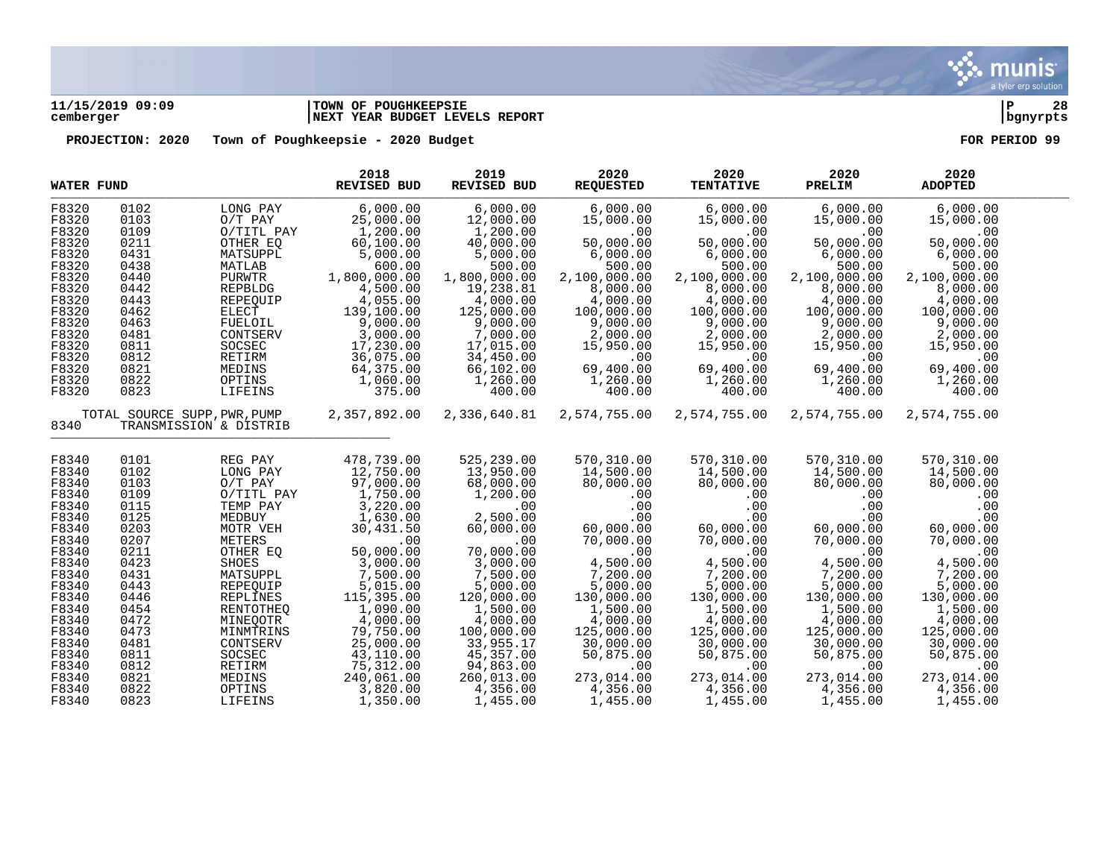

# **11/15/2019 09:09 |TOWN OF POUGHKEEPSIE |P 28 cemberger |NEXT YEAR BUDGET LEVELS REPORT |bgnyrpts**

| <b>WATER FUND</b> |      |                                                                       | 2018<br>REVISED BUD                | 2019<br>REVISED BUD | 2020<br><b>REQUESTED</b>     | 2020<br><b>TENTATIVE</b>                                             | 2020<br><b>PRELIM</b> | 2020<br><b>ADOPTED</b> |  |
|-------------------|------|-----------------------------------------------------------------------|------------------------------------|---------------------|------------------------------|----------------------------------------------------------------------|-----------------------|------------------------|--|
| F8320             | 0102 | LONG PAY                                                              | 6,000.00                           | 6,000.00            | 6,000.00                     | 6,000.00                                                             | 6,000.00              | 6,000.00               |  |
| F8320             | 0103 | $O/T$ PAY                                                             | 25,000.00                          | 12,000.00           | 15,000.00                    | 15,000.00                                                            | 15,000.00             | 15,000.00              |  |
| F8320             | 0109 | O/TITL PAY                                                            | 1,200.00                           | 1,200.00            | .00                          | .00                                                                  | .00                   | .00                    |  |
| F8320             | 0211 | OTHER EQ                                                              | 60, 100.00                         | 40,000.00           | 50,000.00                    | 50,000.00                                                            | 50,000.00             | 50,000.00              |  |
| F8320             | 0431 | MATSUPPL                                                              | 5,000.00                           | 5,000.00            | 6,000.00                     | 6,000.00                                                             | 6,000.00              | 6,000.00               |  |
| F8320             | 0438 | MATLAB                                                                | 600.00                             | 500.00              | 500.00                       | 500.00                                                               | 500.00                | 500.00                 |  |
| F8320             | 0440 | PURWTR                                                                | 1,800,000.00                       | 1,800,000.00        | 2,100,000.00                 | 2,100,000.00                                                         | 2,100,000.00          | 2,100,000.00           |  |
| F8320             | 0442 | REPBLDG                                                               | 4,500.00                           | 19,238.81           | 8,000.00                     | 8,000.00                                                             | 8,000.00              | 8,000.00               |  |
| F8320             | 0443 | REPEOUIP                                                              | 4,055.00                           | 4,000.00            | 4,000.00                     | 4,000.00                                                             | 4,000.00              | 4,000.00               |  |
| F8320             | 0462 | ELECT                                                                 | 139,100.00                         | 125,000.00          | 100,000.00                   | 100,000.00                                                           | 100,000.00            | 100,000.00             |  |
| F8320             | 0463 | FUELOIL                                                               | 9,000.00                           | 9,000.00            | 9,000.00                     | 9,000.00                                                             | 9,000.00              | 9,000.00               |  |
| F8320             | 0481 | CONTSERV                                                              | 3,000.00                           | 7,000.00            | 2,000.00                     | $2,000.00 \ 15,950.00 \ 0 \ 0 \ 0 \ 0 \ 0 \ 0 \ 1,260.00 \ 1,260.00$ | 2,000.00              | 2,000.00               |  |
| F8320             | 0811 | SOCSEC                                                                | 17,230.00                          | 17,015.00           | 15,950.00                    |                                                                      | 15,950.00             | 15,950.00              |  |
| F8320             | 0812 | RETIRM                                                                | 36,075.00                          | 34,450.00           | 00.<br>69,400.00<br>1,260.00 |                                                                      | .00                   | .00                    |  |
| F8320             | 0821 | MEDINS                                                                | 64,375.00                          | 66,102.00           |                              |                                                                      | 69,400.00             | 69,400.00              |  |
| F8320             | 0822 | OPTINS                                                                | 1,060.00                           | 1,260.00            |                              |                                                                      | 1,260.00              | 1,260.00               |  |
| F8320             | 0823 | LIFEINS                                                               | 375.00                             | 400.00              | 400.00                       | 400.00                                                               | 400.00                | 400.00                 |  |
| 8340              |      | TOTAL SOURCE SUPP, PWR, PUMP 2, 357, 892.00<br>TRANSMISSION & DISTRIB |                                    | 2,336,640.81        | 2,574,755.00                 | 2,574,755.00                                                         | 2,574,755.00          | 2,574,755.00           |  |
|                   |      |                                                                       |                                    |                     |                              |                                                                      |                       |                        |  |
| F8340             | 0101 | REG PAY                                                               | 478,739.00                         | 525,239.00          | 570,310.00                   | 570,310.00                                                           | 570,310.00            | 570,310.00             |  |
| F8340             | 0102 | LONG PAY                                                              | 12,750.00                          | 13,950.00           | 14,500.00                    | 14,500.00                                                            | 14,500.00             | 14,500.00              |  |
| F8340             | 0103 | $O/T$ PAY                                                             | 97,000.00                          | 68,000.00           | 80,000.00                    | 80,000.00                                                            | 80,000.00             | 80,000.00              |  |
| F8340             | 0109 | O/TITL PAY                                                            | 1,750.00                           | 1,200.00            | .00                          | .00                                                                  | .00                   | .00                    |  |
| F8340             | 0115 | TEMP PAY                                                              | 3,220.00                           | .00                 | .00                          | .00                                                                  | .00                   | .00                    |  |
| F8340             | 0125 | MEDBUY                                                                | 1,630.00                           | 2,500.00            | .00                          | .00                                                                  | .00                   | .00                    |  |
| F8340             | 0203 | MOTR VEH                                                              | 30,431.50                          | 60,000.00           | 60,000.00                    | 60,000.00                                                            | 60,000.00             | 60,000.00              |  |
| F8340             | 0207 | METERS                                                                | .00                                | .00                 | 70,000.00                    | 70,000.00                                                            | 70,000.00             | 70,000.00              |  |
| F8340             | 0211 | OTHER EQ                                                              | 50,000.00                          | 70,000.00           | .00                          | .00                                                                  | .00                   | .00                    |  |
| F8340             | 0423 | SHOES                                                                 | 3,000.00                           | 3,000.00            | 4,500.00                     | 4,500.00                                                             | 4,500.00              | 4,500.00               |  |
| F8340             | 0431 | MATSUPPL                                                              | 7,500.00                           | 7,500.00            | 7,200.00                     | 7,200.00                                                             | 7,200.00              | 7,200.00               |  |
| F8340             | 0443 | REPEQUIP                                                              | 5,015.00                           | 5,000.00            | 5,000.00                     | 5,000.00                                                             | 5,000.00              | 5,000.00               |  |
| F8340             | 0446 | REPLINES                                                              | 115,395.00                         | 120,000.00          | 130,000.00                   | 130,000.00                                                           | 130,000.00            | 130,000.00             |  |
| F8340             | 0454 | RENTOTHEQ                                                             | 1,090.00                           | 1,500.00            | 1,500.00                     | 1,500.00                                                             | 1,500.00              | 1,500.00               |  |
| F8340             | 0472 | MINEQOTR                                                              | 4,000.00                           | 4,000.00            | 4,000.00                     | 4,000.00                                                             | 4,000.00              | 4,000.00               |  |
| F8340             | 0473 | MINMTRINS                                                             | 79,750.00                          | 100,000.00          | 125,000.00                   | 125,000.00                                                           | 125,000.00            | 125,000.00             |  |
| F8340             | 0481 | CONTSERV                                                              | 25,000.00                          | 33,955.17           | 30,000.00                    | 30,000.00                                                            | 30,000.00             | 30,000.00              |  |
| F8340             | 0811 | SOCSEC                                                                | 43,110.00                          | 45,357.00           | 50,875.00                    | 50,875.00                                                            | 50,875.00             | 50,875.00              |  |
| F8340             | 0812 | RETIRM                                                                | 75,312.00                          | 94,863.00           | .00                          | .00                                                                  | .00                   | .00                    |  |
| F8340             | 0821 | MEDINS                                                                | 240,061.00                         | 260,013.00          | 273,014.00                   | 273,014.00                                                           | 273,014.00            | 273,014.00             |  |
| F8340             | 0822 | OPTINS                                                                | 240,061.00<br>3,820.00<br>1,350.00 | 4,356.00            | 4,356.00                     | 4,356.00                                                             | 4,356.00              | 4,356.00               |  |
| F8340             | 0823 | LIFEINS                                                               | 1,350.00                           | 1,455.00            | 1,455.00                     | 1,455.00                                                             | 1,455.00              | 1,455.00               |  |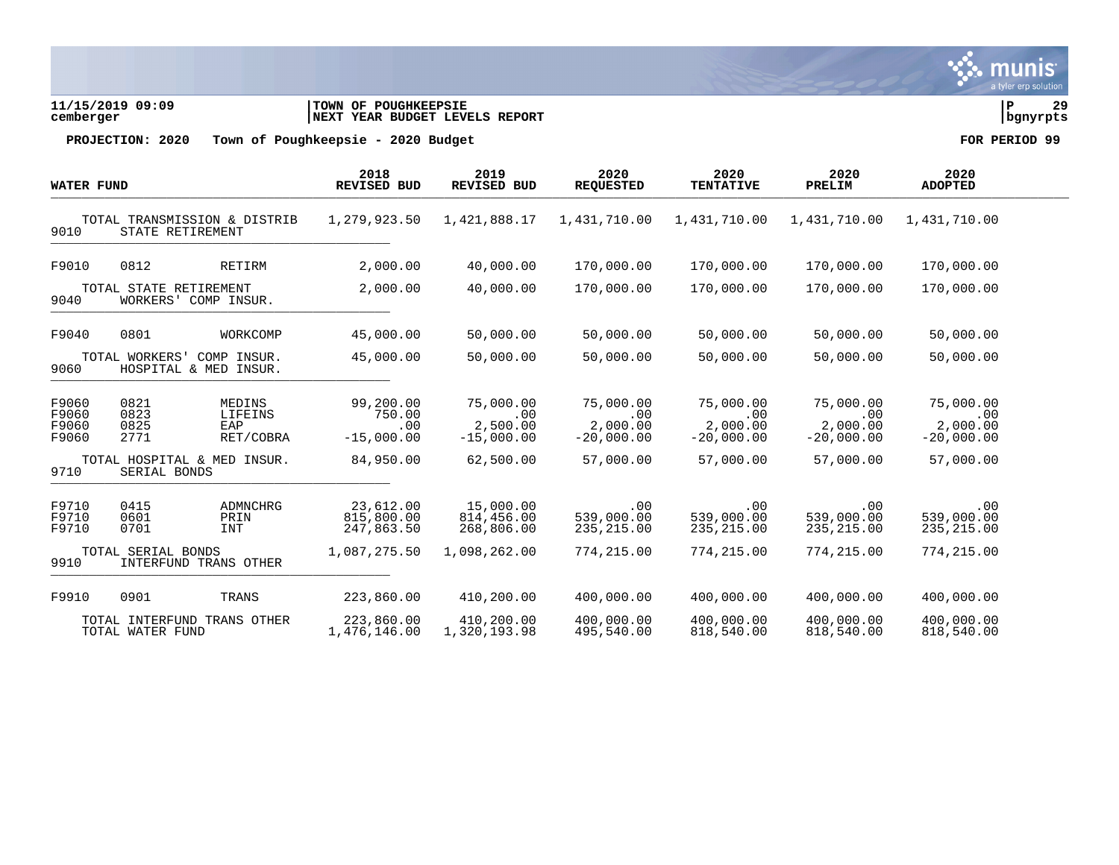

**11/15/2019 09:09 |TOWN OF POUGHKEEPSIE |P 29 cemberger |NEXT YEAR BUDGET LEVELS REPORT |bgnyrpts**

| <b>WATER FUND</b>                |                              |                                                  | 2018<br><b>REVISED BUD</b>                 | 2019<br>REVISED BUD                          | 2020<br><b>REQUESTED</b>                     | 2020<br><b>TENTATIVE</b>                     | 2020<br>PRELIM                               | 2020<br><b>ADOPTED</b>                       |  |
|----------------------------------|------------------------------|--------------------------------------------------|--------------------------------------------|----------------------------------------------|----------------------------------------------|----------------------------------------------|----------------------------------------------|----------------------------------------------|--|
| 9010                             |                              | TOTAL TRANSMISSION & DISTRIB<br>STATE RETIREMENT | 1,279,923.50                               | 1,421,888.17                                 | 1,431,710.00                                 | 1,431,710.00                                 | 1,431,710.00                                 | 1,431,710.00                                 |  |
| F9010                            | 0812                         | RETIRM                                           | 2,000.00                                   | 40,000.00                                    | 170,000.00                                   | 170,000.00                                   | 170,000.00                                   | 170,000.00                                   |  |
| 9040                             | TOTAL STATE RETIREMENT       | WORKERS' COMP INSUR.                             | 2,000.00                                   | 40,000.00                                    | 170,000.00                                   | 170,000.00                                   | 170,000.00                                   | 170,000.00                                   |  |
| F9040                            | 0801                         | WORKCOMP                                         | 45,000.00                                  | 50,000.00                                    | 50,000.00                                    | 50,000.00                                    | 50,000.00                                    | 50,000.00                                    |  |
| 9060                             | TOTAL WORKERS'               | COMP INSUR.<br>HOSPITAL & MED INSUR.             | 45,000.00                                  | 50,000.00                                    | 50,000.00                                    | 50,000.00                                    | 50,000.00                                    | 50,000.00                                    |  |
| F9060<br>F9060<br>F9060<br>F9060 | 0821<br>0823<br>0825<br>2771 | MEDINS<br>LIFEINS<br>EAP<br>RET/COBRA            | 99,200.00<br>750.00<br>.00<br>$-15,000.00$ | 75,000.00<br>.00<br>2,500.00<br>$-15,000.00$ | 75,000.00<br>.00<br>2,000.00<br>$-20,000.00$ | 75,000.00<br>.00<br>2,000.00<br>$-20,000.00$ | 75,000.00<br>.00<br>2,000.00<br>$-20,000.00$ | 75,000.00<br>.00<br>2,000.00<br>$-20,000.00$ |  |
| 9710                             | SERIAL BONDS                 | TOTAL HOSPITAL & MED INSUR.                      | 84,950.00                                  | 62,500.00                                    | 57,000.00                                    | 57,000.00                                    | 57,000.00                                    | 57,000.00                                    |  |
| F9710<br>F9710<br>F9710          | 0415<br>0601<br>0701         | ADMNCHRG<br>PRIN<br>INT                          | 23,612.00<br>815,800.00<br>247,863.50      | 15,000.00<br>814,456.00<br>268,806.00        | .00<br>539,000.00<br>235, 215.00             | .00<br>539,000.00<br>235, 215.00             | .00<br>539,000.00<br>235, 215.00             | .00<br>539,000.00<br>235, 215.00             |  |
| 9910                             | TOTAL SERIAL BONDS           | INTERFUND TRANS OTHER                            | 1,087,275.50                               | 1,098,262.00                                 | 774,215.00                                   | 774,215.00                                   | 774, 215.00                                  | 774,215.00                                   |  |
| F9910                            | 0901                         | TRANS                                            | 223,860.00                                 | 410,200.00                                   | 400,000.00                                   | 400,000.00                                   | 400,000.00                                   | 400,000.00                                   |  |
|                                  | TOTAL WATER FUND             | TOTAL INTERFUND TRANS OTHER                      | 223,860.00<br>1,476,146.00                 | 410,200.00<br>1,320,193.98                   | 400,000.00<br>495,540.00                     | 400,000.00<br>818,540.00                     | 400,000.00<br>818,540.00                     | 400,000.00<br>818,540.00                     |  |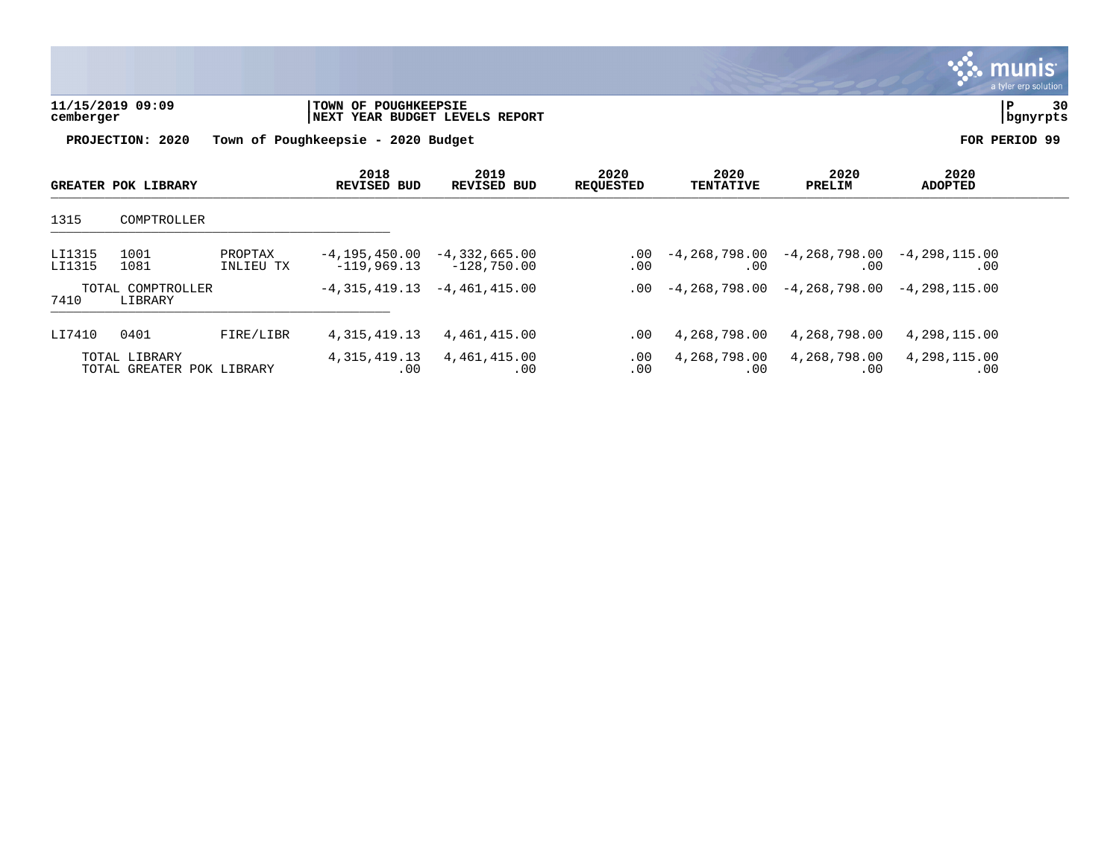|                  |                                            |                      |                                    |                                                    |                          |                          |                                                   |                        | <b>munis</b><br>a tyler erp solution |
|------------------|--------------------------------------------|----------------------|------------------------------------|----------------------------------------------------|--------------------------|--------------------------|---------------------------------------------------|------------------------|--------------------------------------|
| cemberger        | 11/15/2019 09:09                           |                      | TOWN OF POUGHKEEPSIE               | NEXT YEAR BUDGET LEVELS REPORT                     |                          |                          |                                                   |                        | P<br>30<br>bgnyrpts                  |
|                  | PROJECTION: 2020                           |                      | Town of Poughkeepsie - 2020 Budget |                                                    |                          |                          |                                                   |                        | FOR PERIOD 99                        |
|                  | <b>GREATER POK LIBRARY</b>                 |                      | 2018<br><b>REVISED BUD</b>         | 2019<br>REVISED BUD                                | 2020<br><b>REQUESTED</b> | 2020<br><b>TENTATIVE</b> | 2020<br>PRELIM                                    | 2020<br><b>ADOPTED</b> |                                      |
| 1315             | COMPTROLLER                                |                      |                                    |                                                    |                          |                          |                                                   |                        |                                      |
| LI1315<br>LI1315 | 1001<br>1081                               | PROPTAX<br>INLIEU TX | $-119,969.13$                      | $-4, 195, 450.00 -4, 332, 665.00$<br>$-128,750.00$ | $.00 \,$<br>$.00 \,$     | -4,268,798.00<br>.00     | $-4, 268, 798.00 -4, 298, 115.00$<br>.00          | .00                    |                                      |
| 7410             | TOTAL COMPTROLLER<br>LIBRARY               |                      | $-4, 315, 419.13$                  | $-4,461,415.00$                                    | .00                      |                          | $-4, 268, 798.00 -4, 268, 798.00 -4, 298, 115.00$ |                        |                                      |
| LI7410           | 0401                                       | FIRE/LIBR            | 4, 315, 419.13                     | 4,461,415.00                                       | $.00 \ \,$               | 4,268,798.00             | 4,268,798.00                                      | 4,298,115.00           |                                      |
|                  | TOTAL LIBRARY<br>TOTAL GREATER POK LIBRARY |                      | 4, 315, 419.13<br>.00              | 4,461,415.00<br>.00                                | $.00 \,$<br>.00          | 4,268,798.00<br>.00      | 4,268,798.00<br>.00                               | 4,298,115.00<br>.00    |                                      |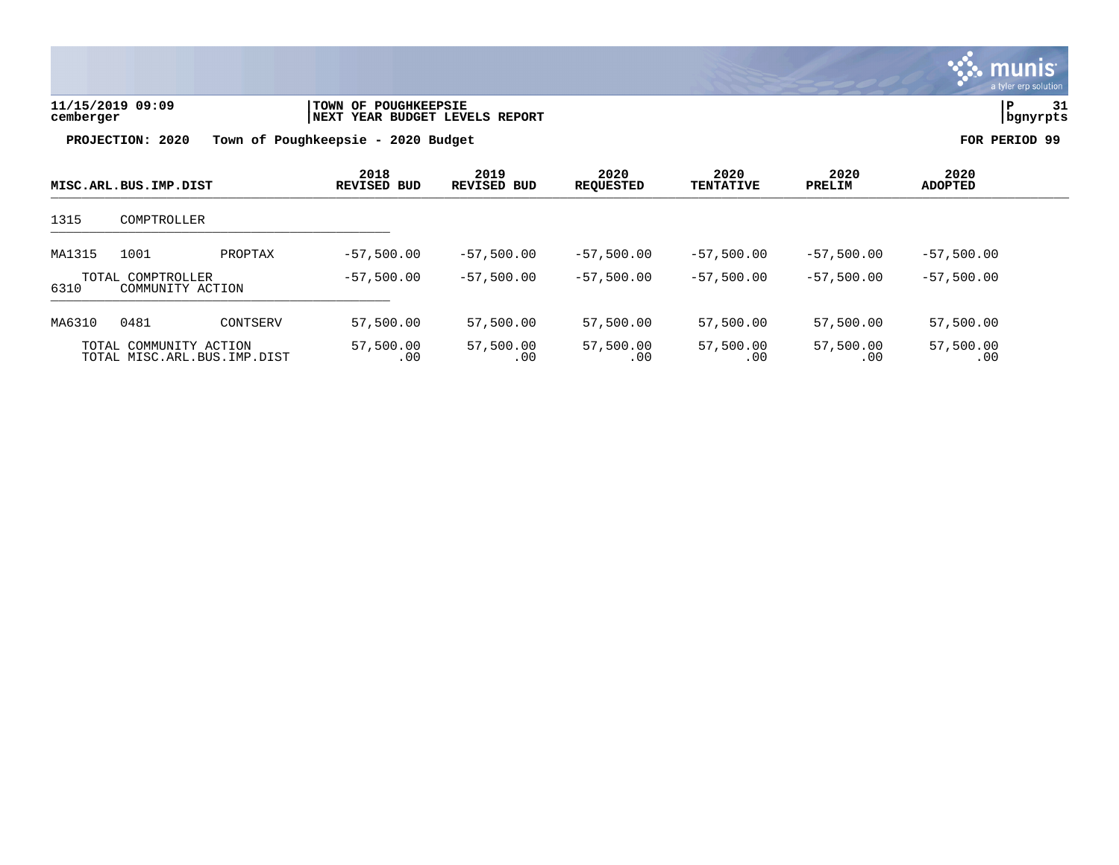

| 11/15/2019 09:09 | <b>ITOWN OF POUGHKEEPSIE</b>    | 31       |
|------------------|---------------------------------|----------|
| cemberger        | INEXT YEAR BUDGET LEVELS REPORT | bgnyrpts |
|                  |                                 |          |

|                                                       | MISC.ARL.BUS.IMP.DIST                 |          | 2018<br>REVISED BUD | 2019<br>REVISED BUD | 2020<br><b>REQUESTED</b> | 2020<br><b>TENTATIVE</b> | 2020<br>PRELIM   | 2020<br>ADOPTED  |  |
|-------------------------------------------------------|---------------------------------------|----------|---------------------|---------------------|--------------------------|--------------------------|------------------|------------------|--|
| 1315                                                  | COMPTROLLER                           |          |                     |                     |                          |                          |                  |                  |  |
| MA1315                                                | 1001                                  | PROPTAX  | $-57,500.00$        | $-57,500.00$        | $-57,500.00$             | $-57,500.00$             | $-57,500.00$     | $-57,500.00$     |  |
| 6310                                                  | TOTAL COMPTROLLER<br>COMMUNITY ACTION |          | $-57.500.00$        | $-57,500.00$        | $-57.500.00$             | $-57.500.00$             | $-57.500.00$     | $-57,500.00$     |  |
| MA6310                                                | 0481                                  | CONTSERV | 57,500.00           | 57,500.00           | 57,500.00                | 57,500.00                | 57,500.00        | 57,500.00        |  |
| TOTAL COMMUNITY ACTION<br>TOTAL MISC.ARL.BUS.IMP.DIST |                                       |          | 57,500.00<br>.00    | 57,500.00<br>.00    | 57,500.00<br>.00         | 57,500.00<br>.00         | 57,500.00<br>.00 | 57,500.00<br>.00 |  |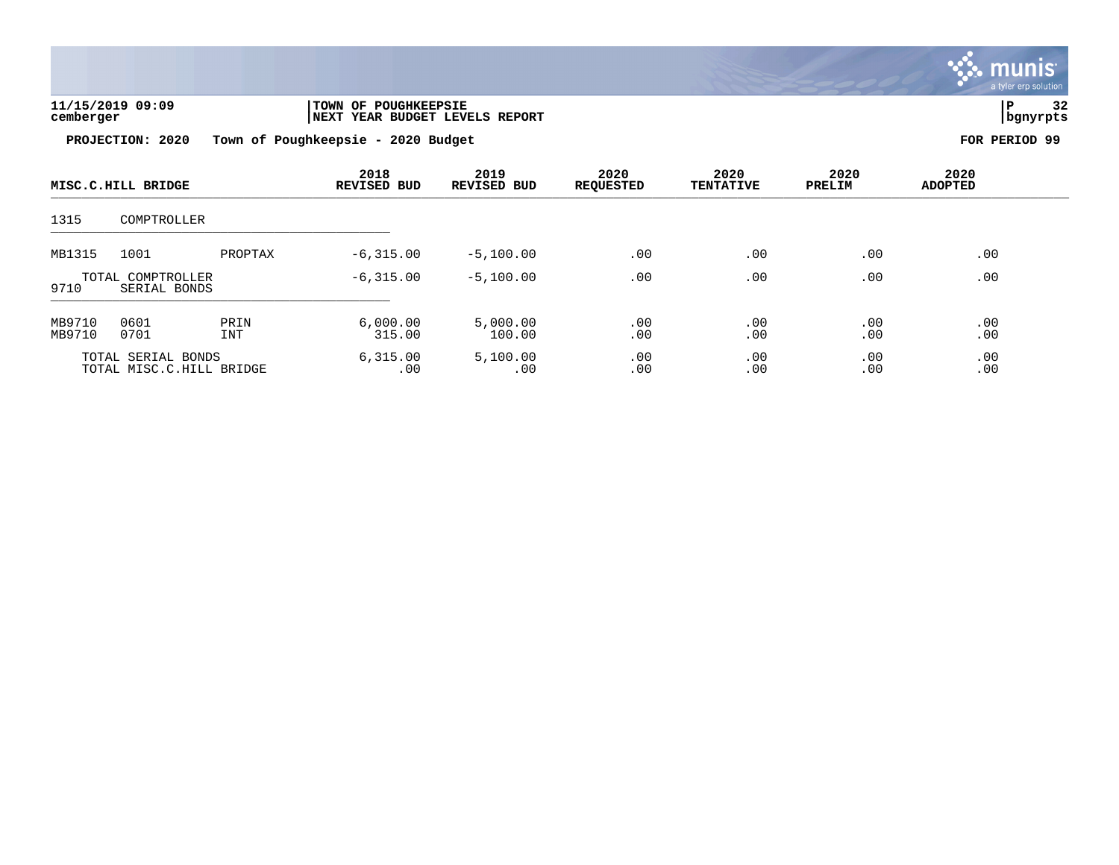

| 11/15/2019 09:09 | <b>TOWN OF POUGHKEEPSIE</b>    |          | $\sim$ |
|------------------|--------------------------------|----------|--------|
| cemberger        | NEXT YEAR BUDGET LEVELS REPORT | bgnyrpts |        |
|                  |                                |          |        |

|                  | MISC.C.HILL BRIDGE                             |                    | 2018<br><b>REVISED BUD</b> | 2019<br>REVISED BUD | 2020<br><b>REQUESTED</b> | 2020<br><b>TENTATIVE</b> | 2020<br>PRELIM | 2020<br><b>ADOPTED</b> |  |
|------------------|------------------------------------------------|--------------------|----------------------------|---------------------|--------------------------|--------------------------|----------------|------------------------|--|
| 1315             | COMPTROLLER                                    |                    |                            |                     |                          |                          |                |                        |  |
| MB1315           | 1001                                           | PROPTAX            | $-6, 315.00$               | $-5,100.00$         | .00                      | .00                      | .00            | .00                    |  |
| 9710             | TOTAL COMPTROLLER<br>SERIAL BONDS              |                    | $-6, 315.00$               | $-5,100.00$         | .00                      | .00                      | .00            | .00                    |  |
| MB9710<br>MB9710 | 0601<br>0701                                   | PRIN<br><b>INT</b> | 6,000.00<br>315.00         | 5,000.00<br>100.00  | .00<br>.00               | $.00$<br>.00             | .00<br>.00     | .00<br>.00             |  |
|                  | TOTAL SERIAL BONDS<br>TOTAL MISC.C.HILL BRIDGE |                    | 6, 315.00<br>.00           | 5,100.00<br>.00     | .00<br>.00               | .00<br>.00               | .00<br>.00     | .00<br>.00             |  |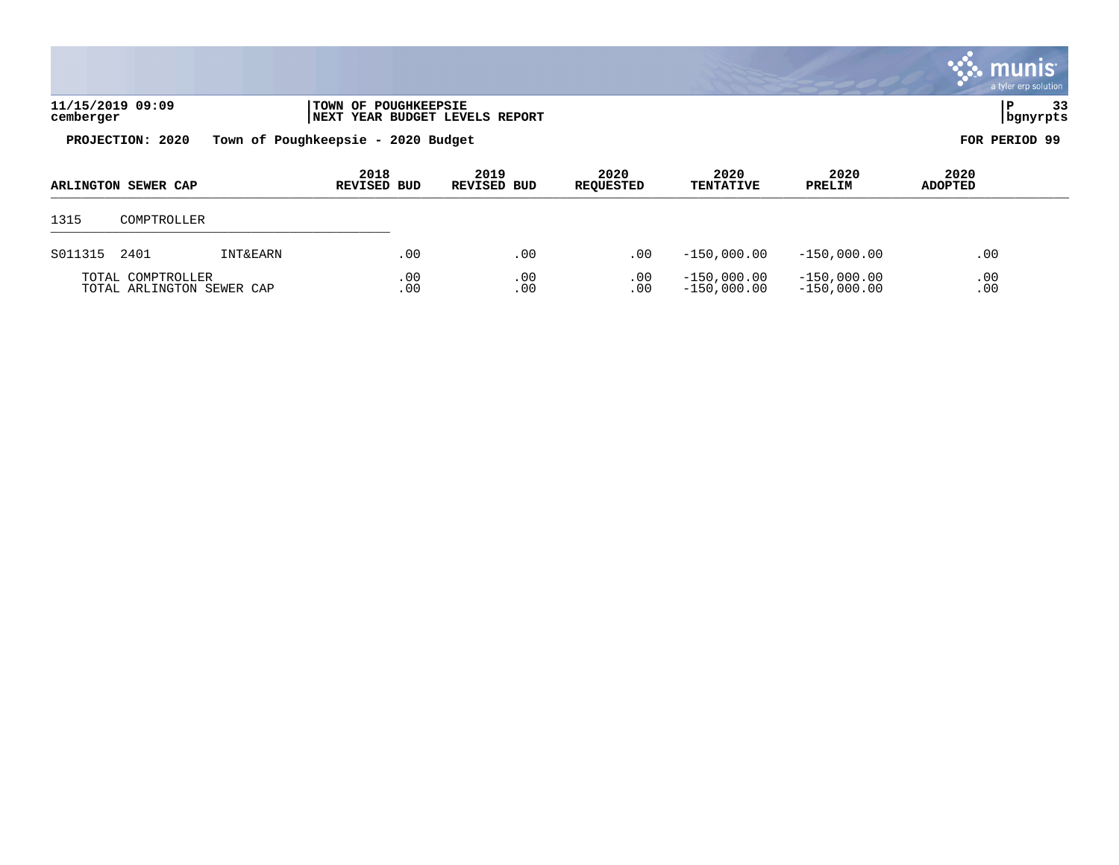|                               |                                    |                                        |                          |                          |                |                 | <b>WE munis</b><br>a tyler erp solution |
|-------------------------------|------------------------------------|----------------------------------------|--------------------------|--------------------------|----------------|-----------------|-----------------------------------------|
| 11/15/2019 09:09<br>cemberger | <b>TOWN OF POUGHKEEPSIE</b>        | <b>INEXT YEAR BUDGET LEVELS REPORT</b> |                          |                          |                |                 | 33<br>P<br>  bgnyrpts                   |
| PROJECTION: 2020              | Town of Poughkeepsie - 2020 Budget |                                        |                          |                          |                |                 | FOR PERIOD 99                           |
| ARLINGTON SEWER CAP           | 2018<br><b>REVISED BUD</b>         | 2019<br>REVISED BUD                    | 2020<br><b>REQUESTED</b> | 2020<br><b>TENTATIVE</b> | 2020<br>PRELIM | 2020<br>ADOPTED |                                         |
| 1315<br>COMPTROLLER           |                                    |                                        |                          |                          |                |                 |                                         |

 $\mathcal{L}$ 

S011315 2401 INT&EARN .00 .00 .00 -150,000.00 -150,000.00 .00

TOTAL COMPTROLLER .00 .00 .00 -150,000.00 -150,000.00 .00 TOTAL ARLINGTON SEWER CAP .00 .00 .00 -150,000.00 -150,000.00 .00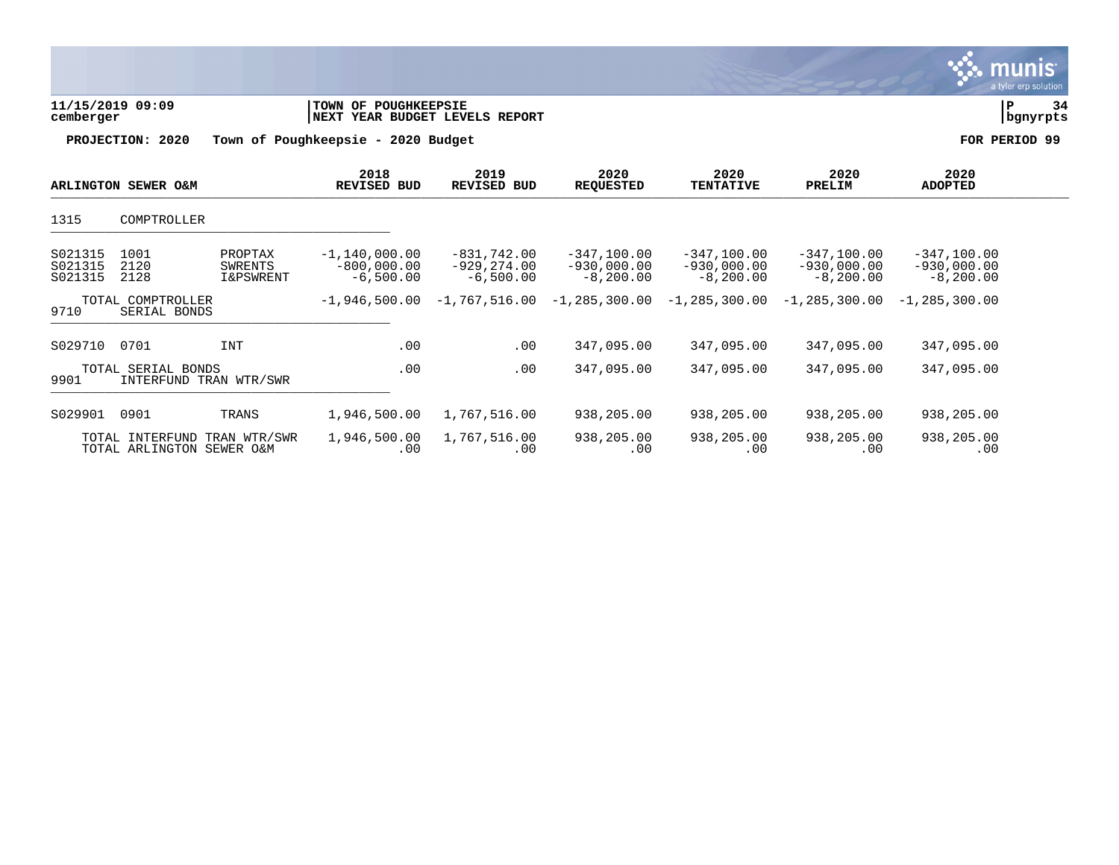|                               |                                              |                                                   |                                                                      |                                                |                                               |                                               |                                                |                                                | munis<br>a tyler erp solution |
|-------------------------------|----------------------------------------------|---------------------------------------------------|----------------------------------------------------------------------|------------------------------------------------|-----------------------------------------------|-----------------------------------------------|------------------------------------------------|------------------------------------------------|-------------------------------|
| 11/15/2019 09:09<br>cemberger |                                              |                                                   | <b>TOWN OF POUGHKEEPSIE</b><br><b>NEXT YEAR BUDGET LEVELS REPORT</b> |                                                |                                               |                                               |                                                |                                                | P<br>34<br>bgnyrpts           |
|                               | PROJECTION: 2020                             |                                                   | Town of Poughkeepsie - 2020 Budget                                   |                                                |                                               |                                               |                                                |                                                | FOR PERIOD 99                 |
|                               | ARLINGTON SEWER O&M                          |                                                   | 2018<br>REVISED BUD                                                  | 2019<br><b>REVISED BUD</b>                     | 2020<br><b>REQUESTED</b>                      | 2020<br><b>TENTATIVE</b>                      | 2020<br>PRELIM                                 | 2020<br><b>ADOPTED</b>                         |                               |
| 1315                          | COMPTROLLER                                  |                                                   |                                                                      |                                                |                                               |                                               |                                                |                                                |                               |
| S021315<br>S021315<br>S021315 | 1001<br>2120<br>2128                         | PROPTAX<br><b>SWRENTS</b><br><b>I&amp;PSWRENT</b> | $-1, 140, 000.00$<br>$-800,000.00$<br>$-6,500.00$                    | $-831,742.00$<br>$-929, 274.00$<br>$-6,500.00$ | $-347,100.00$<br>$-930,000.00$<br>$-8,200.00$ | $-347,100.00$<br>$-930,000.00$<br>$-8,200.00$ | $-347,100.00$<br>$-930,000.00$<br>$-8, 200.00$ | $-347, 100.00$<br>$-930,000.00$<br>$-8,200.00$ |                               |
| 9710                          | TOTAL COMPTROLLER<br>SERIAL BONDS            |                                                   | $-1,946,500.00$                                                      | $-1.767.516.00$                                | $-1, 285, 300.00$                             | $-1,285,300.00$                               | $-1, 285, 300, 00$                             | $-1, 285, 300, 00$                             |                               |
| S029710                       | 0701                                         | <b>INT</b>                                        | .00                                                                  | .00                                            | 347,095.00                                    | 347,095.00                                    | 347,095.00                                     | 347,095.00                                     |                               |
| 9901                          | TOTAL SERIAL BONDS<br>INTERFUND TRAN WTR/SWR |                                                   | .00                                                                  | .00                                            | 347,095.00                                    | 347,095.00                                    | 347,095.00                                     | 347,095.00                                     |                               |
| S029901                       | 0901                                         | TRANS                                             | 1,946,500.00                                                         | 1,767,516.00                                   | 938,205.00                                    | 938,205.00                                    | 938,205.00                                     | 938,205.00                                     |                               |
|                               | TOTAL INTERFUND<br>TOTAL ARLINGTON SEWER O&M | TRAN WTR/SWR                                      | 1,946,500.00<br>.00                                                  | 1,767,516.00<br>.00                            | 938,205.00<br>.00                             | 938,205.00<br>.00                             | 938,205.00<br>.00                              | 938,205.00<br>.00                              |                               |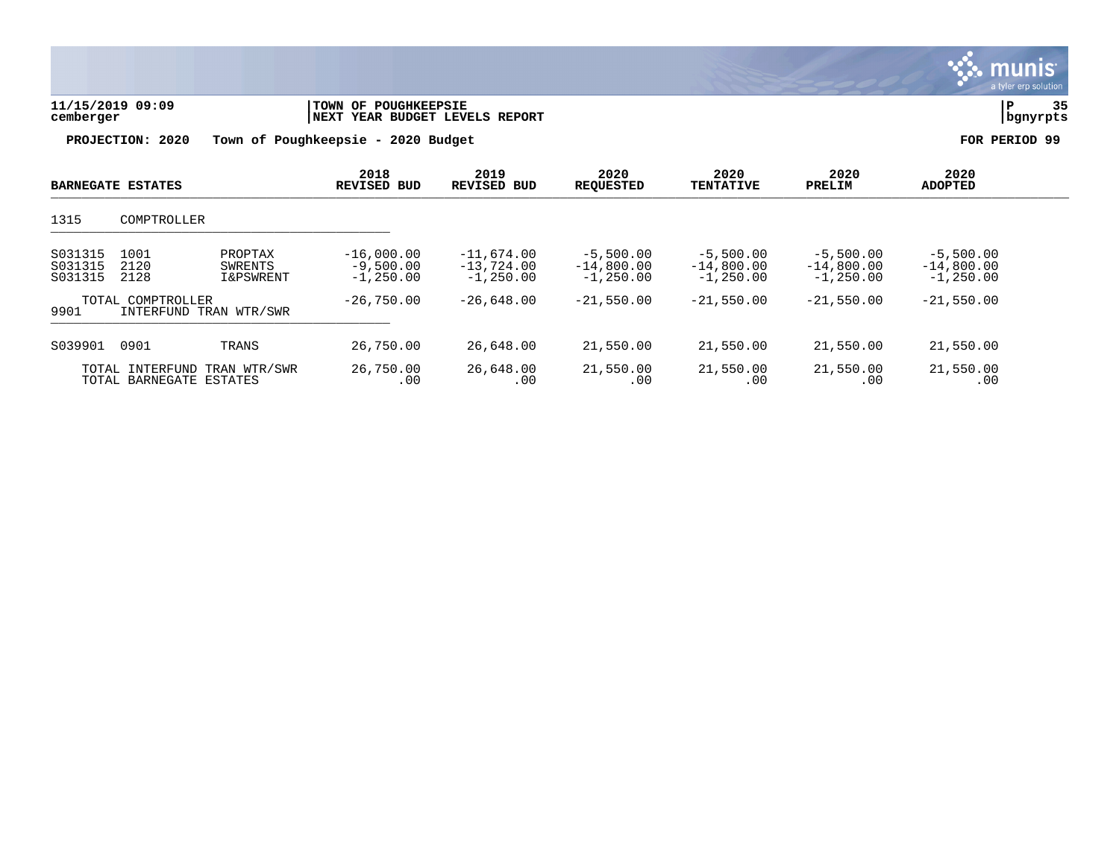| 11/15/2019 09:09<br>cemberger |                                            | TOWN OF POUGHKEEPSIE<br>YEAR BUDGET LEVELS REPORT<br>  NEXT |                                             |                                             |                                            |                                            | 35<br>P<br>bgnyrpts                         |                                             |  |
|-------------------------------|--------------------------------------------|-------------------------------------------------------------|---------------------------------------------|---------------------------------------------|--------------------------------------------|--------------------------------------------|---------------------------------------------|---------------------------------------------|--|
|                               | PROJECTION: 2020                           | Town of Poughkeepsie -                                      | 2020 Budget                                 |                                             |                                            |                                            |                                             | FOR PERIOD 99                               |  |
|                               | <b>BARNEGATE ESTATES</b>                   |                                                             | 2018<br><b>REVISED BUD</b>                  | 2019<br><b>REVISED BUD</b>                  | 2020<br><b>REQUESTED</b>                   | 2020<br><b>TENTATIVE</b>                   | 2020<br>PRELIM                              | 2020<br><b>ADOPTED</b>                      |  |
| 1315                          | COMPTROLLER                                |                                                             |                                             |                                             |                                            |                                            |                                             |                                             |  |
| S031315<br>S031315<br>S031315 | 1001<br>2120<br>2128                       | PROPTAX<br>SWRENTS<br><b>I&amp;PSWRENT</b>                  | $-16,000.00$<br>$-9,500.00$<br>$-1, 250.00$ | $-11,674.00$<br>$-13,724.00$<br>$-1,250.00$ | $-5,500.00$<br>$-14,800.00$<br>$-1,250.00$ | $-5,500.00$<br>$-14,800.00$<br>$-1,250.00$ | $-5,500.00$<br>$-14,800.00$<br>$-1, 250.00$ | $-5,500.00$<br>$-14,800.00$<br>$-1, 250.00$ |  |
| 9901                          | TOTAL COMPTROLLER                          | INTERFUND TRAN WTR/SWR                                      | $-26,750.00$                                | $-26,648.00$                                | $-21,550.00$                               | $-21,550.00$                               | $-21,550.00$                                | $-21,550.00$                                |  |
| S039901                       | 0901                                       | TRANS                                                       | 26,750.00                                   | 26,648.00                                   | 21,550.00                                  | 21,550.00                                  | 21,550.00                                   | 21,550.00                                   |  |
|                               | TOTAL INTERFUND<br>TOTAL BARNEGATE ESTATES | TRAN WTR/SWR                                                | 26,750.00<br>.00                            | 26,648.00<br>.00                            | 21,550.00<br>.00                           | 21,550.00<br>.00                           | 21,550.00<br>.00                            | 21,550.00<br>.00                            |  |

 $\ddot{\ddot{\mathbf{u}}}$  munis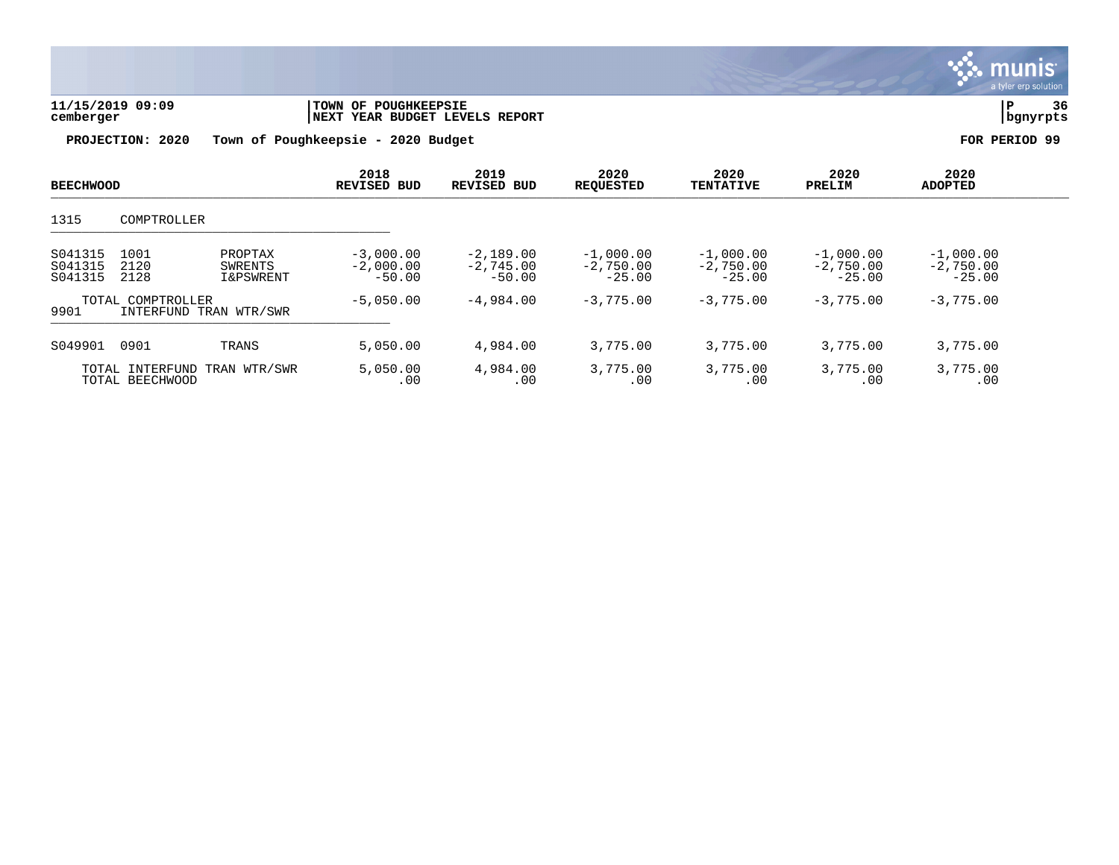

| 11/15/2019 09:09 | TOWN OF POUGHKEEPSIE           |          |
|------------------|--------------------------------|----------|
| cemberger        | NEXT YEAR BUDGET LEVELS REPORT | bqnyrpts |
|                  |                                |          |

| <b>BEECHWOOD</b>                                    |                      |                                            | 2018<br><b>REVISED BUD</b>             | 2019<br><b>REVISED BUD</b>             | 2020<br><b>REOUESTED</b>               | 2020<br><b>TENTATIVE</b>               | 2020<br>PRELIM                         | 2020<br><b>ADOPTED</b>                 |  |
|-----------------------------------------------------|----------------------|--------------------------------------------|----------------------------------------|----------------------------------------|----------------------------------------|----------------------------------------|----------------------------------------|----------------------------------------|--|
| 1315                                                | COMPTROLLER          |                                            |                                        |                                        |                                        |                                        |                                        |                                        |  |
| S041315<br>S041315<br>S041315                       | 1001<br>2120<br>2128 | PROPTAX<br>SWRENTS<br><b>I&amp;PSWRENT</b> | $-3,000.00$<br>$-2,000.00$<br>$-50.00$ | $-2,189.00$<br>$-2,745.00$<br>$-50.00$ | $-1,000.00$<br>$-2,750.00$<br>$-25.00$ | $-1,000.00$<br>$-2.750.00$<br>$-25.00$ | $-1,000.00$<br>$-2,750.00$<br>$-25.00$ | $-1,000.00$<br>$-2,750.00$<br>$-25.00$ |  |
| TOTAL COMPTROLLER<br>9901<br>INTERFUND TRAN WTR/SWR |                      |                                            | $-5,050.00$                            | $-4,984.00$                            | $-3,775,00$                            | $-3,775,00$                            | $-3,775,00$                            | $-3,775.00$                            |  |
| S049901                                             | 0901                 | TRANS                                      | 5,050.00                               | 4,984.00                               | 3,775.00                               | 3,775.00                               | 3,775.00                               | 3,775.00                               |  |
| TOTAL INTERFUND TRAN WTR/SWR<br>TOTAL BEECHWOOD     |                      | 5,050.00<br>.00                            | 4,984.00<br>.00                        | 3,775.00<br>.00                        | 3,775.00<br>.00                        | 3,775.00<br>.00                        | 3,775.00<br>.00                        |                                        |  |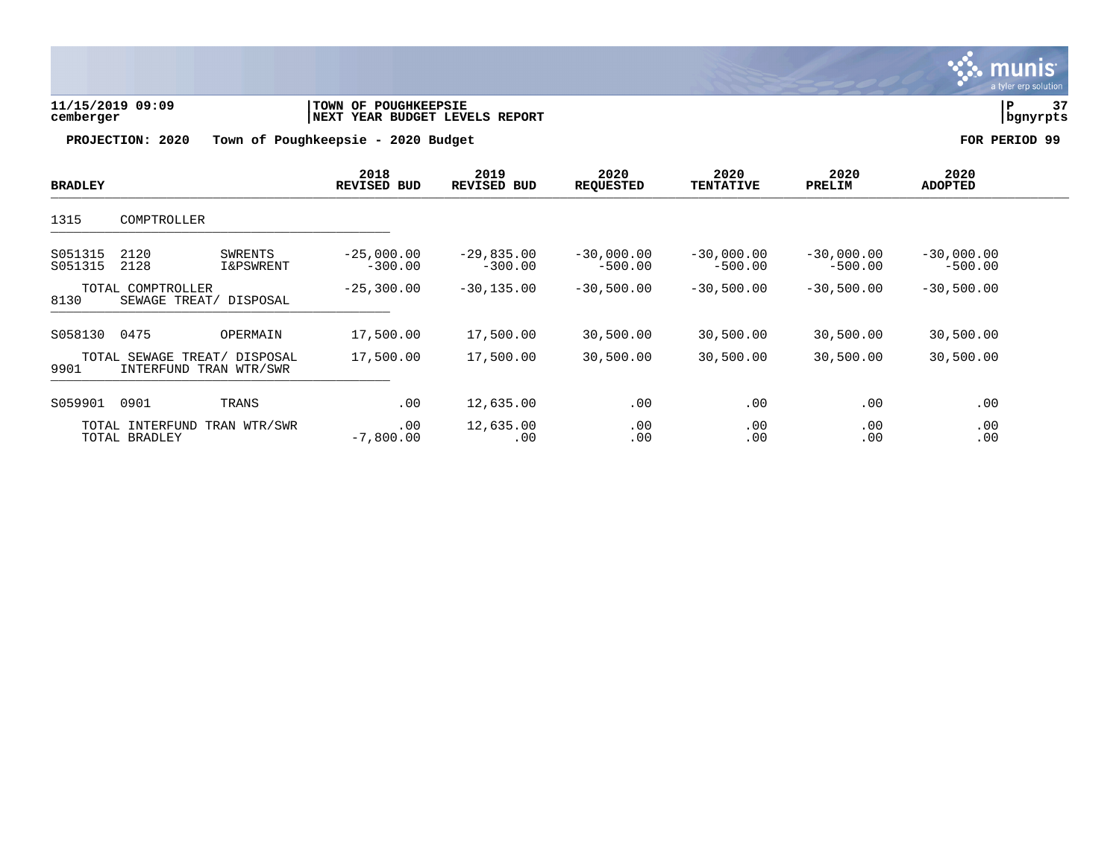

| 11/15/2019 09:09 | <b>TOWN OF POUGHKEEPSIE</b>    |          | ה ר |
|------------------|--------------------------------|----------|-----|
| cemberger        | NEXT YEAR BUDGET LEVELS REPORT | bgnyrpts |     |

| <b>BRADLEY</b>     |                                                        |                                 | 2018<br>REVISED BUD       | 2019<br><b>REVISED BUD</b> | 2020<br><b>REQUESTED</b>  | 2020<br><b>TENTATIVE</b>  | 2020<br>PRELIM            | 2020<br><b>ADOPTED</b>    |  |
|--------------------|--------------------------------------------------------|---------------------------------|---------------------------|----------------------------|---------------------------|---------------------------|---------------------------|---------------------------|--|
| 1315               | COMPTROLLER                                            |                                 |                           |                            |                           |                           |                           |                           |  |
| S051315<br>S051315 | 2120<br>2128                                           | SWRENTS<br><b>I&amp;PSWRENT</b> | $-25,000.00$<br>$-300.00$ | $-29,835.00$<br>$-300.00$  | $-30,000.00$<br>$-500.00$ | $-30,000.00$<br>$-500.00$ | $-30,000.00$<br>$-500.00$ | $-30,000.00$<br>$-500.00$ |  |
| 8130               | TOTAL COMPTROLLER<br>SEWAGE TREAT/                     | DISPOSAL                        | $-25,300.00$              | $-30, 135.00$              | $-30,500.00$              | $-30,500.00$              | $-30,500.00$              | $-30,500.00$              |  |
| S058130            | 0475                                                   | OPERMAIN                        | 17,500.00                 | 17,500.00                  | 30,500.00                 | 30,500.00                 | 30,500.00                 | 30,500.00                 |  |
| 9901               | TOTAL SEWAGE TREAT/ DISPOSAL<br>INTERFUND TRAN WTR/SWR |                                 | 17,500.00                 | 17,500.00                  | 30,500.00                 | 30,500.00                 | 30,500.00                 | 30,500.00                 |  |
| S059901            | 0901                                                   | TRANS                           | .00                       | 12,635.00                  | .00                       | .00                       | .00                       | .00                       |  |
|                    | TOTAL INTERFUND<br>TOTAL BRADLEY                       | TRAN WTR/SWR                    | .00<br>$-7,800.00$        | 12,635.00<br>.00           | .00<br>.00                | .00<br>.00                | .00<br>.00                | .00<br>.00                |  |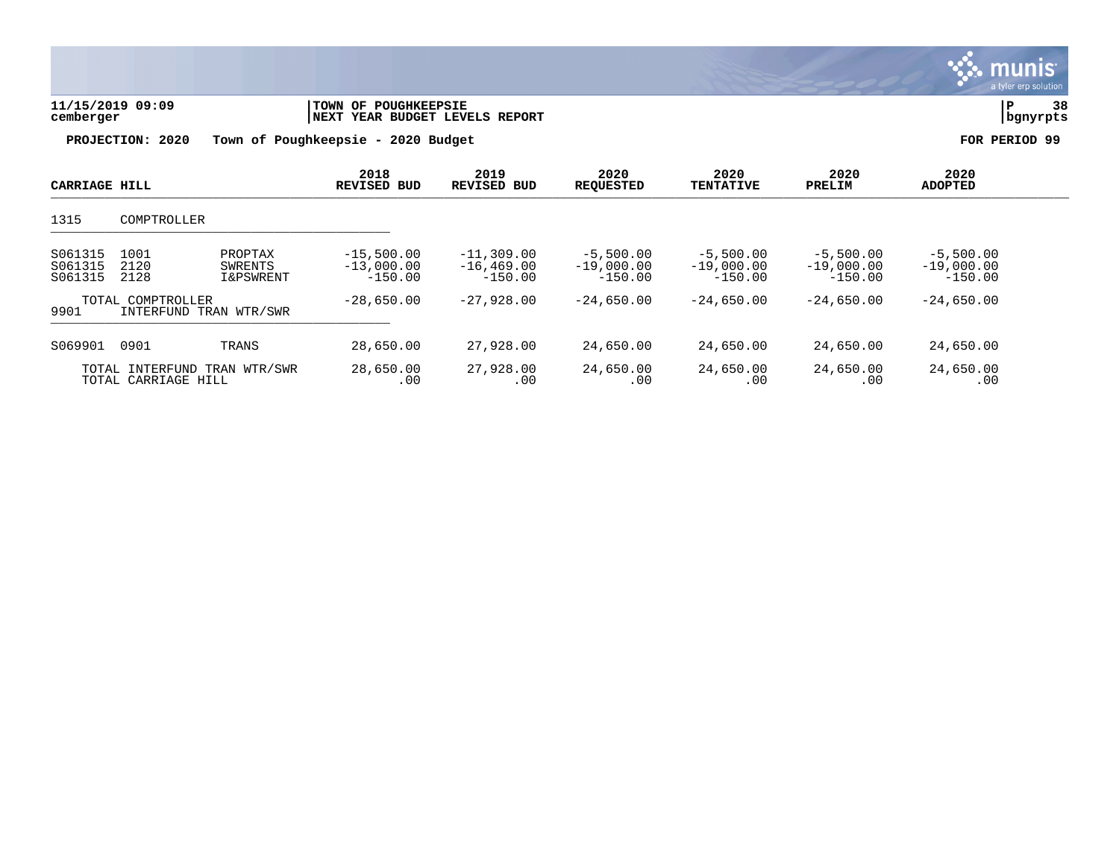| 11/15/2019 09:09<br>cemberger<br>PROJECTION: 2020<br>Town of Poughkeepsie - |                                             | TOWN OF POUGHKEEPSIE<br>NEXT YEAR BUDGET LEVELS REPORT<br>2020 Budget | 38<br>P<br>bgnyrpts<br>FOR PERIOD 99      |                                            |                                          |                                          |                                          |                                          |  |
|-----------------------------------------------------------------------------|---------------------------------------------|-----------------------------------------------------------------------|-------------------------------------------|--------------------------------------------|------------------------------------------|------------------------------------------|------------------------------------------|------------------------------------------|--|
| CARRIAGE HILL                                                               |                                             |                                                                       | 2018<br><b>REVISED BUD</b>                | 2019<br><b>REVISED BUD</b>                 | 2020<br><b>REQUESTED</b>                 | 2020<br><b>TENTATIVE</b>                 | 2020<br>PRELIM                           | 2020<br><b>ADOPTED</b>                   |  |
| 1315                                                                        | COMPTROLLER                                 |                                                                       |                                           |                                            |                                          |                                          |                                          |                                          |  |
| S061315<br>S061315<br>S061315                                               | 1001<br>2120<br>2128                        | PROPTAX<br>SWRENTS<br>I&PSWRENT                                       | $-15,500.00$<br>$-13,000.00$<br>$-150.00$ | $-11,309.00$<br>$-16, 469.00$<br>$-150.00$ | $-5,500.00$<br>$-19,000.00$<br>$-150.00$ | $-5,500.00$<br>$-19,000.00$<br>$-150.00$ | $-5,500.00$<br>$-19,000.00$<br>$-150.00$ | $-5,500.00$<br>$-19,000.00$<br>$-150.00$ |  |
| 9901                                                                        | TOTAL COMPTROLLER<br>INTERFUND TRAN WTR/SWR |                                                                       | $-28,650.00$                              | $-27,928.00$                               | $-24,650.00$                             | $-24,650.00$                             | $-24,650.00$                             | $-24,650.00$                             |  |
| S069901                                                                     | 0901                                        | TRANS                                                                 | 28,650.00                                 | 27,928.00                                  | 24,650.00                                | 24,650.00                                | 24,650.00                                | 24,650.00                                |  |
|                                                                             | TOTAL INTERFUND<br>TOTAL CARRIAGE HILL      | TRAN WTR/SWR                                                          | 28,650.00<br>.00                          | 27,928.00<br>.00                           | 24,650.00<br>.00                         | 24,650.00<br>.00                         | 24,650.00<br>.00                         | 24,650.00<br>.00                         |  |

S. munis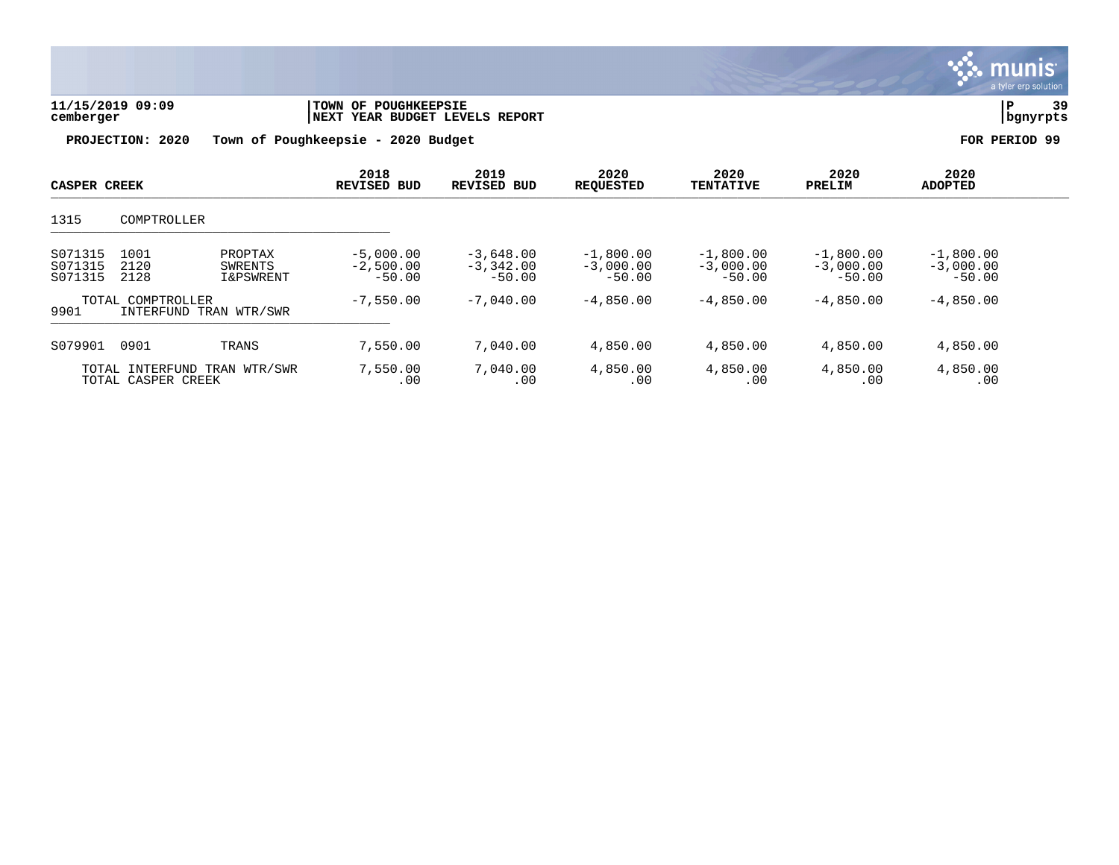

| 11/15/2019 09:09 | TOWN OF POUGHKEEPSIE           | 39       |  |
|------------------|--------------------------------|----------|--|
| cemberger        | NEXT YEAR BUDGET LEVELS REPORT | bgnyrpts |  |
|                  |                                |          |  |

| <b>CASPER CREEK</b>           |                      | 2018<br><b>REVISED BUD</b>                 | 2019<br><b>REVISED BUD</b>             | 2020<br><b>REQUESTED</b>               | 2020<br><b>TENTATIVE</b>               | 2020<br>PRELIM                         | 2020<br><b>ADOPTED</b>                 |                                        |  |
|-------------------------------|----------------------|--------------------------------------------|----------------------------------------|----------------------------------------|----------------------------------------|----------------------------------------|----------------------------------------|----------------------------------------|--|
| 1315                          | COMPTROLLER          |                                            |                                        |                                        |                                        |                                        |                                        |                                        |  |
| S071315<br>S071315<br>S071315 | 1001<br>2120<br>2128 | PROPTAX<br>SWRENTS<br><b>I&amp;PSWRENT</b> | $-5,000.00$<br>$-2,500.00$<br>$-50.00$ | $-3.648.00$<br>$-3,342,00$<br>$-50.00$ | $-1,800.00$<br>$-3,000.00$<br>$-50.00$ | $-1,800.00$<br>$-3,000,00$<br>$-50.00$ | $-1,800.00$<br>$-3,000,00$<br>$-50.00$ | $-1,800.00$<br>$-3,000.00$<br>$-50.00$ |  |
| 9901                          | TOTAL COMPTROLLER    | INTERFUND TRAN WTR/SWR                     | $-7,550.00$                            | $-7,040,00$                            | $-4,850.00$                            | $-4,850.00$                            | $-4,850.00$                            | $-4,850.00$                            |  |
| S079901                       | 0901                 | TRANS                                      | 7.550.00                               | 7,040.00                               | 4,850.00                               | 4,850.00                               | 4,850.00                               | 4,850.00                               |  |
|                               | TOTAL CASPER CREEK   | TOTAL INTERFUND TRAN WTR/SWR               | 7,550.00<br>.00                        | 7,040.00<br>.00                        | 4,850.00<br>.00                        | 4,850.00<br>.00                        | 4,850.00<br>.00                        | 4,850.00<br>.00                        |  |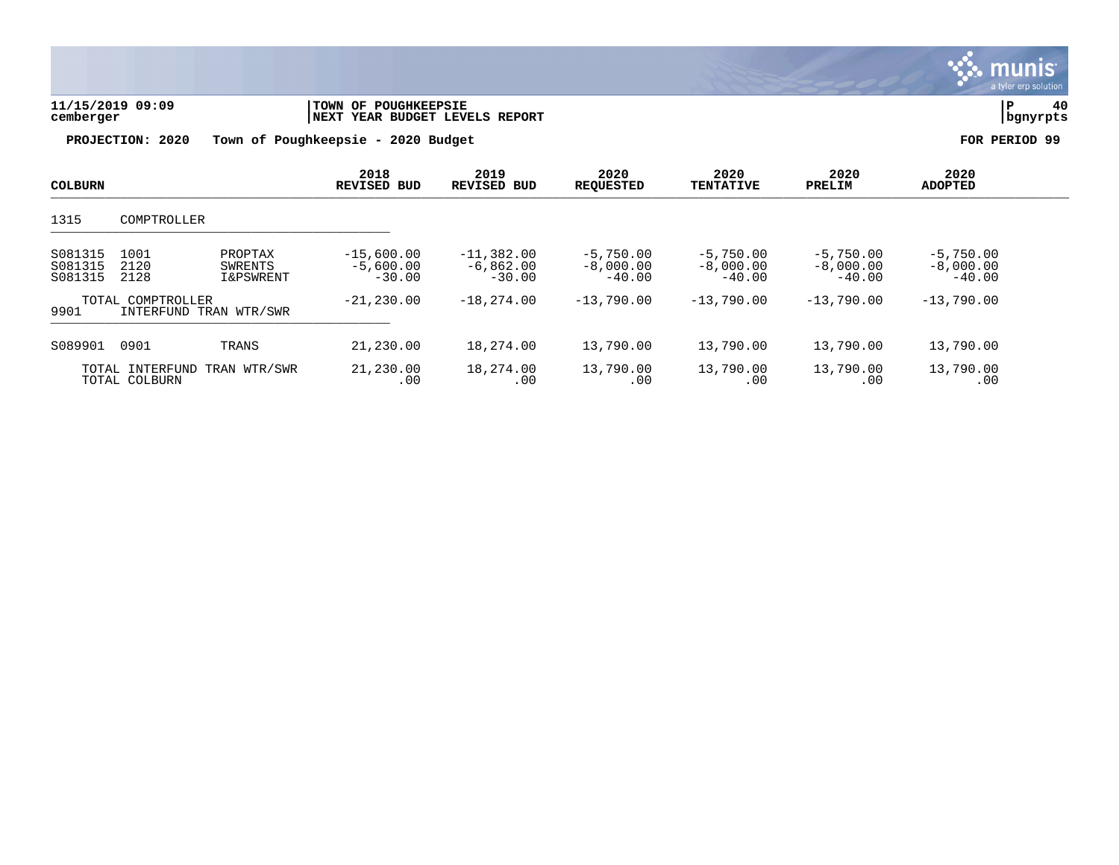

| 11/15/2019 09:09 | TOWN OF POUGHKEEPSIE           | 40       |
|------------------|--------------------------------|----------|
| cemberger        | NEXT YEAR BUDGET LEVELS REPORT | bgnyrpts |
|                  |                                |          |

| <b>COLBURN</b>                |                                  |                                            | 2018<br><b>REVISED BUD</b>              | 2019<br><b>REVISED BUD</b>              | 2020<br><b>REQUESTED</b>               | 2020<br><b>TENTATIVE</b>               | 2020<br>PRELIM                         | 2020<br><b>ADOPTED</b>                 |  |
|-------------------------------|----------------------------------|--------------------------------------------|-----------------------------------------|-----------------------------------------|----------------------------------------|----------------------------------------|----------------------------------------|----------------------------------------|--|
| 1315                          | COMPTROLLER                      |                                            |                                         |                                         |                                        |                                        |                                        |                                        |  |
| S081315<br>S081315<br>S081315 | 1001<br>2120<br>2128             | PROPTAX<br>SWRENTS<br><b>I&amp;PSWRENT</b> | $-15,600.00$<br>$-5,600.00$<br>$-30.00$ | $-11,382.00$<br>$-6,862.00$<br>$-30.00$ | $-5,750.00$<br>$-8,000.00$<br>$-40.00$ | $-5,750.00$<br>$-8,000.00$<br>$-40.00$ | $-5,750.00$<br>$-8,000.00$<br>$-40.00$ | $-5,750.00$<br>$-8,000.00$<br>$-40.00$ |  |
| 9901                          | TOTAL COMPTROLLER                | INTERFUND TRAN WTR/SWR                     | $-21,230,00$                            | $-18,274,00$                            | $-13,790.00$                           | $-13,790,00$                           | $-13,790.00$                           | $-13,790,00$                           |  |
| S089901                       | 0901                             | TRANS                                      | 21,230.00                               | 18,274.00                               | 13,790.00                              | 13,790.00                              | 13,790.00                              | 13,790.00                              |  |
|                               | TOTAL INTERFUND<br>TOTAL COLBURN | TRAN WTR/SWR                               | 21,230.00<br>.00                        | 18,274.00<br>.00                        | 13,790.00<br>.00                       | 13,790.00<br>.00                       | 13,790.00<br>.00                       | 13,790.00<br>.00                       |  |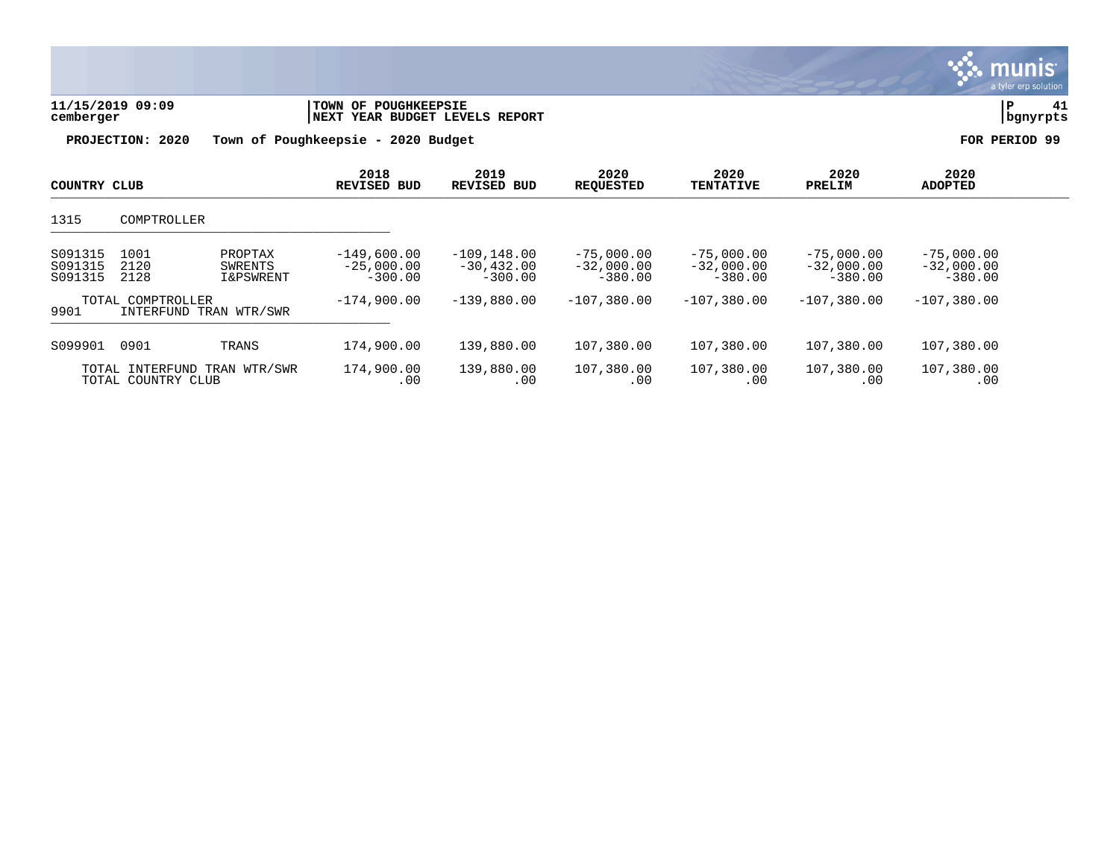| 11/15/2019 09:09<br>cemberger |                                                         | <b>TOWN OF POUGHKEEPSIE</b><br>NEXT YEAR BUDGET LEVELS REPORT |                                              |                                           |                                           |                                           | P                                         | 41<br>bgnyrpts |
|-------------------------------|---------------------------------------------------------|---------------------------------------------------------------|----------------------------------------------|-------------------------------------------|-------------------------------------------|-------------------------------------------|-------------------------------------------|----------------|
| PROJECTION: 2020              |                                                         | Town of Poughkeepsie - 2020 Budget                            |                                              |                                           |                                           |                                           |                                           | FOR PERIOD 99  |
| COUNTRY CLUB                  |                                                         | 2018<br><b>REVISED</b><br>BUD                                 | 2019<br><b>REVISED BUD</b>                   | 2020<br><b>REQUESTED</b>                  | 2020<br><b>TENTATIVE</b>                  | 2020<br>PRELIM                            | 2020<br><b>ADOPTED</b>                    |                |
| 1315                          | COMPTROLLER                                             |                                                               |                                              |                                           |                                           |                                           |                                           |                |
| S091315<br>S091315<br>S091315 | 1001<br>PROPTAX<br>2120<br>SWRENTS<br>2128<br>I&PSWRENT | $-149,600.00$<br>$-25,000.00$<br>$-300.00$                    | $-109, 148.00$<br>$-30, 432.00$<br>$-300.00$ | $-75,000.00$<br>$-32,000.00$<br>$-380.00$ | $-75,000.00$<br>$-32,000.00$<br>$-380.00$ | $-75,000.00$<br>$-32,000.00$<br>$-380.00$ | $-75,000.00$<br>$-32,000.00$<br>$-380.00$ |                |
| 9901                          | TOTAL COMPTROLLER<br>INTERFUND TRAN WTR/SWR             | $-174,900.00$                                                 | $-139,880.00$                                | $-107,380.00$                             | $-107,380.00$                             | $-107,380.00$                             | $-107,380.00$                             |                |
| S099901                       | 0901<br>TRANS                                           | 174,900.00                                                    | 139,880.00                                   | 107,380.00                                | 107,380.00                                | 107,380.00                                | 107,380.00                                |                |
|                               | TOTAL INTERFUND TRAN WTR/SWR<br>TOTAL COUNTRY CLUB      | 174,900.00<br>.00                                             | 139,880.00<br>.00                            | 107,380.00<br>.00                         | 107,380.00<br>.00                         | 107,380.00<br>.00                         | 107,380.00<br>.00                         |                |

S. munis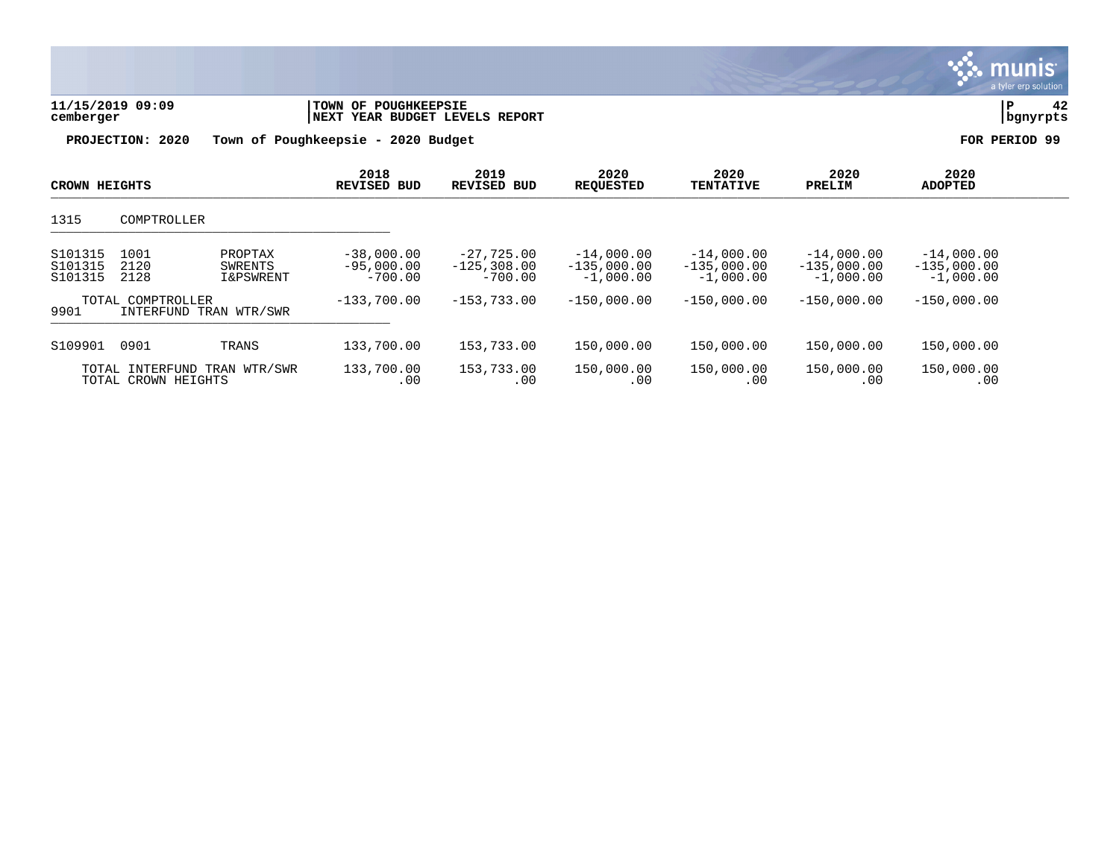| 11/15/2019 09:09<br>cemberger |                                                                    | <b>TOWN OF POUGHKEEPSIE</b><br>NEXT YEAR BUDGET LEVELS REPORT |                                            |                                              |                                              |                                              | l P                                          | 42<br>  bgnyrpts |
|-------------------------------|--------------------------------------------------------------------|---------------------------------------------------------------|--------------------------------------------|----------------------------------------------|----------------------------------------------|----------------------------------------------|----------------------------------------------|------------------|
| PROJECTION: 2020              |                                                                    | Town of Poughkeepsie - 2020 Budget                            |                                            |                                              |                                              |                                              | FOR PERIOD 99                                |                  |
| <b>CROWN HEIGHTS</b>          |                                                                    | 2018<br><b>REVISED BUD</b>                                    | 2019<br><b>REVISED BUD</b>                 | 2020<br><b>REQUESTED</b>                     | 2020<br><b>TENTATIVE</b>                     | 2020<br>PRELIM                               | 2020<br><b>ADOPTED</b>                       |                  |
| 1315                          | COMPTROLLER                                                        |                                                               |                                            |                                              |                                              |                                              |                                              |                  |
| S101315<br>S101315<br>S101315 | 1001<br>PROPTAX<br>2120<br>SWRENTS<br>2128<br><b>I&amp;PSWRENT</b> | $-38,000.00$<br>$-95,000.00$<br>$-700.00$                     | $-27,725.00$<br>$-125,308.00$<br>$-700.00$ | $-14,000.00$<br>$-135,000.00$<br>$-1,000.00$ | $-14,000.00$<br>$-135,000.00$<br>$-1,000.00$ | $-14,000.00$<br>$-135,000.00$<br>$-1,000.00$ | $-14,000.00$<br>$-135,000.00$<br>$-1,000.00$ |                  |
| 9901                          | TOTAL COMPTROLLER<br>INTERFUND TRAN WTR/SWR                        | $-133,700.00$                                                 | $-153,733.00$                              | $-150,000.00$                                | $-150,000.00$                                | $-150,000.00$                                | $-150,000.00$                                |                  |
| S109901                       | 0901<br>TRANS                                                      | 133,700.00                                                    | 153,733.00                                 | 150,000.00                                   | 150,000.00                                   | 150,000.00                                   | 150,000.00                                   |                  |
|                               | TOTAL INTERFUND<br>TRAN WTR/SWR<br>TOTAL CROWN HEIGHTS             | 133,700.00<br>.00                                             | 153,733.00<br>.00                          | 150,000.00<br>.00                            | 150,000.00<br>.00                            | 150,000.00<br>.00                            | 150,000.00<br>.00                            |                  |

**∵ munis**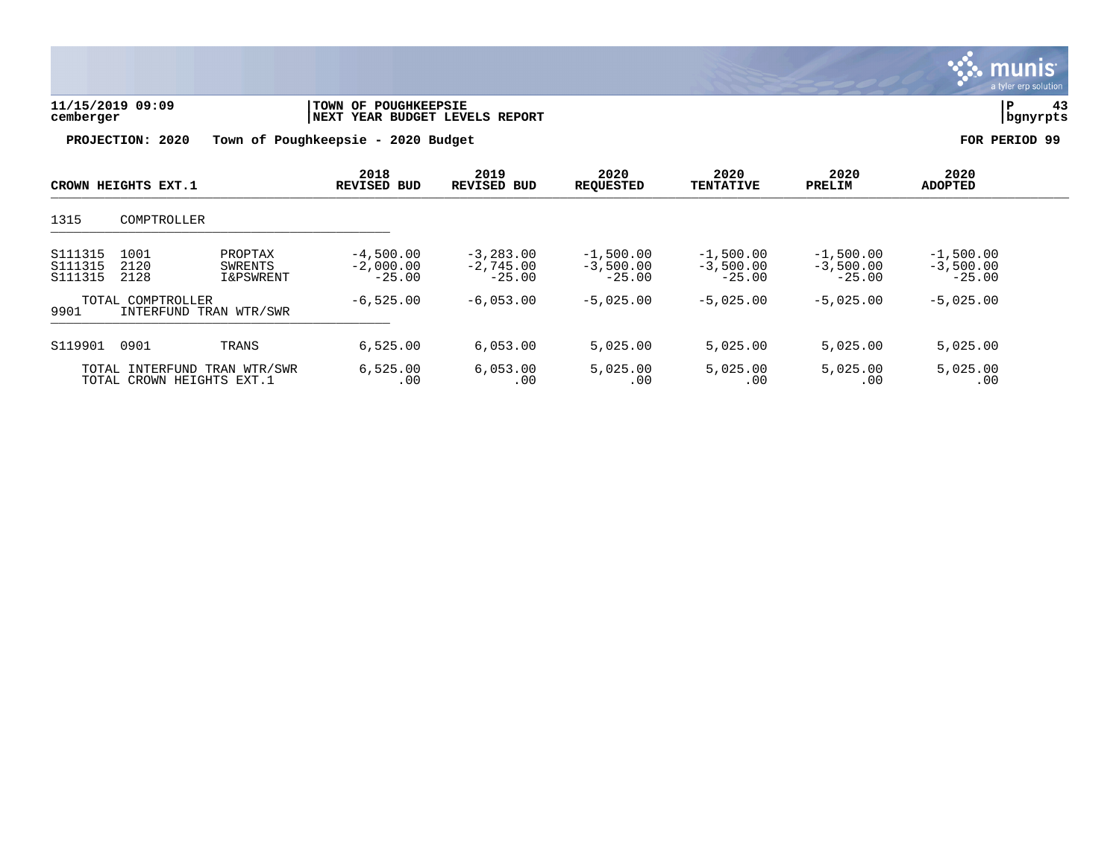

| 11/15/2019 09:09<br>cemberger | <b>TOWN OF POUGHKEEPSIE</b><br>INEXT YEAR BUDGET LEVELS REPORT | bgnyrpts      |
|-------------------------------|----------------------------------------------------------------|---------------|
| PROJECTION: 2020              | Town of Poughkeepsie – 2020 Budget                             | FOR PERIOD 99 |

| CROWN HEIGHTS EXT.1<br>1315<br>COMPTROLLER |                                                           | 2018<br><b>REVISED BUD</b>                 | 2019<br><b>REVISED BUD</b>             | 2020<br><b>REQUESTED</b>                 | 2020<br><b>TENTATIVE</b>               | 2020<br>PRELIM                         | 2020<br><b>ADOPTED</b>                 |                                        |  |
|--------------------------------------------|-----------------------------------------------------------|--------------------------------------------|----------------------------------------|------------------------------------------|----------------------------------------|----------------------------------------|----------------------------------------|----------------------------------------|--|
|                                            |                                                           |                                            |                                        |                                          |                                        |                                        |                                        |                                        |  |
| S111315<br>S111315<br>S111315              | 1001<br>2120<br>2128                                      | PROPTAX<br>SWRENTS<br><b>I&amp;PSWRENT</b> | $-4,500.00$<br>$-2,000.00$<br>$-25.00$ | $-3, 283, 00$<br>$-2,745.00$<br>$-25.00$ | $-1,500.00$<br>$-3,500.00$<br>$-25.00$ | $-1,500.00$<br>$-3,500.00$<br>$-25.00$ | $-1,500.00$<br>$-3,500.00$<br>$-25.00$ | $-1,500.00$<br>$-3,500.00$<br>$-25.00$ |  |
| 9901                                       | TOTAL COMPTROLLER<br>INTERFUND TRAN WTR/SWR               |                                            | $-6, 525.00$                           | $-6.053.00$                              | $-5.025.00$                            | $-5.025.00$                            | $-5.025.00$                            | $-5.025.00$                            |  |
| S119901                                    | 0901                                                      | TRANS                                      | 6.525.00                               | 6,053.00                                 | 5.025.00                               | 5,025.00                               | 5.025.00                               | 5,025.00                               |  |
|                                            | TOTAL INTERFUND TRAN WTR/SWR<br>TOTAL CROWN HEIGHTS EXT.1 |                                            | 6,525.00<br>.00                        | 6,053.00<br>.00                          | 5,025.00<br>.00                        | 5,025.00<br>.00                        | 5,025.00<br>.00                        | 5,025.00<br>.00                        |  |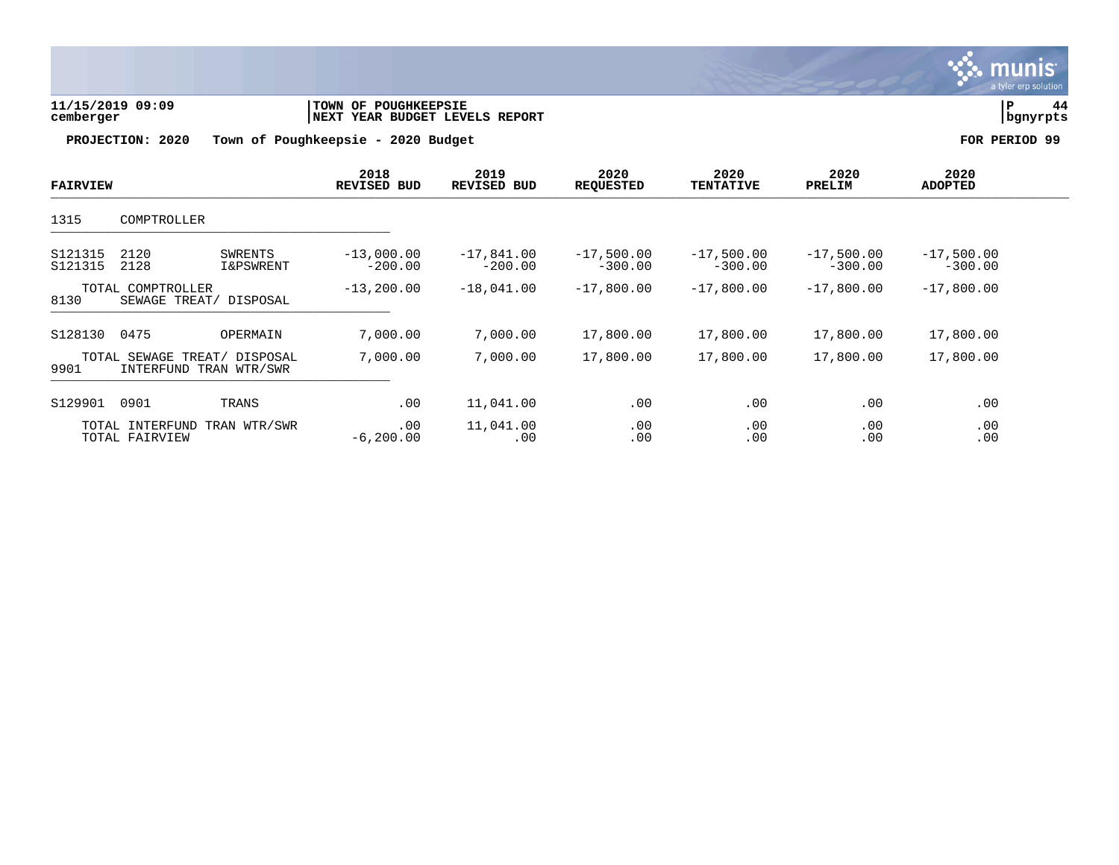

| 11/15/2019 09:09 | <b>TOWN OF POUGHKEEPSIE</b>    |          |  |
|------------------|--------------------------------|----------|--|
| cemberger        | NEXT YEAR BUDGET LEVELS REPORT | bgnyrpts |  |

| <b>FAIRVIEW</b>    |                                                        |                      | 2018<br><b>REVISED BUD</b> | 2019<br><b>REVISED BUD</b> | 2020<br><b>REQUESTED</b>  | 2020<br><b>TENTATIVE</b>  | 2020<br>PRELIM            | 2020<br><b>ADOPTED</b>    |  |
|--------------------|--------------------------------------------------------|----------------------|----------------------------|----------------------------|---------------------------|---------------------------|---------------------------|---------------------------|--|
| 1315               | COMPTROLLER                                            |                      |                            |                            |                           |                           |                           |                           |  |
| S121315<br>S121315 | 2120<br>2128                                           | SWRENTS<br>I&PSWRENT | $-13,000.00$<br>$-200.00$  | $-17,841.00$<br>$-200.00$  | $-17,500.00$<br>$-300.00$ | $-17,500.00$<br>$-300.00$ | $-17,500.00$<br>$-300.00$ | $-17,500.00$<br>$-300.00$ |  |
| 8130               | TOTAL COMPTROLLER<br>SEWAGE TREAT/                     | DISPOSAL             | $-13, 200.00$              | $-18,041.00$               | $-17,800.00$              | $-17,800.00$              | $-17,800.00$              | $-17,800.00$              |  |
| S128130            | 0475                                                   | OPERMAIN             | 7,000.00                   | 7,000.00                   | 17,800.00                 | 17,800.00                 | 17,800.00                 | 17,800.00                 |  |
| 9901               | TOTAL SEWAGE TREAT/ DISPOSAL<br>INTERFUND TRAN WTR/SWR |                      | 7,000.00                   | 7,000.00                   | 17,800.00                 | 17,800.00                 | 17,800.00                 | 17,800.00                 |  |
| S129901            | 0901                                                   | TRANS                | .00                        | 11,041.00                  | .00                       | .00                       | .00                       | .00                       |  |
|                    | TOTAL INTERFUND<br>TOTAL FAIRVIEW                      | TRAN WTR/SWR         | .00<br>$-6, 200.00$        | 11,041.00<br>.00           | .00<br>.00                | .00<br>.00                | .00<br>.00                | .00<br>.00                |  |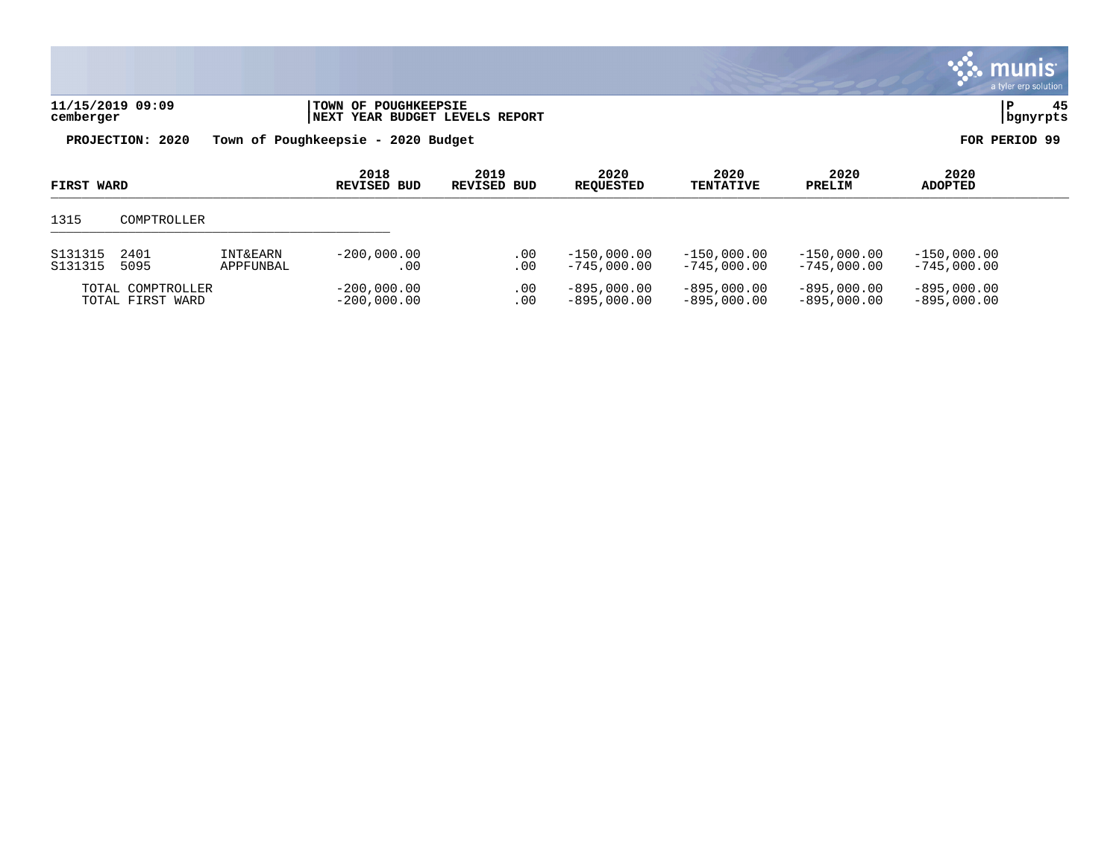|                    |                  |                                  |                                                                      |                            |                                |                                |                                |                                | <b>W. munis</b><br>a tyler erp solution |
|--------------------|------------------|----------------------------------|----------------------------------------------------------------------|----------------------------|--------------------------------|--------------------------------|--------------------------------|--------------------------------|-----------------------------------------|
| cemberger          | 11/15/2019 09:09 |                                  | <b>TOWN OF POUGHKEEPSIE</b><br><b>NEXT YEAR BUDGET LEVELS REPORT</b> |                            |                                |                                |                                |                                | l P<br>45<br>  bgnyrpts                 |
|                    | PROJECTION: 2020 |                                  | Town of Poughkeepsie - 2020 Budget                                   |                            |                                |                                |                                |                                | FOR PERIOD 99                           |
| FIRST WARD         |                  |                                  | 2018<br>REVISED BUD                                                  | 2019<br><b>REVISED BUD</b> | 2020<br><b>REQUESTED</b>       | 2020<br><b>TENTATIVE</b>       | 2020<br>PRELIM                 | 2020<br><b>ADOPTED</b>         |                                         |
| 1315               | COMPTROLLER      |                                  |                                                                      |                            |                                |                                |                                |                                |                                         |
| S131315<br>S131315 | 2401<br>5095     | <b>INT&amp;EARN</b><br>APPFUNBAL | $-200.000.00$<br>.00                                                 | .00<br>.00                 | $-150,000.00$<br>$-745,000.00$ | $-150,000.00$<br>$-745.000.00$ | $-150,000.00$<br>$-745.000.00$ | $-150,000.00$<br>$-745,000.00$ |                                         |

 $\mathcal{L}$ 

TOTAL COMPTROLLER -200,000.00 .00 -895,000.00 -895,000.00 -895,000.00 -895,000.00 TOTAL FIRST WARD -200,000.00 .00 -895,000.00 -895,000.00 -895,000.00 -895,000.00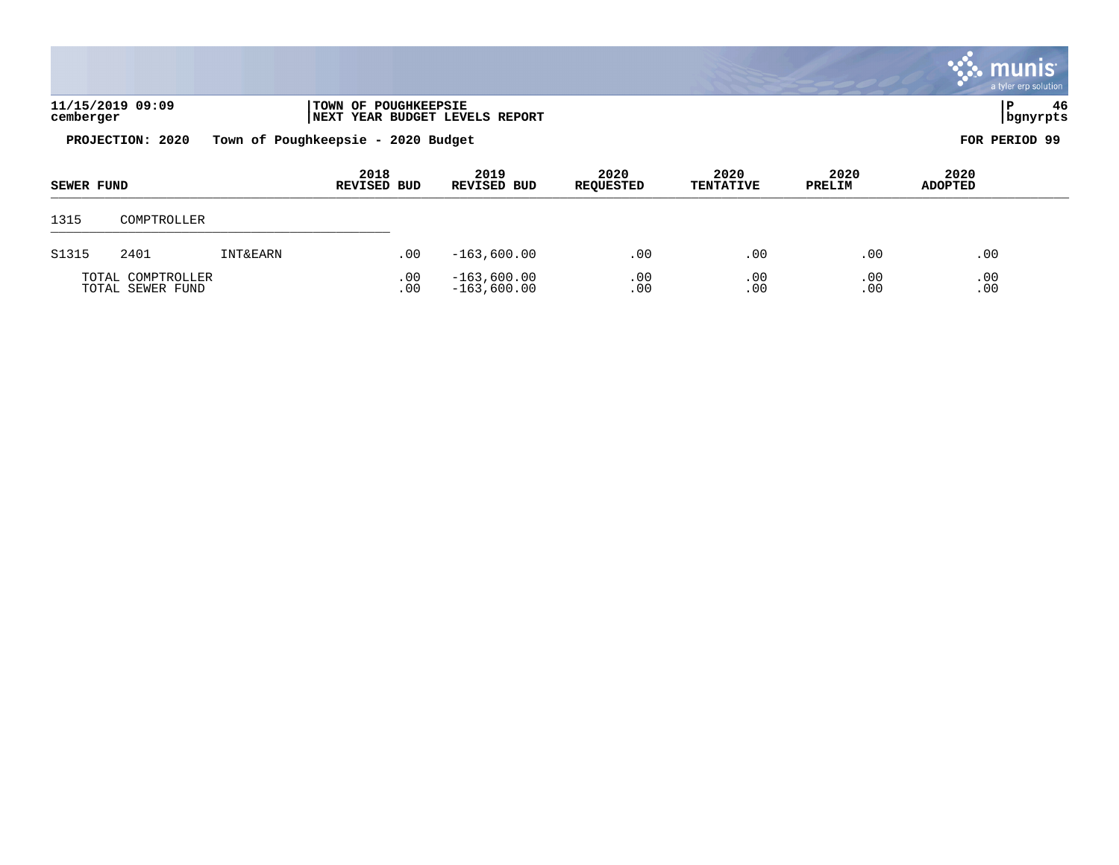|                   |                  |                     |                                                        |                            |                          |                          |                |                        | <b>munis</b><br>a tyler erp solution |
|-------------------|------------------|---------------------|--------------------------------------------------------|----------------------------|--------------------------|--------------------------|----------------|------------------------|--------------------------------------|
| cemberger         | 11/15/2019 09:09 |                     | TOWN OF POUGHKEEPSIE<br>NEXT YEAR BUDGET LEVELS REPORT |                            |                          |                          |                | P                      | 46<br>  bgnyrpts                     |
|                   | PROJECTION: 2020 |                     | Town of Poughkeepsie - 2020 Budget                     |                            |                          |                          |                | FOR PERIOD 99          |                                      |
| <b>SEWER FUND</b> |                  |                     | 2018<br><b>REVISED BUD</b>                             | 2019<br><b>REVISED BUD</b> | 2020<br><b>REQUESTED</b> | 2020<br><b>TENTATIVE</b> | 2020<br>PRELIM | 2020<br><b>ADOPTED</b> |                                      |
| 1315              | COMPTROLLER      |                     |                                                        |                            |                          |                          |                |                        |                                      |
| S1315             | 2401             | <b>INT&amp;EARN</b> | .00                                                    | $-163,600.00$              | .00                      | .00                      | .00            | .00                    |                                      |

TOTAL COMPTROLLER .00 -163,600.00 .00 .00 .00 .00 TOTAL SEWER FUND .00 -163,600.00 .00 .00 .00 .00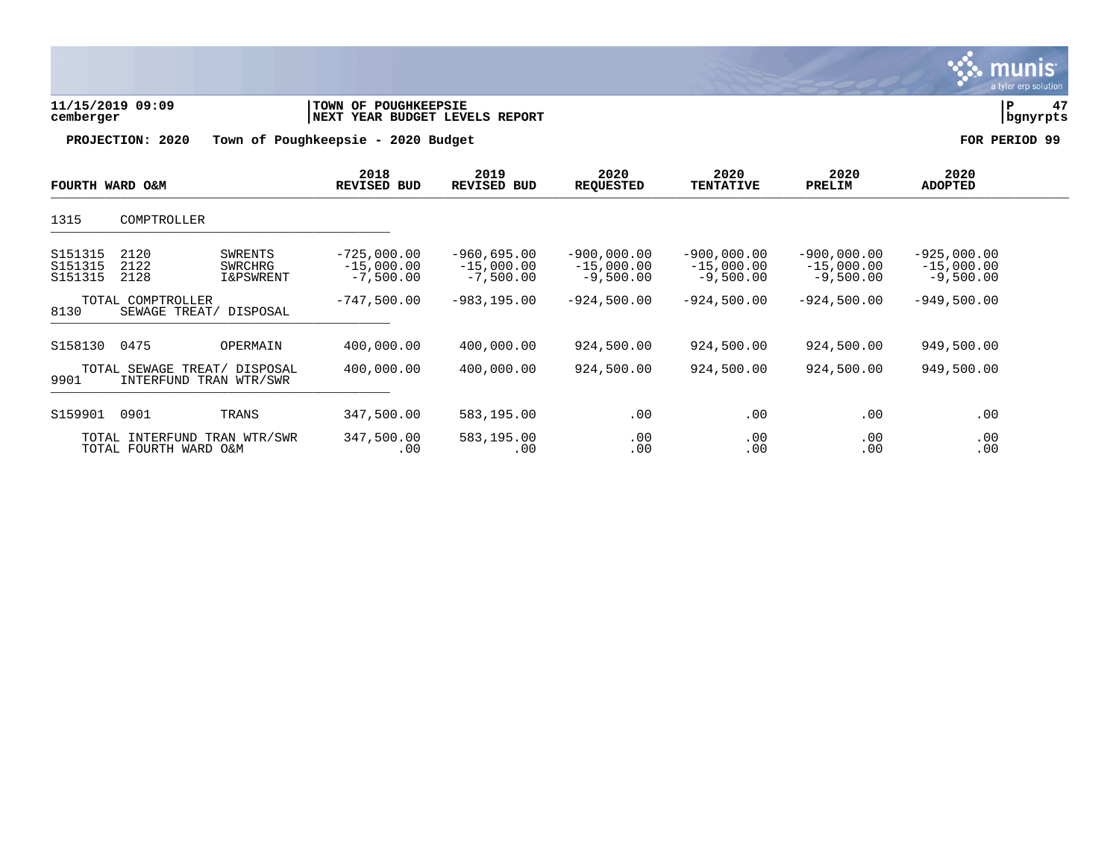| 11/15/2019 09:09<br>cemberger |                                                       |                                                   | <b>TOWN OF POUGHKEEPSIE</b><br>NEXT YEAR BUDGET LEVELS REPORT |                                              |                                              |                                              |                                              |                                              |               |  |
|-------------------------------|-------------------------------------------------------|---------------------------------------------------|---------------------------------------------------------------|----------------------------------------------|----------------------------------------------|----------------------------------------------|----------------------------------------------|----------------------------------------------|---------------|--|
|                               | PROJECTION: 2020                                      |                                                   | Town of Poughkeepsie - 2020 Budget                            |                                              |                                              |                                              |                                              |                                              | FOR PERIOD 99 |  |
| FOURTH WARD O&M               |                                                       |                                                   | 2018<br>REVISED BUD                                           | 2019<br>REVISED BUD                          | 2020<br><b>REQUESTED</b>                     | 2020<br><b>TENTATIVE</b>                     | 2020<br>PRELIM                               | 2020<br><b>ADOPTED</b>                       |               |  |
| 1315                          | COMPTROLLER                                           |                                                   |                                                               |                                              |                                              |                                              |                                              |                                              |               |  |
| S151315<br>S151315<br>S151315 | 2120<br>2122<br>2128                                  | <b>SWRENTS</b><br>SWRCHRG<br><b>I&amp;PSWRENT</b> | $-725,000.00$<br>$-15,000.00$<br>$-7,500.00$                  | $-960,695.00$<br>$-15,000.00$<br>$-7,500.00$ | $-900,000.00$<br>$-15,000.00$<br>$-9,500.00$ | $-900.000.00$<br>$-15,000.00$<br>$-9,500.00$ | $-900,000.00$<br>$-15,000.00$<br>$-9,500.00$ | $-925,000.00$<br>$-15,000.00$<br>$-9,500.00$ |               |  |
| 8130                          | TOTAL COMPTROLLER<br>SEWAGE TREAT/ DISPOSAL           |                                                   | $-747,500.00$                                                 | $-983, 195.00$                               | $-924,500.00$                                | $-924,500.00$                                | $-924,500.00$                                | $-949,500.00$                                |               |  |
| S158130                       | 0475                                                  | OPERMAIN                                          | 400,000.00                                                    | 400,000.00                                   | 924,500.00                                   | 924,500.00                                   | 924,500.00                                   | 949,500.00                                   |               |  |
| 9901                          | TOTAL SEWAGE TREAT/<br>INTERFUND TRAN WTR/SWR         | DISPOSAL                                          | 400,000.00                                                    | 400,000.00                                   | 924,500.00                                   | 924,500.00                                   | 924,500.00                                   | 949,500.00                                   |               |  |
| S159901                       | 0901                                                  | TRANS                                             | 347,500.00                                                    | 583,195.00                                   | .00                                          | .00                                          | .00                                          | .00                                          |               |  |
|                               | TOTAL INTERFUND TRAN WTR/SWR<br>TOTAL FOURTH WARD O&M |                                                   | 347,500.00<br>.00                                             | 583,195.00<br>.00                            | .00<br>.00                                   | .00<br>.00                                   | .00<br>.00                                   | .00<br>.00                                   |               |  |

 $\therefore$  munis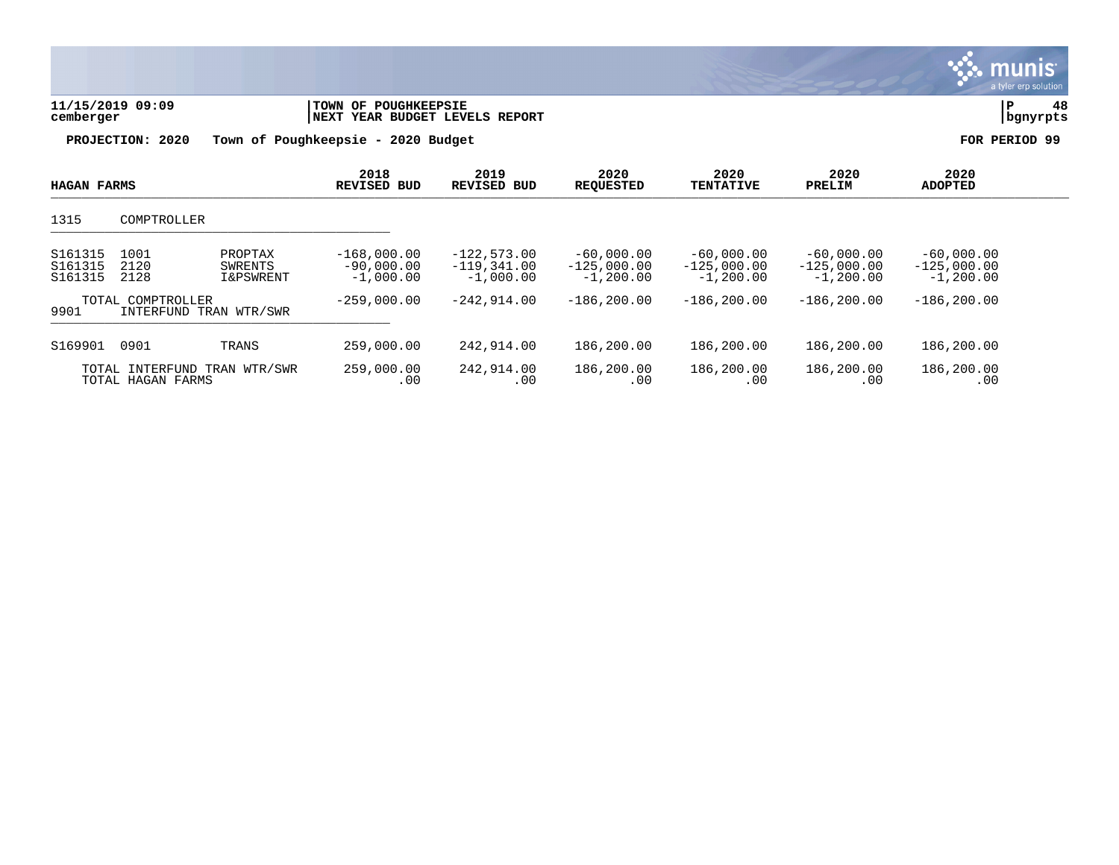| 11/15/2019 09:09<br>cemberger                     |                                                         | TOWN OF POUGHKEEPSIE<br>NEXT YEAR BUDGET LEVELS REPORT |                                               |                                               | 48<br> P<br>  bgnyrpts                        |                                               |                                              |           |
|---------------------------------------------------|---------------------------------------------------------|--------------------------------------------------------|-----------------------------------------------|-----------------------------------------------|-----------------------------------------------|-----------------------------------------------|----------------------------------------------|-----------|
|                                                   | PROJECTION: 2020                                        | Town of Poughkeepsie - 2020 Budget                     |                                               |                                               |                                               |                                               | FOR                                          | PERIOD 99 |
| <b>HAGAN FARMS</b>                                |                                                         | 2018<br><b>REVISED BUD</b>                             | 2019<br><b>REVISED BUD</b>                    | 2020<br><b>REQUESTED</b>                      | 2020<br><b>TENTATIVE</b>                      | 2020<br>PRELIM                                | 2020<br><b>ADOPTED</b>                       |           |
| 1315                                              | COMPTROLLER                                             |                                                        |                                               |                                               |                                               |                                               |                                              |           |
| S161315<br>S161315<br>S161315                     | 1001<br>PROPTAX<br>2120<br>SWRENTS<br>2128<br>I&PSWRENT | $-168,000.00$<br>$-90,000.00$<br>$-1,000.00$           | $-122,573.00$<br>$-119,341.00$<br>$-1,000.00$ | $-60,000.00$<br>$-125,000.00$<br>$-1, 200.00$ | $-60,000.00$<br>$-125,000.00$<br>$-1, 200.00$ | $-60,000.00$<br>$-125,000.00$<br>$-1, 200.00$ | $-60,000.00$<br>$-125,000.00$<br>$-1,200.00$ |           |
| 9901                                              | TOTAL COMPTROLLER<br>INTERFUND TRAN WTR/SWR             | $-259,000.00$                                          | $-242,914.00$                                 | $-186, 200.00$                                | $-186, 200.00$                                | $-186, 200.00$                                | $-186, 200.00$                               |           |
| S169901                                           | 0901<br>TRANS                                           | 259,000.00                                             | 242,914.00                                    | 186,200.00                                    | 186,200.00                                    | 186,200.00                                    | 186,200.00                                   |           |
| TOTAL INTERFUND TRAN WTR/SWR<br>TOTAL HAGAN FARMS |                                                         | 259,000.00<br>.00                                      | 242,914.00<br>.00                             | 186,200.00<br>.00                             | 186,200.00<br>.00                             | 186,200.00<br>.00                             | 186,200.00<br>.00                            |           |

 $\ddot{\mathbf{w}}$  munis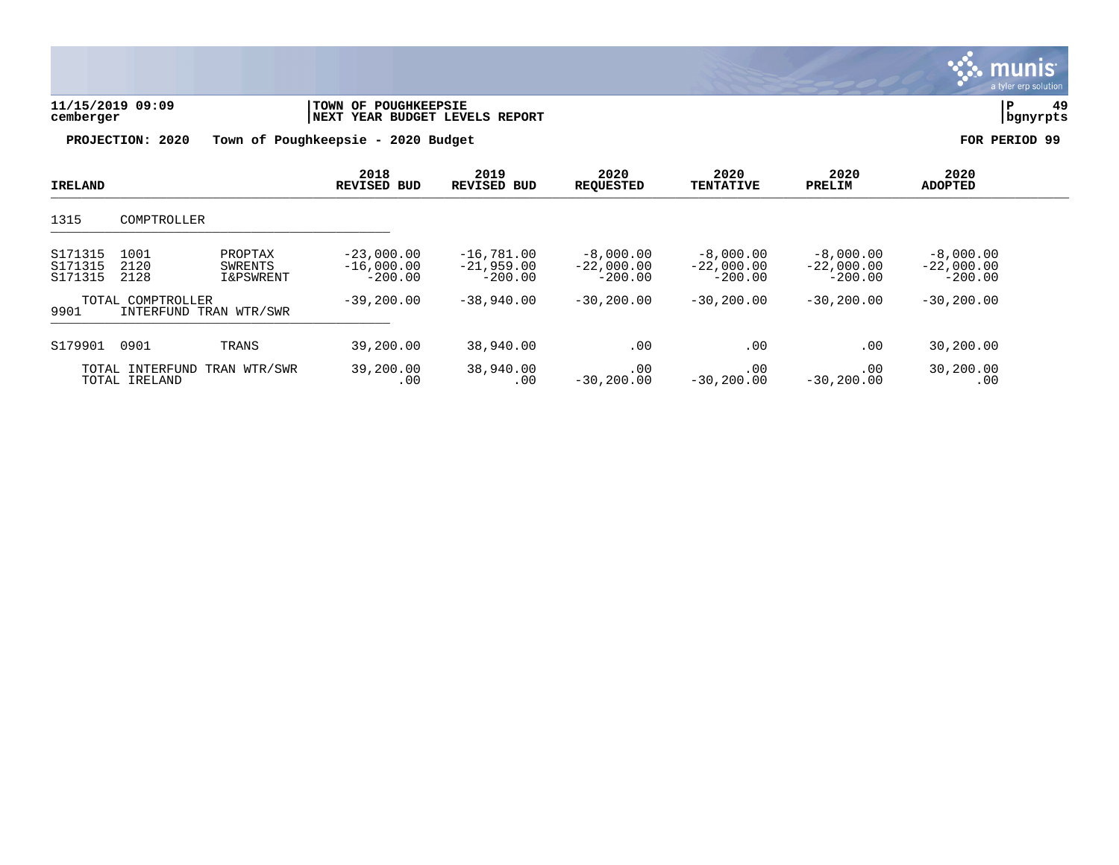|                               | 11/15/2019 09:09<br>cemberger               |                                            | TOWN OF POUGHKEEPSIE<br><b>NEXT YEAR BUDGET LEVELS REPORT</b> |                                           |                                          |                                          |                                          | 49<br>ΙP<br>bgnyrpts                     |  |  |
|-------------------------------|---------------------------------------------|--------------------------------------------|---------------------------------------------------------------|-------------------------------------------|------------------------------------------|------------------------------------------|------------------------------------------|------------------------------------------|--|--|
|                               | PROJECTION: 2020                            |                                            | Town of Poughkeepsie - 2020 Budget                            |                                           |                                          |                                          |                                          | FOR PERIOD 99                            |  |  |
| IRELAND                       |                                             |                                            | 2018<br><b>REVISED BUD</b>                                    | 2019<br><b>REVISED BUD</b>                | 2020<br><b>REQUESTED</b>                 | 2020<br><b>TENTATIVE</b>                 | 2020<br>PRELIM                           | 2020<br><b>ADOPTED</b>                   |  |  |
| 1315                          | COMPTROLLER                                 |                                            |                                                               |                                           |                                          |                                          |                                          |                                          |  |  |
| S171315<br>S171315<br>S171315 | 1001<br>2120<br>2128                        | PROPTAX<br>SWRENTS<br><b>I&amp;PSWRENT</b> | $-23,000.00$<br>$-16,000.00$<br>$-200.00$                     | $-16,781.00$<br>$-21,959.00$<br>$-200.00$ | $-8,000.00$<br>$-22,000.00$<br>$-200.00$ | $-8,000.00$<br>$-22,000.00$<br>$-200.00$ | $-8,000.00$<br>$-22,000.00$<br>$-200.00$ | $-8,000.00$<br>$-22,000.00$<br>$-200.00$ |  |  |
| 9901                          | TOTAL COMPTROLLER<br>INTERFUND TRAN WTR/SWR |                                            | $-39,200.00$                                                  | $-38,940.00$                              | $-30, 200.00$                            | $-30, 200.00$                            | $-30, 200.00$                            | $-30, 200.00$                            |  |  |
| S179901                       | 0901                                        | TRANS                                      | 39,200.00                                                     | 38,940.00                                 | .00                                      | .00                                      | .00                                      | 30,200.00                                |  |  |
|                               | TOTAL INTERFUND<br>TOTAL IRELAND            | TRAN WTR/SWR                               | 39,200.00<br>.00                                              | 38,940.00<br>.00                          | .00<br>$-30, 200.00$                     | .00<br>$-30, 200.00$                     | .00<br>$-30, 200.00$                     | 30,200.00<br>.00                         |  |  |

 $\ddot{\mathbf{u}}$  munis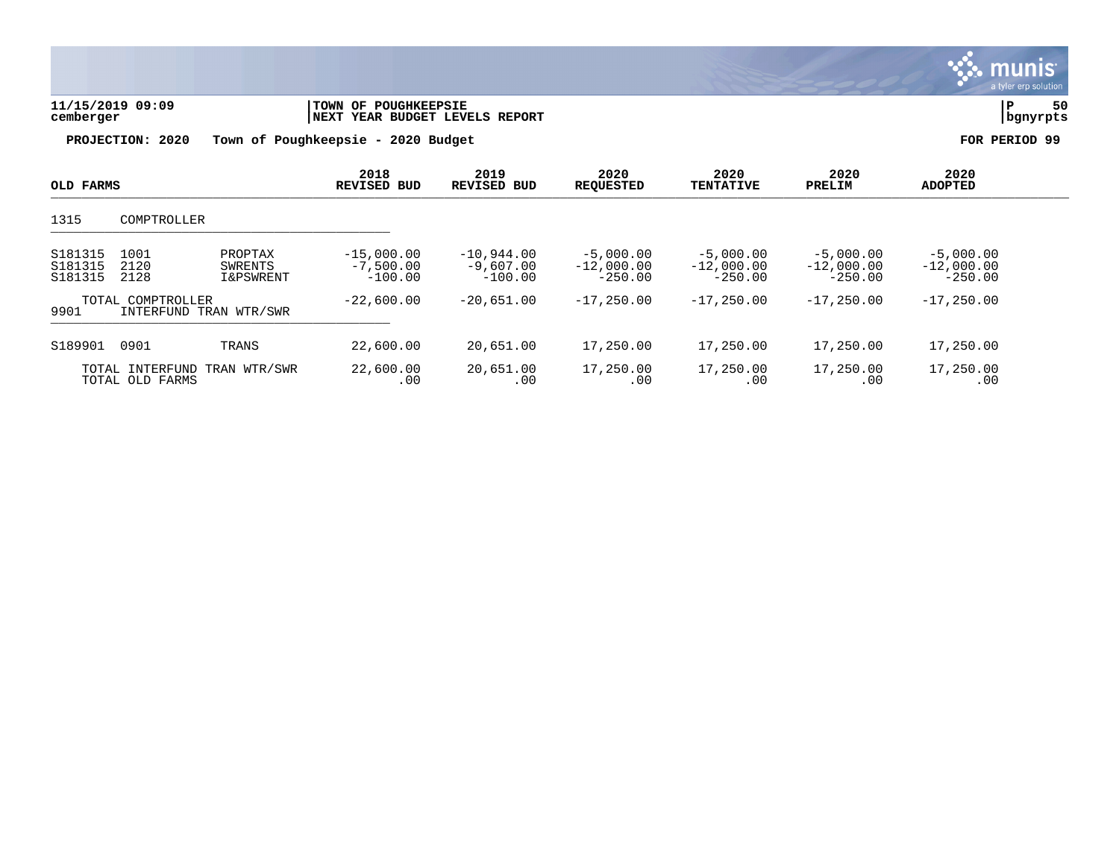| 11/15/2019 09:09<br>cemberger<br>PROJECTION: 2020 |                                             | TOWN OF POUGHKEEPSIE<br>NEXT YEAR BUDGET LEVELS REPORT<br>Town of Poughkeepsie - 2020 Budget | 50<br>P<br>bgnyrpts<br>FOR PERIOD 99     |                                          |                                          |                                          |                                          |                                          |  |
|---------------------------------------------------|---------------------------------------------|----------------------------------------------------------------------------------------------|------------------------------------------|------------------------------------------|------------------------------------------|------------------------------------------|------------------------------------------|------------------------------------------|--|
| OLD FARMS                                         |                                             |                                                                                              | 2018<br>REVISED BUD                      | 2019<br><b>REVISED BUD</b>               | 2020<br><b>REQUESTED</b>                 | 2020<br><b>TENTATIVE</b>                 | 2020<br>PRELIM                           | 2020<br><b>ADOPTED</b>                   |  |
| 1315                                              | COMPTROLLER                                 |                                                                                              |                                          |                                          |                                          |                                          |                                          |                                          |  |
| S181315<br>S181315<br>S181315                     | 1001<br>2120<br>2128                        | PROPTAX<br>SWRENTS<br><b>I&amp;PSWRENT</b>                                                   | $-15,000.00$<br>$-7,500.00$<br>$-100.00$ | $-10,944.00$<br>$-9,607.00$<br>$-100.00$ | $-5,000.00$<br>$-12,000.00$<br>$-250.00$ | $-5,000.00$<br>$-12,000.00$<br>$-250.00$ | $-5,000.00$<br>$-12,000.00$<br>$-250.00$ | $-5,000.00$<br>$-12,000.00$<br>$-250.00$ |  |
| 9901                                              | TOTAL COMPTROLLER<br>INTERFUND TRAN WTR/SWR |                                                                                              | $-22,600.00$                             | $-20,651.00$                             | $-17, 250.00$                            | $-17,250,00$                             | $-17,250.00$                             | $-17, 250.00$                            |  |
| S189901                                           | 0901                                        | TRANS                                                                                        | 22,600.00                                | 20,651.00                                | 17,250.00                                | 17,250.00                                | 17,250.00                                | 17,250.00                                |  |
|                                                   | TOTAL INTERFUND<br>TOTAL OLD FARMS          | TRAN WTR/SWR                                                                                 | 22,600.00<br>.00                         | 20,651.00<br>.00                         | 17,250.00<br>.00                         | 17,250.00<br>.00                         | 17,250.00<br>.00                         | 17,250.00<br>.00                         |  |

 $\sim$ 

m

lİS'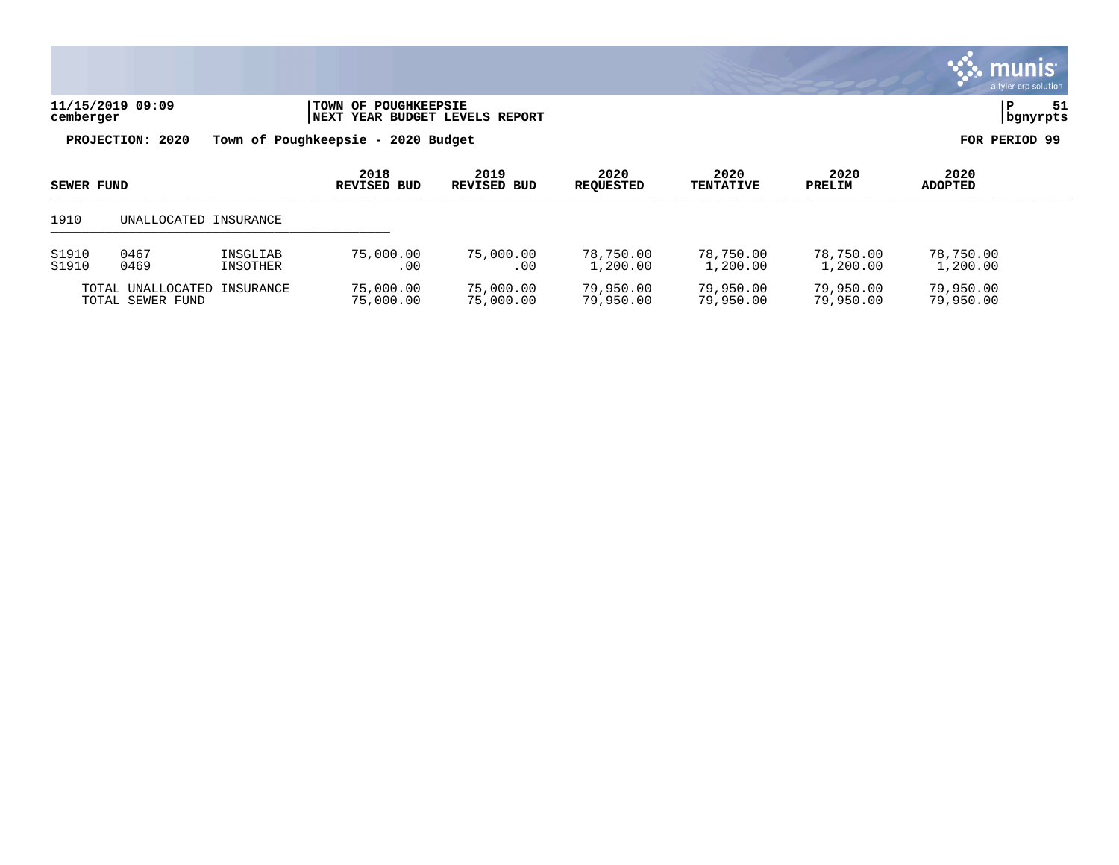|                                                        |                       |  |                                                        |                            |                          |                          |                |                        | <b>munis</b><br>a tyler erp solution |  |
|--------------------------------------------------------|-----------------------|--|--------------------------------------------------------|----------------------------|--------------------------|--------------------------|----------------|------------------------|--------------------------------------|--|
| cemberger                                              | 11/15/2019 09:09      |  | TOWN OF POUGHKEEPSIE<br>NEXT YEAR BUDGET LEVELS REPORT |                            |                          |                          |                |                        | 51<br>P<br>  bgnyrpts                |  |
| PROJECTION: 2020<br>Town of Poughkeepsie - 2020 Budget |                       |  |                                                        |                            |                          |                          |                | FOR PERIOD 99          |                                      |  |
| <b>SEWER FUND</b>                                      |                       |  | 2018<br><b>REVISED BUD</b>                             | 2019<br><b>REVISED BUD</b> | 2020<br><b>REQUESTED</b> | 2020<br><b>TENTATIVE</b> | 2020<br>PRELIM | 2020<br><b>ADOPTED</b> |                                      |  |
|                                                        |                       |  |                                                        |                            |                          |                          |                |                        |                                      |  |
| 1910                                                   | UNALLOCATED INSURANCE |  |                                                        |                            |                          |                          |                |                        |                                      |  |

TOTAL UNALLOCATED INSURANCE 75,000.00 75,000.00 79,950.00 79,950.00 79,950.00 79,950.00 TOTAL SEWER FUND 75,000.00 75,000.00 79,950.00 79,950.00 79,950.00 79,950.00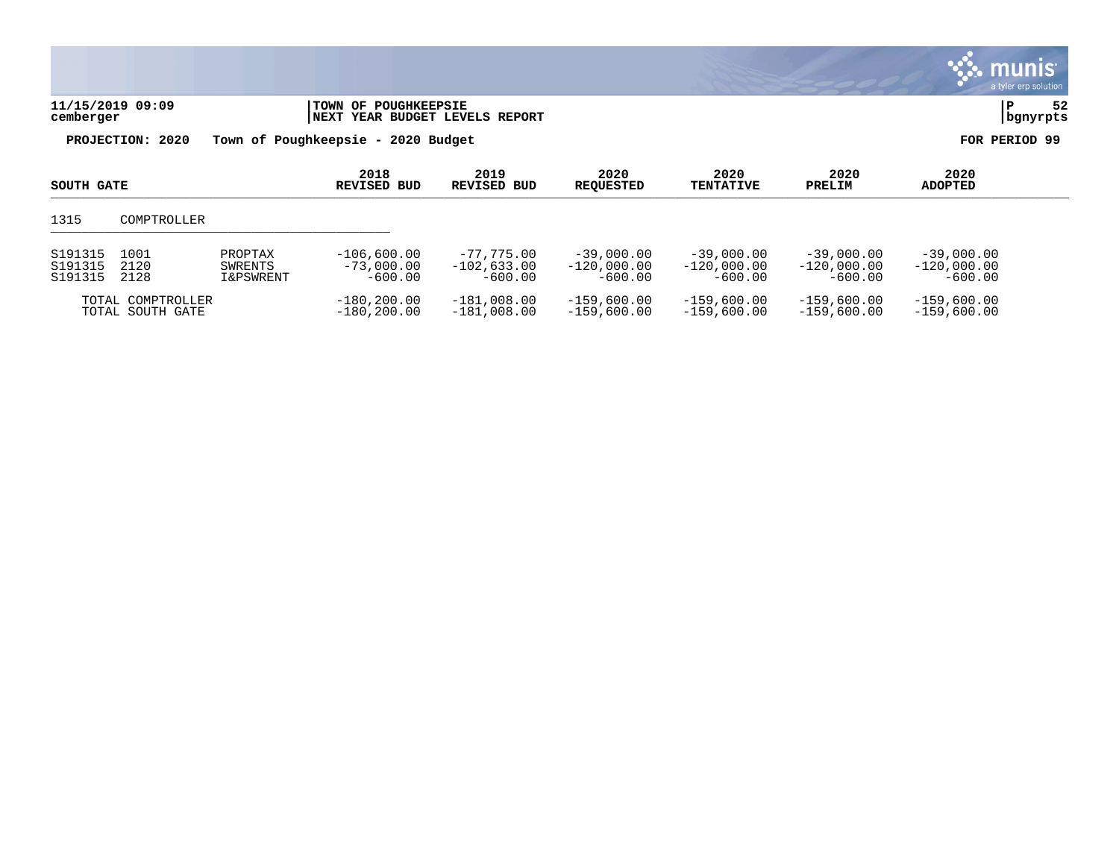|                               |                      |                                            |                                                        |                                            |                                            |                                            |                                            |                                            | a munis<br>a tyler erp solution |
|-------------------------------|----------------------|--------------------------------------------|--------------------------------------------------------|--------------------------------------------|--------------------------------------------|--------------------------------------------|--------------------------------------------|--------------------------------------------|---------------------------------|
| cemberger                     | 11/15/2019 09:09     |                                            | TOWN OF POUGHKEEPSIE<br>NEXT YEAR BUDGET LEVELS REPORT |                                            |                                            |                                            |                                            | P                                          | 52<br>bgnyrpts                  |
| PROJECTION: 2020              |                      |                                            | Town of Poughkeepsie - 2020 Budget                     |                                            |                                            |                                            |                                            | FOR PERIOD 99                              |                                 |
| SOUTH GATE                    |                      |                                            | 2018<br><b>REVISED BUD</b>                             | 2019<br>REVISED BUD                        | 2020<br><b>REQUESTED</b>                   | 2020<br><b>TENTATIVE</b>                   | 2020<br>PRELIM                             | 2020<br><b>ADOPTED</b>                     |                                 |
| 1315                          | COMPTROLLER          |                                            |                                                        |                                            |                                            |                                            |                                            |                                            |                                 |
| S191315<br>S191315<br>S191315 | 1001<br>2120<br>2128 | PROPTAX<br>SWRENTS<br><b>I&amp;PSWRENT</b> | $-106,600.00$<br>$-73,000.00$<br>$-600.00$             | $-77,775.00$<br>$-102.633.00$<br>$-600.00$ | $-39,000.00$<br>$-120.000.00$<br>$-600.00$ | $-39,000.00$<br>$-120.000.00$<br>$-600.00$ | $-39,000.00$<br>$-120.000.00$<br>$-600.00$ | $-39,000.00$<br>$-120,000.00$<br>$-600.00$ |                                 |
|                               | TOTAL COMPTROLLER    |                                            | $-180.200.00$                                          | $-181,008.00$                              | $-159.600.00$                              | $-159.600.00$                              | $-159,600.00$                              | $-159,600.00$                              |                                 |

 $\mathcal{L}$ 

TOTAL SOUTH GATE -180,200.00 -181,008.00 -159,600.00 -159,600.00 -159,600.00 -159,600.00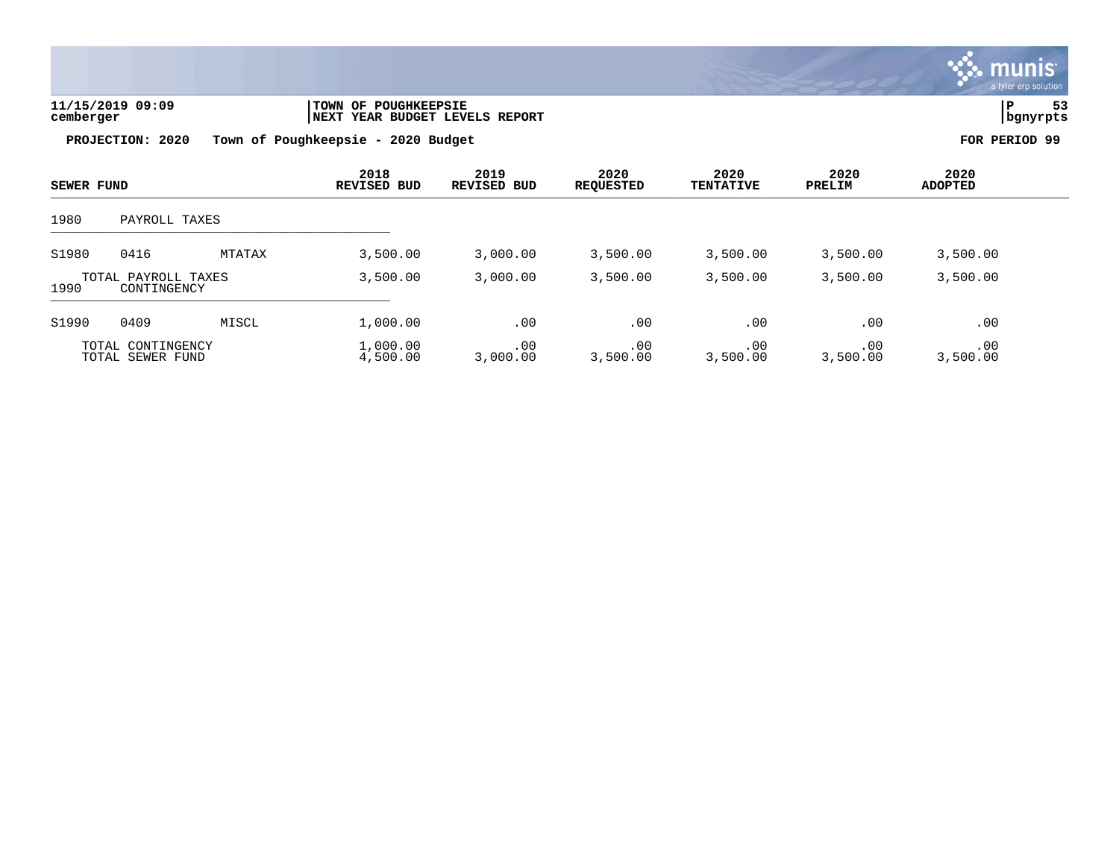

| 11/15/2019 09:09 | TOWN OF POUGHKEEPSIE           |          | $ -$ |
|------------------|--------------------------------|----------|------|
| cemberger        | NEXT YEAR BUDGET LEVELS REPORT | bgnyrpts |      |

| <b>SEWER FUND</b>                          |                                       | 2018<br><b>REVISED BUD</b> | 2019<br><b>REVISED BUD</b> | 2020<br><b>REQUESTED</b> | 2020<br><b>TENTATIVE</b> | 2020<br>PRELIM  | 2020<br><b>ADOPTED</b> |                 |  |
|--------------------------------------------|---------------------------------------|----------------------------|----------------------------|--------------------------|--------------------------|-----------------|------------------------|-----------------|--|
| 1980                                       | PAYROLL TAXES                         |                            |                            |                          |                          |                 |                        |                 |  |
| S1980                                      | 0416                                  | MTATAX                     | 3,500.00                   | 3,000.00                 | 3,500.00                 | 3,500.00        | 3,500.00               | 3,500.00        |  |
| TOTAL PAYROLL TAXES<br>1990<br>CONTINGENCY |                                       | 3,500.00                   | 3,000.00                   | 3,500.00                 | 3,500.00                 | 3,500.00        | 3,500.00               |                 |  |
| S1990                                      | 0409                                  | MISCL                      | 1,000.00                   | .00                      | .00                      | .00             | .00                    | .00             |  |
|                                            | TOTAL CONTINGENCY<br>TOTAL SEWER FUND |                            | 1,000.00<br>4,500.00       | .00<br>3,000.00          | .00<br>3,500.00          | .00<br>3,500.00 | .00<br>3,500.00        | .00<br>3,500.00 |  |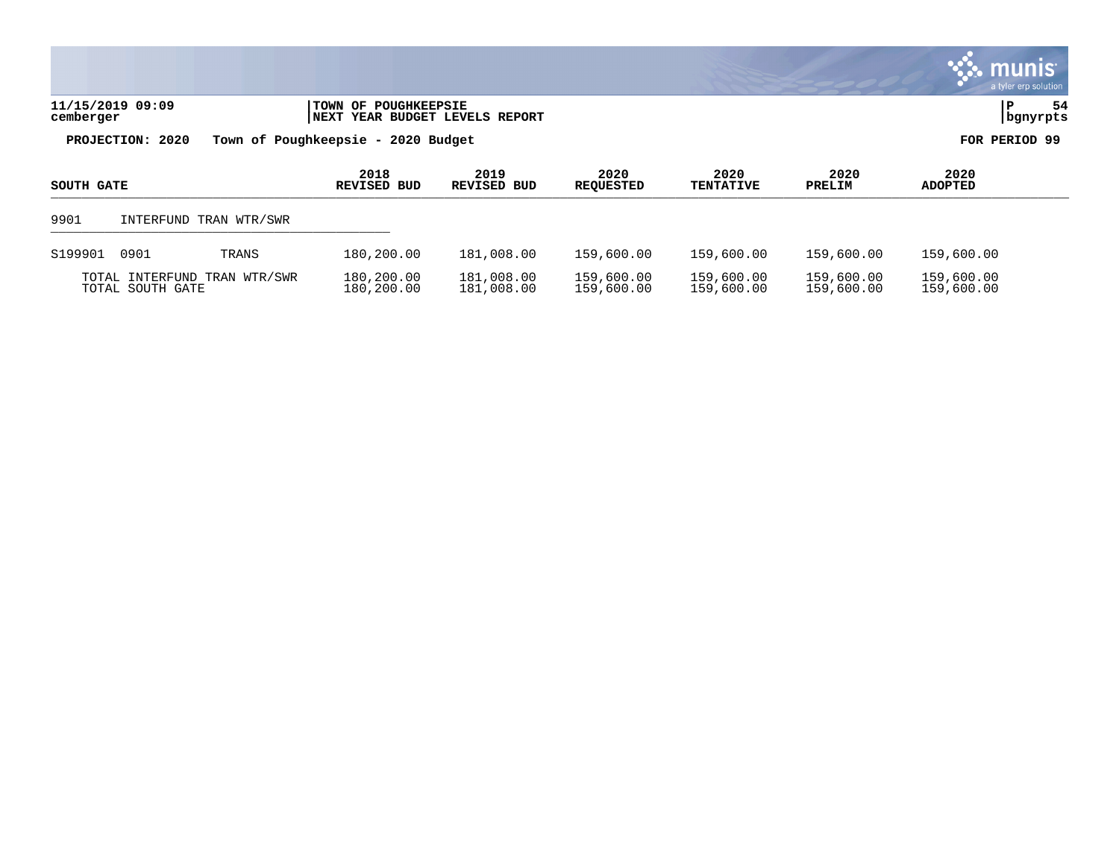|                                                                                                 |                                    |                     |                          |                          |                |                        | $\boldsymbol{\ddot{\cdot}}$ . munis<br>a tyler erp solution |  |
|-------------------------------------------------------------------------------------------------|------------------------------------|---------------------|--------------------------|--------------------------|----------------|------------------------|-------------------------------------------------------------|--|
| 11/15/2019 09:09<br>TOWN OF POUGHKEEPSIE<br><b>INEXT YEAR BUDGET LEVELS REPORT</b><br>cemberger |                                    |                     |                          |                          |                |                        |                                                             |  |
| PROJECTION: 2020                                                                                | Town of Poughkeepsie - 2020 Budget |                     |                          |                          |                | FOR PERIOD 99          |                                                             |  |
| SOUTH GATE                                                                                      | 2018<br>REVISED BUD                | 2019<br>REVISED BUD | 2020<br><b>REQUESTED</b> | 2020<br><b>TENTATIVE</b> | 2020<br>PRELIM | 2020<br><b>ADOPTED</b> |                                                             |  |
| 9901<br>INTERFUND TRAN WTR/SWR                                                                  |                                    |                     |                          |                          |                |                        |                                                             |  |

 $\bullet$ 

| S199901 0901 |                                                  | TRANS | 180,200.00               | 181,008.00               | 159,600.00               | 159,600.00               | 159,600.00               | 159,600.00               |
|--------------|--------------------------------------------------|-------|--------------------------|--------------------------|--------------------------|--------------------------|--------------------------|--------------------------|
|              | TOTAL INTERFUND TRAN WTR/SWR<br>TOTAL SOUTH GATE |       | 180,200.00<br>180,200.00 | 181,008.00<br>181,008.00 | 159,600.00<br>159,600.00 | 159,600.00<br>159,600.00 | 159,600.00<br>159,600.00 | 159,600.00<br>159,600.00 |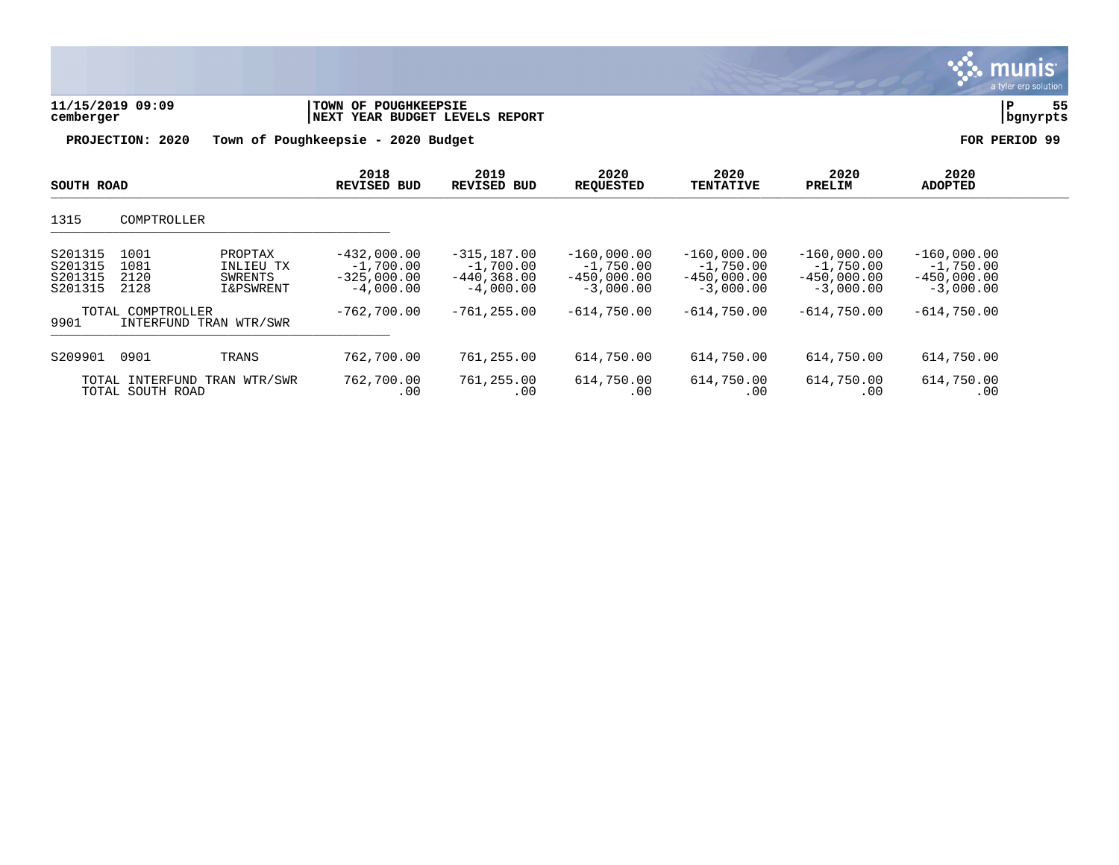|                                          |                                                                                         |                                                              |                                                                |                                                              |                                                              |                                                              |                                                              | a tyler erp sulution |
|------------------------------------------|-----------------------------------------------------------------------------------------|--------------------------------------------------------------|----------------------------------------------------------------|--------------------------------------------------------------|--------------------------------------------------------------|--------------------------------------------------------------|--------------------------------------------------------------|----------------------|
| 11/15/2019 09:09<br>cemberger            |                                                                                         |                                                              | TOWN OF POUGHKEEPSIE<br>NEXT YEAR BUDGET LEVELS REPORT         |                                                              |                                                              |                                                              |                                                              |                      |
|                                          | PROJECTION: 2020                                                                        | Town of Poughkeepsie - 2020 Budget                           |                                                                |                                                              |                                                              |                                                              |                                                              | FOR PERIOD 99        |
| SOUTH ROAD                               |                                                                                         | 2018<br><b>REVISED BUD</b>                                   | 2019<br><b>REVISED BUD</b>                                     | 2020<br><b>REQUESTED</b>                                     | 2020<br><b>TENTATIVE</b>                                     | 2020<br>PRELIM                                               | 2020<br><b>ADOPTED</b>                                       |                      |
| 1315                                     | COMPTROLLER                                                                             |                                                              |                                                                |                                                              |                                                              |                                                              |                                                              |                      |
| S201315<br>S201315<br>S201315<br>S201315 | 1001<br>PROPTAX<br>1081<br>INLIEU TX<br>2120<br>SWRENTS<br>2128<br><b>I&amp;PSWRENT</b> | $-432,000.00$<br>$-1,700.00$<br>$-325,000.00$<br>$-4,000.00$ | $-315, 187.00$<br>$-1,700.00$<br>$-440, 368.00$<br>$-4,000.00$ | $-160,000.00$<br>$-1,750.00$<br>$-450,000.00$<br>$-3,000.00$ | $-160,000.00$<br>$-1,750.00$<br>$-450,000.00$<br>$-3,000.00$ | $-160,000.00$<br>$-1,750.00$<br>$-450,000.00$<br>$-3,000.00$ | $-160,000.00$<br>$-1,750.00$<br>$-450,000.00$<br>$-3,000.00$ |                      |
| 9901                                     | TOTAL COMPTROLLER<br>INTERFUND TRAN WTR/SWR                                             | $-762,700.00$                                                | $-761, 255.00$                                                 | $-614,750.00$                                                | $-614,750.00$                                                | $-614,750.00$                                                | $-614,750.00$                                                |                      |
| S209901                                  | 0901<br>TRANS                                                                           | 762,700.00                                                   | 761,255.00                                                     | 614,750.00                                                   | 614,750.00                                                   | 614,750.00                                                   | 614,750.00                                                   |                      |
|                                          | TOTAL INTERFUND TRAN WTR/SWR<br>TOTAL SOUTH ROAD                                        | 762,700.00<br>.00                                            | 761,255.00<br>.00                                              | 614,750.00<br>.00                                            | 614,750.00<br>.00                                            | 614,750.00<br>.00                                            | 614,750.00<br>.00                                            |                      |

 $\ddot{\ddot{\mathbf{w}}}$  munis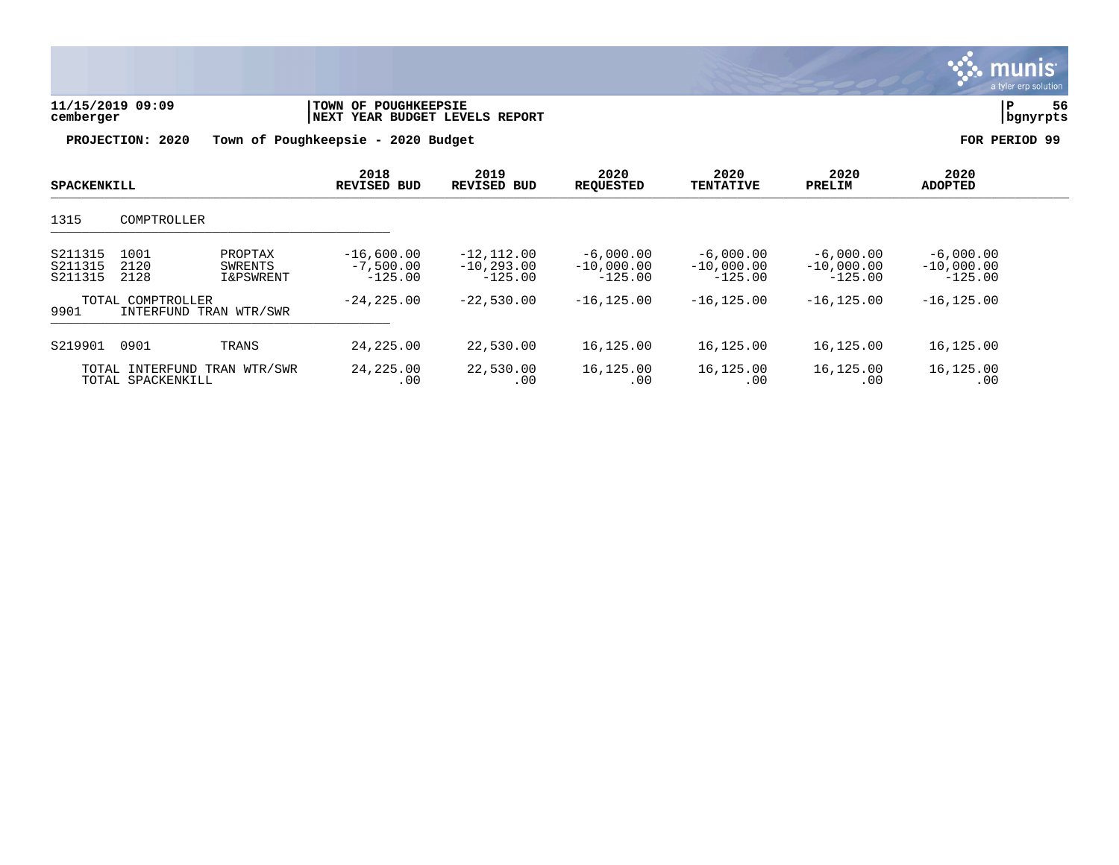| 11/15/2019 09:09<br>cemberger<br>PROJECTION: 2020 |                                                                    | Town of Poughkeepsie - 2020 Budget       | TOWN OF POUGHKEEPSIE<br>NEXT YEAR BUDGET LEVELS REPORT |                                          |                                          |                                          |                                          |
|---------------------------------------------------|--------------------------------------------------------------------|------------------------------------------|--------------------------------------------------------|------------------------------------------|------------------------------------------|------------------------------------------|------------------------------------------|
| <b>SPACKENKILL</b>                                |                                                                    | 2018<br><b>REVISED BUD</b>               | 2019<br><b>REVISED BUD</b>                             | 2020<br><b>REQUESTED</b>                 | 2020<br><b>TENTATIVE</b>                 | 2020<br>PRELIM                           | FOR PERIOD 99<br>2020<br><b>ADOPTED</b>  |
| 1315                                              | COMPTROLLER                                                        |                                          |                                                        |                                          |                                          |                                          |                                          |
| S211315<br>S211315<br>S211315                     | 1001<br>PROPTAX<br>2120<br>SWRENTS<br>2128<br><b>I&amp;PSWRENT</b> | $-16,600.00$<br>$-7,500.00$<br>$-125.00$ | $-12, 112.00$<br>$-10, 293.00$<br>$-125.00$            | $-6,000.00$<br>$-10,000.00$<br>$-125.00$ | $-6,000.00$<br>$-10,000.00$<br>$-125.00$ | $-6,000.00$<br>$-10,000.00$<br>$-125.00$ | $-6,000.00$<br>$-10,000.00$<br>$-125.00$ |
| 9901                                              | TOTAL COMPTROLLER<br>INTERFUND TRAN WTR/SWR                        | $-24, 225.00$                            | $-22,530.00$                                           | $-16, 125.00$                            | $-16, 125.00$                            | $-16, 125.00$                            | $-16, 125.00$                            |
| S219901                                           | 0901<br>TRANS                                                      | 24,225.00                                | 22,530.00                                              | 16,125.00                                | 16,125.00                                | 16,125.00                                | 16,125.00                                |
|                                                   | TOTAL INTERFUND TRAN WTR/SWR<br>TOTAL SPACKENKILL                  | 24,225.00<br>.00                         | 22,530.00<br>.00                                       | 16,125.00<br>.00                         | 16,125.00<br>.00                         | 16,125.00<br>.00                         | 16,125.00<br>.00                         |

S. munis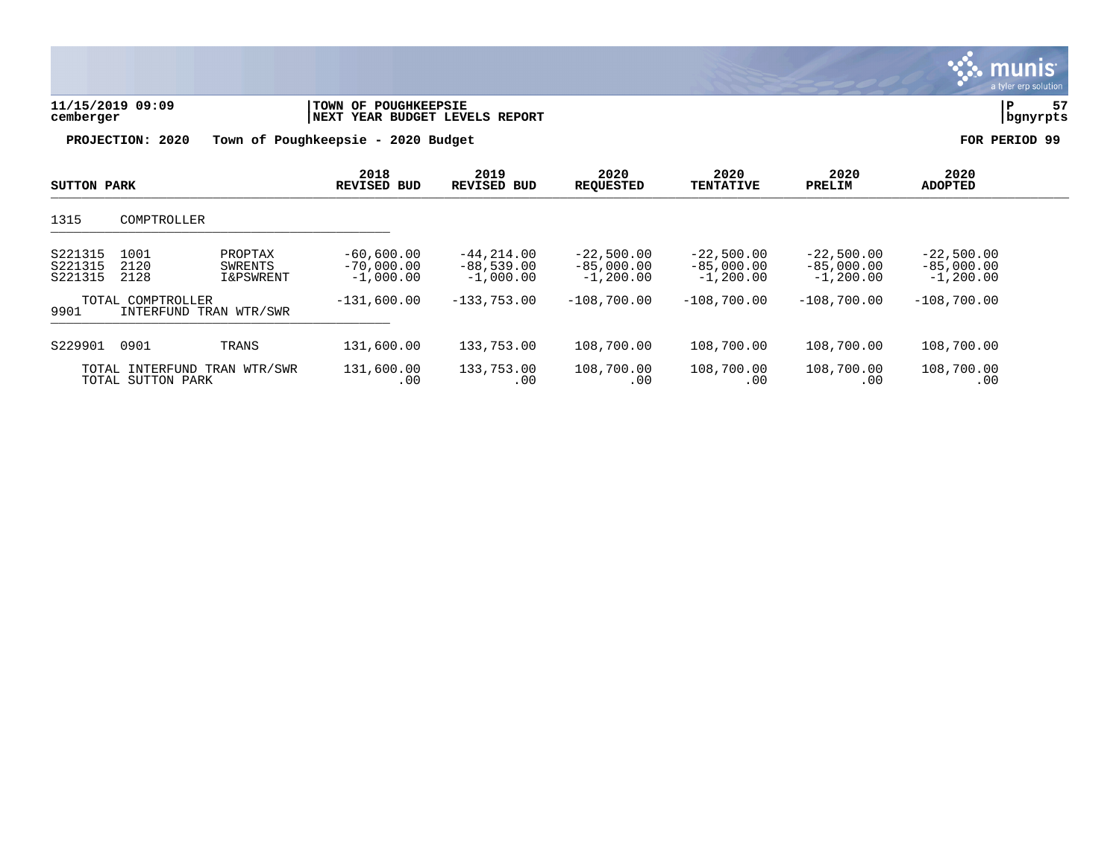|                               |                                                         |                                             |                                                        |                                             |                                             |                                             |                                             | $\alpha$ cynor or provided to |
|-------------------------------|---------------------------------------------------------|---------------------------------------------|--------------------------------------------------------|---------------------------------------------|---------------------------------------------|---------------------------------------------|---------------------------------------------|-------------------------------|
| 11/15/2019 09:09<br>cemberger |                                                         |                                             | TOWN OF POUGHKEEPSIE<br>NEXT YEAR BUDGET LEVELS REPORT |                                             |                                             |                                             |                                             |                               |
|                               | PROJECTION: 2020                                        | Town of Poughkeepsie - 2020 Budget          |                                                        |                                             |                                             |                                             |                                             | FOR PERIOD 99                 |
| SUTTON PARK                   |                                                         | 2018<br>REVISED BUD                         | 2019<br><b>REVISED BUD</b>                             | 2020<br><b>REQUESTED</b>                    | 2020<br><b>TENTATIVE</b>                    | 2020<br>PRELIM                              | 2020<br><b>ADOPTED</b>                      |                               |
| 1315                          | COMPTROLLER                                             |                                             |                                                        |                                             |                                             |                                             |                                             |                               |
| S221315<br>S221315<br>S221315 | 1001<br>PROPTAX<br>2120<br>SWRENTS<br>2128<br>I&PSWRENT | $-60,600.00$<br>$-70,000.00$<br>$-1,000.00$ | $-44, 214, 00$<br>$-88,539.00$<br>$-1,000.00$          | $-22,500.00$<br>$-85,000.00$<br>$-1,200.00$ | $-22,500.00$<br>$-85,000.00$<br>$-1,200.00$ | $-22,500.00$<br>$-85,000.00$<br>$-1,200.00$ | $-22,500.00$<br>$-85,000.00$<br>$-1,200.00$ |                               |
| 9901                          | TOTAL COMPTROLLER<br>INTERFUND TRAN WTR/SWR             | $-131,600.00$                               | $-133,753.00$                                          | $-108.700.00$                               | $-108,700.00$                               | $-108,700.00$                               | $-108,700.00$                               |                               |
| S229901                       | 0901<br>TRANS                                           | 131,600.00                                  | 133,753.00                                             | 108,700.00                                  | 108,700.00                                  | 108,700.00                                  | 108,700.00                                  |                               |
|                               | TOTAL INTERFUND TRAN WTR/SWR<br>TOTAL SUTTON PARK       | 131,600.00<br>.00                           | 133,753.00<br>.00                                      | 108,700.00<br>.00                           | 108,700.00<br>.00                           | 108,700.00<br>.00                           | 108,700.00<br>.00                           |                               |

 $\therefore$  munis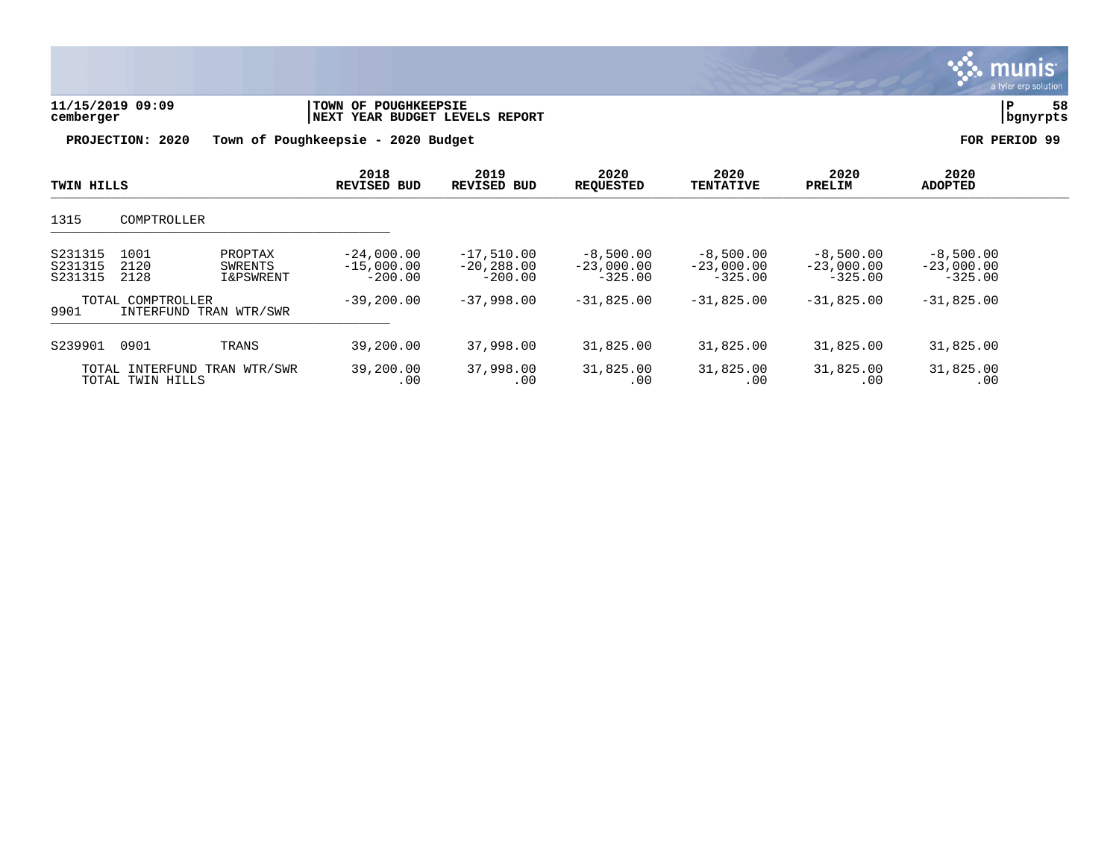| 11/15/2019 09:09<br>cemberger |                                                  | TOWN OF POUGHKEEPSIE<br>NEXT YEAR BUDGET LEVELS REPORT | 58<br>P<br>bgnyrpts                       |                                            |                                          |                                          |                                          |                                          |  |
|-------------------------------|--------------------------------------------------|--------------------------------------------------------|-------------------------------------------|--------------------------------------------|------------------------------------------|------------------------------------------|------------------------------------------|------------------------------------------|--|
| PROJECTION: 2020              |                                                  |                                                        | Town of Poughkeepsie - 2020 Budget        | FOR PERIOD 99                              |                                          |                                          |                                          |                                          |  |
| <b>TWIN HILLS</b>             |                                                  |                                                        | 2018<br><b>REVISED BUD</b>                | 2019<br><b>REVISED BUD</b>                 | 2020<br><b>REQUESTED</b>                 | 2020<br><b>TENTATIVE</b>                 | 2020<br>PRELIM                           | 2020<br><b>ADOPTED</b>                   |  |
| 1315                          | COMPTROLLER                                      |                                                        |                                           |                                            |                                          |                                          |                                          |                                          |  |
| S231315<br>S231315<br>S231315 | 1001<br>2120<br>2128                             | PROPTAX<br>SWRENTS<br>I&PSWRENT                        | $-24,000.00$<br>$-15,000.00$<br>$-200.00$ | $-17,510.00$<br>$-20, 288.00$<br>$-200.00$ | $-8,500.00$<br>$-23,000.00$<br>$-325.00$ | $-8,500.00$<br>$-23,000.00$<br>$-325.00$ | $-8,500.00$<br>$-23,000.00$<br>$-325.00$ | $-8,500.00$<br>$-23,000.00$<br>$-325.00$ |  |
| 9901                          | TOTAL COMPTROLLER<br>INTERFUND TRAN WTR/SWR      |                                                        | $-39, 200.00$                             | $-37,998,00$                               | $-31,825.00$                             | $-31,825.00$                             | $-31,825.00$                             | $-31,825.00$                             |  |
| S239901                       | 0901                                             | TRANS                                                  | 39,200.00                                 | 37,998.00                                  | 31,825.00                                | 31,825.00                                | 31,825.00                                | 31,825.00                                |  |
|                               | TOTAL INTERFUND TRAN WTR/SWR<br>TOTAL TWIN HILLS |                                                        | 39,200.00<br>.00                          | 37,998.00<br>.00                           | 31,825.00<br>.00                         | 31,825.00<br>.00                         | 31,825.00<br>.00                         | 31,825.00<br>.00                         |  |

**∵∴** munis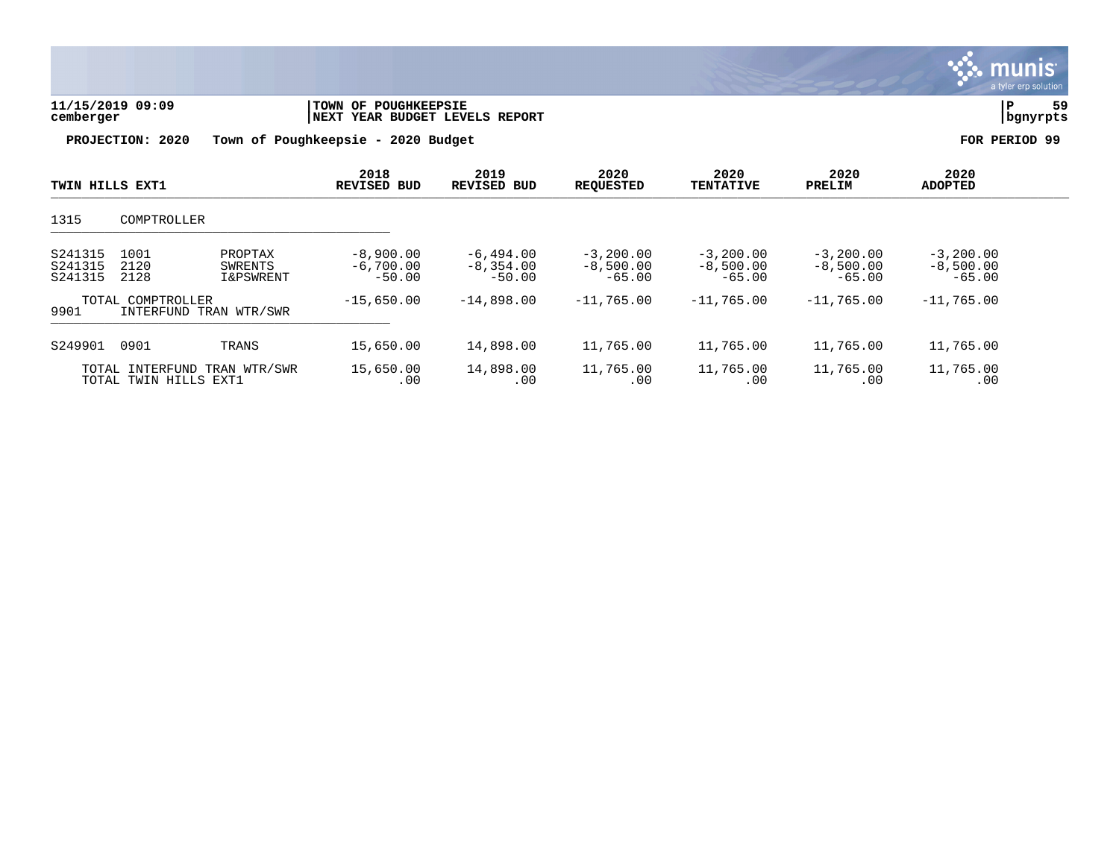

| 11/15/2019 09:09 | TOWN OF POUGHKEEPSIE               | 59            |
|------------------|------------------------------------|---------------|
| cemberger        | INEXT YEAR BUDGET LEVELS REPORT    | bgnyrpts      |
| PROJECTION: 2020 | Town of Poughkeepsie - 2020 Budget | FOR PERIOD 99 |

| TWIN HILLS EXT1               |                                          |                                            | 2018<br><b>REVISED BUD</b>             | 2019<br><b>REVISED BUD</b>             | 2020<br><b>REOUESTED</b>               | 2020<br><b>TENTATIVE</b>               | 2020<br>PRELIM                         | 2020<br><b>ADOPTED</b>                 |  |
|-------------------------------|------------------------------------------|--------------------------------------------|----------------------------------------|----------------------------------------|----------------------------------------|----------------------------------------|----------------------------------------|----------------------------------------|--|
| 1315                          | COMPTROLLER                              |                                            |                                        |                                        |                                        |                                        |                                        |                                        |  |
| S241315<br>S241315<br>S241315 | 1001<br>2120<br>2128                     | PROPTAX<br>SWRENTS<br><b>I&amp;PSWRENT</b> | $-8,900.00$<br>$-6,700,00$<br>$-50.00$ | $-6,494.00$<br>$-8,354,00$<br>$-50.00$ | $-3,200.00$<br>$-8,500.00$<br>$-65.00$ | $-3,200.00$<br>$-8,500.00$<br>$-65.00$ | $-3,200,00$<br>$-8,500.00$<br>$-65.00$ | $-3,200.00$<br>$-8,500.00$<br>$-65.00$ |  |
| 9901                          | TOTAL COMPTROLLER                        | INTERFUND TRAN WTR/SWR                     | $-15,650.00$                           | $-14,898,00$                           | $-11,765.00$                           | $-11,765,00$                           | $-11.765.00$                           | $-11,765.00$                           |  |
| S249901                       | 0901                                     | TRANS                                      | 15,650.00                              | 14,898.00                              | 11,765.00                              | 11,765.00                              | 11,765.00                              | 11,765.00                              |  |
|                               | TOTAL INTERFUND<br>TOTAL TWIN HILLS EXT1 | TRAN WTR/SWR                               | 15,650.00<br>.00                       | 14,898.00<br>.00                       | 11,765.00<br>.00                       | 11,765.00<br>.00                       | 11,765.00<br>.00                       | 11,765.00<br>.00                       |  |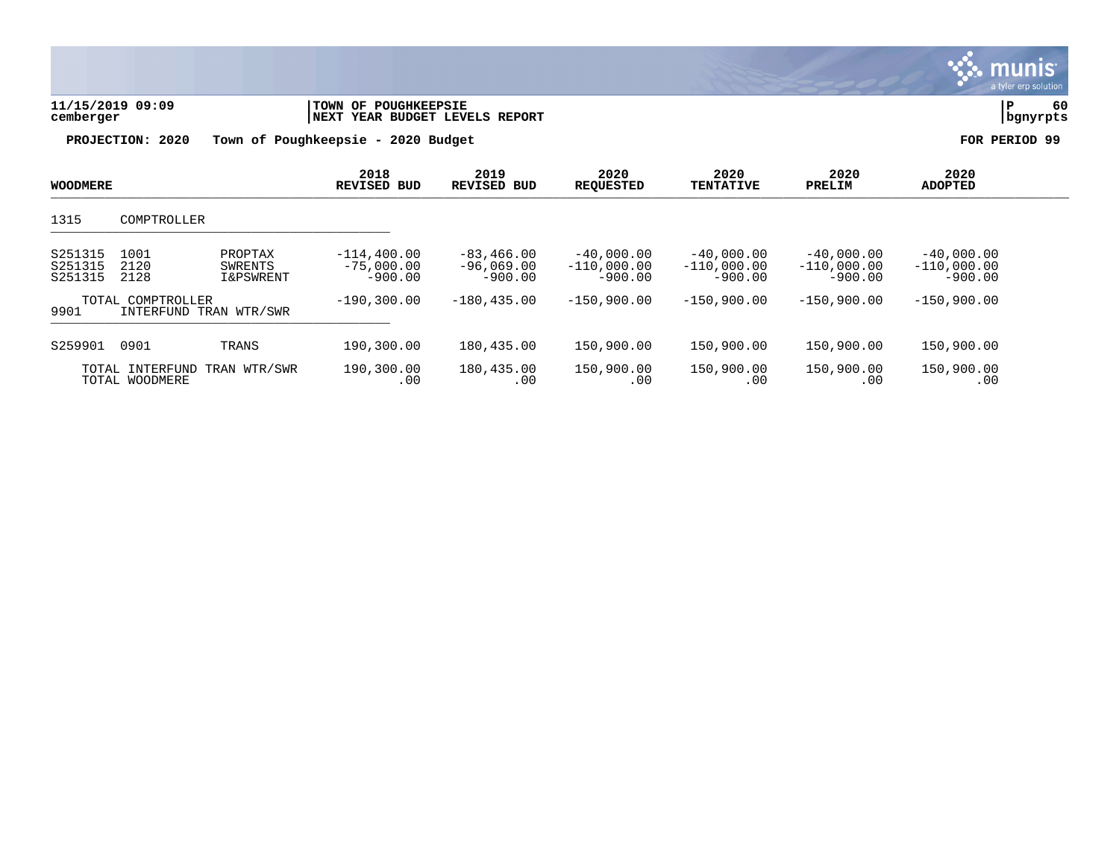| 11/15/2019 09:09<br>cemberger |                                   |                                            | TOWN OF POUGHKEEPSIE<br>NEXT YEAR BUDGET LEVELS REPORT |                                           |                                            |                                            |                                            |                                            | 60<br>P<br>bgnyrpts |  |
|-------------------------------|-----------------------------------|--------------------------------------------|--------------------------------------------------------|-------------------------------------------|--------------------------------------------|--------------------------------------------|--------------------------------------------|--------------------------------------------|---------------------|--|
| PROJECTION: 2020              |                                   |                                            | Town of Poughkeepsie - 2020 Budget                     |                                           |                                            |                                            |                                            |                                            | PERIOD 99           |  |
| <b>WOODMERE</b>               |                                   |                                            | 2018<br><b>REVISED BUD</b>                             | 2019<br><b>REVISED BUD</b>                | 2020<br><b>REQUESTED</b>                   | 2020<br><b>TENTATIVE</b>                   | 2020<br>PRELIM                             | 2020<br><b>ADOPTED</b>                     |                     |  |
| 1315                          | COMPTROLLER                       |                                            |                                                        |                                           |                                            |                                            |                                            |                                            |                     |  |
| S251315<br>S251315<br>S251315 | 1001<br>2120<br>2128              | PROPTAX<br>SWRENTS<br><b>I&amp;PSWRENT</b> | $-114, 400.00$<br>$-75,000.00$<br>$-900.00$            | $-83,466.00$<br>$-96,069.00$<br>$-900.00$ | $-40,000.00$<br>$-110,000.00$<br>$-900.00$ | $-40,000.00$<br>$-110,000.00$<br>$-900.00$ | $-40,000.00$<br>$-110,000.00$<br>$-900.00$ | $-40,000.00$<br>$-110,000.00$<br>$-900.00$ |                     |  |
| 9901                          | TOTAL COMPTROLLER                 | INTERFUND TRAN WTR/SWR                     | $-190, 300.00$                                         | $-180, 435.00$                            | $-150,900.00$                              | $-150,900.00$                              | $-150,900.00$                              | $-150,900.00$                              |                     |  |
| S259901                       | 0901                              | TRANS                                      | 190,300.00                                             | 180,435.00                                | 150,900.00                                 | 150,900.00                                 | 150,900.00                                 | 150,900.00                                 |                     |  |
|                               | TOTAL INTERFUND<br>TOTAL WOODMERE | TRAN WTR/SWR                               | 190,300.00<br>.00                                      | 180,435.00<br>.00                         | 150,900.00<br>.00                          | 150,900.00<br>.00                          | 150,900.00<br>.00                          | 150,900.00<br>.00                          |                     |  |

 $\sim$ 

**munis**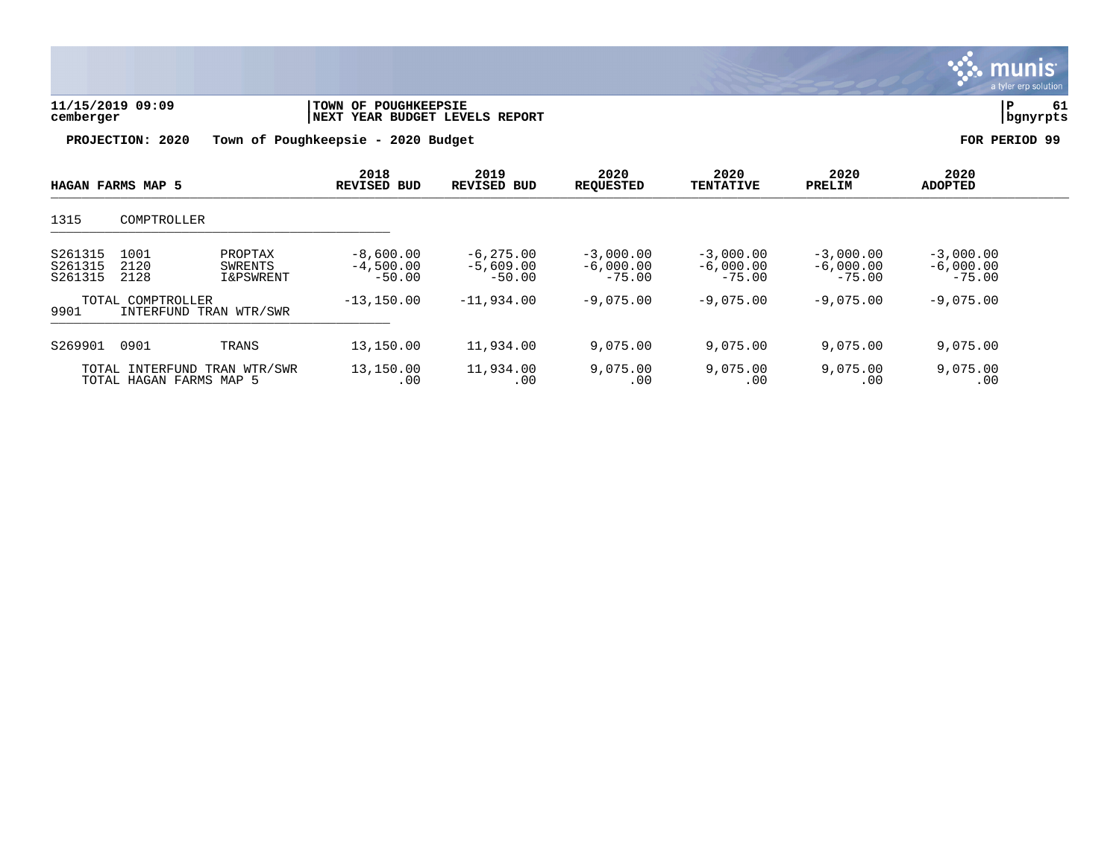

| 11/15/2019 09:09<br>cemberger | <b>TOWN OF POUGHKEEPSIE</b><br>INEXT YEAR BUDGET LEVELS REPORT | bgnyrpts      |
|-------------------------------|----------------------------------------------------------------|---------------|
|                               | PROJECTION: 2020 Town of Poughkeepsie - 2020 Budget            | FOR PERIOD 99 |

| PROJECTION: 2020         | Town of Poughkeepsie - 2020 Budget |                            |                          |                          |                |                        |  |
|--------------------------|------------------------------------|----------------------------|--------------------------|--------------------------|----------------|------------------------|--|
| <b>HAGAN FARMS MAP 5</b> | 2018<br><b>REVISED BUD</b>         | 2019<br><b>REVISED BUD</b> | 2020<br><b>REQUESTED</b> | 2020<br><b>TENTATIVE</b> | 2020<br>PRELIM | 2020<br><b>ADOPTED</b> |  |
| 1315<br>COMPTROLLER      |                                    |                            |                          |                          |                |                        |  |

| 1315                                                                                                | COMPTROLLER                                                |                                        |                                          |                                        |                                        |                                        |                                        |  |  |  |  |
|-----------------------------------------------------------------------------------------------------|------------------------------------------------------------|----------------------------------------|------------------------------------------|----------------------------------------|----------------------------------------|----------------------------------------|----------------------------------------|--|--|--|--|
| S261315<br>1001<br>PROPTAX<br>2120<br>S261315<br>SWRENTS<br>2128<br>S261315<br><b>I&amp;PSWRENT</b> |                                                            | $-8,600.00$<br>$-4.500.00$<br>$-50.00$ | $-6, 275, 00$<br>$-5.609.00$<br>$-50.00$ | $-3,000.00$<br>$-6,000.00$<br>$-75.00$ | $-3,000.00$<br>$-6,000.00$<br>$-75.00$ | $-3,000.00$<br>$-6,000.00$<br>$-75.00$ | $-3,000.00$<br>$-6,000.00$<br>$-75.00$ |  |  |  |  |
| TOTAL<br>9901                                                                                       | COMPTROLLER<br>INTERFUND TRAN WTR/SWR                      | $-13, 150.00$                          | $-11,934.00$                             | $-9,075.00$                            | $-9,075.00$                            | $-9,075.00$                            | $-9,075.00$                            |  |  |  |  |
| S269901                                                                                             | 0901<br>TRANS                                              | 13,150.00                              | 11,934.00                                | 9,075.00                               | 9,075.00                               | 9,075.00                               | 9,075.00                               |  |  |  |  |
|                                                                                                     | TOTAL INTERFUND<br>TRAN WTR/SWR<br>TOTAL HAGAN FARMS MAP 5 | 13,150.00<br>.00                       | 11,934.00<br>.00                         | 9,075.00<br>.00                        | 9,075.00<br>.00                        | 9,075.00<br>.00                        | 9,075.00<br>.00                        |  |  |  |  |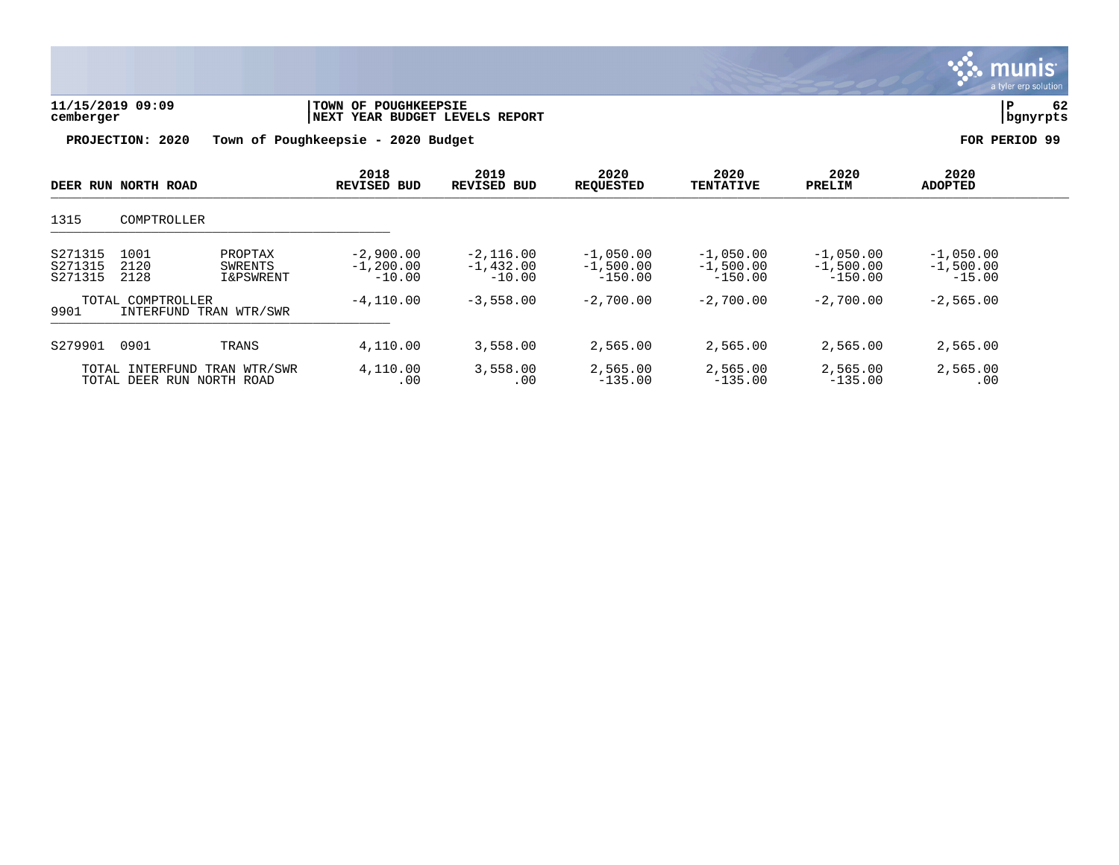

| 11/15/2019 09:09 | TOWN OF POUGHKEEPSIE           |          | - - |
|------------------|--------------------------------|----------|-----|
| cemberger        | NEXT YEAR BUDGET LEVELS REPORT | bqnyrpts |     |
|                  |                                |          |     |

| DEER RUN NORTH ROAD                                             |                      |                                            | 2018<br><b>REVISED BUD</b>               | 2019<br><b>REVISED BUD</b>             | 2020<br><b>REOUESTED</b>                | 2020<br><b>TENTATIVE</b>                | 2020<br>PRELIM                          | 2020<br><b>ADOPTED</b>                 |  |
|-----------------------------------------------------------------|----------------------|--------------------------------------------|------------------------------------------|----------------------------------------|-----------------------------------------|-----------------------------------------|-----------------------------------------|----------------------------------------|--|
| 1315                                                            | COMPTROLLER          |                                            |                                          |                                        |                                         |                                         |                                         |                                        |  |
| S271315<br>S271315<br>S271315                                   | 1001<br>2120<br>2128 | PROPTAX<br>SWRENTS<br><b>I&amp;PSWRENT</b> | $-2,900,00$<br>$-1, 200, 00$<br>$-10.00$ | $-2,116,00$<br>$-1.432.00$<br>$-10.00$ | $-1,050.00$<br>$-1,500.00$<br>$-150.00$ | $-1,050.00$<br>$-1,500.00$<br>$-150.00$ | $-1,050,00$<br>$-1,500.00$<br>$-150.00$ | $-1,050.00$<br>$-1,500.00$<br>$-15.00$ |  |
| TOTAL COMPTROLLER<br>9901<br>INTERFUND TRAN WTR/SWR             |                      | $-4, 110.00$                               | $-3,558.00$                              | $-2,700.00$                            | $-2,700.00$                             | $-2,700.00$                             | $-2,565.00$                             |                                        |  |
| S279901                                                         | 0901                 | TRANS                                      | 4,110.00                                 | 3,558.00                               | 2,565.00                                | 2,565.00                                | 2,565.00                                | 2,565.00                               |  |
| TRAN WTR/SWR<br>INTERFUND<br>TOTAL<br>TOTAL DEER RUN NORTH ROAD |                      | 4,110.00<br>.00                            | 3,558.00<br>.00                          | 2,565.00<br>$-135.00$                  | 2,565.00<br>$-135.00$                   | 2,565.00<br>$-135.00$                   | 2,565.00<br>.00                         |                                        |  |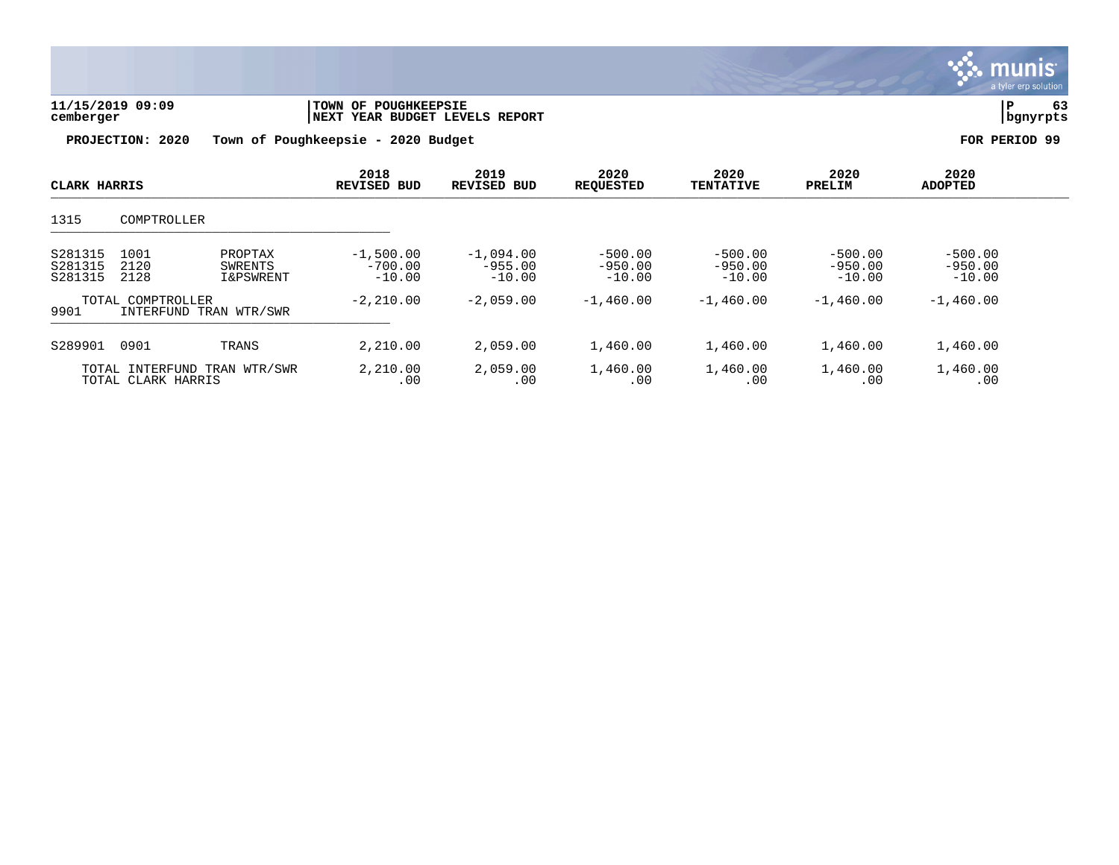

| 11/15/2019 09:09<br>cemberger | <b>TOWN OF POUGHKEEPSIE</b><br><b>INEXT YEAR BUDGET LEVELS REPORT</b> | bgnyrpts      |
|-------------------------------|-----------------------------------------------------------------------|---------------|
| PROJECTION: 2020              | Town of Poughkeepsie - 2020 Budget                                    | FOR PERIOD 99 |

| CLARK HARRIS                                        |                      | 2018<br><b>REVISED BUD</b>                 | 2019<br><b>REVISED BUD</b>           | 2020<br><b>REQUESTED</b>             | 2020<br><b>TENTATIVE</b>           | 2020<br>PRELIM                     | 2020<br><b>ADOPTED</b>             |                                    |  |
|-----------------------------------------------------|----------------------|--------------------------------------------|--------------------------------------|--------------------------------------|------------------------------------|------------------------------------|------------------------------------|------------------------------------|--|
| 1315                                                | COMPTROLLER          |                                            |                                      |                                      |                                    |                                    |                                    |                                    |  |
| S281315<br>S281315<br>S281315                       | 1001<br>2120<br>2128 | PROPTAX<br>SWRENTS<br><b>I&amp;PSWRENT</b> | $-1,500.00$<br>$-700.00$<br>$-10.00$ | $-1.094.00$<br>$-955.00$<br>$-10.00$ | $-500.00$<br>$-950.00$<br>$-10.00$ | $-500.00$<br>$-950.00$<br>$-10.00$ | $-500.00$<br>$-950.00$<br>$-10.00$ | $-500.00$<br>$-950.00$<br>$-10.00$ |  |
| TOTAL COMPTROLLER<br>9901<br>INTERFUND TRAN WTR/SWR |                      | $-2, 210.00$                               | $-2,059.00$                          | $-1,460.00$                          | $-1,460.00$                        | $-1,460.00$                        | $-1,460.00$                        |                                    |  |
| S289901                                             | 0901                 | TRANS                                      | 2,210.00                             | 2,059.00                             | 1,460.00                           | 1,460.00                           | 1,460.00                           | 1,460.00                           |  |
| TOTAL INTERFUND TRAN WTR/SWR<br>TOTAL CLARK HARRIS  |                      | 2,210.00<br>.00                            | 2,059.00<br>.00                      | 1,460.00<br>.00                      | 1,460.00<br>.00                    | 1,460.00<br>.00                    | 1,460.00<br>.00                    |                                    |  |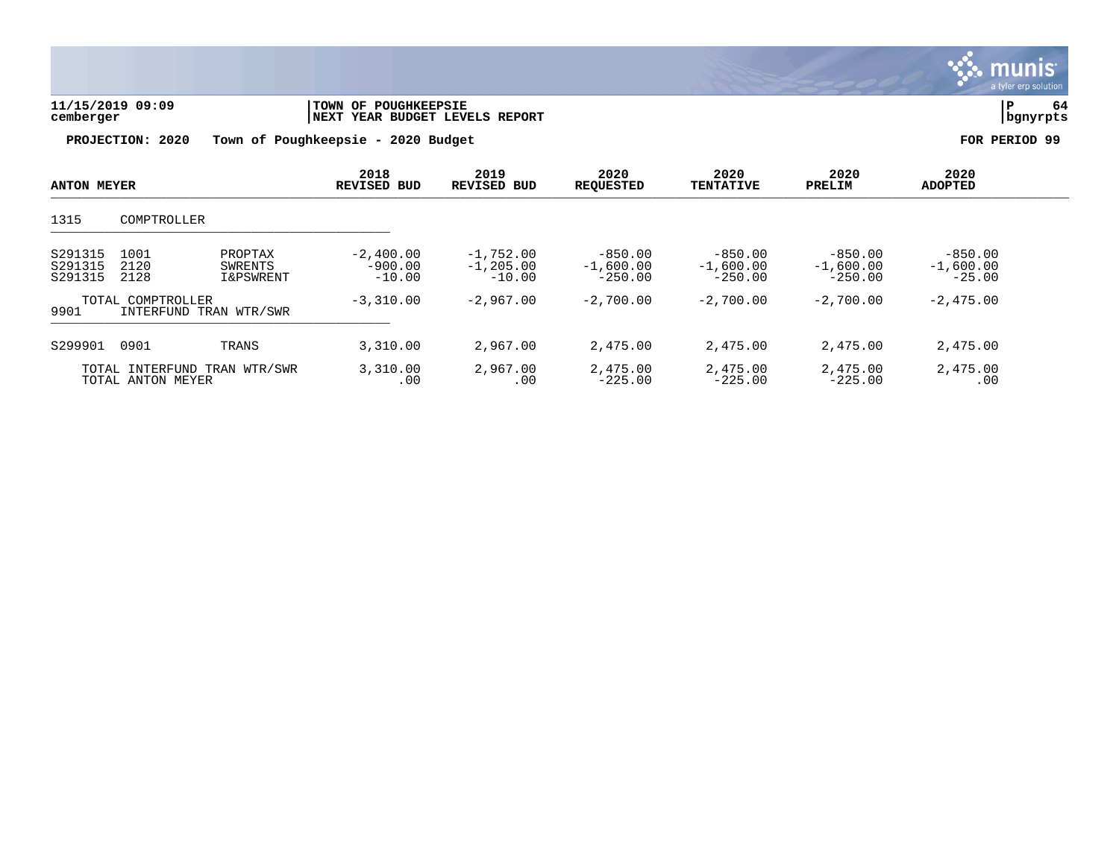

| 11/15/2019 09:09 | <b>TOWN OF POUGHKEEPSIE</b>        | 64            |
|------------------|------------------------------------|---------------|
| cemberger        | INEXT YEAR BUDGET LEVELS REPORT    | bgnyrpts      |
| PROJECTION: 2020 | Town of Poughkeepsie - 2020 Budget | FOR PERIOD 99 |

TOTAL ANTON MEYER

|                    | 2018        | 2019               | 2020             | 2020             | 2020   | 2020           |
|--------------------|-------------|--------------------|------------------|------------------|--------|----------------|
| <b>ANTON MEYER</b> | REVISED BUD | <b>REVISED BUD</b> | <b>REOUESTED</b> | <b>TENTATIVE</b> | PRELIM | <b>ADOPTED</b> |

| 1315                          | COMPTROLLER          |                                            |                                      |                                         |                                       |                                       |                                       |                                      |
|-------------------------------|----------------------|--------------------------------------------|--------------------------------------|-----------------------------------------|---------------------------------------|---------------------------------------|---------------------------------------|--------------------------------------|
| S291315<br>S291315<br>S291315 | 1001<br>2120<br>2128 | PROPTAX<br>SWRENTS<br><b>I&amp;PSWRENT</b> | $-2,400.00$<br>$-900.00$<br>$-10.00$ | $-1,752.00$<br>$-1, 205.00$<br>$-10.00$ | $-850.00$<br>$-1,600.00$<br>$-250.00$ | $-850.00$<br>$-1,600.00$<br>$-250.00$ | $-850.00$<br>$-1,600.00$<br>$-250.00$ | $-850.00$<br>$-1,600.00$<br>$-25.00$ |
| 9901                          | TOTAL COMPTROLLER    | INTERFUND TRAN WTR/SWR                     | $-3,310.00$                          | $-2,967,00$                             | $-2,700.00$                           | $-2,700.00$                           | $-2,700.00$                           | $-2,475.00$                          |
| S299901                       | 0901                 | TRANS                                      | 3,310.00                             | 2,967.00                                | 2,475.00                              | 2,475.00                              | 2,475.00                              | 2,475.00                             |

TOTAL INTERFUND TRAN WTR/SWR 3,310.00 2,967.00 2,475.00 2,475.00 2,475.00 2,475.00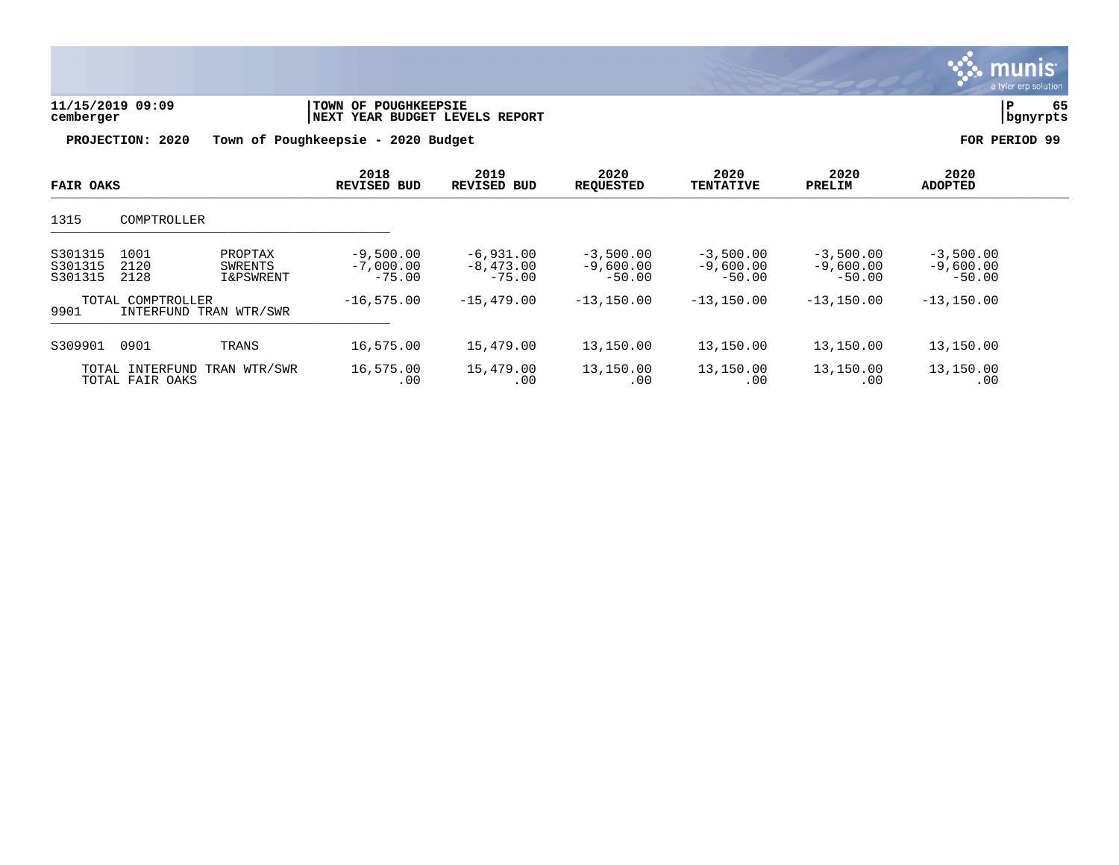

| 11/15/2019 09:09<br>cemberger | <b>TOWN OF POUGHKEEPSIE</b><br>INEXT YEAR BUDGET LEVELS REPORT | bgnyrpts      |
|-------------------------------|----------------------------------------------------------------|---------------|
| PROJECTION: 2020              | Town of Poughkeepsie - 2020 Budget                             | FOR PERIOD 99 |

| <b>FAIR OAKS</b>                                    |                      | 2018<br>REVISED BUD                        | 2019<br><b>REVISED BUD</b>             | 2020<br><b>REQUESTED</b>               | 2020<br><b>TENTATIVE</b>               | 2020<br>PRELIM                         | 2020<br><b>ADOPTED</b>                 |                                        |  |
|-----------------------------------------------------|----------------------|--------------------------------------------|----------------------------------------|----------------------------------------|----------------------------------------|----------------------------------------|----------------------------------------|----------------------------------------|--|
| 1315                                                | COMPTROLLER          |                                            |                                        |                                        |                                        |                                        |                                        |                                        |  |
| S301315<br>S301315<br>S301315                       | 1001<br>2120<br>2128 | PROPTAX<br>SWRENTS<br><b>I&amp;PSWRENT</b> | $-9,500.00$<br>$-7,000.00$<br>$-75.00$ | $-6,931.00$<br>$-8,473,00$<br>$-75.00$ | $-3,500.00$<br>$-9,600.00$<br>$-50.00$ | $-3,500.00$<br>$-9,600.00$<br>$-50.00$ | $-3,500.00$<br>$-9,600.00$<br>$-50.00$ | $-3,500.00$<br>$-9,600.00$<br>$-50.00$ |  |
| TOTAL COMPTROLLER<br>9901<br>INTERFUND TRAN WTR/SWR |                      | $-16, 575, 00$                             | $-15, 479, 00$                         | $-13,150.00$                           | $-13,150.00$                           | $-13, 150, 00$                         | $-13, 150.00$                          |                                        |  |
| S309901                                             | 0901                 | TRANS                                      | 16,575.00                              | 15,479.00                              | 13,150.00                              | 13,150.00                              | 13,150.00                              | 13,150.00                              |  |
| TOTAL INTERFUND<br>TRAN WTR/SWR<br>TOTAL FAIR OAKS  |                      | 16,575.00<br>.00                           | 15,479.00<br>.00                       | 13,150.00<br>.00                       | 13,150.00<br>.00                       | 13,150.00<br>.00                       | 13,150.00<br>.00                       |                                        |  |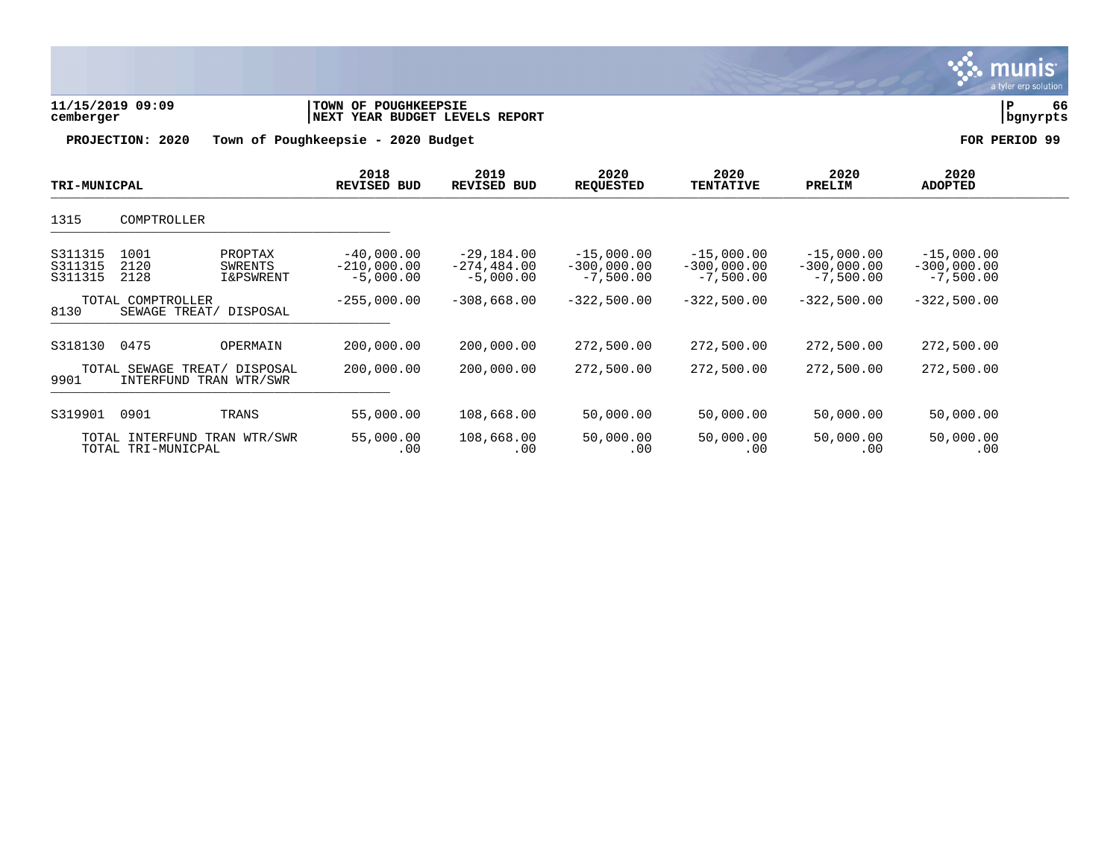| 11/15/2019 09:09<br>cemberger |                                                        | TOWN OF POUGHKEEPSIE<br>NEXT YEAR BUDGET LEVELS REPORT |                                              |                                             |                                              |                                              |                                              | ${\bf P}$<br>66<br>bgnyrpts                  |               |  |
|-------------------------------|--------------------------------------------------------|--------------------------------------------------------|----------------------------------------------|---------------------------------------------|----------------------------------------------|----------------------------------------------|----------------------------------------------|----------------------------------------------|---------------|--|
|                               | PROJECTION: 2020                                       |                                                        | Town of Poughkeepsie - 2020 Budget           |                                             |                                              |                                              |                                              |                                              | FOR PERIOD 99 |  |
| <b>TRI-MUNICPAL</b>           |                                                        |                                                        | 2018<br>REVISED BUD                          | 2019<br><b>REVISED BUD</b>                  | 2020<br><b>REQUESTED</b>                     | 2020<br><b>TENTATIVE</b>                     | 2020<br>PRELIM                               | 2020<br><b>ADOPTED</b>                       |               |  |
| 1315                          | COMPTROLLER                                            |                                                        |                                              |                                             |                                              |                                              |                                              |                                              |               |  |
| S311315<br>S311315<br>S311315 | 1001<br>2120<br>2128                                   | PROPTAX<br>SWRENTS<br>I&PSWRENT                        | $-40,000.00$<br>$-210,000.00$<br>$-5,000.00$ | -29,184.00<br>$-274, 484.00$<br>$-5,000.00$ | $-15,000.00$<br>$-300,000.00$<br>$-7,500.00$ | $-15,000.00$<br>$-300,000.00$<br>$-7,500.00$ | $-15,000.00$<br>$-300,000.00$<br>$-7,500.00$ | $-15,000.00$<br>$-300,000.00$<br>$-7,500.00$ |               |  |
| 8130                          | TOTAL COMPTROLLER<br>SEWAGE TREAT/                     | DISPOSAL                                               | $-255,000.00$                                | $-308,668.00$                               | $-322,500.00$                                | $-322,500.00$                                | $-322,500.00$                                | $-322,500.00$                                |               |  |
| S318130                       | 0475                                                   | OPERMAIN                                               | 200,000.00                                   | 200,000.00                                  | 272,500.00                                   | 272,500.00                                   | 272,500.00                                   | 272,500.00                                   |               |  |
| 9901                          | TOTAL SEWAGE TREAT/ DISPOSAL<br>INTERFUND TRAN WTR/SWR |                                                        | 200,000.00                                   | 200,000.00                                  | 272,500.00                                   | 272,500.00                                   | 272,500.00                                   | 272,500.00                                   |               |  |
| S319901                       | 0901                                                   | TRANS                                                  | 55,000.00                                    | 108,668.00                                  | 50,000.00                                    | 50,000.00                                    | 50,000.00                                    | 50,000.00                                    |               |  |
|                               | TOTAL INTERFUND TRAN WTR/SWR<br>TOTAL TRI-MUNICPAL     |                                                        | 55,000.00<br>.00                             | 108,668.00<br>.00                           | 50,000.00<br>.00                             | 50,000.00<br>.00                             | 50,000.00<br>.00                             | 50,000.00<br>.00                             |               |  |

**BASE** 

a tyler erp solution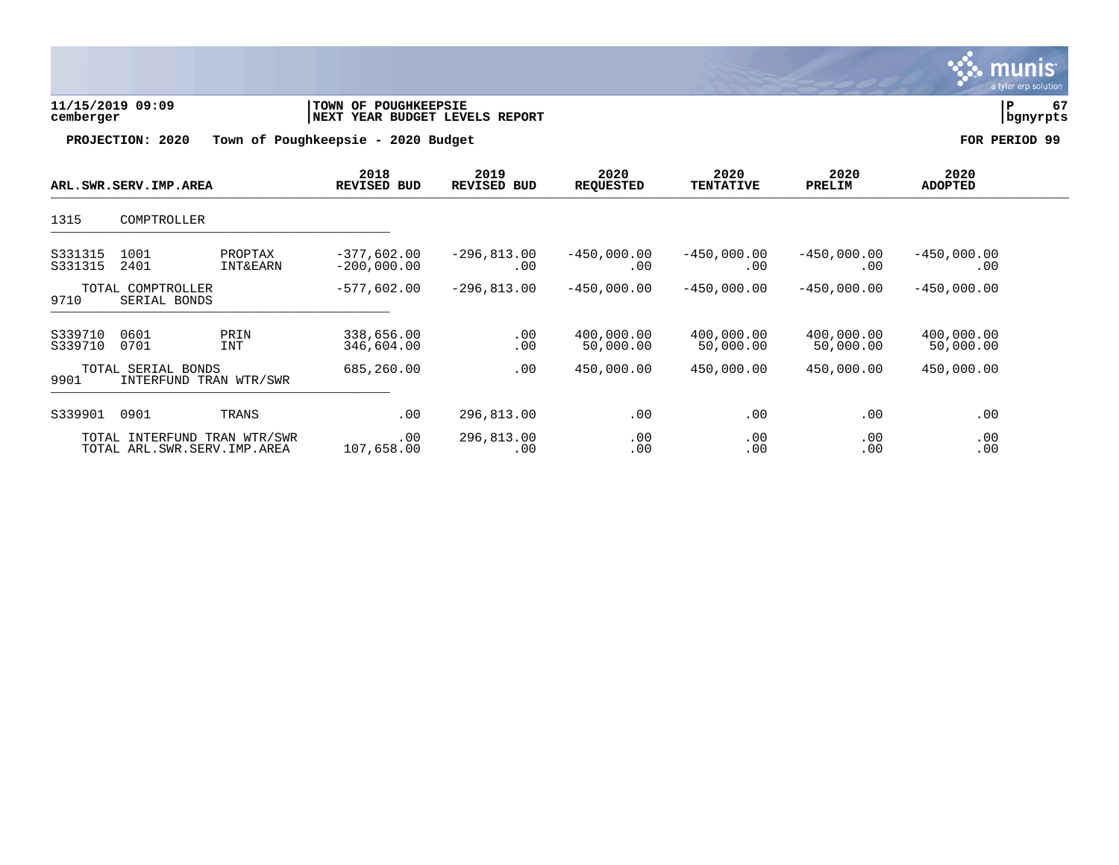

| 11/15/2019 09:09 | <b>TOWN OF POUGHKEEPSIE</b>    |          |  |
|------------------|--------------------------------|----------|--|
| cemberger        | NEXT YEAR BUDGET LEVELS REPORT | bgnyrpts |  |
|                  |                                |          |  |

| ARL.SWR.SERV.IMP.AREA                                |                                                | 2018<br><b>REVISED BUD</b>     | 2019<br><b>REVISED BUD</b>     | 2020<br><b>REQUESTED</b> | 2020<br><b>TENTATIVE</b> | 2020<br>PRELIM          | 2020<br><b>ADOPTED</b>  |                         |  |
|------------------------------------------------------|------------------------------------------------|--------------------------------|--------------------------------|--------------------------|--------------------------|-------------------------|-------------------------|-------------------------|--|
| 1315                                                 | COMPTROLLER                                    |                                |                                |                          |                          |                         |                         |                         |  |
| S331315<br>S331315                                   | 1001<br>2401                                   | PROPTAX<br><b>INT&amp;EARN</b> | $-377,602.00$<br>$-200,000.00$ | $-296,813.00$<br>.00     | $-450,000.00$<br>.00     | $-450,000.00$<br>.00    | $-450,000.00$<br>.00    | $-450,000.00$<br>.00    |  |
| 9710                                                 | TOTAL COMPTROLLER<br>SERIAL BONDS              |                                | $-577,602.00$                  | $-296,813.00$            | $-450,000.00$            | $-450,000.00$           | $-450,000.00$           | $-450,000.00$           |  |
| S339710<br>S339710                                   | 0601<br>0701                                   | PRIN<br><b>INT</b>             | 338,656.00<br>346,604.00       | .00<br>.00               | 400,000.00<br>50,000.00  | 400,000.00<br>50,000.00 | 400,000.00<br>50,000.00 | 400,000.00<br>50,000.00 |  |
| TOTAL SERIAL BONDS<br>9901<br>INTERFUND TRAN WTR/SWR |                                                | 685,260.00                     | .00                            | 450,000.00               | 450,000.00               | 450,000.00              | 450,000.00              |                         |  |
| S339901                                              | 0901                                           | TRANS                          | .00                            | 296,813.00               | .00                      | .00                     | .00                     | .00                     |  |
|                                                      | TOTAL INTERFUND<br>TOTAL ARL.SWR.SERV.IMP.AREA | TRAN WTR/SWR                   | .00<br>107,658.00              | 296,813.00<br>.00        | .00<br>.00               | .00<br>.00              | .00<br>.00              | .00<br>.00              |  |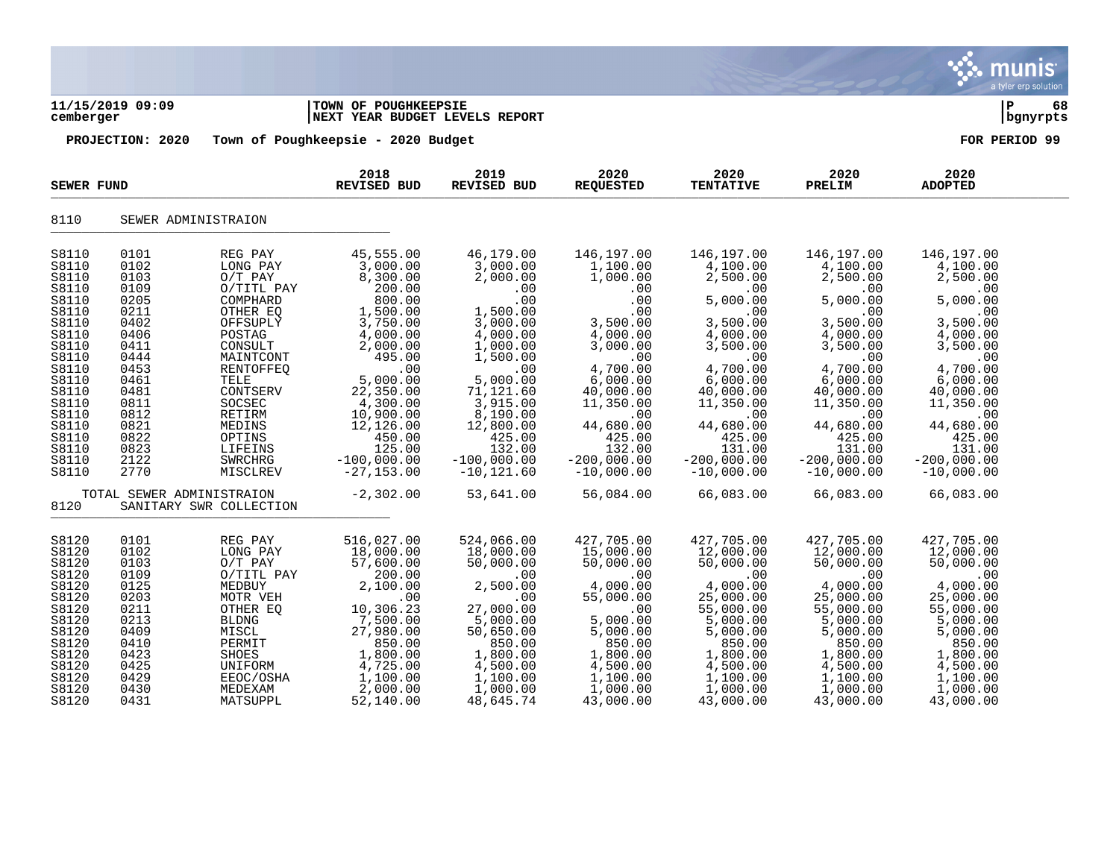|                                                                                                                                                                                  |                                                                                                                                                                                           |                                                                                                                                                                                                                                               |                                                                                                                                                                                                                                                            |                                                                                                                                                                                                                                                     |                                                                                                                                                                                                                                            |                                                                                                                                                                                                                                                 |                                                                                                                                                                                                                                                 |                                                                                                                                                                                                                                                 | munis<br>a tyler erp solution |
|----------------------------------------------------------------------------------------------------------------------------------------------------------------------------------|-------------------------------------------------------------------------------------------------------------------------------------------------------------------------------------------|-----------------------------------------------------------------------------------------------------------------------------------------------------------------------------------------------------------------------------------------------|------------------------------------------------------------------------------------------------------------------------------------------------------------------------------------------------------------------------------------------------------------|-----------------------------------------------------------------------------------------------------------------------------------------------------------------------------------------------------------------------------------------------------|--------------------------------------------------------------------------------------------------------------------------------------------------------------------------------------------------------------------------------------------|-------------------------------------------------------------------------------------------------------------------------------------------------------------------------------------------------------------------------------------------------|-------------------------------------------------------------------------------------------------------------------------------------------------------------------------------------------------------------------------------------------------|-------------------------------------------------------------------------------------------------------------------------------------------------------------------------------------------------------------------------------------------------|-------------------------------|
| cemberger                                                                                                                                                                        | 11/15/2019 09:09                                                                                                                                                                          |                                                                                                                                                                                                                                               | TOWN OF POUGHKEEPSIE<br>NEXT YEAR BUDGET LEVELS REPORT                                                                                                                                                                                                     |                                                                                                                                                                                                                                                     |                                                                                                                                                                                                                                            |                                                                                                                                                                                                                                                 |                                                                                                                                                                                                                                                 | ∣ P                                                                                                                                                                                                                                             | 68<br>bgnyrpts                |
|                                                                                                                                                                                  | PROJECTION: 2020                                                                                                                                                                          |                                                                                                                                                                                                                                               | Town of Poughkeepsie - 2020 Budget                                                                                                                                                                                                                         |                                                                                                                                                                                                                                                     |                                                                                                                                                                                                                                            |                                                                                                                                                                                                                                                 |                                                                                                                                                                                                                                                 | FOR PERIOD 99                                                                                                                                                                                                                                   |                               |
| SEWER FUND                                                                                                                                                                       |                                                                                                                                                                                           |                                                                                                                                                                                                                                               | 2018<br>REVISED BUD                                                                                                                                                                                                                                        | 2019<br><b>REVISED BUD</b>                                                                                                                                                                                                                          | 2020<br><b>REQUESTED</b>                                                                                                                                                                                                                   | 2020<br><b>TENTATIVE</b>                                                                                                                                                                                                                        | 2020<br>PRELIM                                                                                                                                                                                                                                  | 2020<br><b>ADOPTED</b>                                                                                                                                                                                                                          |                               |
| 8110                                                                                                                                                                             |                                                                                                                                                                                           | SEWER ADMINISTRAION                                                                                                                                                                                                                           |                                                                                                                                                                                                                                                            |                                                                                                                                                                                                                                                     |                                                                                                                                                                                                                                            |                                                                                                                                                                                                                                                 |                                                                                                                                                                                                                                                 |                                                                                                                                                                                                                                                 |                               |
| S8110<br>S8110<br>S8110<br>S8110<br>S8110<br>S8110<br>S8110<br>S8110<br>S8110<br>S8110<br>S8110<br>S8110<br>S8110<br>S8110<br>S8110<br>S8110<br>S8110<br>S8110<br>S8110<br>S8110 | 0101<br>0102<br>0103<br>0109<br>0205<br>0211<br>0402<br>0406<br>0411<br>0444<br>0453<br>0461<br>0481<br>0811<br>0812<br>0821<br>0822<br>0823<br>2122<br>2770<br>TOTAL SEWER ADMINISTRAION | REG PAY<br>LONG PAY<br>$O/T$ PAY<br>O/TITL PAY<br>COMPHARD<br>OTHER EQ<br>OFFSUPLY<br>POSTAG<br>CONSULT<br>MAINTCONT<br><b>RENTOFFEO</b><br>TELE<br>CONTSERV<br>SOCSEC<br>RETIRM<br>MEDINS<br>OPTINS<br>LIFEINS<br><b>SWRCHRG</b><br>MISCLREV | 45,555.00<br>3,000.00<br>8,300.00<br>200.00<br>800.00<br>1,500.00<br>3,750.00<br>4,000.00<br>2,000.00<br>495.00<br>.00<br>5,000.00<br>22,350.00<br>4,300.00<br>10,900.00<br>12,126.00<br>450.00<br>125.00<br>$-100,000.00$<br>$-27, 153.00$<br>$-2,302.00$ | 46,179.00<br>3,000.00<br>2,000.00<br>.00<br>.00<br>1,500.00<br>3,000.00<br>4,000.00<br>1,000.00<br>1,500.00<br>.00<br>5,000.00<br>71,121.60<br>3,915.00<br>8,190.00<br>12,800.00<br>425.00<br>132.00<br>$-100,000.00$<br>$-10, 121.60$<br>53,641.00 | 146,197.00<br>1,100.00<br>1,000.00<br>.00<br>.00<br>.00<br>3,500.00<br>4,000.00<br>3,000.00<br>.00<br>4,700.00<br>6,000.00<br>40,000.00<br>11,350.00<br>.00<br>44,680.00<br>425.00<br>132.00<br>$-200,000.00$<br>$-10,000.00$<br>56,084.00 | 146,197.00<br>4,100.00<br>2,500.00<br>.00<br>5,000.00<br>.00<br>3,500.00<br>4,000.00<br>3,500.00<br>.00<br>4,700.00<br>6,000.00<br>40,000.00<br>11,350.00<br>.00<br>44,680.00<br>425.00<br>131.00<br>$-200,000.00$<br>$-10,000.00$<br>66,083.00 | 146,197.00<br>4,100.00<br>2,500.00<br>.00<br>5,000.00<br>.00<br>3,500.00<br>4,000.00<br>3,500.00<br>.00<br>4,700.00<br>6,000.00<br>40,000.00<br>11,350.00<br>.00<br>44,680.00<br>425.00<br>131.00<br>$-200,000.00$<br>$-10,000.00$<br>66,083.00 | 146,197.00<br>4,100.00<br>2,500.00<br>.00<br>5,000.00<br>.00<br>3,500.00<br>4,000.00<br>3,500.00<br>.00<br>4,700.00<br>6,000.00<br>40,000.00<br>11,350.00<br>.00<br>44,680.00<br>425.00<br>131.00<br>$-200,000.00$<br>$-10,000.00$<br>66,083.00 |                               |
| 8120                                                                                                                                                                             |                                                                                                                                                                                           | SANITARY SWR COLLECTION                                                                                                                                                                                                                       |                                                                                                                                                                                                                                                            |                                                                                                                                                                                                                                                     |                                                                                                                                                                                                                                            |                                                                                                                                                                                                                                                 |                                                                                                                                                                                                                                                 |                                                                                                                                                                                                                                                 |                               |
| S8120<br>S8120<br>S8120<br>S8120<br>S8120<br>S8120<br>S8120<br>S8120<br>S8120<br>S8120<br>S8120<br>S8120<br>S8120<br>S8120<br>S8120                                              | 0101<br>0102<br>0103<br>0109<br>0125<br>0203<br>0211<br>0213<br>0409<br>0410<br>0423<br>0425<br>0429<br>0430<br>0431                                                                      | REG PAY<br>LONG PAY<br>$O/T$ PAY<br>O/TITL PAY<br>MEDBUY<br>MOTR VEH<br>OTHER EQ<br><b>BLDNG</b><br>MISCL<br>PERMIT<br>SHOES<br>UNIFORM<br>EEOC/OSHA<br>MEDEXAM<br>MATSUPPL                                                                   | 516,027.00<br>18,000.00<br>57,600.00<br>200.00<br>2,100.00<br>.00<br>10,306.23<br>7,500.00<br>27,980.00<br>850.00<br>1,800.00<br>4,725.00<br>1,100.00<br>2,000.00<br>52,140.00                                                                             | 524,066.00<br>18,000.00<br>50,000.00<br>.00<br>2,500.00<br>.00<br>27,000.00<br>5,000.00<br>50,650.00<br>850.00<br>1,800.00<br>4,500.00<br>1,100.00<br>1,000.00<br>48,645.74                                                                         | 427,705.00<br>15,000.00<br>50,000.00<br>.00<br>4,000.00<br>55,000.00<br>.00<br>5,000.00<br>5,000.00<br>850.00<br>1,800.00<br>4,500.00<br>1,100.00<br>1,000.00<br>43,000.00                                                                 | 427,705.00<br>12,000.00<br>50,000.00<br>.00<br>4,000.00<br>25,000.00<br>55,000.00<br>5,000.00<br>5,000.00<br>850.00<br>1,800.00<br>4,500.00<br>1,100.00<br>1,000.00<br>43,000.00                                                                | 427,705.00<br>12,000.00<br>50,000.00<br>.00<br>4,000.00<br>25,000.00<br>55,000.00<br>5,000.00<br>5,000.00<br>850.00<br>1,800.00<br>4,500.00<br>1,100.00<br>1,000.00<br>43,000.00                                                                | 427,705.00<br>12,000.00<br>50,000.00<br>.00<br>4,000.00<br>25,000.00<br>55,000.00<br>5,000.00<br>5,000.00<br>850.00<br>1,800.00<br>4,500.00<br>1,100.00<br>1,000.00<br>43,000.00                                                                |                               |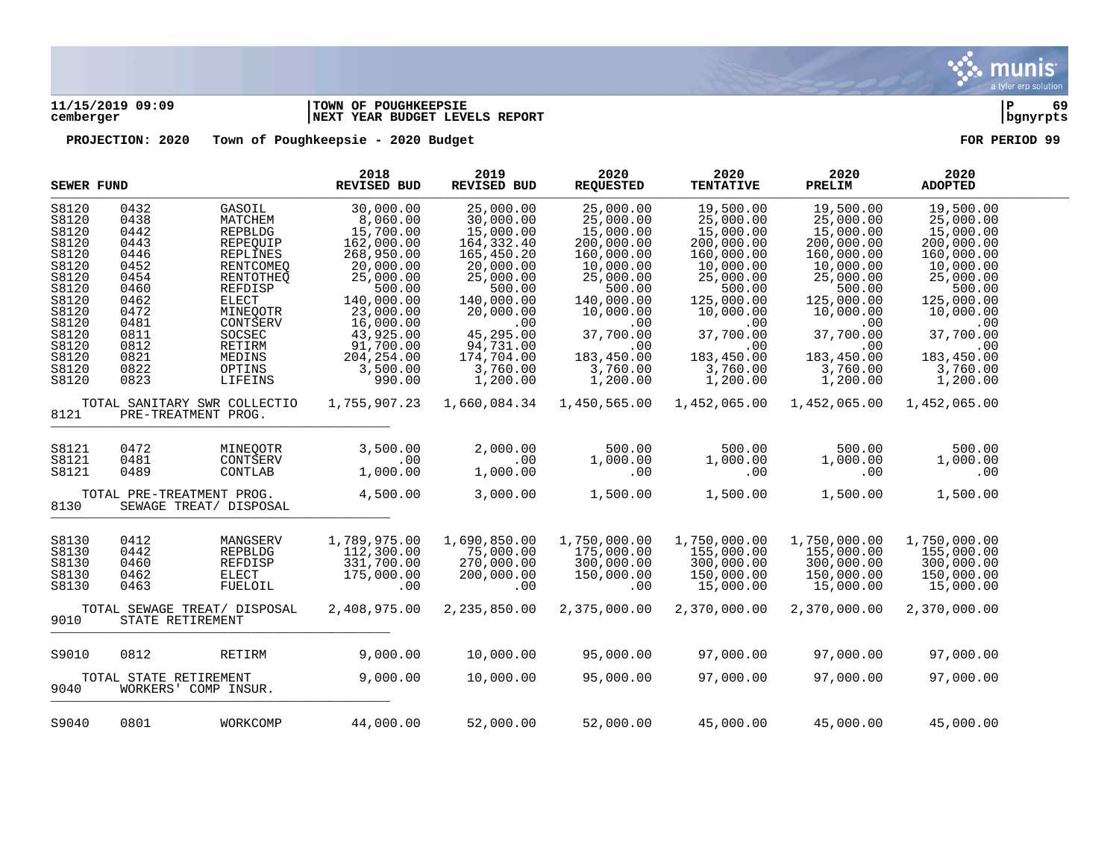

## **11/15/2019 09:09 |TOWN OF POUGHKEEPSIE |P 69 cemberger |NEXT YEAR BUDGET LEVELS REPORT |bgnyrpts**

| <b>SEWER FUND</b>                                                                                                                   |                                                                                                                      |                                                                                                                                                                                         | 2018<br><b>REVISED BUD</b>                                                                                                                                                                                | 2019<br><b>REVISED BUD</b>                                                                                                                                                                             | 2020<br><b>REQUESTED</b>                                                                                                                                                                        | 2020<br><b>TENTATIVE</b>                                                                                                                                                                        | 2020<br>PRELIM                                                                                                                                                                                  | 2020<br><b>ADOPTED</b>                                                                                                                                                                          |  |
|-------------------------------------------------------------------------------------------------------------------------------------|----------------------------------------------------------------------------------------------------------------------|-----------------------------------------------------------------------------------------------------------------------------------------------------------------------------------------|-----------------------------------------------------------------------------------------------------------------------------------------------------------------------------------------------------------|--------------------------------------------------------------------------------------------------------------------------------------------------------------------------------------------------------|-------------------------------------------------------------------------------------------------------------------------------------------------------------------------------------------------|-------------------------------------------------------------------------------------------------------------------------------------------------------------------------------------------------|-------------------------------------------------------------------------------------------------------------------------------------------------------------------------------------------------|-------------------------------------------------------------------------------------------------------------------------------------------------------------------------------------------------|--|
| S8120<br>S8120<br>S8120<br>S8120<br>S8120<br>S8120<br>S8120<br>S8120<br>S8120<br>S8120<br>S8120<br>S8120<br>S8120<br>S8120<br>S8120 | 0432<br>0438<br>0442<br>0443<br>0446<br>0452<br>0454<br>0460<br>0462<br>0472<br>0481<br>0811<br>0812<br>0821<br>0822 | GASOIL<br>MATCHEM<br>REPBLDG<br>REPEOUIP<br><b>REPLINES</b><br><b>RENTCOMEQ</b><br>RENTOTHEO<br>REFDISP<br><b>ELECT</b><br>MINEQOTR<br>CONTSERV<br>SOCSEC<br>RETIRM<br>MEDINS<br>OPTINS | 30,000.00<br>8,060.00<br>15,700.00<br>162,000.00<br>268,950.00<br>20,000.00<br>25,000.00<br>500.00<br>140,000.00<br>23,000.00<br>16,000.00<br>43,925.00<br>91,700.00<br>204, 254.00<br>3,500.00<br>990.00 | 25,000.00<br>30,000.00<br>15,000.00<br>164, 332.40<br>165,450.20<br>20,000.00<br>25,000.00<br>500.00<br>140,000.00<br>20,000.00<br>.00<br>45,295.00<br>94,731.00<br>174,704.00<br>3,760.00<br>1,200.00 | 25,000.00<br>25,000.00<br>15,000.00<br>200,000.00<br>160,000.00<br>10,000.00<br>25,000.00<br>500.00<br>140,000.00<br>10,000.00<br>.00<br>37,700.00<br>.00<br>183,450.00<br>3,760.00<br>1,200.00 | 19,500.00<br>25,000.00<br>15,000.00<br>200,000.00<br>160,000.00<br>10,000.00<br>25,000.00<br>500.00<br>125,000.00<br>10,000.00<br>.00<br>37,700.00<br>.00<br>183,450.00<br>3,760.00<br>1,200.00 | 19,500.00<br>25,000.00<br>15,000.00<br>200,000.00<br>160,000.00<br>10,000.00<br>25,000.00<br>500.00<br>125,000.00<br>10,000.00<br>.00<br>37,700.00<br>.00<br>183,450.00<br>3,760.00<br>1,200.00 | 19,500.00<br>25,000.00<br>15,000.00<br>200,000.00<br>160,000.00<br>10,000.00<br>25,000.00<br>500.00<br>125,000.00<br>10,000.00<br>.00<br>37,700.00<br>.00<br>183,450.00<br>3,760.00<br>1,200.00 |  |
| S8120<br>0823<br>LIFEINS<br>TOTAL SANITARY SWR COLLECTIO<br>8121<br>PRE-TREATMENT PROG.                                             |                                                                                                                      | 1,755,907.23                                                                                                                                                                            | 1,660,084.34                                                                                                                                                                                              | 1,450,565.00                                                                                                                                                                                           | 1,452,065.00                                                                                                                                                                                    | 1,452,065.00                                                                                                                                                                                    | 1,452,065.00                                                                                                                                                                                    |                                                                                                                                                                                                 |  |
| S8121<br>S8121<br>S8121                                                                                                             | 0472<br>0481<br>0489                                                                                                 | MINEQOTR<br>CONTSERV<br>CONTLAB                                                                                                                                                         | 3,500.00<br>.00<br>1,000.00                                                                                                                                                                               | 2,000.00<br>.00<br>1,000.00                                                                                                                                                                            | 500.00<br>1,000.00<br>.00                                                                                                                                                                       | 500.00<br>1,000.00<br>.00                                                                                                                                                                       | 500.00<br>1,000.00<br>.00                                                                                                                                                                       | 500.00<br>1,000.00<br>.00                                                                                                                                                                       |  |
| 8130                                                                                                                                |                                                                                                                      | TOTAL PRE-TREATMENT PROG.<br>SEWAGE TREAT/ DISPOSAL                                                                                                                                     | 4,500.00                                                                                                                                                                                                  | 3,000.00                                                                                                                                                                                               | 1,500.00                                                                                                                                                                                        | 1,500.00                                                                                                                                                                                        | 1,500.00                                                                                                                                                                                        | 1,500.00                                                                                                                                                                                        |  |
| S8130<br>S8130<br>S8130<br>S8130<br>S8130                                                                                           | 0412<br>0442<br>0460<br>0462<br>0463                                                                                 | MANGSERV<br><b>REPBLDG</b><br>REFDISP<br><b>ELECT</b><br>FUELOIL                                                                                                                        | 1,789,975.00<br>112,300.00<br>331,700.00<br>175,000.00<br>.00                                                                                                                                             | 1,690,850.00<br>75,000.00<br>270,000.00<br>200,000.00<br>.00                                                                                                                                           | 1,750,000.00<br>175,000.00<br>300,000.00<br>150,000.00<br>.00                                                                                                                                   | 1,750,000.00<br>155,000.00<br>300,000.00<br>150,000.00<br>15,000.00                                                                                                                             | 1,750,000.00<br>155,000.00<br>300,000.00<br>150,000.00<br>15,000.00                                                                                                                             | 1,750,000.00<br>155,000.00<br>300,000.00<br>150,000.00<br>15,000.00                                                                                                                             |  |
| 9010                                                                                                                                | STATE RETIREMENT                                                                                                     | TOTAL SEWAGE TREAT/ DISPOSAL                                                                                                                                                            | 2,408,975.00                                                                                                                                                                                              | 2,235,850.00                                                                                                                                                                                           | 2,375,000.00                                                                                                                                                                                    | 2,370,000.00                                                                                                                                                                                    | 2,370,000.00                                                                                                                                                                                    | 2,370,000.00                                                                                                                                                                                    |  |
| S9010<br>9040                                                                                                                       | 0812<br>TOTAL STATE RETIREMENT                                                                                       | RETIRM<br>WORKERS' COMP INSUR.                                                                                                                                                          | 9,000.00<br>9,000.00                                                                                                                                                                                      | 10,000.00<br>10,000.00                                                                                                                                                                                 | 95,000.00<br>95,000.00                                                                                                                                                                          | 97,000.00<br>97,000.00                                                                                                                                                                          | 97,000.00<br>97,000.00                                                                                                                                                                          | 97,000.00<br>97,000.00                                                                                                                                                                          |  |
| S9040                                                                                                                               | 0801                                                                                                                 | WORKCOMP                                                                                                                                                                                | 44,000.00                                                                                                                                                                                                 | 52,000.00                                                                                                                                                                                              | 52,000.00                                                                                                                                                                                       | 45,000.00                                                                                                                                                                                       | 45,000.00                                                                                                                                                                                       | 45,000.00                                                                                                                                                                                       |  |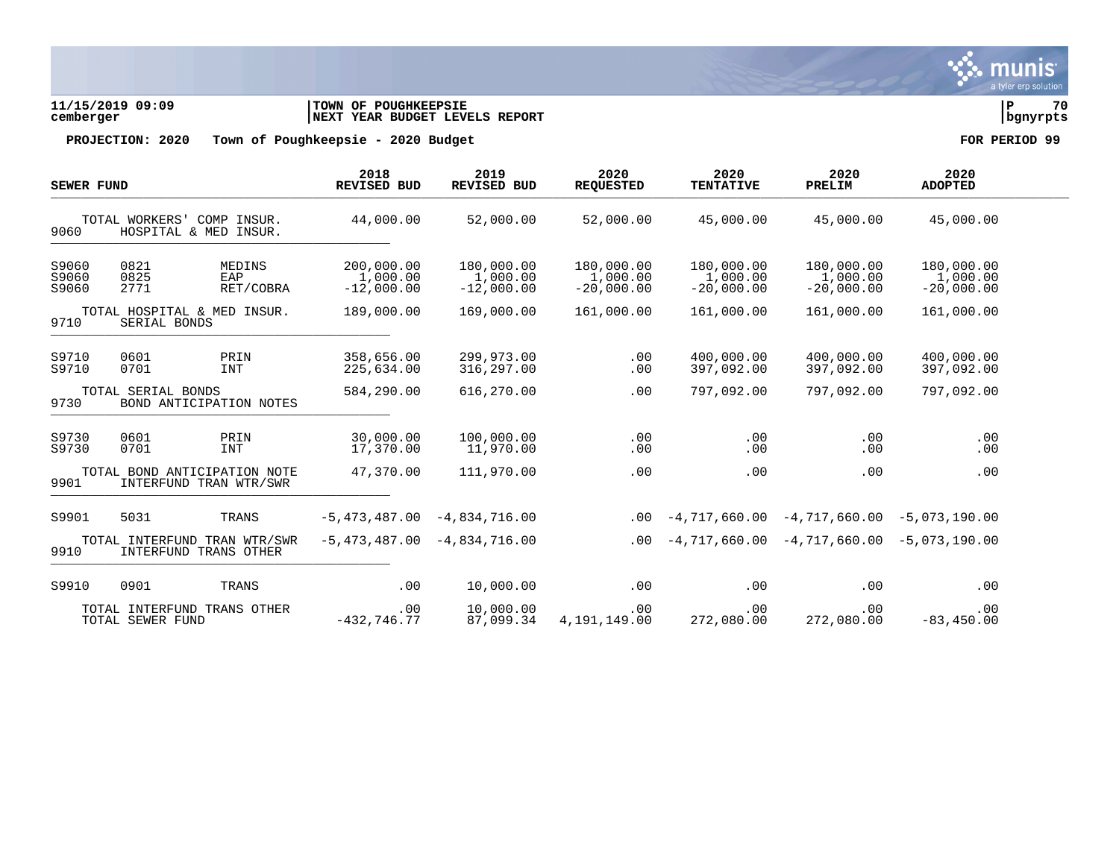

**11/15/2019 09:09 |TOWN OF POUGHKEEPSIE |P 70 cemberger |NEXT YEAR BUDGET LEVELS REPORT |bgnyrpts**

| <b>SEWER FUND</b>       |                      |                                                        | 2018<br><b>REVISED BUD</b>             | 2019<br><b>REVISED BUD</b>             | 2020<br><b>REQUESTED</b>               | 2020<br><b>TENTATIVE</b>               | 2020<br>PRELIM                         | 2020<br><b>ADOPTED</b>                 |  |
|-------------------------|----------------------|--------------------------------------------------------|----------------------------------------|----------------------------------------|----------------------------------------|----------------------------------------|----------------------------------------|----------------------------------------|--|
| 9060                    | TOTAL WORKERS'       | COMP<br>INSUR.<br>HOSPITAL & MED INSUR.                | 44,000.00                              | 52,000.00                              | 52,000.00                              | 45,000.00                              | 45,000.00                              | 45,000.00                              |  |
| S9060<br>S9060<br>S9060 | 0821<br>0825<br>2771 | MEDINS<br>EAP<br>RET/COBRA                             | 200,000.00<br>1,000.00<br>$-12,000.00$ | 180,000.00<br>1,000.00<br>$-12,000.00$ | 180,000.00<br>1,000.00<br>$-20,000.00$ | 180,000.00<br>1,000.00<br>$-20,000.00$ | 180,000.00<br>1,000.00<br>$-20,000.00$ | 180,000.00<br>1,000.00<br>$-20,000.00$ |  |
| 9710                    | SERIAL BONDS         | TOTAL HOSPITAL & MED INSUR.                            | 189,000.00                             | 169,000.00                             | 161,000.00                             | 161,000.00                             | 161,000.00                             | 161,000.00                             |  |
| S9710<br>S9710          | 0601<br>0701         | PRIN<br><b>INT</b>                                     | 358,656.00<br>225,634.00               | 299,973.00<br>316,297.00               | .00<br>.00                             | 400,000.00<br>397,092.00               | 400,000.00<br>397,092.00               | 400,000.00<br>397,092.00               |  |
| 9730                    | TOTAL SERIAL BONDS   | BOND ANTICIPATION NOTES                                | 584,290.00                             | 616,270.00                             | .00                                    | 797,092.00                             | 797,092.00                             | 797,092.00                             |  |
| S9730<br>S9730          | 0601<br>0701         | PRIN<br><b>INT</b>                                     | 30,000.00<br>17,370.00                 | 100,000.00<br>11,970.00                | .00<br>.00                             | .00<br>.00                             | .00<br>.00                             | .00<br>.00                             |  |
| 9901                    |                      | TOTAL BOND ANTICIPATION NOTE<br>INTERFUND TRAN WTR/SWR | 47,370.00                              | 111,970.00                             | .00                                    | .00                                    | .00                                    | .00                                    |  |
| S9901                   | 5031                 | TRANS                                                  | $-5,473,487.00$                        | $-4,834,716.00$                        | .00                                    | $-4,717,660.00$                        | $-4,717,660.00$                        | $-5,073,190.00$                        |  |
| 9910                    |                      | TOTAL INTERFUND TRAN WTR/SWR<br>INTERFUND TRANS OTHER  | $-5,473,487.00$                        | $-4,834,716.00$                        | .00                                    | $-4,717,660.00$                        | $-4,717,660.00$                        | $-5,073,190.00$                        |  |
| S9910                   | 0901                 | TRANS                                                  | .00                                    | 10,000.00                              | .00                                    | .00                                    | .00                                    | .00                                    |  |
|                         | TOTAL SEWER FUND     | TOTAL INTERFUND TRANS OTHER                            | .00<br>$-432, 746.77$                  | 10,000.00<br>87,099.34                 | .00<br>4,191,149.00                    | .00<br>272,080.00                      | .00<br>272,080.00                      | .00<br>$-83, 450.00$                   |  |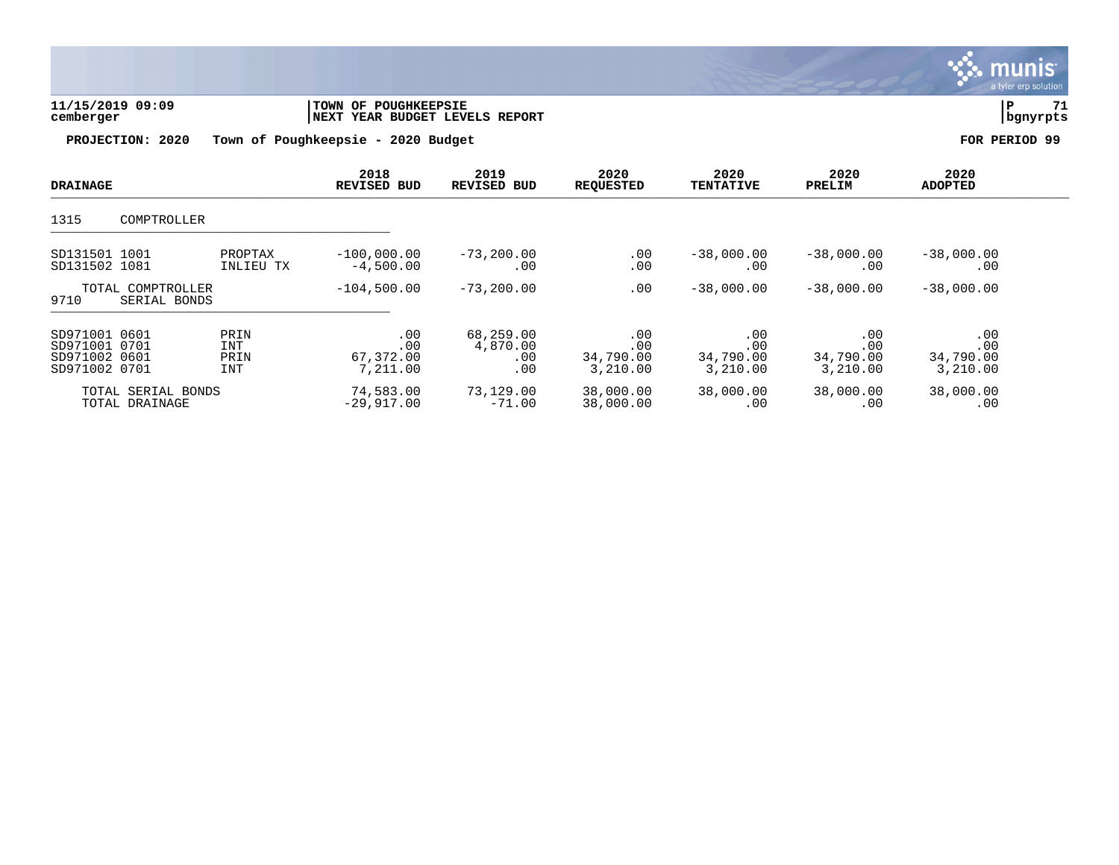

| 11/15/2019 09:09 | <b>TOWN OF POUGHKEEPSIE</b>          |          | 71 |
|------------------|--------------------------------------|----------|----|
| cemberger        | 'YEAR BUDGET LEVELS REPORT<br>  NEXT | bqnyrpts |    |
|                  |                                      |          |    |

| <b>DRAINAGE</b>                                                  |                                      |                            | 2018<br><b>REVISED BUD</b>          | 2019<br>REVISED BUD                 | 2020<br><b>REQUESTED</b>            | 2020<br><b>TENTATIVE</b>            | 2020<br>PRELIM                      | 2020<br><b>ADOPTED</b>              |  |
|------------------------------------------------------------------|--------------------------------------|----------------------------|-------------------------------------|-------------------------------------|-------------------------------------|-------------------------------------|-------------------------------------|-------------------------------------|--|
| 1315                                                             | COMPTROLLER                          |                            |                                     |                                     |                                     |                                     |                                     |                                     |  |
| SD131501 1001<br>SD131502 1081                                   |                                      | PROPTAX<br>INLIEU TX       | $-100,000.00$<br>$-4,500.00$        | $-73, 200.00$<br>.00                | .00<br>.00                          | $-38,000.00$<br>.00                 | $-38,000.00$<br>.00                 | $-38,000.00$<br>.00                 |  |
| 9710                                                             | TOTAL COMPTROLLER<br>SERIAL BONDS    |                            | $-104,500.00$                       | $-73, 200.00$                       | .00                                 | $-38,000.00$                        | $-38,000.00$                        | $-38,000.00$                        |  |
| SD971001 0601<br>SD971001 0701<br>SD971002 0601<br>SD971002 0701 |                                      | PRIN<br>INT<br>PRIN<br>INT | .00<br>.00<br>67,372.00<br>7,211.00 | 68,259.00<br>4,870.00<br>.00<br>.00 | .00<br>.00<br>34,790.00<br>3,210.00 | .00<br>.00<br>34,790.00<br>3,210.00 | .00<br>.00<br>34,790.00<br>3,210.00 | .00<br>.00<br>34,790.00<br>3,210.00 |  |
|                                                                  | TOTAL SERIAL BONDS<br>TOTAL DRAINAGE |                            | 74,583.00<br>$-29,917.00$           | 73,129.00<br>$-71.00$               | 38,000.00<br>38,000.00              | 38,000.00<br>.00                    | 38,000.00<br>.00                    | 38,000.00<br>.00                    |  |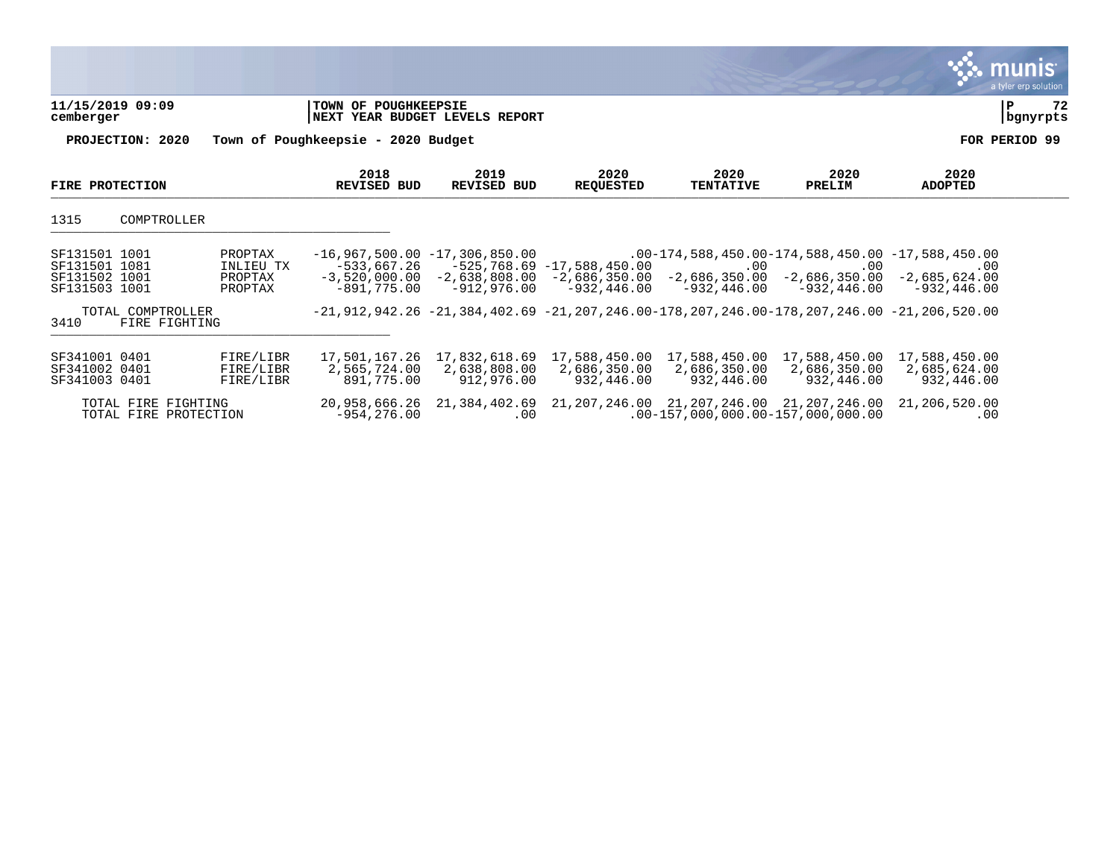|                                                                  |                                            |                                             |                                                  |                                                                                                            |                                                           |                                                                                                                     |                                             | a tyler erp solution |
|------------------------------------------------------------------|--------------------------------------------|---------------------------------------------|--------------------------------------------------|------------------------------------------------------------------------------------------------------------|-----------------------------------------------------------|---------------------------------------------------------------------------------------------------------------------|---------------------------------------------|----------------------|
| 11/15/2019 09:09<br>cemberger                                    |                                            | TOWN OF POUGHKEEPSIE                        | NEXT YEAR BUDGET LEVELS REPORT                   |                                                                                                            |                                                           |                                                                                                                     |                                             | 72<br>P<br>bgnyrpts  |
| PROJECTION: 2020                                                 |                                            | Town of Poughkeepsie - 2020 Budget          |                                                  |                                                                                                            |                                                           |                                                                                                                     |                                             | FOR PERIOD 99        |
| FIRE PROTECTION                                                  |                                            | 2018<br><b>REVISED BUD</b>                  | 2019<br><b>REVISED BUD</b>                       | 2020<br><b>REQUESTED</b>                                                                                   | 2020<br><b>TENTATIVE</b>                                  | 2020<br>PRELIM                                                                                                      | 2020<br><b>ADOPTED</b>                      |                      |
| 1315<br>COMPTROLLER                                              |                                            |                                             |                                                  |                                                                                                            |                                                           |                                                                                                                     |                                             |                      |
| SF131501 1001<br>SF131501 1081<br>SF131502 1001<br>SF131503 1001 | PROPTAX<br>INLIEU TX<br>PROPTAX<br>PROPTAX | $-533,667.26$<br>$-891,775,00$              | $-16,967,500.00 -17,306,850.00$<br>$-912.976.00$ | $-525,768.69 -17,588,450.00$<br>$-3,520,000.00 -2,638,808.00 -2,686,350.00 -2,686,350.00$<br>$-932.446.00$ | .00<br>-932,446.00                                        | $.00-174, 588, 450.00-174, 588, 450.00 -17, 588, 450.00$<br>.00<br>$-2,686,350.00$<br>-932.446.00                   | .00<br>$-2,685,624.00$<br>-932,446.00       |                      |
| TOTAL COMPTROLLER<br>3410<br>FIRE FIGHTING                       |                                            |                                             |                                                  |                                                                                                            |                                                           | $-21, 912, 942, 26$ $-21, 384, 402, 69$ $-21, 207, 246, 00-178, 207, 246, 00-178, 207, 246, 00$ $-21, 206, 520, 00$ |                                             |                      |
| SF341001 0401<br>SF341002 0401<br>SF341003 0401                  | FIRE/LIBR<br>FIRE/LIBR<br>FIRE/LIBR        | 17,501,167.26<br>2,565,724.00<br>891,775.00 | 17,832,618.69<br>2,638,808.00<br>912,976.00      | 2,686,350.00<br>932,446.00                                                                                 | 17,588,450.00 17,588,450.00<br>2,686,350.00<br>932,446.00 | 17,588,450.00<br>2,686,350.00<br>932,446.00                                                                         | 17,588,450.00<br>2,685,624.00<br>932,446.00 |                      |
| TOTAL FIRE FIGHTING<br>TOTAL FIRE PROTECTION                     |                                            | 20,958,666.26<br>$-954, 276.00$             | 21,384,402.69<br>.00                             |                                                                                                            |                                                           | 21, 207, 246.00 21, 207, 246.00 21, 207, 246.00<br>$.00-157,000,000.00-157,000,000.00$                              | 21,206,520.00<br>.00                        |                      |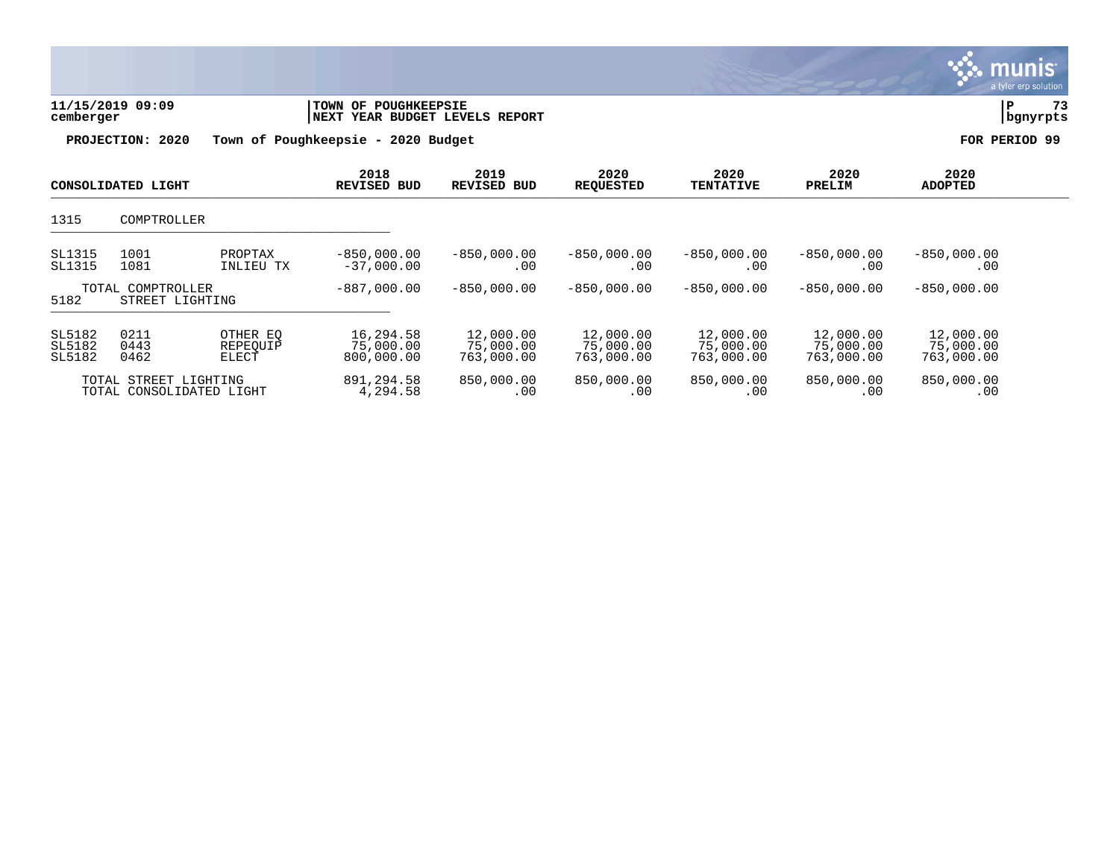

munis